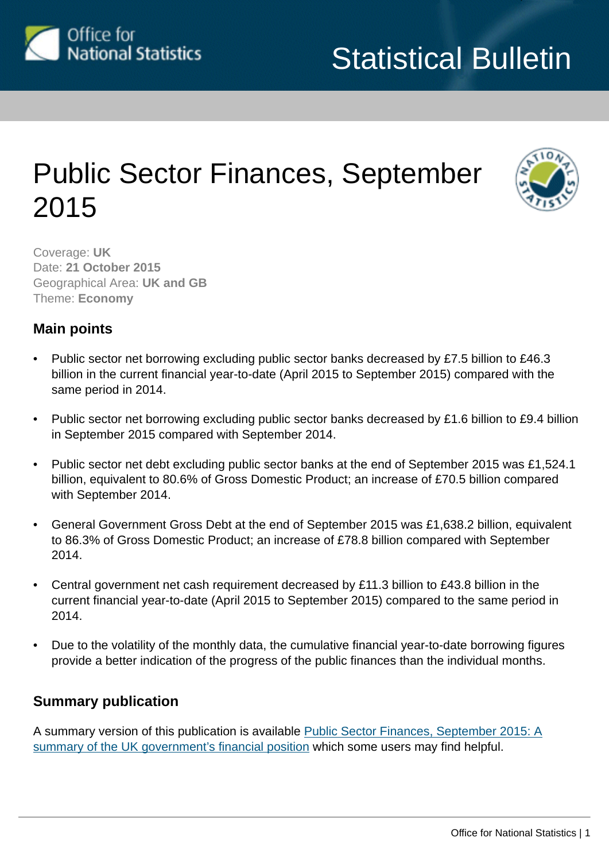<span id="page-0-0"></span>

# Public Sector Finances, September 2015



Coverage: **UK** Date: **21 October 2015** Geographical Area: **UK and GB** Theme: **Economy**

### **Main points**

- Public sector net borrowing excluding public sector banks decreased by £7.5 billion to £46.3 billion in the current financial year-to-date (April 2015 to September 2015) compared with the same period in 2014.
- Public sector net borrowing excluding public sector banks decreased by £1.6 billion to £9.4 billion in September 2015 compared with September 2014.
- Public sector net debt excluding public sector banks at the end of September 2015 was £1,524.1 billion, equivalent to 80.6% of Gross Domestic Product; an increase of £70.5 billion compared with September 2014.
- General Government Gross Debt at the end of September 2015 was £1,638.2 billion, equivalent to 86.3% of Gross Domestic Product; an increase of £78.8 billion compared with September 2014.
- Central government net cash requirement decreased by £11.3 billion to £43.8 billion in the current financial year-to-date (April 2015 to September 2015) compared to the same period in 2014.
- Due to the volatility of the monthly data, the cumulative financial year-to-date borrowing figures provide a better indication of the progress of the public finances than the individual months.

# **Summary publication**

A summary version of this publication is available [Public Sector Finances, September 2015: A](http://www.ons.gov.uk:80/ons/rel/psa/public-sector-finances/september-2015/sum-psf-september-2015.html) [summary of the UK government's financial position](http://www.ons.gov.uk:80/ons/rel/psa/public-sector-finances/september-2015/sum-psf-september-2015.html) which some users may find helpful.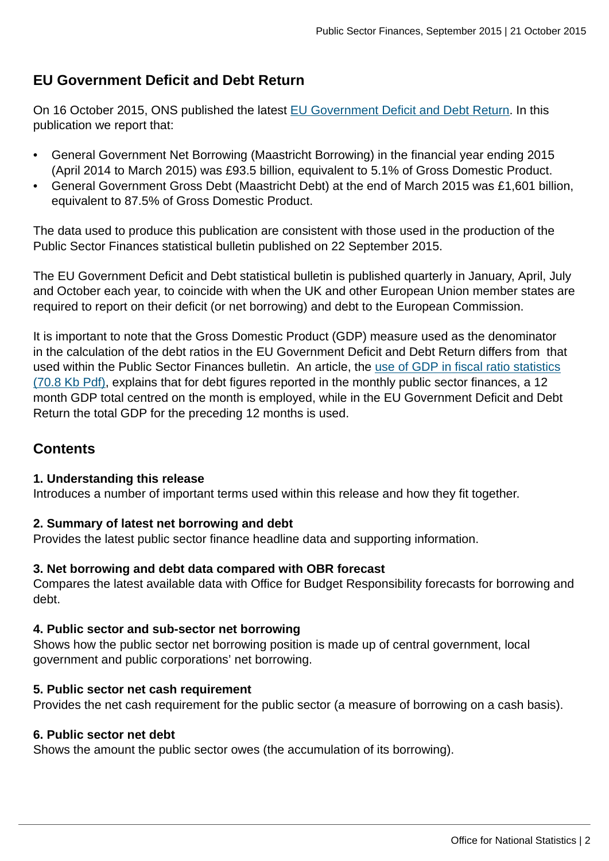# **EU Government Deficit and Debt Return**

On 16 October 2015, ONS published the latest [EU Government Deficit and Debt Return.](http://www.ons.gov.uk:80/ons/rel/psa/maast-supplementary-data-tables/q2-2015/stb-maast-q2-2015.html) In this publication we report that:

- General Government Net Borrowing (Maastricht Borrowing) in the financial year ending 2015 (April 2014 to March 2015) was £93.5 billion, equivalent to 5.1% of Gross Domestic Product.
- General Government Gross Debt (Maastricht Debt) at the end of March 2015 was £1,601 billion, equivalent to 87.5% of Gross Domestic Product.

The data used to produce this publication are consistent with those used in the production of the Public Sector Finances statistical bulletin published on 22 September 2015.

The EU Government Deficit and Debt statistical bulletin is published quarterly in January, April, July and October each year, to coincide with when the UK and other European Union member states are required to report on their deficit (or net borrowing) and debt to the European Commission.

It is important to note that the Gross Domestic Product (GDP) measure used as the denominator in the calculation of the debt ratios in the EU Government Deficit and Debt Return differs from that used within the Public Sector Finances bulletin. An article, the [use of GDP in fiscal ratio statistics](http://www.ons.gov.uk:80/ons/guide-method/method-quality/specific/economy/public-sector-statistics/the-use-of-gross-domestic-product--gdp--in-fiscal-ratio-statistics.pdf) [\(70.8 Kb Pdf\)](http://www.ons.gov.uk:80/ons/guide-method/method-quality/specific/economy/public-sector-statistics/the-use-of-gross-domestic-product--gdp--in-fiscal-ratio-statistics.pdf), explains that for debt figures reported in the monthly public sector finances, a 12 month GDP total centred on the month is employed, while in the EU Government Deficit and Debt Return the total GDP for the preceding 12 months is used.

# **Contents**

#### **1. Understanding this release**

Introduces a number of important terms used within this release and how they fit together.

#### **2. Summary of latest net borrowing and debt**

Provides the latest public sector finance headline data and supporting information.

#### **3. Net borrowing and debt data compared with OBR forecast**

Compares the latest available data with Office for Budget Responsibility forecasts for borrowing and debt.

#### **4. Public sector and sub-sector net borrowing**

Shows how the public sector net borrowing position is made up of central government, local government and public corporations' net borrowing.

#### **5. Public sector net cash requirement**

Provides the net cash requirement for the public sector (a measure of borrowing on a cash basis).

#### **6. Public sector net debt**

Shows the amount the public sector owes (the accumulation of its borrowing).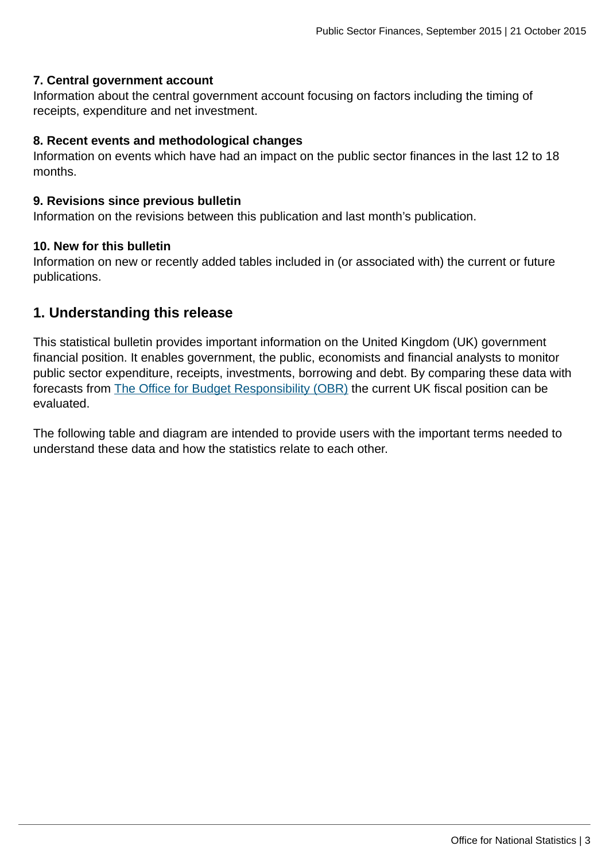#### **7. Central government account**

Information about the central government account focusing on factors including the timing of receipts, expenditure and net investment.

#### **8. Recent events and methodological changes**

Information on events which have had an impact on the public sector finances in the last 12 to 18 months.

#### **9. Revisions since previous bulletin**

Information on the revisions between this publication and last month's publication.

#### **10. New for this bulletin**

Information on new or recently added tables included in (or associated with) the current or future publications.

### **1. Understanding this release**

This statistical bulletin provides important information on the United Kingdom (UK) government financial position. It enables government, the public, economists and financial analysts to monitor public sector expenditure, receipts, investments, borrowing and debt. By comparing these data with forecasts from [The Office for Budget Responsibility \(OBR\)](http://budgetresponsibility.independent.gov.uk/) the current UK fiscal position can be evaluated.

The following table and diagram are intended to provide users with the important terms needed to understand these data and how the statistics relate to each other.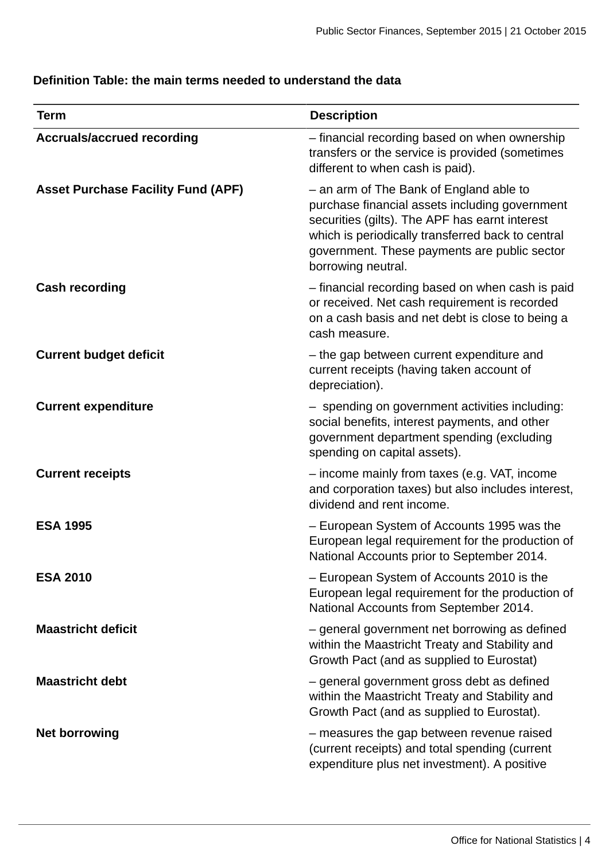### **Definition Table: the main terms needed to understand the data**

| <b>Term</b>                               | <b>Description</b>                                                                                                                                                                                                                                                     |
|-------------------------------------------|------------------------------------------------------------------------------------------------------------------------------------------------------------------------------------------------------------------------------------------------------------------------|
| <b>Accruals/accrued recording</b>         | - financial recording based on when ownership<br>transfers or the service is provided (sometimes<br>different to when cash is paid).                                                                                                                                   |
| <b>Asset Purchase Facility Fund (APF)</b> | - an arm of The Bank of England able to<br>purchase financial assets including government<br>securities (gilts). The APF has earnt interest<br>which is periodically transferred back to central<br>government. These payments are public sector<br>borrowing neutral. |
| <b>Cash recording</b>                     | - financial recording based on when cash is paid<br>or received. Net cash requirement is recorded<br>on a cash basis and net debt is close to being a<br>cash measure.                                                                                                 |
| <b>Current budget deficit</b>             | - the gap between current expenditure and<br>current receipts (having taken account of<br>depreciation).                                                                                                                                                               |
| <b>Current expenditure</b>                | - spending on government activities including:<br>social benefits, interest payments, and other<br>government department spending (excluding<br>spending on capital assets).                                                                                           |
| <b>Current receipts</b>                   | - income mainly from taxes (e.g. VAT, income<br>and corporation taxes) but also includes interest,<br>dividend and rent income.                                                                                                                                        |
| <b>ESA 1995</b>                           | - European System of Accounts 1995 was the<br>European legal requirement for the production of<br>National Accounts prior to September 2014.                                                                                                                           |
| <b>ESA 2010</b>                           | - European System of Accounts 2010 is the<br>European legal requirement for the production of<br>National Accounts from September 2014.                                                                                                                                |
| <b>Maastricht deficit</b>                 | - general government net borrowing as defined<br>within the Maastricht Treaty and Stability and<br>Growth Pact (and as supplied to Eurostat)                                                                                                                           |
| <b>Maastricht debt</b>                    | - general government gross debt as defined<br>within the Maastricht Treaty and Stability and<br>Growth Pact (and as supplied to Eurostat).                                                                                                                             |
| <b>Net borrowing</b>                      | - measures the gap between revenue raised<br>(current receipts) and total spending (current<br>expenditure plus net investment). A positive                                                                                                                            |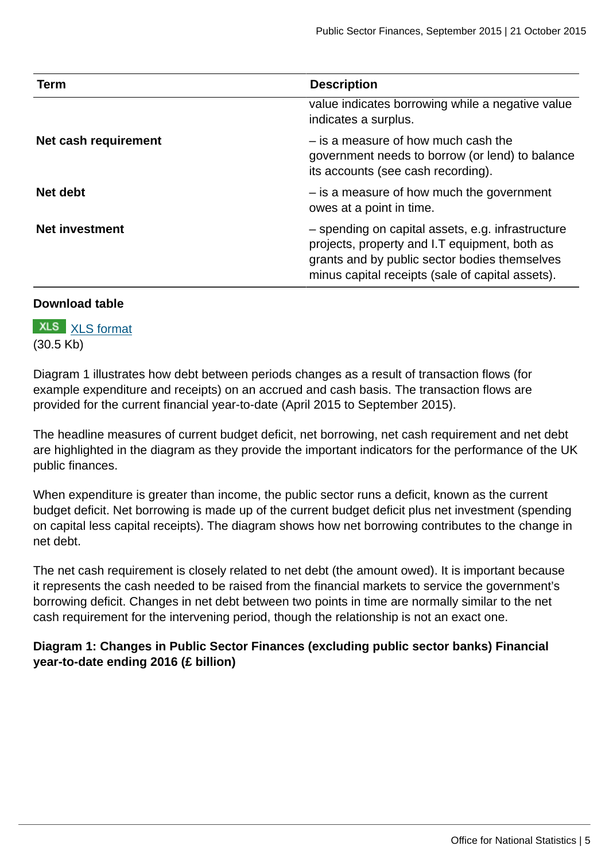| <b>Term</b>           | <b>Description</b>                                                                                                                                                                                      |
|-----------------------|---------------------------------------------------------------------------------------------------------------------------------------------------------------------------------------------------------|
|                       | value indicates borrowing while a negative value<br>indicates a surplus.                                                                                                                                |
| Net cash requirement  | - is a measure of how much cash the<br>government needs to borrow (or lend) to balance<br>its accounts (see cash recording).                                                                            |
| Net debt              | - is a measure of how much the government<br>owes at a point in time.                                                                                                                                   |
| <b>Net investment</b> | - spending on capital assets, e.g. infrastructure<br>projects, property and I.T equipment, both as<br>grants and by public sector bodies themselves<br>minus capital receipts (sale of capital assets). |

#### **Download table**

**XLS** [XLS format](http://www.ons.gov.uk:80/ons/rel/psa/public-sector-finances/september-2015/prt-glossary.xls) (30.5 Kb)

Diagram 1 illustrates how debt between periods changes as a result of transaction flows (for example expenditure and receipts) on an accrued and cash basis. The transaction flows are provided for the current financial year-to-date (April 2015 to September 2015).

The headline measures of current budget deficit, net borrowing, net cash requirement and net debt are highlighted in the diagram as they provide the important indicators for the performance of the UK public finances.

When expenditure is greater than income, the public sector runs a deficit, known as the current budget deficit. Net borrowing is made up of the current budget deficit plus net investment (spending on capital less capital receipts). The diagram shows how net borrowing contributes to the change in net debt.

The net cash requirement is closely related to net debt (the amount owed). It is important because it represents the cash needed to be raised from the financial markets to service the government's borrowing deficit. Changes in net debt between two points in time are normally similar to the net cash requirement for the intervening period, though the relationship is not an exact one.

**Diagram 1: Changes in Public Sector Finances (excluding public sector banks) Financial year-to-date ending 2016 (£ billion)**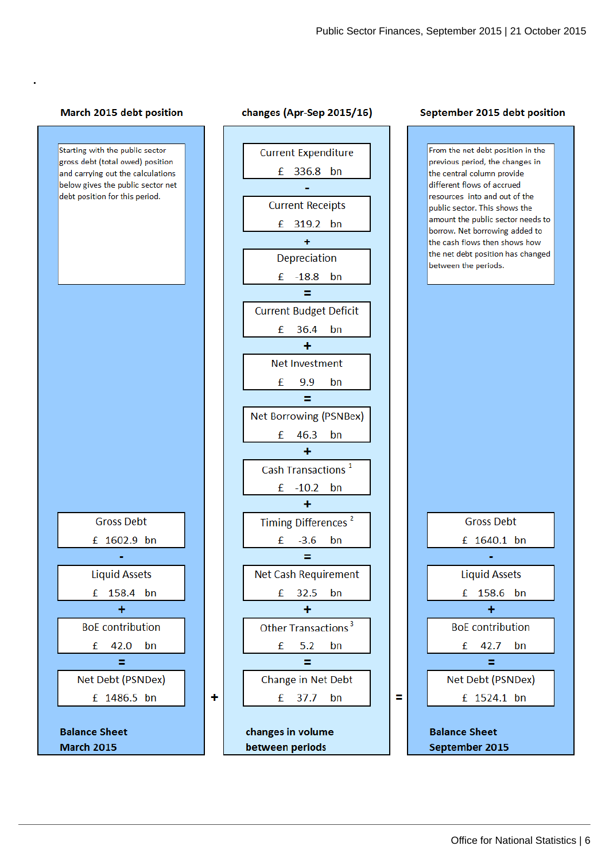#### March 2015 debt position

**.**



٠



#### September 2015 debt position

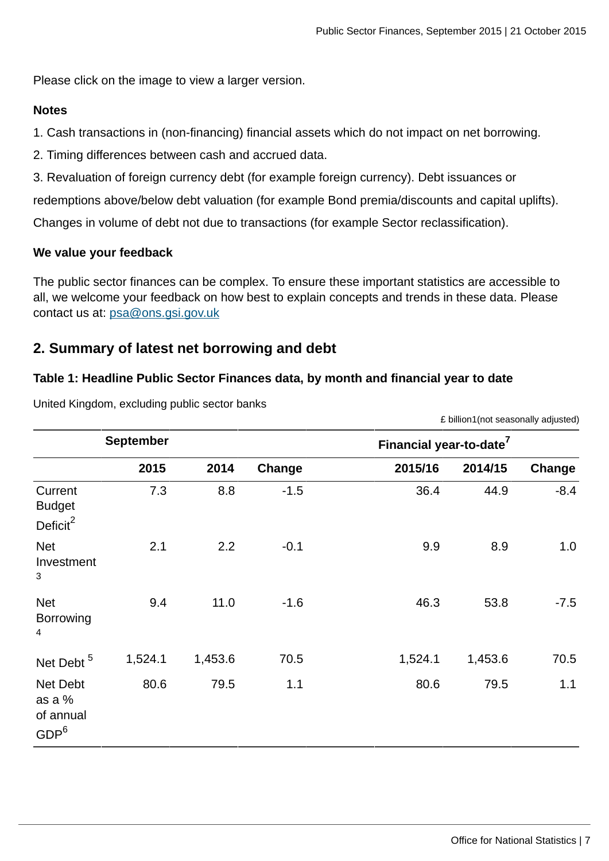Please click on the image to view a larger version.

#### **Notes**

1. Cash transactions in (non-financing) financial assets which do not impact on net borrowing.

2. Timing differences between cash and accrued data.

3. Revaluation of foreign currency debt (for example foreign currency). Debt issuances or

redemptions above/below debt valuation (for example Bond premia/discounts and capital uplifts).

Changes in volume of debt not due to transactions (for example Sector reclassification).

#### **We value your feedback**

The public sector finances can be complex. To ensure these important statistics are accessible to all, we welcome your feedback on how best to explain concepts and trends in these data. Please contact us at: [psa@ons.gsi.gov.uk](mailto:psa@ons.gsi.gov.uk)

### **2. Summary of latest net borrowing and debt**

#### **Table 1: Headline Public Sector Finances data, by month and financial year to date**

|                                                     | <b>September</b> |         |        | Financial year-to-date <sup>7</sup> |         |        |
|-----------------------------------------------------|------------------|---------|--------|-------------------------------------|---------|--------|
|                                                     | 2015             | 2014    | Change | 2015/16                             | 2014/15 | Change |
| Current<br><b>Budget</b><br>Deficit <sup>2</sup>    | 7.3              | 8.8     | $-1.5$ | 36.4                                | 44.9    | $-8.4$ |
| <b>Net</b><br>Investment<br>3                       | 2.1              | 2.2     | $-0.1$ | 9.9                                 | 8.9     | 1.0    |
| <b>Net</b><br><b>Borrowing</b><br>4                 | 9.4              | 11.0    | $-1.6$ | 46.3                                | 53.8    | $-7.5$ |
| Net Debt <sup>5</sup>                               | 1,524.1          | 1,453.6 | 70.5   | 1,524.1                             | 1,453.6 | 70.5   |
| Net Debt<br>as a %<br>of annual<br>GDP <sup>6</sup> | 80.6             | 79.5    | 1.1    | 80.6                                | 79.5    | 1.1    |

United Kingdom, excluding public sector banks

£ billion1(not seasonally adjusted)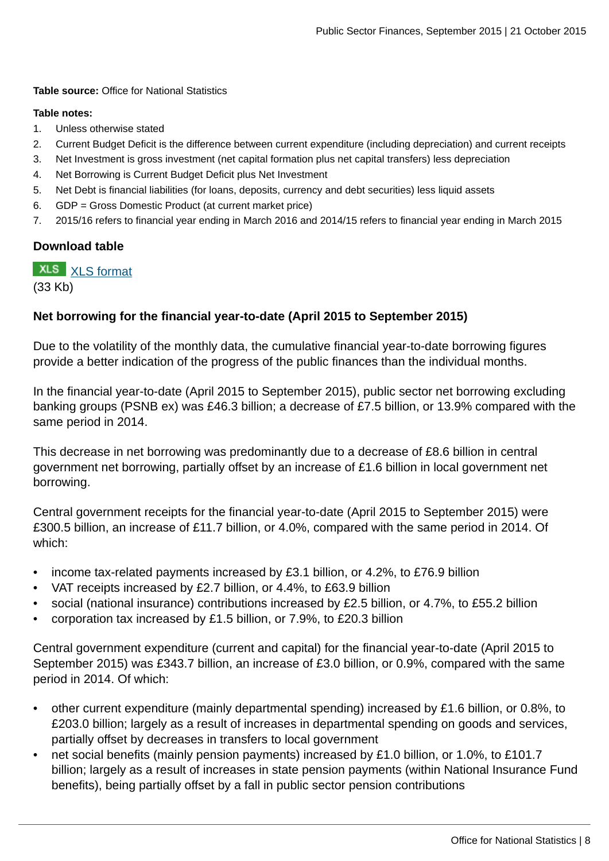**Table source:** Office for National Statistics

#### **Table notes:**

- 1. Unless otherwise stated
- 2. Current Budget Deficit is the difference between current expenditure (including depreciation) and current receipts
- 3. Net Investment is gross investment (net capital formation plus net capital transfers) less depreciation
- 4. Net Borrowing is Current Budget Deficit plus Net Investment
- 5. Net Debt is financial liabilities (for loans, deposits, currency and debt securities) less liquid assets
- 6. GDP = Gross Domestic Product (at current market price)
- 7. 2015/16 refers to financial year ending in March 2016 and 2014/15 refers to financial year ending in March 2015

#### **Download table**

**XLS** [XLS format](http://www.ons.gov.uk:80/ons/rel/psa/public-sector-finances/september-2015/prt-table-1.xls)

(33 Kb)

#### **Net borrowing for the financial year-to-date (April 2015 to September 2015)**

Due to the volatility of the monthly data, the cumulative financial year-to-date borrowing figures provide a better indication of the progress of the public finances than the individual months.

In the financial year-to-date (April 2015 to September 2015), public sector net borrowing excluding banking groups (PSNB ex) was £46.3 billion; a decrease of £7.5 billion, or 13.9% compared with the same period in 2014.

This decrease in net borrowing was predominantly due to a decrease of £8.6 billion in central government net borrowing, partially offset by an increase of £1.6 billion in local government net borrowing.

Central government receipts for the financial year-to-date (April 2015 to September 2015) were £300.5 billion, an increase of £11.7 billion, or 4.0%, compared with the same period in 2014. Of which:

- income tax-related payments increased by £3.1 billion, or 4.2%, to £76.9 billion
- VAT receipts increased by £2.7 billion, or 4.4%, to £63.9 billion
- social (national insurance) contributions increased by £2.5 billion, or 4.7%, to £55.2 billion
- corporation tax increased by £1.5 billion, or 7.9%, to £20.3 billion

Central government expenditure (current and capital) for the financial year-to-date (April 2015 to September 2015) was £343.7 billion, an increase of £3.0 billion, or 0.9%, compared with the same period in 2014. Of which:

- other current expenditure (mainly departmental spending) increased by £1.6 billion, or 0.8%, to £203.0 billion; largely as a result of increases in departmental spending on goods and services, partially offset by decreases in transfers to local government
- net social benefits (mainly pension payments) increased by £1.0 billion, or 1.0%, to £101.7 billion; largely as a result of increases in state pension payments (within National Insurance Fund benefits), being partially offset by a fall in public sector pension contributions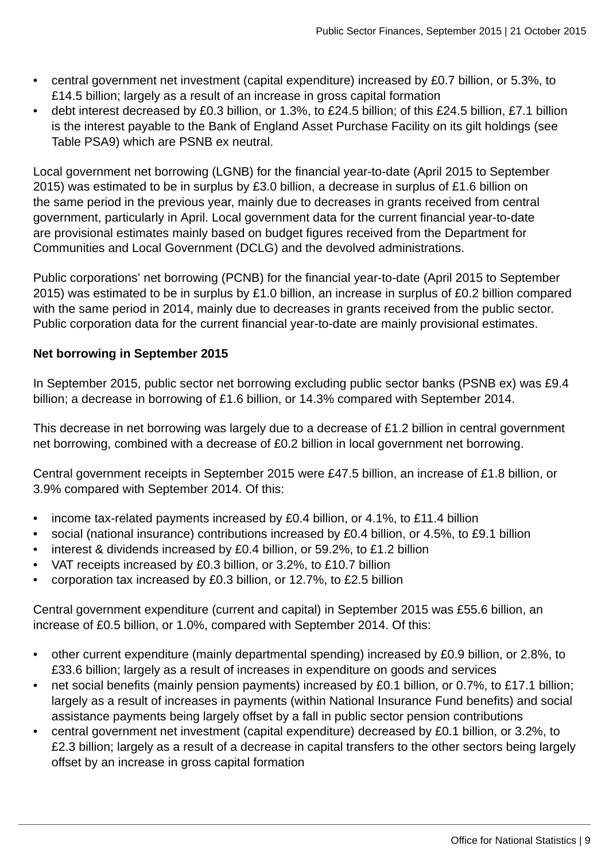- central government net investment (capital expenditure) increased by £0.7 billion, or 5.3%, to £14.5 billion; largely as a result of an increase in gross capital formation
- debt interest decreased by £0.3 billion, or 1.3%, to £24.5 billion; of this £24.5 billion, £7.1 billion is the interest payable to the Bank of England Asset Purchase Facility on its gilt holdings (see Table PSA9) which are PSNB ex neutral.

Local government net borrowing (LGNB) for the financial year-to-date (April 2015 to September 2015) was estimated to be in surplus by £3.0 billion, a decrease in surplus of £1.6 billion on the same period in the previous year, mainly due to decreases in grants received from central government, particularly in April. Local government data for the current financial year-to-date are provisional estimates mainly based on budget figures received from the Department for Communities and Local Government (DCLG) and the devolved administrations.

Public corporations' net borrowing (PCNB) for the financial year-to-date (April 2015 to September 2015) was estimated to be in surplus by £1.0 billion, an increase in surplus of £0.2 billion compared with the same period in 2014, mainly due to decreases in grants received from the public sector. Public corporation data for the current financial year-to-date are mainly provisional estimates.

### **Net borrowing in September 2015**

In September 2015, public sector net borrowing excluding public sector banks (PSNB ex) was £9.4 billion; a decrease in borrowing of £1.6 billion, or 14.3% compared with September 2014.

This decrease in net borrowing was largely due to a decrease of £1.2 billion in central government net borrowing, combined with a decrease of £0.2 billion in local government net borrowing.

Central government receipts in September 2015 were £47.5 billion, an increase of £1.8 billion, or 3.9% compared with September 2014. Of this:

- income tax-related payments increased by £0.4 billion, or 4.1%, to £11.4 billion
- social (national insurance) contributions increased by £0.4 billion, or 4.5%, to £9.1 billion
- interest & dividends increased by £0.4 billion, or 59.2%, to £1.2 billion
- VAT receipts increased by £0.3 billion, or 3.2%, to £10.7 billion
- corporation tax increased by £0.3 billion, or 12.7%, to £2.5 billion

Central government expenditure (current and capital) in September 2015 was £55.6 billion, an increase of £0.5 billion, or 1.0%, compared with September 2014. Of this:

- other current expenditure (mainly departmental spending) increased by £0.9 billion, or 2.8%, to £33.6 billion; largely as a result of increases in expenditure on goods and services
- net social benefits (mainly pension payments) increased by £0.1 billion, or 0.7%, to £17.1 billion; largely as a result of increases in payments (within National Insurance Fund benefits) and social assistance payments being largely offset by a fall in public sector pension contributions
- central government net investment (capital expenditure) decreased by £0.1 billion, or 3.2%, to £2.3 billion; largely as a result of a decrease in capital transfers to the other sectors being largely offset by an increase in gross capital formation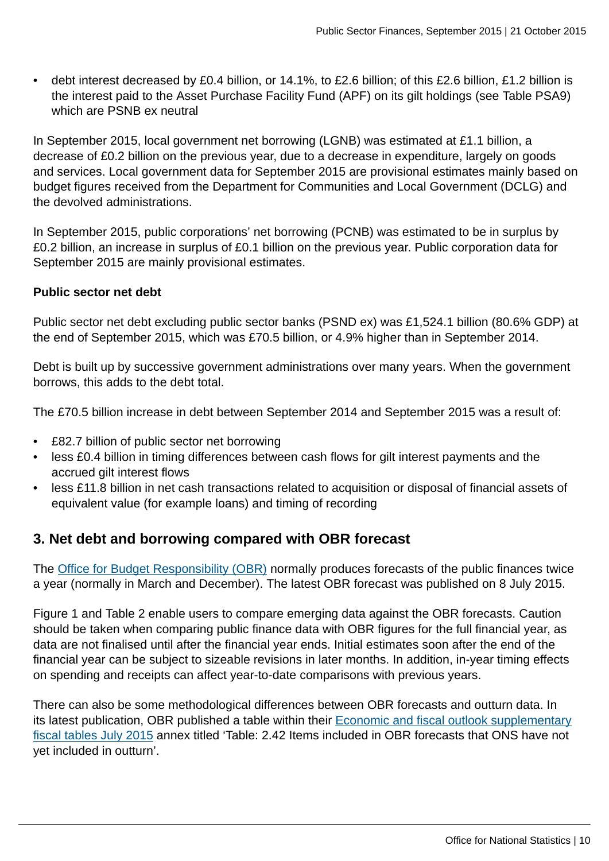• debt interest decreased by £0.4 billion, or 14.1%, to £2.6 billion; of this £2.6 billion, £1.2 billion is the interest paid to the Asset Purchase Facility Fund (APF) on its gilt holdings (see Table PSA9) which are PSNB ex neutral

In September 2015, local government net borrowing (LGNB) was estimated at £1.1 billion, a decrease of £0.2 billion on the previous year, due to a decrease in expenditure, largely on goods and services. Local government data for September 2015 are provisional estimates mainly based on budget figures received from the Department for Communities and Local Government (DCLG) and the devolved administrations.

In September 2015, public corporations' net borrowing (PCNB) was estimated to be in surplus by £0.2 billion, an increase in surplus of £0.1 billion on the previous year. Public corporation data for September 2015 are mainly provisional estimates.

#### **Public sector net debt**

Public sector net debt excluding public sector banks (PSND ex) was £1,524.1 billion (80.6% GDP) at the end of September 2015, which was £70.5 billion, or 4.9% higher than in September 2014.

Debt is built up by successive government administrations over many years. When the government borrows, this adds to the debt total.

The £70.5 billion increase in debt between September 2014 and September 2015 was a result of:

- £82.7 billion of public sector net borrowing
- less £0.4 billion in timing differences between cash flows for gilt interest payments and the accrued gilt interest flows
- less £11.8 billion in net cash transactions related to acquisition or disposal of financial assets of equivalent value (for example loans) and timing of recording

# **3. Net debt and borrowing compared with OBR forecast**

The [Office for Budget Responsibility \(OBR\)](http://budgetresponsibility.independent.gov.uk/) normally produces forecasts of the public finances twice a year (normally in March and December). The latest OBR forecast was published on 8 July 2015.

Figure 1 and Table 2 enable users to compare emerging data against the OBR forecasts. Caution should be taken when comparing public finance data with OBR figures for the full financial year, as data are not finalised until after the financial year ends. Initial estimates soon after the end of the financial year can be subject to sizeable revisions in later months. In addition, in-year timing effects on spending and receipts can affect year-to-date comparisons with previous years.

There can also be some methodological differences between OBR forecasts and outturn data. In its latest publication, OBR published a table within their [Economic and fiscal outlook supplementary](link:%20http://budgetresponsibility.org.uk/economic-fiscal-outlook-july-2015/) [fiscal tables July 2015](link:%20http://budgetresponsibility.org.uk/economic-fiscal-outlook-july-2015/) annex titled 'Table: 2.42 Items included in OBR forecasts that ONS have not yet included in outturn'.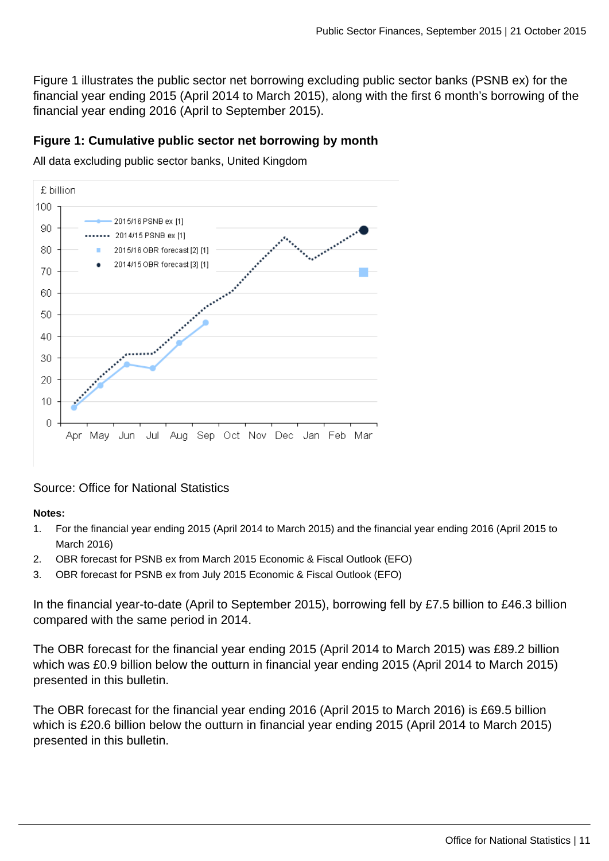Figure 1 illustrates the public sector net borrowing excluding public sector banks (PSNB ex) for the financial year ending 2015 (April 2014 to March 2015), along with the first 6 month's borrowing of the financial year ending 2016 (April to September 2015).

#### **Figure 1: Cumulative public sector net borrowing by month**

All data excluding public sector banks, United Kingdom



### Source: Office for National Statistics

#### **Notes:**

- 1. For the financial year ending 2015 (April 2014 to March 2015) and the financial year ending 2016 (April 2015 to March 2016)
- 2. OBR forecast for PSNB ex from March 2015 Economic & Fiscal Outlook (EFO)
- 3. OBR forecast for PSNB ex from July 2015 Economic & Fiscal Outlook (EFO)

In the financial year-to-date (April to September 2015), borrowing fell by £7.5 billion to £46.3 billion compared with the same period in 2014.

The OBR forecast for the financial year ending 2015 (April 2014 to March 2015) was £89.2 billion which was £0.9 billion below the outturn in financial year ending 2015 (April 2014 to March 2015) presented in this bulletin.

The OBR forecast for the financial year ending 2016 (April 2015 to March 2016) is £69.5 billion which is £20.6 billion below the outturn in financial year ending 2015 (April 2014 to March 2015) presented in this bulletin.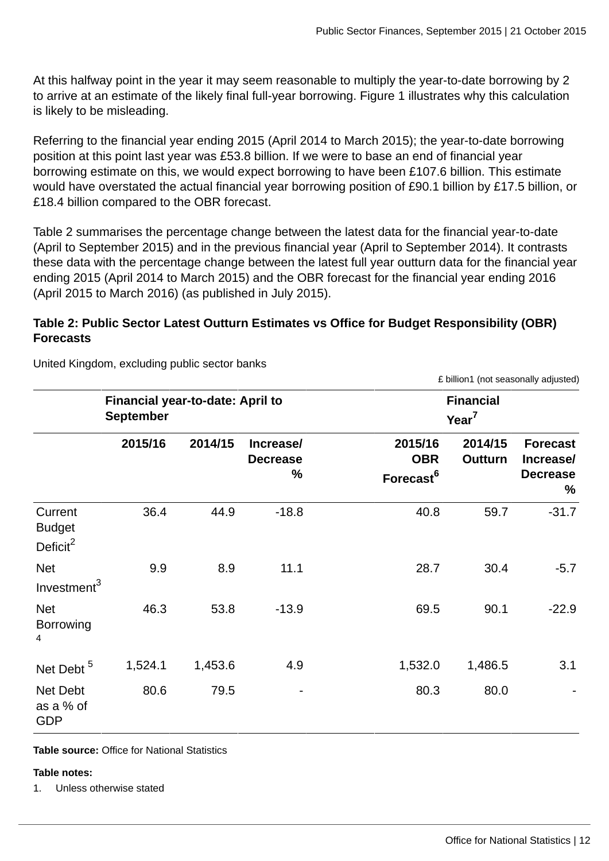At this halfway point in the year it may seem reasonable to multiply the year-to-date borrowing by 2 to arrive at an estimate of the likely final full-year borrowing. Figure 1 illustrates why this calculation is likely to be misleading.

Referring to the financial year ending 2015 (April 2014 to March 2015); the year-to-date borrowing position at this point last year was £53.8 billion. If we were to base an end of financial year borrowing estimate on this, we would expect borrowing to have been £107.6 billion. This estimate would have overstated the actual financial year borrowing position of £90.1 billion by £17.5 billion, or £18.4 billion compared to the OBR forecast.

Table 2 summarises the percentage change between the latest data for the financial year-to-date (April to September 2015) and in the previous financial year (April to September 2014). It contrasts these data with the percentage change between the latest full year outturn data for the financial year ending 2015 (April 2014 to March 2015) and the OBR forecast for the financial year ending 2016 (April 2015 to March 2016) (as published in July 2015).

### **Table 2: Public Sector Latest Outturn Estimates vs Office for Budget Responsibility (OBR) Forecasts**

|                                                  | Financial year-to-date: April to<br><b>September</b> |         |                                          | <b>Financial</b><br>Year <sup>7</sup>          |                           |                                                             |  |  |  |  |
|--------------------------------------------------|------------------------------------------------------|---------|------------------------------------------|------------------------------------------------|---------------------------|-------------------------------------------------------------|--|--|--|--|
|                                                  | 2015/16                                              | 2014/15 | <b>Increasel</b><br><b>Decrease</b><br>% | 2015/16<br><b>OBR</b><br>Forecast <sup>6</sup> | 2014/15<br><b>Outturn</b> | <b>Forecast</b><br><b>Increasel</b><br><b>Decrease</b><br>% |  |  |  |  |
| Current<br><b>Budget</b><br>Deficit <sup>2</sup> | 36.4                                                 | 44.9    | $-18.8$                                  | 40.8                                           | 59.7                      | $-31.7$                                                     |  |  |  |  |
| <b>Net</b><br>Investment <sup>3</sup>            | 9.9                                                  | 8.9     | 11.1                                     | 28.7                                           | 30.4                      | $-5.7$                                                      |  |  |  |  |
| <b>Net</b><br><b>Borrowing</b><br>$\overline{4}$ | 46.3                                                 | 53.8    | $-13.9$                                  | 69.5                                           | 90.1                      | $-22.9$                                                     |  |  |  |  |
| Net Debt <sup>5</sup>                            | 1,524.1                                              | 1,453.6 | 4.9                                      | 1,532.0                                        | 1,486.5                   | 3.1                                                         |  |  |  |  |
| Net Debt<br>as a % of<br><b>GDP</b>              | 80.6                                                 | 79.5    |                                          | 80.3                                           | 80.0                      |                                                             |  |  |  |  |

United Kingdom, excluding public sector banks

**Table source:** Office for National Statistics

#### **Table notes:**

1. Unless otherwise stated

£ billion1 (not seasonally adjusted)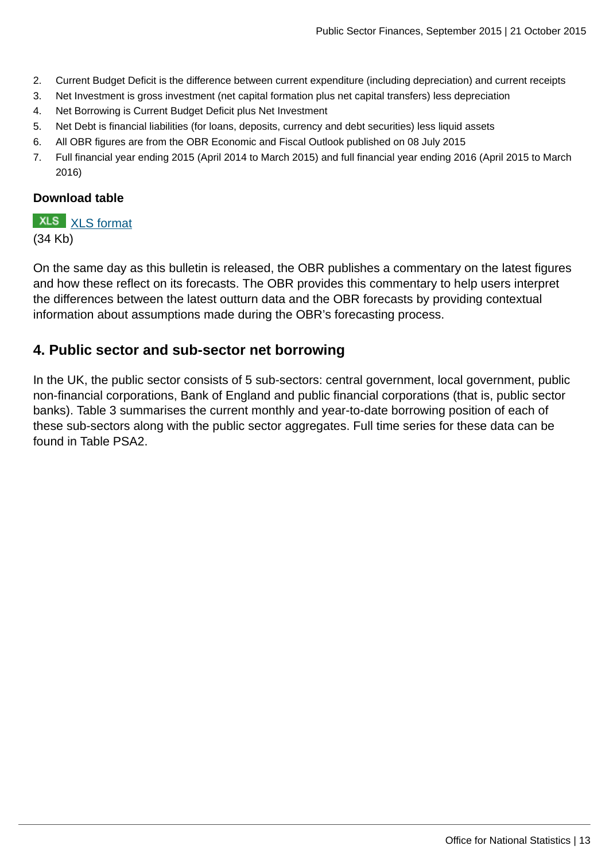- 2. Current Budget Deficit is the difference between current expenditure (including depreciation) and current receipts
- 3. Net Investment is gross investment (net capital formation plus net capital transfers) less depreciation
- 4. Net Borrowing is Current Budget Deficit plus Net Investment
- 5. Net Debt is financial liabilities (for loans, deposits, currency and debt securities) less liquid assets
- 6. All OBR figures are from the OBR Economic and Fiscal Outlook published on 08 July 2015
- 7. Full financial year ending 2015 (April 2014 to March 2015) and full financial year ending 2016 (April 2015 to March 2016)

#### **Download table**

**XLS** [XLS format](http://www.ons.gov.uk:80/ons/rel/psa/public-sector-finances/september-2015/prt-table-2.xls) (34 Kb)

On the same day as this bulletin is released, the OBR publishes a commentary on the latest figures and how these reflect on its forecasts. The OBR provides this commentary to help users interpret the differences between the latest outturn data and the OBR forecasts by providing contextual information about assumptions made during the OBR's forecasting process.

### **4. Public sector and sub-sector net borrowing**

In the UK, the public sector consists of 5 sub-sectors: central government, local government, public non-financial corporations, Bank of England and public financial corporations (that is, public sector banks). Table 3 summarises the current monthly and year-to-date borrowing position of each of these sub-sectors along with the public sector aggregates. Full time series for these data can be found in Table PSA2.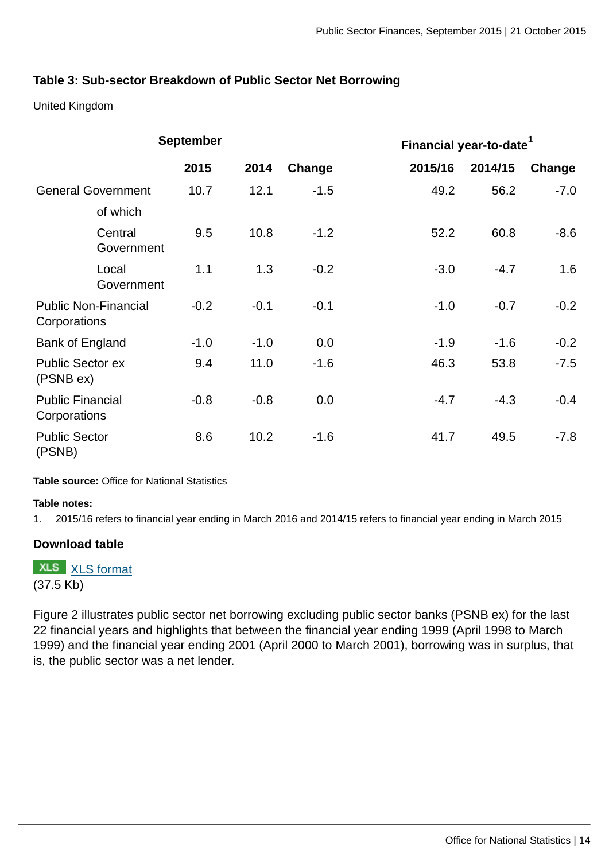#### **Table 3: Sub-sector Breakdown of Public Sector Net Borrowing**

United Kingdom

|                                             |                       | <b>September</b> |        |        | Financial year-to-date <sup>1</sup> |         |        |
|---------------------------------------------|-----------------------|------------------|--------|--------|-------------------------------------|---------|--------|
|                                             |                       | 2015             | 2014   | Change | 2015/16                             | 2014/15 | Change |
| <b>General Government</b>                   |                       | 10.7             | 12.1   | $-1.5$ | 49.2                                | 56.2    | $-7.0$ |
|                                             | of which              |                  |        |        |                                     |         |        |
|                                             | Central<br>Government | 9.5              | 10.8   | $-1.2$ | 52.2                                | 60.8    | $-8.6$ |
|                                             | Local<br>Government   | 1.1              | 1.3    | $-0.2$ | $-3.0$                              | $-4.7$  | 1.6    |
| <b>Public Non-Financial</b><br>Corporations |                       | $-0.2$           | $-0.1$ | $-0.1$ | $-1.0$                              | $-0.7$  | $-0.2$ |
| Bank of England                             |                       | $-1.0$           | $-1.0$ | 0.0    | $-1.9$                              | $-1.6$  | $-0.2$ |
| <b>Public Sector ex</b><br>(PSNB ex)        |                       | 9.4              | 11.0   | $-1.6$ | 46.3                                | 53.8    | $-7.5$ |
| <b>Public Financial</b><br>Corporations     |                       | $-0.8$           | $-0.8$ | 0.0    | $-4.7$                              | $-4.3$  | $-0.4$ |
| <b>Public Sector</b><br>(PSNB)              |                       | 8.6              | 10.2   | $-1.6$ | 41.7                                | 49.5    | $-7.8$ |

**Table source:** Office for National Statistics

#### **Table notes:**

1. 2015/16 refers to financial year ending in March 2016 and 2014/15 refers to financial year ending in March 2015

#### **Download table**

**XLS** [XLS format](http://www.ons.gov.uk:80/ons/rel/psa/public-sector-finances/september-2015/prt-table-3.xls) (37.5 Kb)

Figure 2 illustrates public sector net borrowing excluding public sector banks (PSNB ex) for the last 22 financial years and highlights that between the financial year ending 1999 (April 1998 to March 1999) and the financial year ending 2001 (April 2000 to March 2001), borrowing was in surplus, that is, the public sector was a net lender.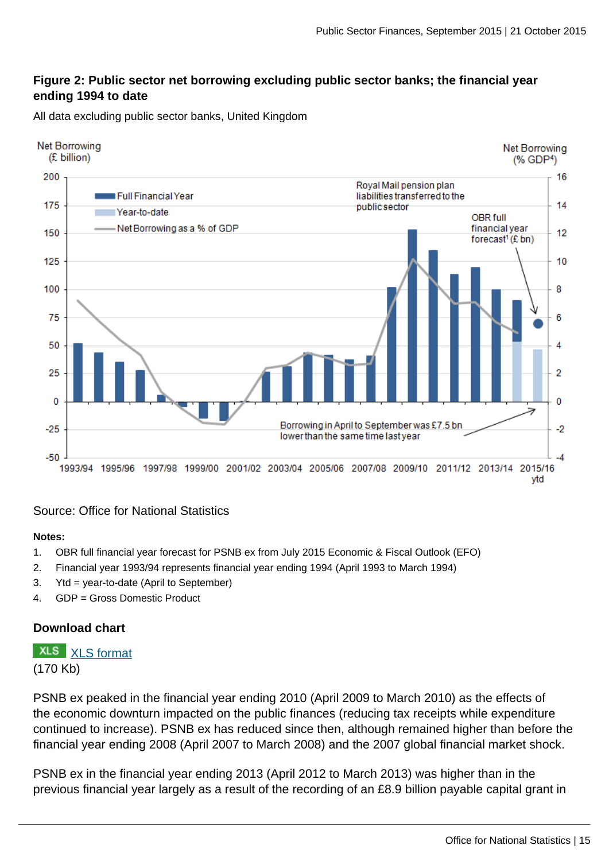#### **Figure 2: Public sector net borrowing excluding public sector banks; the financial year ending 1994 to date**

All data excluding public sector banks, United Kingdom



#### Source: Office for National Statistics

#### **Notes:**

- 1. OBR full financial year forecast for PSNB ex from July 2015 Economic & Fiscal Outlook (EFO)
- 2. Financial year 1993/94 represents financial year ending 1994 (April 1993 to March 1994)
- 3. Ytd = year-to-date (April to September)
- 4. GDP = Gross Domestic Product

#### **Download chart**

**XLS** [XLS format](http://www.ons.gov.uk:80/ons/rel/psa/public-sector-finances/september-2015/chd-figure-2.xls) (170 Kb)

PSNB ex peaked in the financial year ending 2010 (April 2009 to March 2010) as the effects of the economic downturn impacted on the public finances (reducing tax receipts while expenditure continued to increase). PSNB ex has reduced since then, although remained higher than before the financial year ending 2008 (April 2007 to March 2008) and the 2007 global financial market shock.

PSNB ex in the financial year ending 2013 (April 2012 to March 2013) was higher than in the previous financial year largely as a result of the recording of an £8.9 billion payable capital grant in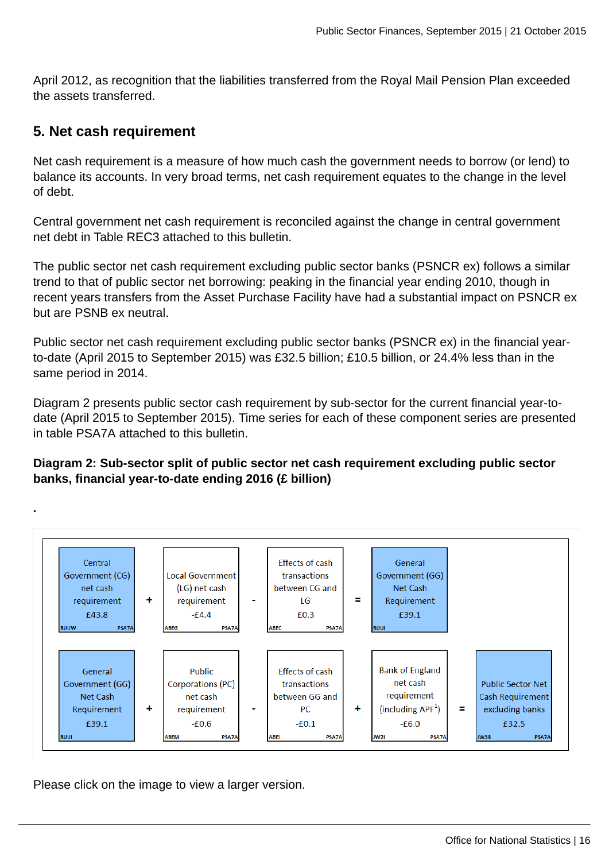April 2012, as recognition that the liabilities transferred from the Royal Mail Pension Plan exceeded the assets transferred.

### **5. Net cash requirement**

**.**

Net cash requirement is a measure of how much cash the government needs to borrow (or lend) to balance its accounts. In very broad terms, net cash requirement equates to the change in the level of debt.

Central government net cash requirement is reconciled against the change in central government net debt in Table REC3 attached to this bulletin.

The public sector net cash requirement excluding public sector banks (PSNCR ex) follows a similar trend to that of public sector net borrowing: peaking in the financial year ending 2010, though in recent years transfers from the Asset Purchase Facility have had a substantial impact on PSNCR ex but are PSNB ex neutral.

Public sector net cash requirement excluding public sector banks (PSNCR ex) in the financial yearto-date (April 2015 to September 2015) was £32.5 billion; £10.5 billion, or 24.4% less than in the same period in 2014.

Diagram 2 presents public sector cash requirement by sub-sector for the current financial year-todate (April 2015 to September 2015). Time series for each of these component series are presented in table PSA7A attached to this bulletin.

**Diagram 2: Sub-sector split of public sector net cash requirement excluding public sector banks, financial year-to-date ending 2016 (£ billion)**



Please click on the image to view a larger version.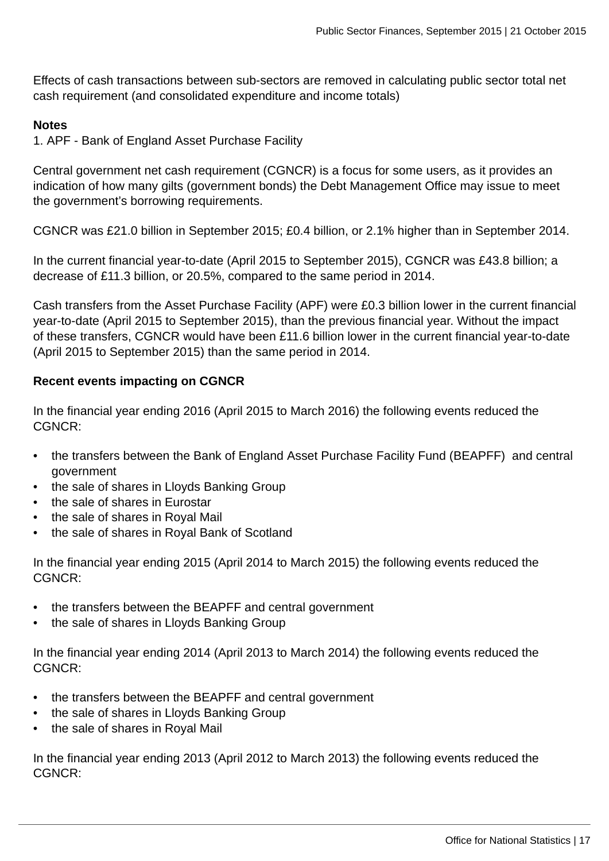Effects of cash transactions between sub-sectors are removed in calculating public sector total net cash requirement (and consolidated expenditure and income totals)

#### **Notes**

1. APF - Bank of England Asset Purchase Facility

Central government net cash requirement (CGNCR) is a focus for some users, as it provides an indication of how many gilts (government bonds) the Debt Management Office may issue to meet the government's borrowing requirements.

CGNCR was £21.0 billion in September 2015; £0.4 billion, or 2.1% higher than in September 2014.

In the current financial year-to-date (April 2015 to September 2015), CGNCR was £43.8 billion; a decrease of £11.3 billion, or 20.5%, compared to the same period in 2014.

Cash transfers from the Asset Purchase Facility (APF) were £0.3 billion lower in the current financial year-to-date (April 2015 to September 2015), than the previous financial year. Without the impact of these transfers, CGNCR would have been £11.6 billion lower in the current financial year-to-date (April 2015 to September 2015) than the same period in 2014.

#### **Recent events impacting on CGNCR**

In the financial year ending 2016 (April 2015 to March 2016) the following events reduced the CGNCR:

- the transfers between the Bank of England Asset Purchase Facility Fund (BEAPFF) and central government
- the sale of shares in Lloyds Banking Group
- the sale of shares in Eurostar
- the sale of shares in Royal Mail
- the sale of shares in Royal Bank of Scotland

In the financial year ending 2015 (April 2014 to March 2015) the following events reduced the CGNCR:

- the transfers between the BEAPFF and central government
- the sale of shares in Lloyds Banking Group

In the financial year ending 2014 (April 2013 to March 2014) the following events reduced the CGNCR:

- the transfers between the BEAPFF and central government
- the sale of shares in Lloyds Banking Group
- the sale of shares in Royal Mail

In the financial year ending 2013 (April 2012 to March 2013) the following events reduced the CGNCR: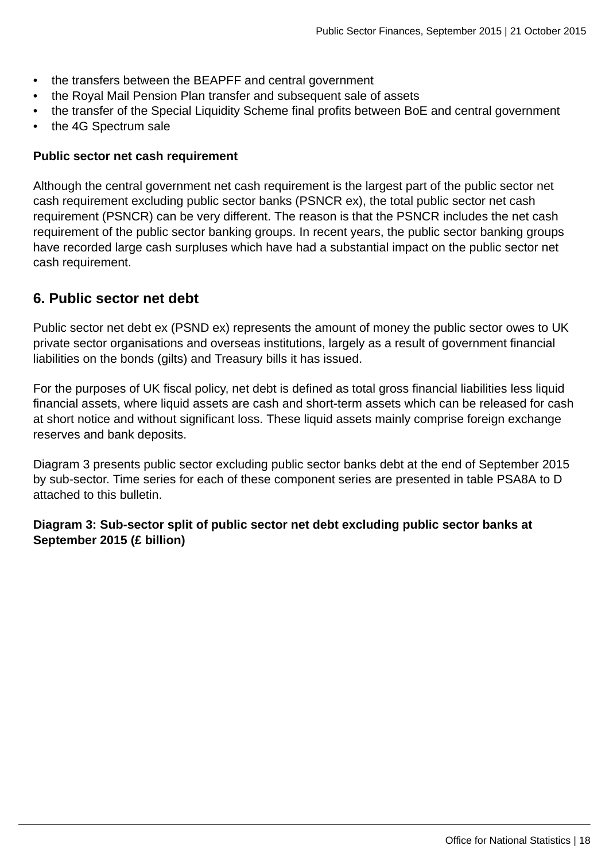- the transfers between the BEAPFF and central government
- the Royal Mail Pension Plan transfer and subsequent sale of assets
- the transfer of the Special Liquidity Scheme final profits between BoE and central government
- the 4G Spectrum sale

#### **Public sector net cash requirement**

Although the central government net cash requirement is the largest part of the public sector net cash requirement excluding public sector banks (PSNCR ex), the total public sector net cash requirement (PSNCR) can be very different. The reason is that the PSNCR includes the net cash requirement of the public sector banking groups. In recent years, the public sector banking groups have recorded large cash surpluses which have had a substantial impact on the public sector net cash requirement.

### **6. Public sector net debt**

Public sector net debt ex (PSND ex) represents the amount of money the public sector owes to UK private sector organisations and overseas institutions, largely as a result of government financial liabilities on the bonds (gilts) and Treasury bills it has issued.

For the purposes of UK fiscal policy, net debt is defined as total gross financial liabilities less liquid financial assets, where liquid assets are cash and short-term assets which can be released for cash at short notice and without significant loss. These liquid assets mainly comprise foreign exchange reserves and bank deposits.

Diagram 3 presents public sector excluding public sector banks debt at the end of September 2015 by sub-sector. Time series for each of these component series are presented in table PSA8A to D attached to this bulletin.

#### **Diagram 3: Sub-sector split of public sector net debt excluding public sector banks at September 2015 (£ billion)**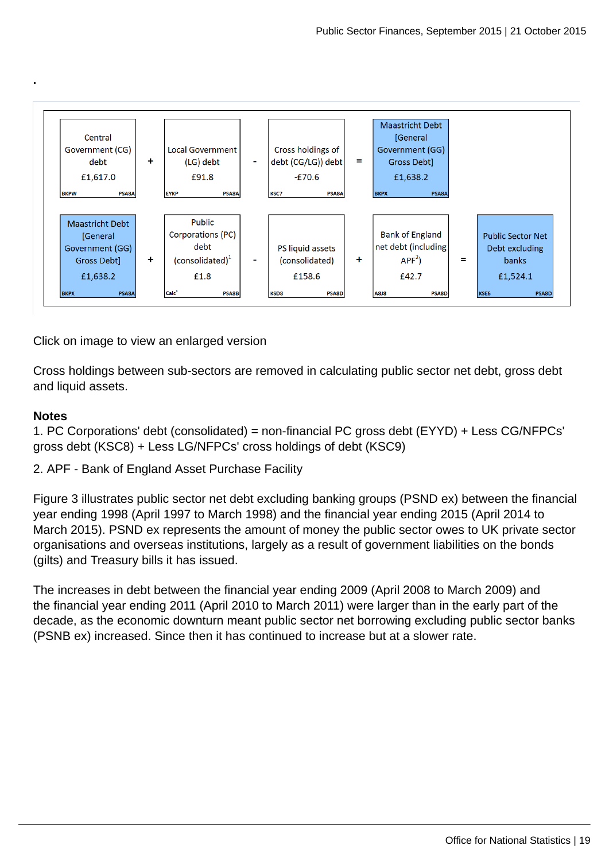

Click on image to view an enlarged version

Cross holdings between sub-sectors are removed in calculating public sector net debt, gross debt and liquid assets.

#### **Notes**

**.**

1. PC Corporations' debt (consolidated) = non-financial PC gross debt (EYYD) + Less CG/NFPCs' gross debt (KSC8) + Less LG/NFPCs' cross holdings of debt (KSC9)

2. APF - Bank of England Asset Purchase Facility

Figure 3 illustrates public sector net debt excluding banking groups (PSND ex) between the financial year ending 1998 (April 1997 to March 1998) and the financial year ending 2015 (April 2014 to March 2015). PSND ex represents the amount of money the public sector owes to UK private sector organisations and overseas institutions, largely as a result of government liabilities on the bonds (gilts) and Treasury bills it has issued.

The increases in debt between the financial year ending 2009 (April 2008 to March 2009) and the financial year ending 2011 (April 2010 to March 2011) were larger than in the early part of the decade, as the economic downturn meant public sector net borrowing excluding public sector banks (PSNB ex) increased. Since then it has continued to increase but at a slower rate.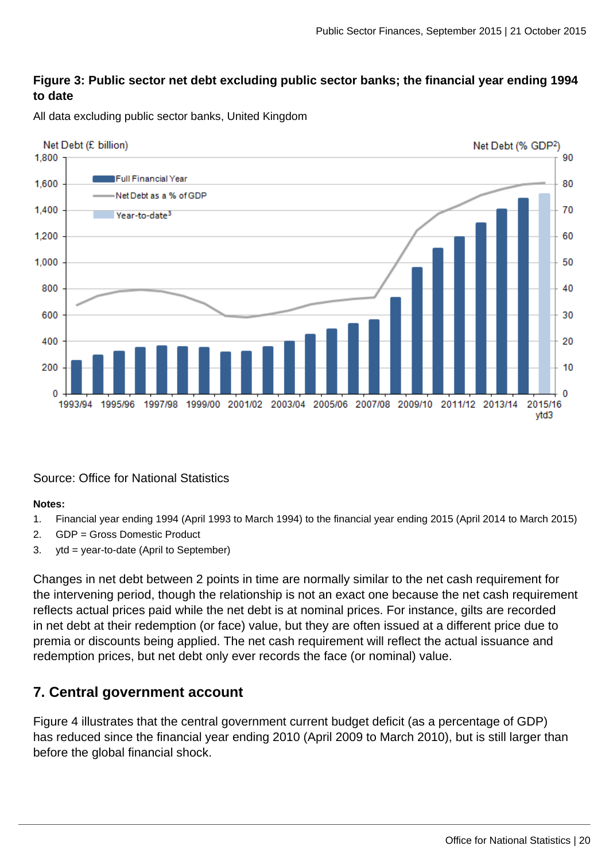#### **Figure 3: Public sector net debt excluding public sector banks; the financial year ending 1994 to date**

All data excluding public sector banks, United Kingdom



#### Source: Office for National Statistics

#### **Notes:**

- 1. Financial year ending 1994 (April 1993 to March 1994) to the financial year ending 2015 (April 2014 to March 2015)
- 2. GDP = Gross Domestic Product
- 3. ytd = year-to-date (April to September)

Changes in net debt between 2 points in time are normally similar to the net cash requirement for the intervening period, though the relationship is not an exact one because the net cash requirement reflects actual prices paid while the net debt is at nominal prices. For instance, gilts are recorded in net debt at their redemption (or face) value, but they are often issued at a different price due to premia or discounts being applied. The net cash requirement will reflect the actual issuance and redemption prices, but net debt only ever records the face (or nominal) value.

# **7. Central government account**

Figure 4 illustrates that the central government current budget deficit (as a percentage of GDP) has reduced since the financial year ending 2010 (April 2009 to March 2010), but is still larger than before the global financial shock.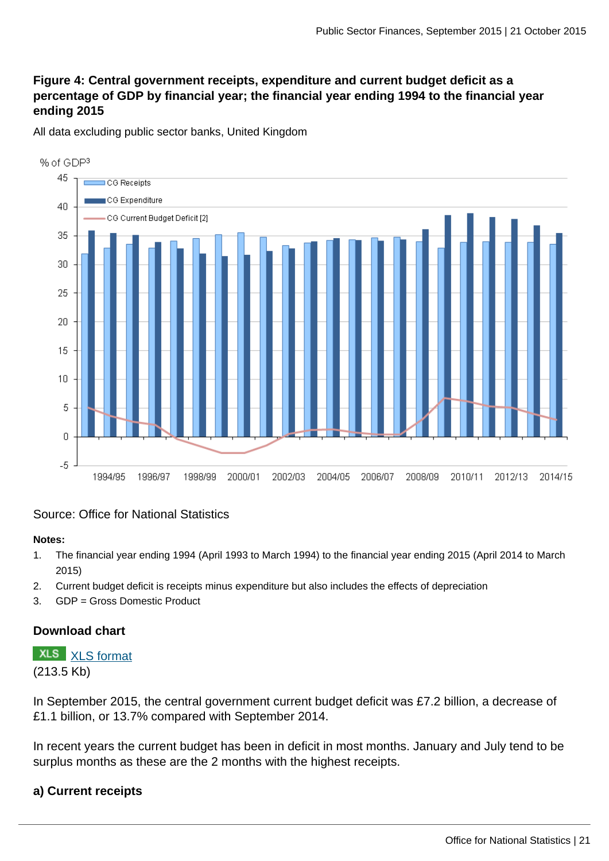### **Figure 4: Central government receipts, expenditure and current budget deficit as a percentage of GDP by financial year; the financial year ending 1994 to the financial year ending 2015**

All data excluding public sector banks, United Kingdom



#### Source: Office for National Statistics

#### **Notes:**

- 1. The financial year ending 1994 (April 1993 to March 1994) to the financial year ending 2015 (April 2014 to March 2015)
- 2. Current budget deficit is receipts minus expenditure but also includes the effects of depreciation
- 3. GDP = Gross Domestic Product

#### **Download chart**

**XLS** [XLS format](http://www.ons.gov.uk:80/ons/rel/psa/public-sector-finances/september-2015/chd-figure-4.xls) (213.5 Kb)

In September 2015, the central government current budget deficit was £7.2 billion, a decrease of £1.1 billion, or 13.7% compared with September 2014.

In recent years the current budget has been in deficit in most months. January and July tend to be surplus months as these are the 2 months with the highest receipts.

#### **a) Current receipts**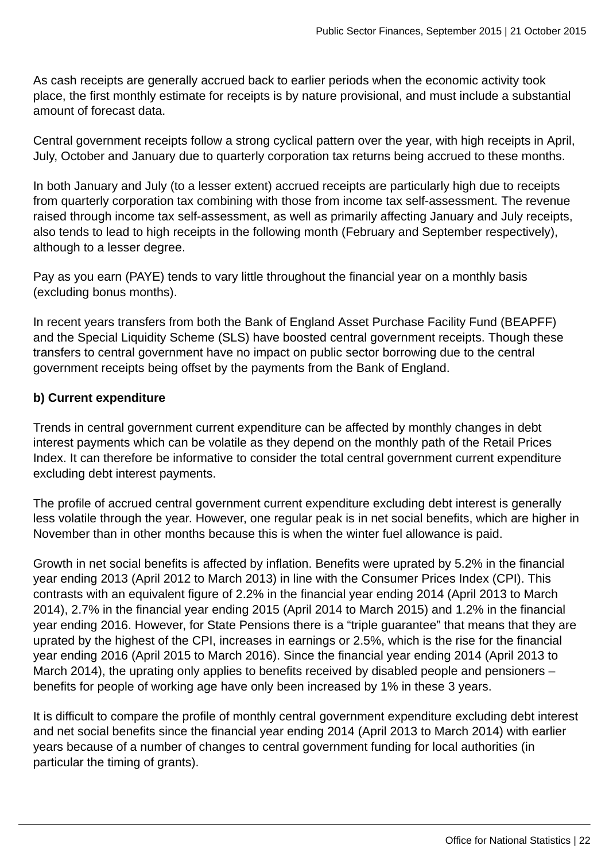As cash receipts are generally accrued back to earlier periods when the economic activity took place, the first monthly estimate for receipts is by nature provisional, and must include a substantial amount of forecast data.

Central government receipts follow a strong cyclical pattern over the year, with high receipts in April, July, October and January due to quarterly corporation tax returns being accrued to these months.

In both January and July (to a lesser extent) accrued receipts are particularly high due to receipts from quarterly corporation tax combining with those from income tax self-assessment. The revenue raised through income tax self-assessment, as well as primarily affecting January and July receipts, also tends to lead to high receipts in the following month (February and September respectively), although to a lesser degree.

Pay as you earn (PAYE) tends to vary little throughout the financial year on a monthly basis (excluding bonus months).

In recent years transfers from both the Bank of England Asset Purchase Facility Fund (BEAPFF) and the Special Liquidity Scheme (SLS) have boosted central government receipts. Though these transfers to central government have no impact on public sector borrowing due to the central government receipts being offset by the payments from the Bank of England.

### **b) Current expenditure**

Trends in central government current expenditure can be affected by monthly changes in debt interest payments which can be volatile as they depend on the monthly path of the Retail Prices Index. It can therefore be informative to consider the total central government current expenditure excluding debt interest payments.

The profile of accrued central government current expenditure excluding debt interest is generally less volatile through the year. However, one regular peak is in net social benefits, which are higher in November than in other months because this is when the winter fuel allowance is paid.

Growth in net social benefits is affected by inflation. Benefits were uprated by 5.2% in the financial year ending 2013 (April 2012 to March 2013) in line with the Consumer Prices Index (CPI). This contrasts with an equivalent figure of 2.2% in the financial year ending 2014 (April 2013 to March 2014), 2.7% in the financial year ending 2015 (April 2014 to March 2015) and 1.2% in the financial year ending 2016. However, for State Pensions there is a "triple guarantee" that means that they are uprated by the highest of the CPI, increases in earnings or 2.5%, which is the rise for the financial year ending 2016 (April 2015 to March 2016). Since the financial year ending 2014 (April 2013 to March 2014), the uprating only applies to benefits received by disabled people and pensioners – benefits for people of working age have only been increased by 1% in these 3 years.

It is difficult to compare the profile of monthly central government expenditure excluding debt interest and net social benefits since the financial year ending 2014 (April 2013 to March 2014) with earlier years because of a number of changes to central government funding for local authorities (in particular the timing of grants).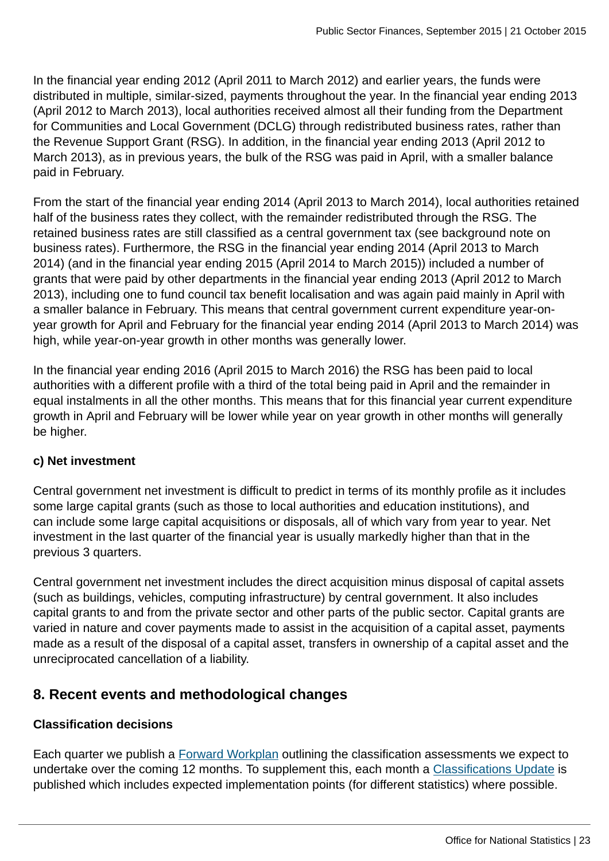In the financial year ending 2012 (April 2011 to March 2012) and earlier years, the funds were distributed in multiple, similar-sized, payments throughout the year. In the financial year ending 2013 (April 2012 to March 2013), local authorities received almost all their funding from the Department for Communities and Local Government (DCLG) through redistributed business rates, rather than the Revenue Support Grant (RSG). In addition, in the financial year ending 2013 (April 2012 to March 2013), as in previous years, the bulk of the RSG was paid in April, with a smaller balance paid in February.

From the start of the financial year ending 2014 (April 2013 to March 2014), local authorities retained half of the business rates they collect, with the remainder redistributed through the RSG. The retained business rates are still classified as a central government tax (see background note on business rates). Furthermore, the RSG in the financial year ending 2014 (April 2013 to March 2014) (and in the financial year ending 2015 (April 2014 to March 2015)) included a number of grants that were paid by other departments in the financial year ending 2013 (April 2012 to March 2013), including one to fund council tax benefit localisation and was again paid mainly in April with a smaller balance in February. This means that central government current expenditure year-onyear growth for April and February for the financial year ending 2014 (April 2013 to March 2014) was high, while year-on-year growth in other months was generally lower.

In the financial year ending 2016 (April 2015 to March 2016) the RSG has been paid to local authorities with a different profile with a third of the total being paid in April and the remainder in equal instalments in all the other months. This means that for this financial year current expenditure growth in April and February will be lower while year on year growth in other months will generally be higher.

### **c) Net investment**

Central government net investment is difficult to predict in terms of its monthly profile as it includes some large capital grants (such as those to local authorities and education institutions), and can include some large capital acquisitions or disposals, all of which vary from year to year. Net investment in the last quarter of the financial year is usually markedly higher than that in the previous 3 quarters.

Central government net investment includes the direct acquisition minus disposal of capital assets (such as buildings, vehicles, computing infrastructure) by central government. It also includes capital grants to and from the private sector and other parts of the public sector. Capital grants are varied in nature and cover payments made to assist in the acquisition of a capital asset, payments made as a result of the disposal of a capital asset, transfers in ownership of a capital asset and the unreciprocated cancellation of a liability.

# **8. Recent events and methodological changes**

#### **Classification decisions**

Each quarter we publish a [Forward Workplan](http://www.ons.gov.uk:80/ons/rel/na-classification/national-accounts-sector-classification/index.html) outlining the classification assessments we expect to undertake over the coming 12 months. To supplement this, each month a [Classifications Update](http://www.ons.gov.uk:80/ons/rel/na-classification/national-accounts-sector-classification/index.html) is published which includes expected implementation points (for different statistics) where possible.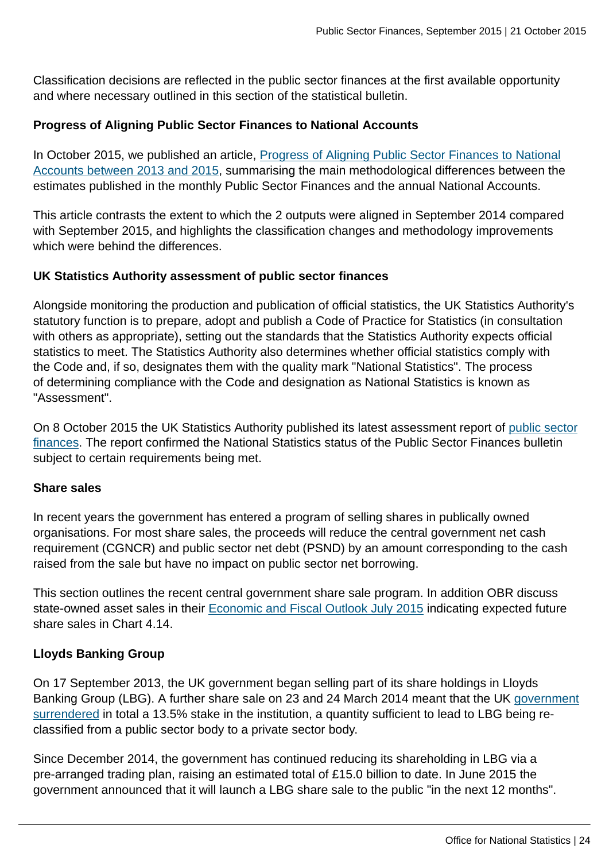Classification decisions are reflected in the public sector finances at the first available opportunity and where necessary outlined in this section of the statistical bulletin.

#### **Progress of Aligning Public Sector Finances to National Accounts**

In October 2015, we published an article, [Progress of Aligning Public Sector Finances to National](http://www.ons.gov.uk:80/ons/rel/psa/public-sector-finances/progress-on-aligning-the-public-sector-finances-and-national-accounts-between-2013-and-2015/index.html) [Accounts between 2013 and 2015,](http://www.ons.gov.uk:80/ons/rel/psa/public-sector-finances/progress-on-aligning-the-public-sector-finances-and-national-accounts-between-2013-and-2015/index.html) summarising the main methodological differences between the estimates published in the monthly Public Sector Finances and the annual National Accounts.

This article contrasts the extent to which the 2 outputs were aligned in September 2014 compared with September 2015, and highlights the classification changes and methodology improvements which were behind the differences.

#### **UK Statistics Authority assessment of public sector finances**

Alongside monitoring the production and publication of official statistics, the UK Statistics Authority's statutory function is to prepare, adopt and publish a Code of Practice for Statistics (in consultation with others as appropriate), setting out the standards that the Statistics Authority expects official statistics to meet. The Statistics Authority also determines whether official statistics comply with the Code and, if so, designates them with the quality mark "National Statistics". The process of determining compliance with the Code and designation as National Statistics is known as "Assessment".

On 8 October 2015 the UK Statistics Authority published its latest assessment report of [public sector](http://www.statisticsauthority.gov.uk/assessment/assessment/assessment-reports/index.html) [finances](http://www.statisticsauthority.gov.uk/assessment/assessment/assessment-reports/index.html). The report confirmed the National Statistics status of the Public Sector Finances bulletin subject to certain requirements being met.

#### **Share sales**

In recent years the government has entered a program of selling shares in publically owned organisations. For most share sales, the proceeds will reduce the central government net cash requirement (CGNCR) and public sector net debt (PSND) by an amount corresponding to the cash raised from the sale but have no impact on public sector net borrowing.

This section outlines the recent central government share sale program. In addition OBR discuss state-owned asset sales in their **Economic and Fiscal Outlook July 2015** indicating expected future share sales in Chart 4.14.

#### **Lloyds Banking Group**

On 17 September 2013, the UK government began selling part of its share holdings in Lloyds Banking Group (LBG). A further share sale on 23 and 24 March 2014 meant that the UK [government](https://www.gov.uk/government/news/chancellor-extends-successful-lloyds-trading-plan) [surrendered](https://www.gov.uk/government/news/chancellor-extends-successful-lloyds-trading-plan) in total a 13.5% stake in the institution, a quantity sufficient to lead to LBG being reclassified from a public sector body to a private sector body.

Since December 2014, the government has continued reducing its shareholding in LBG via a pre-arranged trading plan, raising an estimated total of £15.0 billion to date. In June 2015 the government announced that it will launch a LBG share sale to the public "in the next 12 months".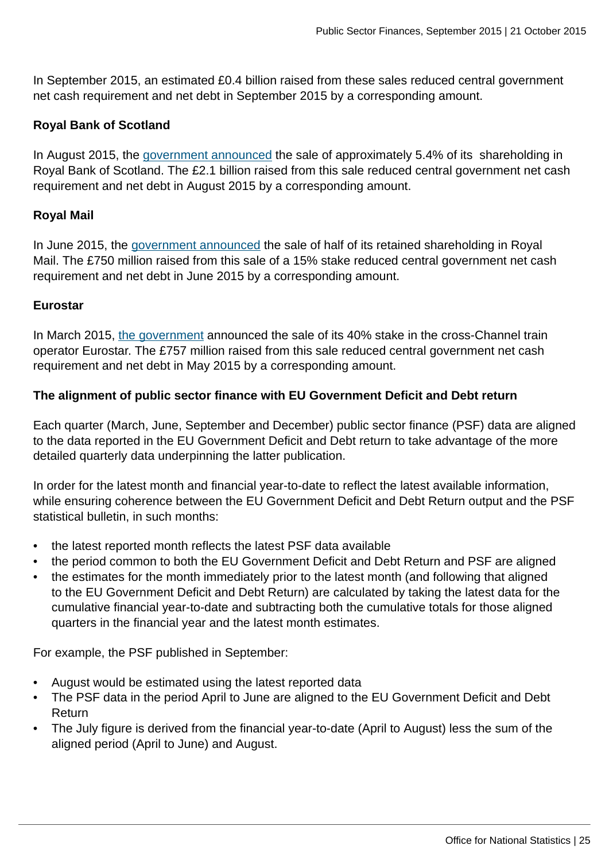In September 2015, an estimated £0.4 billion raised from these sales reduced central government net cash requirement and net debt in September 2015 by a corresponding amount.

#### **Royal Bank of Scotland**

In August 2015, the [government announced](https://www.gov.uk/government/news/government-begins-sale-of-its-shares-in-the-royal-bank-of-scotland) the sale of approximately 5.4% of its shareholding in Royal Bank of Scotland. The £2.1 billion raised from this sale reduced central government net cash requirement and net debt in August 2015 by a corresponding amount.

#### **Royal Mail**

In June 2015, the [government announced](https://www.gov.uk/government/news/government-sells-15-of-shares-in-royal-mail-at-500p-per-share) the sale of half of its retained shareholding in Royal Mail. The £750 million raised from this sale of a 15% stake reduced central government net cash requirement and net debt in June 2015 by a corresponding amount.

#### **Eurostar**

In March 2015, [the government](https://www.gov.uk/government/news/uk-government-reaches-agreement-on-the-sale-of-its-entire-interest-in-eurostar-for-7571m) announced the sale of its 40% stake in the cross-Channel train operator Eurostar. The £757 million raised from this sale reduced central government net cash requirement and net debt in May 2015 by a corresponding amount.

#### **The alignment of public sector finance with EU Government Deficit and Debt return**

Each quarter (March, June, September and December) public sector finance (PSF) data are aligned to the data reported in the EU Government Deficit and Debt return to take advantage of the more detailed quarterly data underpinning the latter publication.

In order for the latest month and financial year-to-date to reflect the latest available information, while ensuring coherence between the EU Government Deficit and Debt Return output and the PSF statistical bulletin, in such months:

- the latest reported month reflects the latest PSF data available
- the period common to both the EU Government Deficit and Debt Return and PSF are aligned
- the estimates for the month immediately prior to the latest month (and following that aligned to the EU Government Deficit and Debt Return) are calculated by taking the latest data for the cumulative financial year-to-date and subtracting both the cumulative totals for those aligned quarters in the financial year and the latest month estimates.

For example, the PSF published in September:

- August would be estimated using the latest reported data
- The PSF data in the period April to June are aligned to the EU Government Deficit and Debt Return
- The July figure is derived from the financial year-to-date (April to August) less the sum of the aligned period (April to June) and August.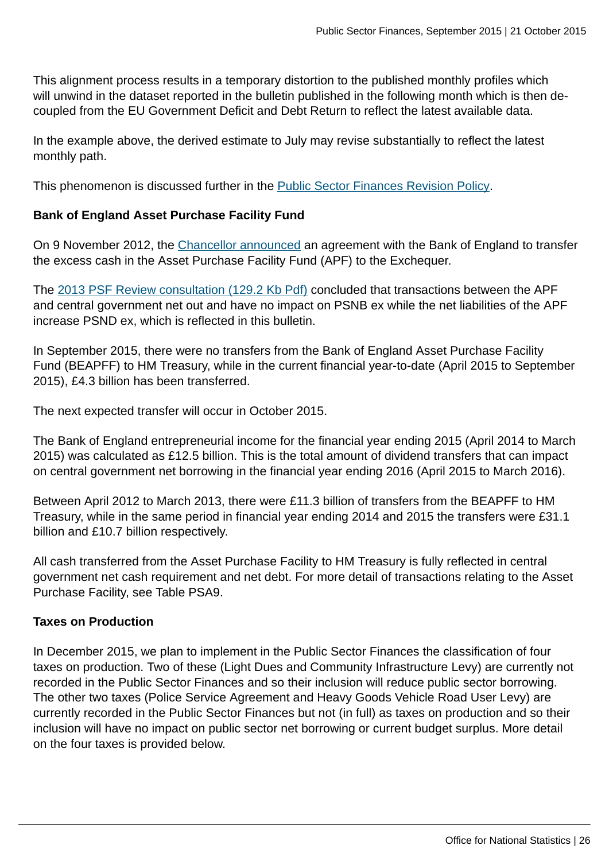This alignment process results in a temporary distortion to the published monthly profiles which will unwind in the dataset reported in the bulletin published in the following month which is then decoupled from the EU Government Deficit and Debt Return to reflect the latest available data.

In the example above, the derived estimate to July may revise substantially to reflect the latest monthly path.

This phenomenon is discussed further in the [Public Sector Finances Revision Policy](http://www.ons.gov.uk:80/ons/guide-method/revisions/revisions-policies-by-theme/economy/index.html).

#### **Bank of England Asset Purchase Facility Fund**

On 9 November 2012, the [Chancellor announced](https://www.gov.uk/government/news/changes-to-cash-management-operations) an agreement with the Bank of England to transfer the excess cash in the Asset Purchase Facility Fund (APF) to the Exchequer.

The [2013 PSF Review consultation \(129.2 Kb Pdf\)](http://www.ons.gov.uk:80/ons/guide-method/method-quality/specific/economy/public-sector-finances/2013-review-of-public-sector-finance-statistics---consultation-response.pdf) concluded that transactions between the APF and central government net out and have no impact on PSNB ex while the net liabilities of the APF increase PSND ex, which is reflected in this bulletin.

In September 2015, there were no transfers from the Bank of England Asset Purchase Facility Fund (BEAPFF) to HM Treasury, while in the current financial year-to-date (April 2015 to September 2015), £4.3 billion has been transferred.

The next expected transfer will occur in October 2015.

The Bank of England entrepreneurial income for the financial year ending 2015 (April 2014 to March 2015) was calculated as £12.5 billion. This is the total amount of dividend transfers that can impact on central government net borrowing in the financial year ending 2016 (April 2015 to March 2016).

Between April 2012 to March 2013, there were £11.3 billion of transfers from the BEAPFF to HM Treasury, while in the same period in financial year ending 2014 and 2015 the transfers were £31.1 billion and £10.7 billion respectively.

All cash transferred from the Asset Purchase Facility to HM Treasury is fully reflected in central government net cash requirement and net debt. For more detail of transactions relating to the Asset Purchase Facility, see Table PSA9.

#### **Taxes on Production**

In December 2015, we plan to implement in the Public Sector Finances the classification of four taxes on production. Two of these (Light Dues and Community Infrastructure Levy) are currently not recorded in the Public Sector Finances and so their inclusion will reduce public sector borrowing. The other two taxes (Police Service Agreement and Heavy Goods Vehicle Road User Levy) are currently recorded in the Public Sector Finances but not (in full) as taxes on production and so their inclusion will have no impact on public sector net borrowing or current budget surplus. More detail on the four taxes is provided below.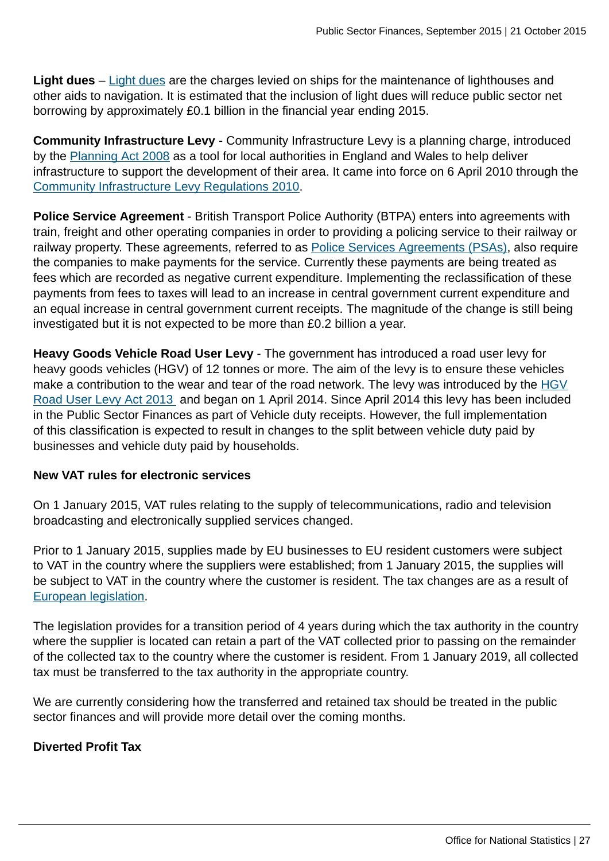**Light dues** – [Light dues](http://www.legislation.gov.uk/uksi/1997/562/made) are the charges levied on ships for the maintenance of lighthouses and other aids to navigation. It is estimated that the inclusion of light dues will reduce public sector net borrowing by approximately £0.1 billion in the financial year ending 2015.

**Community Infrastructure Levy** - Community Infrastructure Levy is a planning charge, introduced by the [Planning Act 2008](http://www.legislation.gov.uk/ukpga/2008/29/contents) as a tool for local authorities in England and Wales to help deliver infrastructure to support the development of their area. It came into force on 6 April 2010 through the [Community Infrastructure Levy Regulations 2010](http://www.legislation.gov.uk/ukdsi/2010/9780111492390/contents).

**Police Service Agreement** - British Transport Police Authority (BTPA) enters into agreements with train, freight and other operating companies in order to providing a policing service to their railway or railway property. These agreements, referred to as [Police Services Agreements \(PSAs\)](http://btpa.police.uk/about-us/duties-and-responsibilities), also require the companies to make payments for the service. Currently these payments are being treated as fees which are recorded as negative current expenditure. Implementing the reclassification of these payments from fees to taxes will lead to an increase in central government current expenditure and an equal increase in central government current receipts. The magnitude of the change is still being investigated but it is not expected to be more than £0.2 billion a year.

**Heavy Goods Vehicle Road User Levy** - The government has introduced a road user levy for heavy goods vehicles (HGV) of 12 tonnes or more. The aim of the levy is to ensure these vehicles make a contribution to the wear and tear of the road network. The levy was introduced by the [HGV](http://www.legislation.gov.uk/ukpga/2013/7/contents) [Road User Levy Act 2013](http://www.legislation.gov.uk/ukpga/2013/7/contents) and began on 1 April 2014. Since April 2014 this levy has been included in the Public Sector Finances as part of Vehicle duty receipts. However, the full implementation of this classification is expected to result in changes to the split between vehicle duty paid by businesses and vehicle duty paid by households.

#### **New VAT rules for electronic services**

On 1 January 2015, VAT rules relating to the supply of telecommunications, radio and television broadcasting and electronically supplied services changed.

Prior to 1 January 2015, supplies made by EU businesses to EU resident customers were subject to VAT in the country where the suppliers were established; from 1 January 2015, the supplies will be subject to VAT in the country where the customer is resident. The tax changes are as a result of [European legislation](http://europa.eu/youreurope/business/vat-customs/buy-sell/index_en.htm).

The legislation provides for a transition period of 4 years during which the tax authority in the country where the supplier is located can retain a part of the VAT collected prior to passing on the remainder of the collected tax to the country where the customer is resident. From 1 January 2019, all collected tax must be transferred to the tax authority in the appropriate country.

We are currently considering how the transferred and retained tax should be treated in the public sector finances and will provide more detail over the coming months.

#### **Diverted Profit Tax**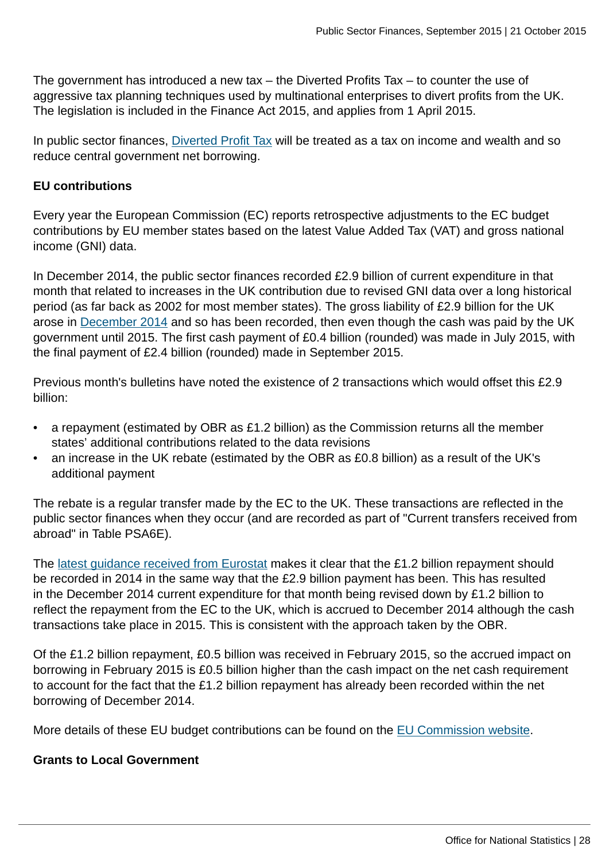The government has introduced a new tax – the Diverted Profits Tax – to counter the use of aggressive tax planning techniques used by multinational enterprises to divert profits from the UK. The legislation is included in the Finance Act 2015, and applies from 1 April 2015.

In public sector finances, [Diverted Profit Tax](#page-0-0) will be treated as a tax on income and wealth and so reduce central government net borrowing.

#### **EU contributions**

Every year the European Commission (EC) reports retrospective adjustments to the EC budget contributions by EU member states based on the latest Value Added Tax (VAT) and gross national income (GNI) data.

In December 2014, the public sector finances recorded £2.9 billion of current expenditure in that month that related to increases in the UK contribution due to revised GNI data over a long historical period (as far back as 2002 for most member states). The gross liability of £2.9 billion for the UK arose in [December 2014](http://ec.europa.eu/budget/library/biblio/documents/2014/AL/COM_2014_730_en.pdf) and so has been recorded, then even though the cash was paid by the UK government until 2015. The first cash payment of £0.4 billion (rounded) was made in July 2015, with the final payment of £2.4 billion (rounded) made in September 2015.

Previous month's bulletins have noted the existence of 2 transactions which would offset this £2.9 billion:

- a repayment (estimated by OBR as £1.2 billion) as the Commission returns all the member states' additional contributions related to the data revisions
- an increase in the UK rebate (estimated by the OBR as £0.8 billion) as a result of the UK's additional payment

The rebate is a regular transfer made by the EC to the UK. These transactions are reflected in the public sector finances when they occur (and are recorded as part of "Current transfers received from abroad" in Table PSA6E).

The [latest guidance received from Eurostat](http://ec.europa.eu/eurostat/documents/1015035/2041357/Statistical-recording-EU-budgetary-contributions.pdf/a948e3e7-36bb-4ef8-bc56-dbf6763f78a4) makes it clear that the £1.2 billion repayment should be recorded in 2014 in the same way that the £2.9 billion payment has been. This has resulted in the December 2014 current expenditure for that month being revised down by £1.2 billion to reflect the repayment from the EC to the UK, which is accrued to December 2014 although the cash transactions take place in 2015. This is consistent with the approach taken by the OBR.

Of the £1.2 billion repayment, £0.5 billion was received in February 2015, so the accrued impact on borrowing in February 2015 is £0.5 billion higher than the cash impact on the net cash requirement to account for the fact that the £1.2 billion repayment has already been recorded within the net borrowing of December 2014.

More details of these EU budget contributions can be found on the [EU Commission website.](http://ec.europa.eu/budget/news/article_en.cfm?id=201412041616)

#### **Grants to Local Government**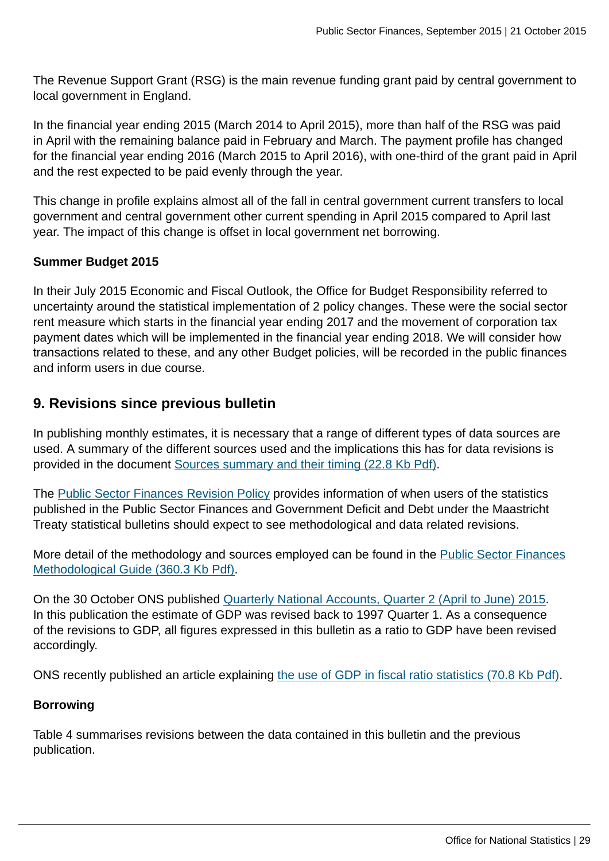The Revenue Support Grant (RSG) is the main revenue funding grant paid by central government to local government in England.

In the financial year ending 2015 (March 2014 to April 2015), more than half of the RSG was paid in April with the remaining balance paid in February and March. The payment profile has changed for the financial year ending 2016 (March 2015 to April 2016), with one-third of the grant paid in April and the rest expected to be paid evenly through the year.

This change in profile explains almost all of the fall in central government current transfers to local government and central government other current spending in April 2015 compared to April last year. The impact of this change is offset in local government net borrowing.

#### **Summer Budget 2015**

In their July 2015 Economic and Fiscal Outlook, the Office for Budget Responsibility referred to uncertainty around the statistical implementation of 2 policy changes. These were the social sector rent measure which starts in the financial year ending 2017 and the movement of corporation tax payment dates which will be implemented in the financial year ending 2018. We will consider how transactions related to these, and any other Budget policies, will be recorded in the public finances and inform users in due course.

# **9. Revisions since previous bulletin**

In publishing monthly estimates, it is necessary that a range of different types of data sources are used. A summary of the different sources used and the implications this has for data revisions is provided in the document [Sources summary and their timing \(22.8 Kb Pdf\)](http://www.ons.gov.uk:80/ons/guide-method/method-quality/specific/economy/public-sector-finances/sources-summary-and-their-timing.pdf).

The [Public Sector Finances Revision Policy](http://www.ons.gov.uk:80/ons/guide-method/revisions/revisions-policies-by-theme/economy/index.html) provides information of when users of the statistics published in the Public Sector Finances and Government Deficit and Debt under the Maastricht Treaty statistical bulletins should expect to see methodological and data related revisions.

More detail of the methodology and sources employed can be found in the [Public Sector Finances](http://www.ons.gov.uk:80/ons/guide-method/method-quality/specific/economy/public-sector-finances/monthly-statistics-on-public-sector-finances--a-methodological-guide.pdf) [Methodological Guide \(360.3 Kb Pdf\)](http://www.ons.gov.uk:80/ons/guide-method/method-quality/specific/economy/public-sector-finances/monthly-statistics-on-public-sector-finances--a-methodological-guide.pdf).

On the 30 October ONS published [Quarterly National Accounts, Quarter 2 \(April to June\) 2015.](http://www.ons.gov.uk:80/ons/rel/naa2/quarterly-national-accounts/q2-2015/qna-stb.html) In this publication the estimate of GDP was revised back to 1997 Quarter 1. As a consequence of the revisions to GDP, all figures expressed in this bulletin as a ratio to GDP have been revised accordingly.

ONS recently published an article explaining [the use of GDP in fiscal ratio statistics \(70.8 Kb Pdf\)](http://www.ons.gov.uk:80/ons/guide-method/method-quality/specific/economy/public-sector-statistics/the-use-of-gross-domestic-product--gdp--in-fiscal-ratio-statistics.pdf).

#### **Borrowing**

Table 4 summarises revisions between the data contained in this bulletin and the previous publication.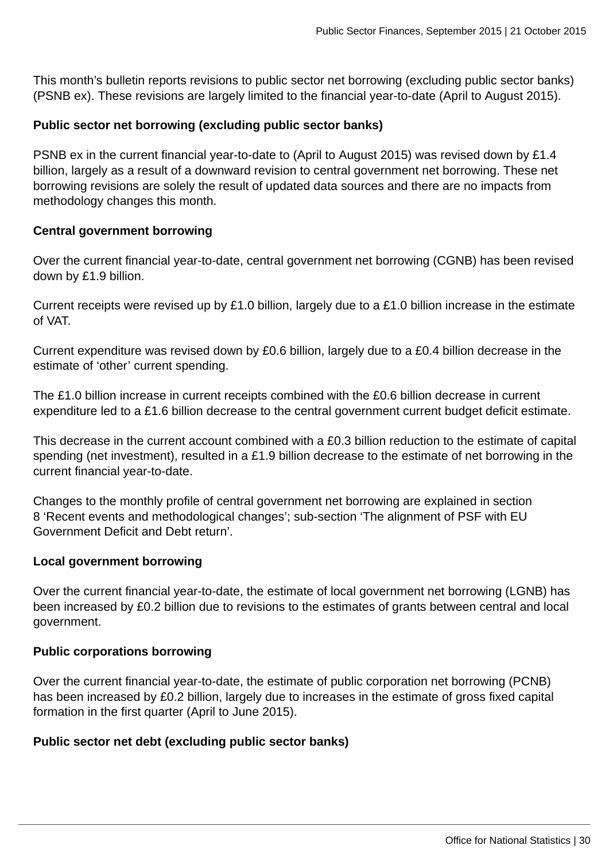This month's bulletin reports revisions to public sector net borrowing (excluding public sector banks) (PSNB ex). These revisions are largely limited to the financial year-to-date (April to August 2015).

#### **Public sector net borrowing (excluding public sector banks)**

PSNB ex in the current financial year-to-date to (April to August 2015) was revised down by £1.4 billion, largely as a result of a downward revision to central government net borrowing. These net borrowing revisions are solely the result of updated data sources and there are no impacts from methodology changes this month.

#### **Central government borrowing**

Over the current financial year-to-date, central government net borrowing (CGNB) has been revised down by £1.9 billion.

Current receipts were revised up by £1.0 billion, largely due to a £1.0 billion increase in the estimate of VAT.

Current expenditure was revised down by £0.6 billion, largely due to a £0.4 billion decrease in the estimate of 'other' current spending.

The £1.0 billion increase in current receipts combined with the £0.6 billion decrease in current expenditure led to a £1.6 billion decrease to the central government current budget deficit estimate.

This decrease in the current account combined with a £0.3 billion reduction to the estimate of capital spending (net investment), resulted in a £1.9 billion decrease to the estimate of net borrowing in the current financial year-to-date.

Changes to the monthly profile of central government net borrowing are explained in section 8 'Recent events and methodological changes'; sub-section 'The alignment of PSF with EU Government Deficit and Debt return'.

#### **Local government borrowing**

Over the current financial year-to-date, the estimate of local government net borrowing (LGNB) has been increased by £0.2 billion due to revisions to the estimates of grants between central and local government.

#### **Public corporations borrowing**

Over the current financial year-to-date, the estimate of public corporation net borrowing (PCNB) has been increased by £0.2 billion, largely due to increases in the estimate of gross fixed capital formation in the first quarter (April to June 2015).

#### **Public sector net debt (excluding public sector banks)**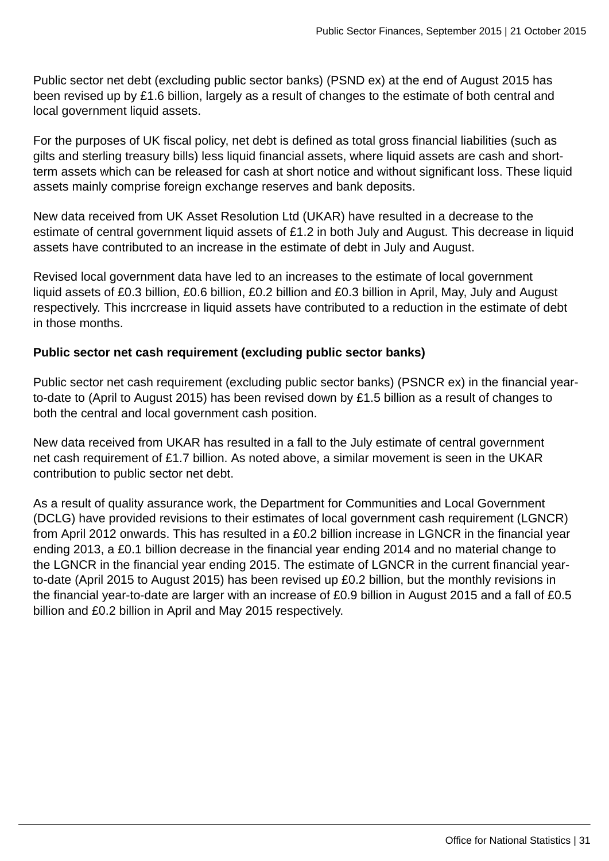Public sector net debt (excluding public sector banks) (PSND ex) at the end of August 2015 has been revised up by £1.6 billion, largely as a result of changes to the estimate of both central and local government liquid assets.

For the purposes of UK fiscal policy, net debt is defined as total gross financial liabilities (such as gilts and sterling treasury bills) less liquid financial assets, where liquid assets are cash and shortterm assets which can be released for cash at short notice and without significant loss. These liquid assets mainly comprise foreign exchange reserves and bank deposits.

New data received from UK Asset Resolution Ltd (UKAR) have resulted in a decrease to the estimate of central government liquid assets of £1.2 in both July and August. This decrease in liquid assets have contributed to an increase in the estimate of debt in July and August.

Revised local government data have led to an increases to the estimate of local government liquid assets of £0.3 billion, £0.6 billion, £0.2 billion and £0.3 billion in April, May, July and August respectively. This incrcrease in liquid assets have contributed to a reduction in the estimate of debt in those months.

### **Public sector net cash requirement (excluding public sector banks)**

Public sector net cash requirement (excluding public sector banks) (PSNCR ex) in the financial yearto-date to (April to August 2015) has been revised down by £1.5 billion as a result of changes to both the central and local government cash position.

New data received from UKAR has resulted in a fall to the July estimate of central government net cash requirement of £1.7 billion. As noted above, a similar movement is seen in the UKAR contribution to public sector net debt.

As a result of quality assurance work, the Department for Communities and Local Government (DCLG) have provided revisions to their estimates of local government cash requirement (LGNCR) from April 2012 onwards. This has resulted in a £0.2 billion increase in LGNCR in the financial year ending 2013, a £0.1 billion decrease in the financial year ending 2014 and no material change to the LGNCR in the financial year ending 2015. The estimate of LGNCR in the current financial yearto-date (April 2015 to August 2015) has been revised up £0.2 billion, but the monthly revisions in the financial year-to-date are larger with an increase of £0.9 billion in August 2015 and a fall of £0.5 billion and £0.2 billion in April and May 2015 respectively.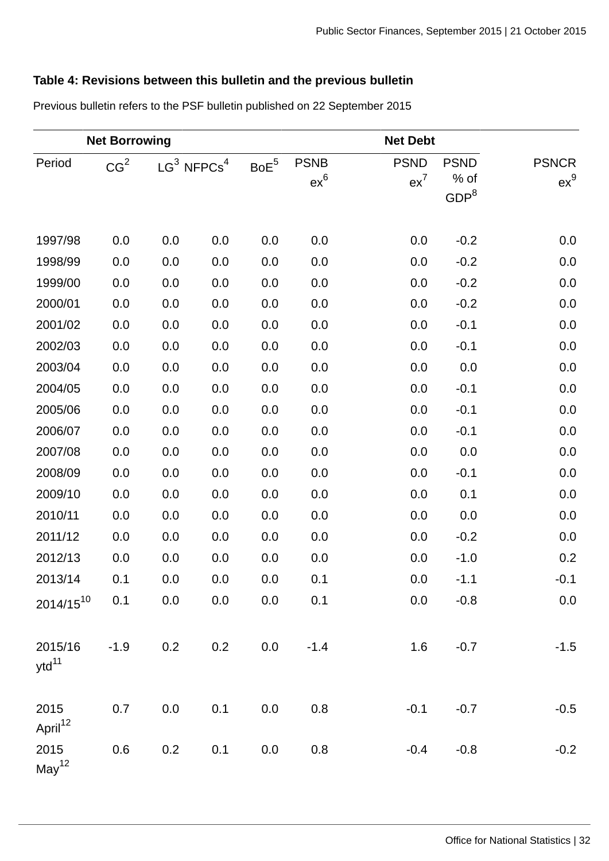# **Table 4: Revisions between this bulletin and the previous bulletin**

|                             | <b>Net Borrowing</b> |                           |     |                  |                       | <b>Net Debt</b>       |                                         |                        |
|-----------------------------|----------------------|---------------------------|-----|------------------|-----------------------|-----------------------|-----------------------------------------|------------------------|
| Period                      | CG <sup>2</sup>      | $LG^3$ NFPCs <sup>4</sup> |     | $\mathsf{BoE}^5$ | <b>PSNB</b><br>$ex^6$ | <b>PSND</b><br>$ex^7$ | <b>PSND</b><br>% of<br>GDP <sup>8</sup> | <b>PSNCR</b><br>$ex^9$ |
| 1997/98                     | 0.0                  | 0.0                       | 0.0 | 0.0              | 0.0                   | 0.0                   | $-0.2$                                  | 0.0                    |
| 1998/99                     | 0.0                  | 0.0                       | 0.0 | 0.0              | 0.0                   | 0.0                   | $-0.2$                                  | $0.0\,$                |
| 1999/00                     | 0.0                  | 0.0                       | 0.0 | $0.0\,$          | 0.0                   | 0.0                   | $-0.2$                                  | 0.0                    |
| 2000/01                     | 0.0                  | 0.0                       | 0.0 | 0.0              | 0.0                   | 0.0                   | $-0.2$                                  | 0.0                    |
| 2001/02                     | 0.0                  | 0.0                       | 0.0 | 0.0              | $0.0\,$               | 0.0                   | $-0.1$                                  | $0.0\,$                |
| 2002/03                     | 0.0                  | 0.0                       | 0.0 | 0.0              | 0.0                   | 0.0                   | $-0.1$                                  | 0.0                    |
| 2003/04                     | 0.0                  | 0.0                       | 0.0 | 0.0              | 0.0                   | 0.0                   | $0.0\,$                                 | $0.0\,$                |
| 2004/05                     | 0.0                  | 0.0                       | 0.0 | 0.0              | 0.0                   | 0.0                   | $-0.1$                                  | 0.0                    |
| 2005/06                     | 0.0                  | 0.0                       | 0.0 | 0.0              | 0.0                   | 0.0                   | $-0.1$                                  | $0.0\,$                |
| 2006/07                     | 0.0                  | 0.0                       | 0.0 | 0.0              | 0.0                   | 0.0                   | $-0.1$                                  | 0.0                    |
| 2007/08                     | 0.0                  | 0.0                       | 0.0 | 0.0              | 0.0                   | 0.0                   | 0.0                                     | $0.0\,$                |
| 2008/09                     | 0.0                  | 0.0                       | 0.0 | 0.0              | 0.0                   | 0.0                   | $-0.1$                                  | 0.0                    |
| 2009/10                     | 0.0                  | 0.0                       | 0.0 | 0.0              | 0.0                   | 0.0                   | 0.1                                     | $0.0\,$                |
| 2010/11                     | 0.0                  | 0.0                       | 0.0 | 0.0              | $0.0\,$               | 0.0                   | 0.0                                     | $0.0\,$                |
| 2011/12                     | 0.0                  | 0.0                       | 0.0 | 0.0              | 0.0                   | 0.0                   | $-0.2$                                  | 0.0                    |
| 2012/13                     | 0.0                  | 0.0                       | 0.0 | 0.0              | 0.0                   | 0.0                   | $-1.0$                                  | 0.2                    |
| 2013/14                     | 0.1                  | 0.0                       | 0.0 | 0.0              | 0.1                   | 0.0                   | $-1.1$                                  | $-0.1$                 |
| $2014/15^{10}$              | 0.1                  | 0.0                       | 0.0 | 0.0              | 0.1                   | 0.0                   | $-0.8$                                  | $0.0\,$                |
| 2015/16<br>$ytd^{11}$       | $-1.9$               | 0.2                       | 0.2 | 0.0              | $-1.4$                | $1.6\phantom{0}$      | $-0.7$                                  | $-1.5$                 |
| 2015<br>April <sup>12</sup> | 0.7                  | 0.0                       | 0.1 | 0.0              | 0.8                   | $-0.1$                | $-0.7$                                  | $-0.5$                 |
| 2015<br>May <sup>12</sup>   | 0.6                  | 0.2                       | 0.1 | 0.0              | 0.8                   | $-0.4$                | $-0.8$                                  | $-0.2$                 |

Previous bulletin refers to the PSF bulletin published on 22 September 2015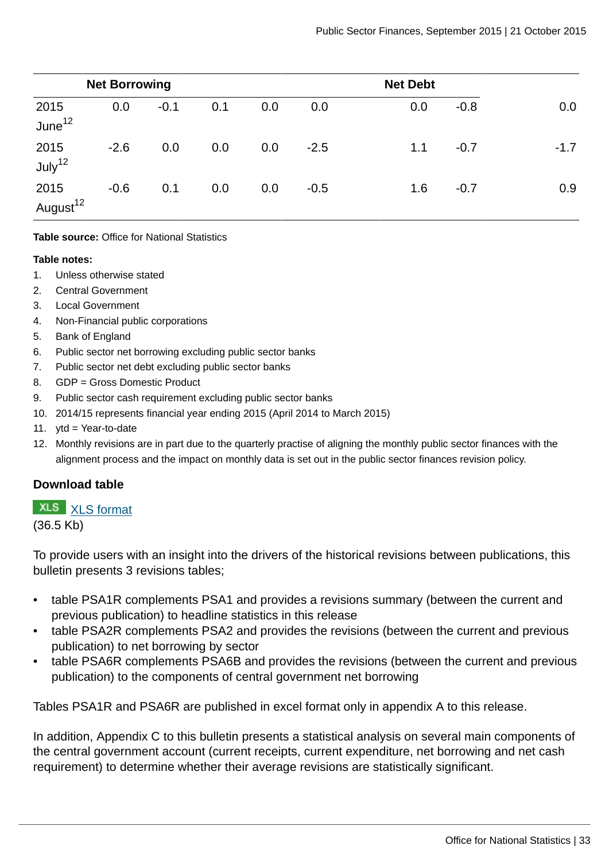|                              | <b>Net Borrowing</b> |        |     |     |        |     |        |        |
|------------------------------|----------------------|--------|-----|-----|--------|-----|--------|--------|
| 2015<br>June $12$            | 0.0                  | $-0.1$ | 0.1 | 0.0 | 0.0    | 0.0 | $-0.8$ | 0.0    |
| 2015<br>July <sup>12</sup>   | $-2.6$               | 0.0    | 0.0 | 0.0 | $-2.5$ | 1.1 | $-0.7$ | $-1.7$ |
| 2015<br>August <sup>12</sup> | $-0.6$               | 0.1    | 0.0 | 0.0 | $-0.5$ | 1.6 | $-0.7$ | 0.9    |

#### **Table source:** Office for National Statistics

#### **Table notes:**

- 1. Unless otherwise stated
- 2. Central Government
- 3. Local Government
- 4. Non-Financial public corporations
- 5. Bank of England
- 6. Public sector net borrowing excluding public sector banks
- 7. Public sector net debt excluding public sector banks
- 8. GDP = Gross Domestic Product
- 9. Public sector cash requirement excluding public sector banks
- 10. 2014/15 represents financial year ending 2015 (April 2014 to March 2015)
- 11. ytd = Year-to-date
- 12. Monthly revisions are in part due to the quarterly practise of aligning the monthly public sector finances with the alignment process and the impact on monthly data is set out in the public sector finances revision policy.

#### **Download table**

#### **XLS** [XLS format](http://www.ons.gov.uk:80/ons/rel/psa/public-sector-finances/september-2015/prt-table-4.xls)

(36.5 Kb)

To provide users with an insight into the drivers of the historical revisions between publications, this bulletin presents 3 revisions tables;

- table PSA1R complements PSA1 and provides a revisions summary (between the current and previous publication) to headline statistics in this release
- table PSA2R complements PSA2 and provides the revisions (between the current and previous publication) to net borrowing by sector
- table PSA6R complements PSA6B and provides the revisions (between the current and previous publication) to the components of central government net borrowing

Tables PSA1R and PSA6R are published in excel format only in appendix A to this release.

In addition, Appendix C to this bulletin presents a statistical analysis on several main components of the central government account (current receipts, current expenditure, net borrowing and net cash requirement) to determine whether their average revisions are statistically significant.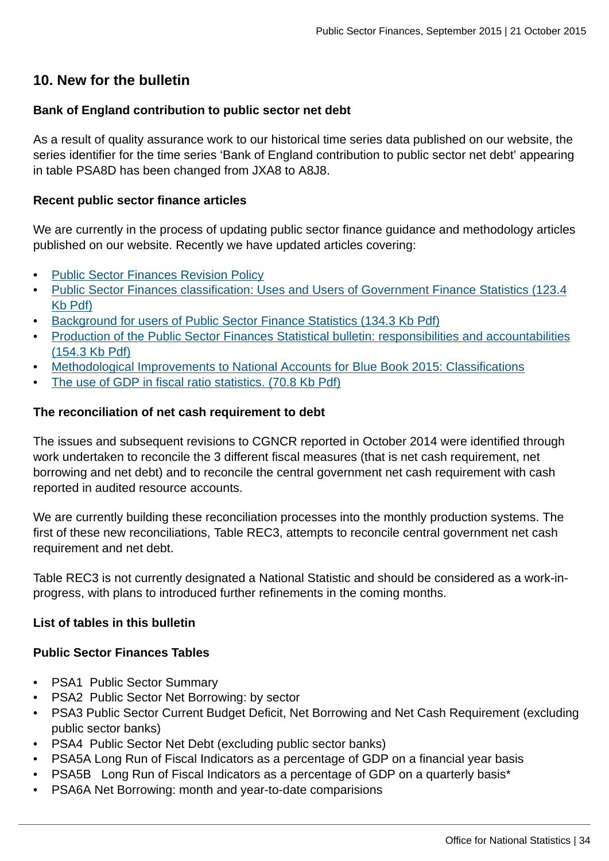### **10. New for the bulletin**

#### **Bank of England contribution to public sector net debt**

As a result of quality assurance work to our historical time series data published on our website, the series identifier for the time series 'Bank of England contribution to public sector net debt' appearing in table PSA8D has been changed from JXA8 to A8J8.

#### **Recent public sector finance articles**

We are currently in the process of updating public sector finance guidance and methodology articles published on our website. Recently we have updated articles covering:

- [Public Sector Finances Revision Policy](http://www.ons.gov.uk:80/ons/guide-method/revisions/revisions-policies-by-theme/economy/index.html)
- [Public Sector Finances classification: Uses and Users of Government Finance Statistics \(123.4](http://www.ons.gov.uk:80/ons/guide-method/method-quality/specific/economy/public-sector-finances/users-of-government-finance-statistics.pdf) [Kb Pdf\)](http://www.ons.gov.uk:80/ons/guide-method/method-quality/specific/economy/public-sector-finances/users-of-government-finance-statistics.pdf)
- [Background for users of Public Sector Finance Statistics \(134.3 Kb Pdf\)](http://www.ons.gov.uk:80/ons/guide-method/method-quality/specific/economy/public-sector-finances/background-for-users-of-public-sector-finance-statistics.pdf)
- [Production of the Public Sector Finances Statistical bulletin: responsibilities and accountabilities](http://www.ons.gov.uk:80/ons/guide-method/method-quality/specific/economy/public-sector-finances/production-of-the-public-sector-finances-statistical-bulletin--responsibilities-and-accountabilities.pdf) [\(154.3 Kb Pdf\)](http://www.ons.gov.uk:80/ons/guide-method/method-quality/specific/economy/public-sector-finances/production-of-the-public-sector-finances-statistical-bulletin--responsibilities-and-accountabilities.pdf)
- [Methodological Improvements to National Accounts for Blue Book 2015: Classifications](http://www.ons.gov.uk:80/ons/rel/naa1-rd/national-accounts-articles/classification-changes-to-national-accounts-for-blue-book-2015/index.html)
- [The use of GDP in fiscal ratio statistics. \(70.8 Kb Pdf\)](http://www.ons.gov.uk:80/ons/guide-method/method-quality/specific/economy/public-sector-statistics/the-use-of-gross-domestic-product--gdp--in-fiscal-ratio-statistics.pdf)

#### **The reconciliation of net cash requirement to debt**

The issues and subsequent revisions to CGNCR reported in October 2014 were identified through work undertaken to reconcile the 3 different fiscal measures (that is net cash requirement, net borrowing and net debt) and to reconcile the central government net cash requirement with cash reported in audited resource accounts.

We are currently building these reconciliation processes into the monthly production systems. The first of these new reconciliations, Table REC3, attempts to reconcile central government net cash requirement and net debt.

Table REC3 is not currently designated a National Statistic and should be considered as a work-inprogress, with plans to introduced further refinements in the coming months.

#### **List of tables in this bulletin**

#### **Public Sector Finances Tables**

- **PSA1 Public Sector Summary**
- PSA2 Public Sector Net Borrowing: by sector
- PSA3 Public Sector Current Budget Deficit, Net Borrowing and Net Cash Requirement (excluding public sector banks)
- PSA4 Public Sector Net Debt (excluding public sector banks)
- PSA5A Long Run of Fiscal Indicators as a percentage of GDP on a financial year basis
- PSA5B Long Run of Fiscal Indicators as a percentage of GDP on a quarterly basis\*
- PSA6A Net Borrowing: month and year-to-date comparisions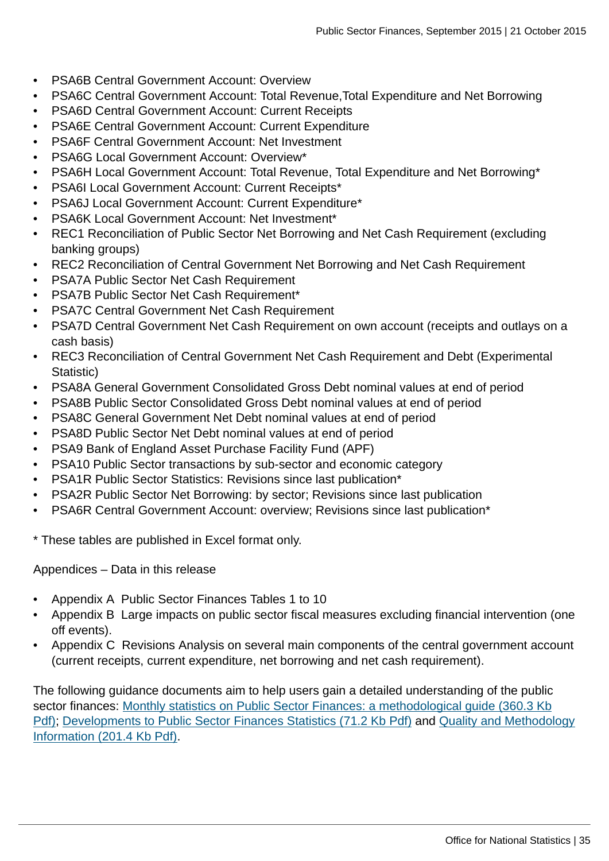- PSA6B Central Government Account: Overview
- PSA6C Central Government Account: Total Revenue,Total Expenditure and Net Borrowing
- PSA6D Central Government Account: Current Receipts
- PSA6E Central Government Account: Current Expenditure
- PSA6F Central Government Account: Net Investment
- PSA6G Local Government Account: Overview\*
- PSA6H Local Government Account: Total Revenue, Total Expenditure and Net Borrowing\*
- PSA6I Local Government Account: Current Receipts\*
- PSA6J Local Government Account: Current Expenditure\*
- PSA6K Local Government Account: Net Investment\*
- REC1 Reconciliation of Public Sector Net Borrowing and Net Cash Requirement (excluding banking groups)
- REC2 Reconciliation of Central Government Net Borrowing and Net Cash Requirement
- PSA7A Public Sector Net Cash Requirement
- PSA7B Public Sector Net Cash Requirement\*
- PSA7C Central Government Net Cash Requirement
- PSA7D Central Government Net Cash Requirement on own account (receipts and outlays on a cash basis)
- REC3 Reconciliation of Central Government Net Cash Requirement and Debt (Experimental Statistic)
- PSA8A General Government Consolidated Gross Debt nominal values at end of period
- PSA8B Public Sector Consolidated Gross Debt nominal values at end of period
- PSA8C General Government Net Debt nominal values at end of period
- PSA8D Public Sector Net Debt nominal values at end of period
- PSA9 Bank of England Asset Purchase Facility Fund (APF)
- PSA10 Public Sector transactions by sub-sector and economic category
- PSA1R Public Sector Statistics: Revisions since last publication\*
- PSA2R Public Sector Net Borrowing: by sector; Revisions since last publication
- PSA6R Central Government Account: overview; Revisions since last publication\*
- \* These tables are published in Excel format only.

Appendices – Data in this release

- Appendix A Public Sector Finances Tables 1 to 10
- Appendix B Large impacts on public sector fiscal measures excluding financial intervention (one off events).
- Appendix C Revisions Analysis on several main components of the central government account (current receipts, current expenditure, net borrowing and net cash requirement).

The following guidance documents aim to help users gain a detailed understanding of the public sector finances: [Monthly statistics on Public Sector Finances: a methodological guide \(360.3 Kb](http://www.ons.gov.uk:80/ons/guide-method/method-quality/specific/economy/public-sector-finances/monthly-statistics-on-public-sector-finances--a-methodological-guide.pdf)) [Pdf\)](http://www.ons.gov.uk:80/ons/guide-method/method-quality/specific/economy/public-sector-finances/monthly-statistics-on-public-sector-finances--a-methodological-guide.pdf); [Developments to Public Sector Finances Statistics \(71.2 Kb Pdf\)](http://www.ons.gov.uk:80/ons/guide-method/method-quality/specific/economy/public-sector-finances/developments-to-public-sector-finances-statistics.pdf) and [Quality and Methodology](http://www.ons.gov.uk:80/ons/guide-method/method-quality/quality/quality-information/economy/summary-quality-report-for-public-sector-finances.pdf) [Information \(201.4 Kb Pdf\)](http://www.ons.gov.uk:80/ons/guide-method/method-quality/quality/quality-information/economy/summary-quality-report-for-public-sector-finances.pdf).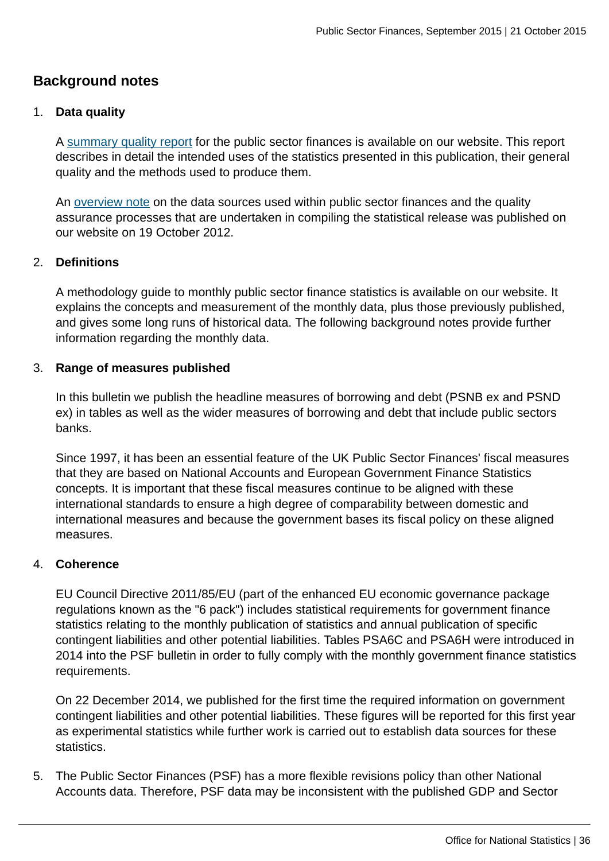# **Background notes**

#### 1. **Data quality**

A [summary quality report](http://www.ons.gov.uk:80/ons/guide-method/method-quality/specific/economy/public-sector-statistics/index.html) for the public sector finances is available on our website. This report describes in detail the intended uses of the statistics presented in this publication, their general quality and the methods used to produce them.

An [overview note](http://www.ons.gov.uk:80/ons/guide-method/method-quality/specific/economy/public-sector-statistics/index.html) on the data sources used within public sector finances and the quality assurance processes that are undertaken in compiling the statistical release was published on our website on 19 October 2012.

#### 2. **Definitions**

A methodology guide to monthly public sector finance statistics is available on our website. It explains the concepts and measurement of the monthly data, plus those previously published, and gives some long runs of historical data. The following background notes provide further information regarding the monthly data.

#### 3. **Range of measures published**

In this bulletin we publish the headline measures of borrowing and debt (PSNB ex and PSND ex) in tables as well as the wider measures of borrowing and debt that include public sectors banks.

Since 1997, it has been an essential feature of the UK Public Sector Finances' fiscal measures that they are based on National Accounts and European Government Finance Statistics concepts. It is important that these fiscal measures continue to be aligned with these international standards to ensure a high degree of comparability between domestic and international measures and because the government bases its fiscal policy on these aligned measures.

#### 4. **Coherence**

EU Council Directive 2011/85/EU (part of the enhanced EU economic governance package regulations known as the "6 pack") includes statistical requirements for government finance statistics relating to the monthly publication of statistics and annual publication of specific contingent liabilities and other potential liabilities. Tables PSA6C and PSA6H were introduced in 2014 into the PSF bulletin in order to fully comply with the monthly government finance statistics requirements.

On 22 December 2014, we published for the first time the required information on government contingent liabilities and other potential liabilities. These figures will be reported for this first year as experimental statistics while further work is carried out to establish data sources for these statistics.

5. The Public Sector Finances (PSF) has a more flexible revisions policy than other National Accounts data. Therefore, PSF data may be inconsistent with the published GDP and Sector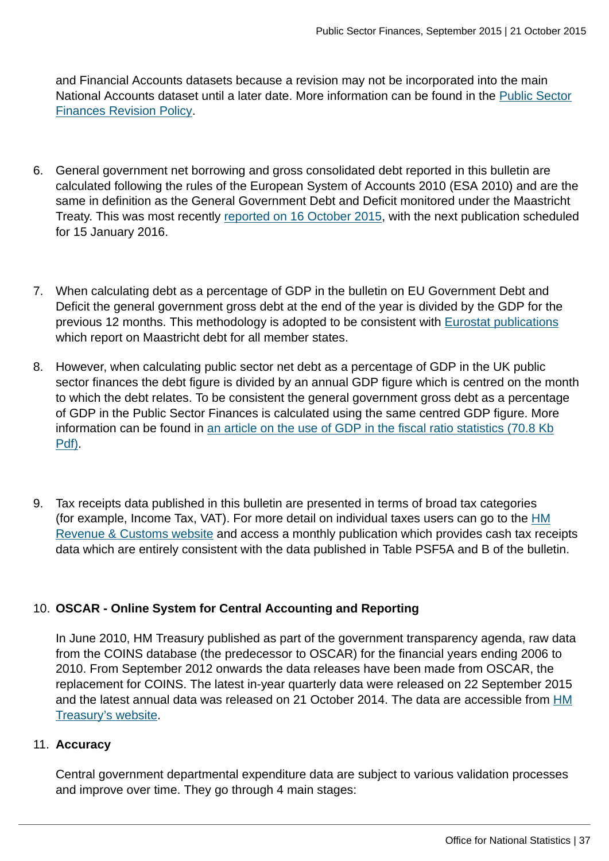and Financial Accounts datasets because a revision may not be incorporated into the main National Accounts dataset until a later date. More information can be found in the [Public Sector](http://www.ons.gov.uk:80/ons/guide-method/revisions/revisions-policies-by-theme/economy/index.html) [Finances Revision Policy.](http://www.ons.gov.uk:80/ons/guide-method/revisions/revisions-policies-by-theme/economy/index.html)

- 6. General government net borrowing and gross consolidated debt reported in this bulletin are calculated following the rules of the European System of Accounts 2010 (ESA 2010) and are the same in definition as the General Government Debt and Deficit monitored under the Maastricht Treaty. This was most recently [reported on 16 October 2015,](http://www.ons.gov.uk:80/ons/rel/psa/maast-supplementary-data-tables/q2-2015/index.html) with the next publication scheduled for 15 January 2016.
- 7. When calculating debt as a percentage of GDP in the bulletin on EU Government Debt and Deficit the general government gross debt at the end of the year is divided by the GDP for the previous 12 months. This methodology is adopted to be consistent with [Eurostat publications](http://ec.europa.eu/eurostat/web/government-finance-statistics/publications/press-releases) which report on Maastricht debt for all member states.
- 8. However, when calculating public sector net debt as a percentage of GDP in the UK public sector finances the debt figure is divided by an annual GDP figure which is centred on the month to which the debt relates. To be consistent the general government gross debt as a percentage of GDP in the Public Sector Finances is calculated using the same centred GDP figure. More information can be found in [an article on the use of GDP in the fiscal ratio statistics \(70.8 Kb](http://www.ons.gov.uk:80/ons/guide-method/method-quality/specific/economy/public-sector-statistics/the-use-of-gross-domestic-product--gdp--in-fiscal-ratio-statistics.pdf) [Pdf\)](http://www.ons.gov.uk:80/ons/guide-method/method-quality/specific/economy/public-sector-statistics/the-use-of-gross-domestic-product--gdp--in-fiscal-ratio-statistics.pdf).
- 9. Tax receipts data published in this bulletin are presented in terms of broad tax categories (for example, Income Tax, VAT). For more detail on individual taxes users can go to the [HM](http://www.hmrc.gov.uk/statistics/receipts.htm) [Revenue & Customs website](http://www.hmrc.gov.uk/statistics/receipts.htm) and access a monthly publication which provides cash tax receipts data which are entirely consistent with the data published in Table PSF5A and B of the bulletin.

### 10. **OSCAR - Online System for Central Accounting and Reporting**

In June 2010, HM Treasury published as part of the government transparency agenda, raw data from the COINS database (the predecessor to OSCAR) for the financial years ending 2006 to 2010. From September 2012 onwards the data releases have been made from OSCAR, the replacement for COINS. The latest in-year quarterly data were released on 22 September 2015 and the latest annual data was released on 21 October 2014. The data are accessible from [HM](https://www.gov.uk/government/collections/hmt-oscar-publishing-from-the-database) [Treasury's website.](https://www.gov.uk/government/collections/hmt-oscar-publishing-from-the-database)

#### 11. **Accuracy**

Central government departmental expenditure data are subject to various validation processes and improve over time. They go through 4 main stages: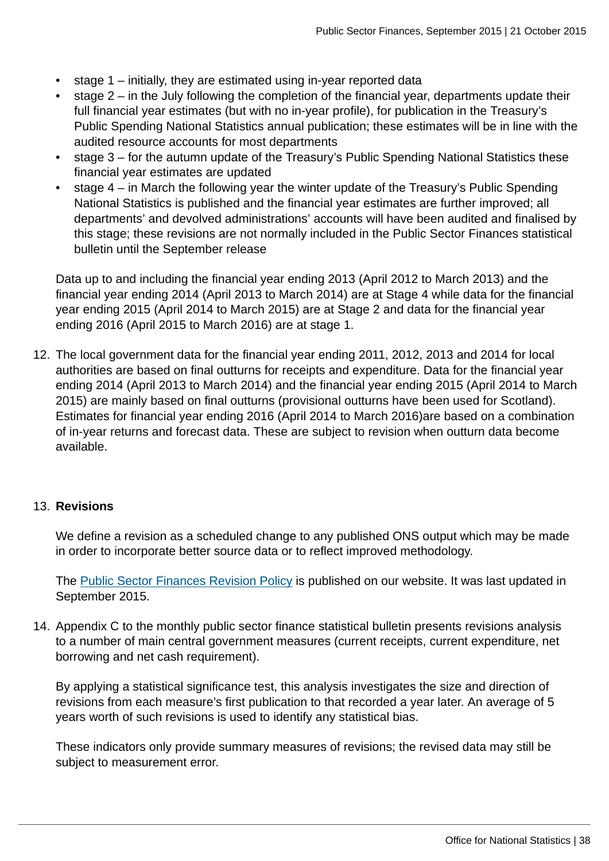- stage 1 initially, they are estimated using in-year reported data
- stage 2 in the July following the completion of the financial year, departments update their full financial year estimates (but with no in-year profile), for publication in the Treasury's Public Spending National Statistics annual publication; these estimates will be in line with the audited resource accounts for most departments
- stage 3 for the autumn update of the Treasury's Public Spending National Statistics these financial year estimates are updated
- stage 4 in March the following year the winter update of the Treasury's Public Spending National Statistics is published and the financial year estimates are further improved; all departments' and devolved administrations' accounts will have been audited and finalised by this stage; these revisions are not normally included in the Public Sector Finances statistical bulletin until the September release

Data up to and including the financial year ending 2013 (April 2012 to March 2013) and the financial year ending 2014 (April 2013 to March 2014) are at Stage 4 while data for the financial year ending 2015 (April 2014 to March 2015) are at Stage 2 and data for the financial year ending 2016 (April 2015 to March 2016) are at stage 1.

12. The local government data for the financial year ending 2011, 2012, 2013 and 2014 for local authorities are based on final outturns for receipts and expenditure. Data for the financial year ending 2014 (April 2013 to March 2014) and the financial year ending 2015 (April 2014 to March 2015) are mainly based on final outturns (provisional outturns have been used for Scotland). Estimates for financial year ending 2016 (April 2014 to March 2016)are based on a combination of in-year returns and forecast data. These are subject to revision when outturn data become available.

#### 13. **Revisions**

We define a revision as a scheduled change to any published ONS output which may be made in order to incorporate better source data or to reflect improved methodology.

The [Public Sector Finances Revision Policy](http://www.ons.gov.uk:80/ons/guide-method/revisions/revisions-policies-by-theme/economy/index.html) is published on our website. It was last updated in September 2015.

14. Appendix C to the monthly public sector finance statistical bulletin presents revisions analysis to a number of main central government measures (current receipts, current expenditure, net borrowing and net cash requirement).

By applying a statistical significance test, this analysis investigates the size and direction of revisions from each measure's first publication to that recorded a year later. An average of 5 years worth of such revisions is used to identify any statistical bias.

These indicators only provide summary measures of revisions; the revised data may still be subject to measurement error.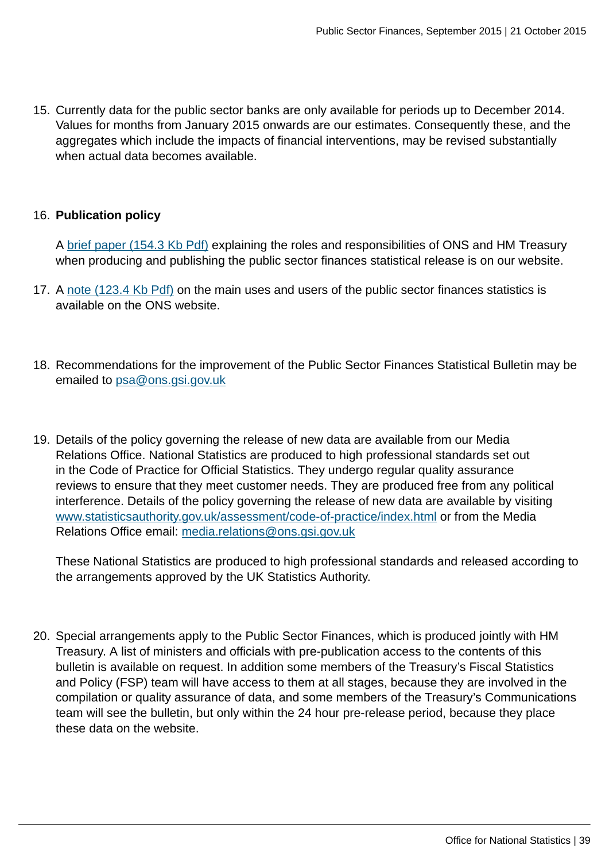15. Currently data for the public sector banks are only available for periods up to December 2014. Values for months from January 2015 onwards are our estimates. Consequently these, and the aggregates which include the impacts of financial interventions, may be revised substantially when actual data becomes available.

#### 16. **Publication policy**

A [brief paper \(154.3 Kb Pdf\)](http://www.ons.gov.uk:80/ons/guide-method/method-quality/specific/economy/public-sector-finances/production-of-the-public-sector-finances-statistical-bulletin--responsibilities-and-accountabilities.pdf) explaining the roles and responsibilities of ONS and HM Treasury when producing and publishing the public sector finances statistical release is on our website.

- 17. A [note \(123.4 Kb Pdf\)](http://www.ons.gov.uk:80/ons/guide-method/method-quality/specific/economy/public-sector-finances/users-of-government-finance-statistics.pdf) on the main uses and users of the public sector finances statistics is available on the ONS website.
- 18. Recommendations for the improvement of the Public Sector Finances Statistical Bulletin may be emailed to [psa@ons.gsi.gov.uk](mailto:psa@ons.gsi.gov.uk)
- 19. Details of the policy governing the release of new data are available from our Media Relations Office. National Statistics are produced to high professional standards set out in the Code of Practice for Official Statistics. They undergo regular quality assurance reviews to ensure that they meet customer needs. They are produced free from any political interference. Details of the policy governing the release of new data are available by visiting [www.statisticsauthority.gov.uk/assessment/code-of-practice/index.html](http://www.statisticsauthority.gov.uk/assessment/code-of-practice/index.html) or from the Media Relations Office email: [media.relations@ons.gsi.gov.uk](mailto:media.relations@ons.gsi.gov.uk)

These National Statistics are produced to high professional standards and released according to the arrangements approved by the UK Statistics Authority.

20. Special arrangements apply to the Public Sector Finances, which is produced jointly with HM Treasury. A list of ministers and officials with pre-publication access to the contents of this bulletin is available on request. In addition some members of the Treasury's Fiscal Statistics and Policy (FSP) team will have access to them at all stages, because they are involved in the compilation or quality assurance of data, and some members of the Treasury's Communications team will see the bulletin, but only within the 24 hour pre-release period, because they place these data on the website.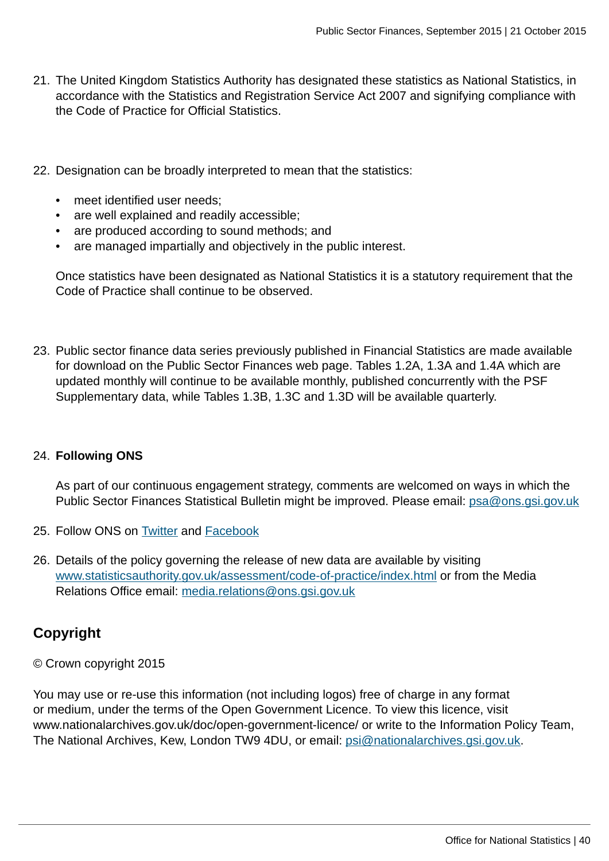- 21. The United Kingdom Statistics Authority has designated these statistics as National Statistics, in accordance with the Statistics and Registration Service Act 2007 and signifying compliance with the Code of Practice for Official Statistics.
- 22. Designation can be broadly interpreted to mean that the statistics:
	- meet identified user needs;
	- are well explained and readily accessible;
	- are produced according to sound methods; and
	- are managed impartially and objectively in the public interest.

Once statistics have been designated as National Statistics it is a statutory requirement that the Code of Practice shall continue to be observed.

23. Public sector finance data series previously published in Financial Statistics are made available for download on the Public Sector Finances web page. Tables 1.2A, 1.3A and 1.4A which are updated monthly will continue to be available monthly, published concurrently with the PSF Supplementary data, while Tables 1.3B, 1.3C and 1.3D will be available quarterly.

#### 24. **Following ONS**

As part of our continuous engagement strategy, comments are welcomed on ways in which the Public Sector Finances Statistical Bulletin might be improved. Please email: [psa@ons.gsi.gov.uk](mailto:psa@ons.gsi.gov.uk)

- 25. Follow ONS on [Twitter](http://www.ons.gov.uk:80/ons/external-links/social-media/twitter.html) and [Facebook](http://www.ons.gov.uk:80/ons/external-links/social-media/index.html)
- 26. Details of the policy governing the release of new data are available by visiting [www.statisticsauthority.gov.uk/assessment/code-of-practice/index.html](http://www.statisticsauthority.gov.uk/assessment/code-of-practice/index.html) or from the Media Relations Office email: [media.relations@ons.gsi.gov.uk](mailto:media.relations@ons.gsi.gov.uk)

# **Copyright**

© Crown copyright 2015

You may use or re-use this information (not including logos) free of charge in any format or medium, under the terms of the Open Government Licence. To view this licence, visit www.nationalarchives.gov.uk/doc/open-government-licence/ or write to the Information Policy Team, The National Archives, Kew, London TW9 4DU, or email: [psi@nationalarchives.gsi.gov.uk](mailto:psi@nationalarchives.gsi.gov.uk).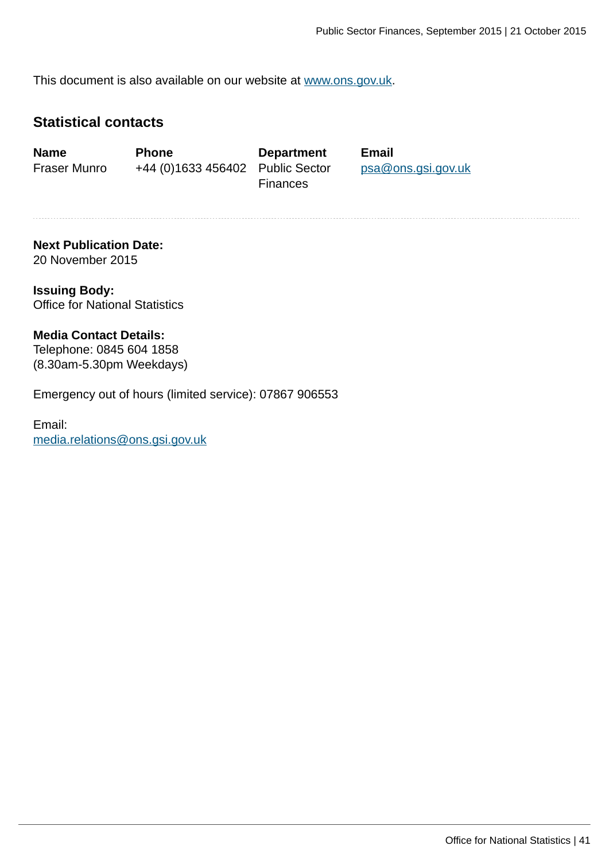This document is also available on our website at [www.ons.gov.uk.](http://www.ons.gov.uk/)

### **Statistical contacts**

**Name Phone Department Email** Fraser Munro +44 (0)1633 456402 Public Sector

**Finances** 

[psa@ons.gsi.gov.uk](mailto:psa@ons.gsi.gov.uk)

#### **Next Publication Date:** 20 November 2015

**Issuing Body:** Office for National Statistics

#### **Media Contact Details:**

Telephone: 0845 604 1858 (8.30am-5.30pm Weekdays)

Emergency out of hours (limited service): 07867 906553

Email: [media.relations@ons.gsi.gov.uk](mailto:media.relations@ons.gsi.gov.uk)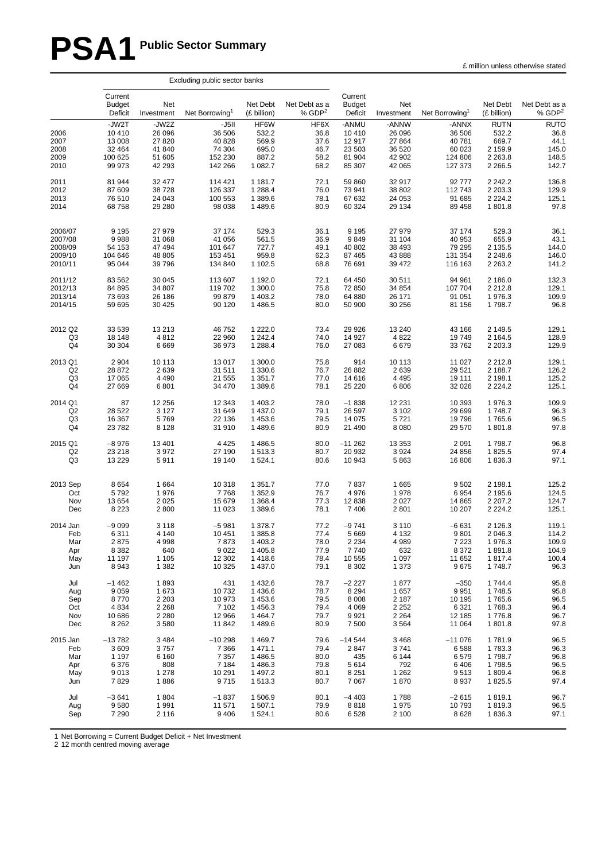# **PSA1 Public Sector Summary**

|                                      |                                                           |                                                          | Excluding public sector banks                             |                                                       |                                              |                                                         |                                                         |                                                           |                                                                     |                                                        |
|--------------------------------------|-----------------------------------------------------------|----------------------------------------------------------|-----------------------------------------------------------|-------------------------------------------------------|----------------------------------------------|---------------------------------------------------------|---------------------------------------------------------|-----------------------------------------------------------|---------------------------------------------------------------------|--------------------------------------------------------|
|                                      | Current<br><b>Budget</b><br>Deficit                       | <b>Net</b><br>Investment                                 | Net Borrowing <sup>1</sup>                                | Net Debt<br>(£ billion)                               | Net Debt as a<br>% GDP <sup>2</sup>          | Current<br><b>Budget</b><br>Deficit                     | Net<br>Investment                                       | Net Borrowing <sup>1</sup>                                | Net Debt<br>(£ billion)                                             | Net Debt as a<br>% $GDP2$                              |
| 2006<br>2007<br>2008<br>2009<br>2010 | -JW2T<br>10 410<br>13 008<br>32 4 64<br>100 625<br>99 973 | -JW2Z<br>26 096<br>27 8 20<br>41 840<br>51 605<br>42 293 | -J5II<br>36 506<br>40 828<br>74 304<br>152 230<br>142 266 | HF6W<br>532.2<br>569.9<br>695.0<br>887.2<br>1 0 8 2.7 | HF6X<br>36.8<br>37.6<br>46.7<br>58.2<br>68.2 | -ANMU<br>10 410<br>12 917<br>23 503<br>81 904<br>85 307 | -ANNW<br>26 096<br>27 864<br>36 520<br>42 902<br>42 065 | -ANNX<br>36 506<br>40 781<br>60 023<br>124 806<br>127 373 | <b>RUTN</b><br>532.2<br>669.7<br>2 159.9<br>2 2 6 3 . 8<br>2 2 66.5 | <b>RUTO</b><br>36.8<br>44.1<br>145.0<br>148.5<br>142.7 |
| 2011                                 | 81 944                                                    | 32 477                                                   | 114 421                                                   | 1 181.7                                               | 72.1                                         | 59 860                                                  | 32 917                                                  | 92 777                                                    | 2 2 4 2 .2                                                          | 136.8                                                  |
| 2012                                 | 87 609                                                    | 38728                                                    | 126 337                                                   | 1 2 8 8.4                                             | 76.0                                         | 73 941                                                  | 38 802                                                  | 112743                                                    | 2 2 0 3 .3                                                          | 129.9                                                  |
| 2013                                 | 76 510                                                    | 24 043                                                   | 100 553                                                   | 1 389.6                                               | 78.1                                         | 67 632                                                  | 24 053                                                  | 91 685                                                    | 2 2 2 4 . 2                                                         | 125.1                                                  |
| 2014                                 | 68758                                                     | 29 280                                                   | 98 038                                                    | 1489.6                                                | 80.9                                         | 60 324                                                  | 29 134                                                  | 89 458                                                    | 1801.8                                                              | 97.8                                                   |
| 2006/07                              | 9 1 9 5                                                   | 27 979                                                   | 37 174                                                    | 529.3                                                 | 36.1                                         | 9 1 9 5                                                 | 27 979                                                  | 37 174                                                    | 529.3                                                               | 36.1                                                   |
| 2007/08                              | 9988                                                      | 31 068                                                   | 41 056                                                    | 561.5                                                 | 36.9                                         | 9849                                                    | 31 104                                                  | 40 953                                                    | 655.9                                                               | 43.1                                                   |
| 2008/09                              | 54 153                                                    | 47 494                                                   | 101 647                                                   | 727.7                                                 | 49.1                                         | 40 802                                                  | 38 493                                                  | 79 295                                                    | 2 135.5                                                             | 144.0                                                  |
| 2009/10                              | 104 646                                                   | 48 805                                                   | 153 451                                                   | 959.8                                                 | 62.3                                         | 87 465                                                  | 43 888                                                  | 131 354                                                   | 2 2 4 8 . 6                                                         | 146.0                                                  |
| 2010/11                              | 95 044                                                    | 39 7 96                                                  | 134 840                                                   | 1 102.5                                               | 68.8                                         | 76 691                                                  | 39 472                                                  | 116 163                                                   | 2 2 6 3 . 2                                                         | 141.2                                                  |
| 2011/12                              | 83 562                                                    | 30 045                                                   | 113 607                                                   | 1 192.0                                               | 72.1                                         | 64 450                                                  | 30 511                                                  | 94 961                                                    | 2 186.0                                                             | 132.3                                                  |
| 2012/13                              | 84 895                                                    | 34 807                                                   | 119 702                                                   | 1 300.0                                               | 75.8                                         | 72 850                                                  | 34 854                                                  | 107 704                                                   | 2 2 1 2.8                                                           | 129.1                                                  |
| 2013/14                              | 73 693                                                    | 26 186                                                   | 99 879                                                    | 1 403.2                                               | 78.0                                         | 64 880                                                  | 26 171                                                  | 91 051                                                    | 1976.3                                                              | 109.9                                                  |
| 2014/15                              | 59 695                                                    | 30 4 25                                                  | 90 120                                                    | 1486.5                                                | 80.0                                         | 50 900                                                  | 30 256                                                  | 81 156                                                    | 1798.7                                                              | 96.8                                                   |
| 2012 Q2                              | 33 539                                                    | 13 2 13                                                  | 46 752                                                    | 1 2 2 2 .0                                            | 73.4                                         | 29 9 26                                                 | 13 240                                                  | 43 166                                                    | 2 149.5                                                             | 129.1                                                  |
| Q3                                   | 18 148                                                    | 4812                                                     | 22 960                                                    | 1 242.4                                               | 74.0                                         | 14 927                                                  | 4 8 2 2                                                 | 19749                                                     | 2 1 64.5                                                            | 128.9                                                  |
| Q <sub>4</sub>                       | 30 304                                                    | 6669                                                     | 36 973                                                    | 1 2 8 8.4                                             | 76.0                                         | 27 083                                                  | 6679                                                    | 33762                                                     | 2 2 0 3 . 3                                                         | 129.9                                                  |
| 2013 Q1                              | 2 9 0 4                                                   | 10 113                                                   | 13 017                                                    | 1 300.0                                               | 75.8                                         | 914                                                     | 10 113                                                  | 11 027                                                    | 2 2 1 2.8                                                           | 129.1                                                  |
| Q <sub>2</sub>                       | 28 872                                                    | 2639                                                     | 31 511                                                    | 1 3 3 0.6                                             | 76.7                                         | 26 882                                                  | 2639                                                    | 29 5 21                                                   | 2 188.7                                                             | 126.2                                                  |
| Q3                                   | 17 065                                                    | 4 4 9 0                                                  | 21 555                                                    | 1 3 5 1 . 7                                           | 77.0                                         | 14 616                                                  | 4 4 9 5                                                 | 19 111                                                    | 2 198.1                                                             | 125.2                                                  |
| Q4                                   | 27 669                                                    | 6801                                                     | 34 470                                                    | 1 3 8 9.6                                             | 78.1                                         | 25 2 20                                                 | 6806                                                    | 32 0 26                                                   | 2 2 2 4 . 2                                                         | 125.1                                                  |
| 2014 Q1                              | 87                                                        | 12 256                                                   | 12 343                                                    | 1 403.2                                               | 78.0                                         | $-1838$                                                 | 12 2 31                                                 | 10 393                                                    | 1976.3                                                              | 109.9                                                  |
| Q2                                   | 28 5 22                                                   | 3 1 2 7                                                  | 31 649                                                    | 1 4 3 7 .0                                            | 79.1                                         | 26 597                                                  | 3 1 0 2                                                 | 29 699                                                    | 1748.7                                                              | 96.3                                                   |
| Q3                                   | 16 367                                                    | 5769                                                     | 22 136                                                    | 1453.6                                                | 79.5                                         | 14 075                                                  | 5721                                                    | 19796                                                     | 1765.6                                                              | 96.5                                                   |
| Q4                                   | 23782                                                     | 8 1 2 8                                                  | 31 910                                                    | 1489.6                                                | 80.9                                         | 21 490                                                  | 8 0 8 0                                                 | 29 570                                                    | 1801.8                                                              | 97.8                                                   |
| 2015 Q1                              | $-8976$                                                   | 13 4 01                                                  | 4 4 2 5                                                   | 1486.5                                                | 80.0                                         | $-11262$                                                | 13 3 53                                                 | 2 0 9 1                                                   | 1798.7                                                              | 96.8                                                   |
| Q <sub>2</sub>                       | 23 218                                                    | 3972                                                     | 27 190                                                    | 1513.3                                                | 80.7                                         | 20 932                                                  | 3924                                                    | 24 856                                                    | 1825.5                                                              | 97.4                                                   |
| Q3                                   | 13 2 29                                                   | 5911                                                     | 19 140                                                    | 1524.1                                                | 80.6                                         | 10 943                                                  | 5863                                                    | 16 806                                                    | 1836.3                                                              | 97.1                                                   |
| 2013 Sep                             | 8654                                                      | 1664                                                     | 10 318                                                    | 1 3 5 1 . 7                                           | 77.0                                         | 7837                                                    | 1 6 6 5                                                 | 9502                                                      | 2 198.1                                                             | 125.2                                                  |
| Oct                                  | 5792                                                      | 1976                                                     | 7768                                                      | 1 3 5 2 . 9                                           | 76.7                                         | 4976                                                    | 1978                                                    | 6954                                                      | 2 195.6                                                             | 124.5                                                  |
| Nov                                  | 13 654                                                    | 2025                                                     | 15 679                                                    | 1 3 6 8.4                                             | 77.3                                         | 12 8 38                                                 | 2 0 2 7                                                 | 14 8 65                                                   | 2 2 0 7 .2                                                          | 124.7                                                  |
| Dec                                  | 8 2 2 3                                                   | 2800                                                     | 11 023                                                    | 1 3 8 9.6                                             | 78.1                                         | 7 4 0 6                                                 | 2 8 0 1                                                 | 10 207                                                    | 2 2 2 4 . 2                                                         | 125.1                                                  |
| 2014 Jan                             | $-9099$                                                   | 3 1 1 8                                                  | $-5981$                                                   | 1 378.7                                               | 77.2                                         | $-9741$                                                 | 3 1 1 0                                                 | $-6631$                                                   | 2 1 2 6 .3                                                          | 119.1                                                  |
| Feb                                  | 6311                                                      | 4 140                                                    | 10 451                                                    | 1385.8                                                | (1.4)                                        | 5 669                                                   | 4 132                                                   | 9801                                                      | 2 046.3                                                             | 114.2                                                  |
| Mar                                  | 2875                                                      | 4998                                                     | 7873                                                      | 1 403.2                                               | 78.0                                         | 2 2 3 4                                                 | 4 9 8 9                                                 | 7 2 2 3                                                   | 1976.3                                                              | 109.9                                                  |
| Apr                                  | 8 3 8 2                                                   | 640                                                      | 9 0 2 2                                                   | 1 4 0 5.8                                             | 77.9                                         | 7740                                                    | 632                                                     | 8 3 7 2                                                   | 1891.8                                                              | 104.9                                                  |
| May                                  | 11 197                                                    | 1 1 0 5                                                  | 12 302                                                    | 1418.6                                                | 78.4                                         | 10 555                                                  | 1 0 9 7                                                 | 11 652                                                    | 1817.4                                                              | 100.4                                                  |
| Jun                                  | 8943                                                      | 1 3 8 2                                                  | 10 325                                                    | 1 4 3 7 .0                                            | 79.1                                         | 8 3 0 2                                                 | 1 373                                                   | 9675                                                      | 1748.7                                                              | 96.3                                                   |
| Jul                                  | $-1462$                                                   | 1893                                                     | 431                                                       | 1432.6                                                | 78.7                                         | $-2227$                                                 | 1877                                                    | $-350$                                                    | 1744.4                                                              | 95.8                                                   |
| Aug                                  | 9 0 5 9                                                   | 1673                                                     | 10732                                                     | 1436.6                                                | 78.7                                         | 8 2 9 4                                                 | 1657                                                    | 9951                                                      | 1748.5                                                              | 95.8                                                   |
| Sep                                  | 8770                                                      | 2 2 0 3                                                  | 10 973                                                    | 1453.6                                                | 79.5                                         | 8 0 0 8                                                 | 2 1 8 7                                                 | 10 195                                                    | 1765.6                                                              | 96.5                                                   |
| Oct                                  | 4 8 3 4                                                   | 2 2 6 8                                                  | 7 102                                                     | 1456.3                                                | 79.4                                         | 4 0 6 9                                                 | 2 2 5 2                                                 | 6 3 21                                                    | 1768.3                                                              | 96.4                                                   |
| Nov                                  | 10 686                                                    | 2 2 8 0                                                  | 12 966                                                    | 1464.7                                                | 79.7                                         | 9921                                                    | 2 2 6 4                                                 | 12 185                                                    | 1776.8                                                              | 96.7                                                   |
| Dec                                  | 8 2 6 2                                                   | 3580                                                     | 11 842                                                    | 1489.6                                                | 80.9                                         | 7 500                                                   | 3564                                                    | 11 064                                                    | 1801.8                                                              | 97.8                                                   |
| 2015 Jan                             | $-13782$                                                  | 3484                                                     | $-10298$                                                  | 1469.7                                                | 79.6                                         | $-14544$                                                | 3468                                                    | $-11076$                                                  | 1781.9                                                              | 96.5                                                   |
| Feb                                  | 3 6 0 9                                                   | 3757                                                     | 7 3 6 6                                                   | 1471.1                                                | 79.4                                         | 2847                                                    | 3741                                                    | 6588                                                      | 1783.3                                                              | 96.3                                                   |
| Mar                                  | 1 1 9 7                                                   | 6 1 6 0                                                  | 7 3 5 7                                                   | 1486.5                                                | 80.0                                         | 435                                                     | 6 1 4 4                                                 | 6579                                                      | 1798.7                                                              | 96.8                                                   |
| Apr                                  | 6 3 7 6                                                   | 808                                                      | 7 1 8 4                                                   | 1486.3                                                | 79.8                                         | 5614                                                    | 792                                                     | 6406                                                      | 1798.5                                                              | 96.5                                                   |
| May                                  | 9013                                                      | 1 2 7 8                                                  | 10 291                                                    | 1 497.2                                               | 80.1                                         | 8 2 5 1                                                 | 1 2 6 2                                                 | 9513                                                      | 1809.4                                                              | 96.8                                                   |
| Jun                                  | 7829                                                      | 1886                                                     | 9715                                                      | 1513.3                                                | 80.7                                         | 7 0 6 7                                                 | 1870                                                    | 8937                                                      | 1825.5                                                              | 97.4                                                   |
| Jul                                  | $-3641$                                                   | 1804                                                     | $-1837$                                                   | 1506.9                                                | 80.1                                         | $-4403$                                                 | 1788                                                    | $-2615$                                                   | 1819.1                                                              | 96.7                                                   |
| Aug                                  | 9580                                                      | 1991                                                     | 11 571                                                    | 1 507.1                                               | 79.9                                         | 8818                                                    | 1975                                                    | 10793                                                     | 1819.3                                                              | 96.5                                                   |
| Sep                                  | 7 2 9 0                                                   | 2 1 1 6                                                  | 9 4 0 6                                                   | 1524.1                                                | 80.6                                         | 6528                                                    | 2 100                                                   | 8628                                                      | 1836.3                                                              | 97.1                                                   |

1 Net Borrowing = Current Budget Deficit + Net Investment

2 12 month centred moving average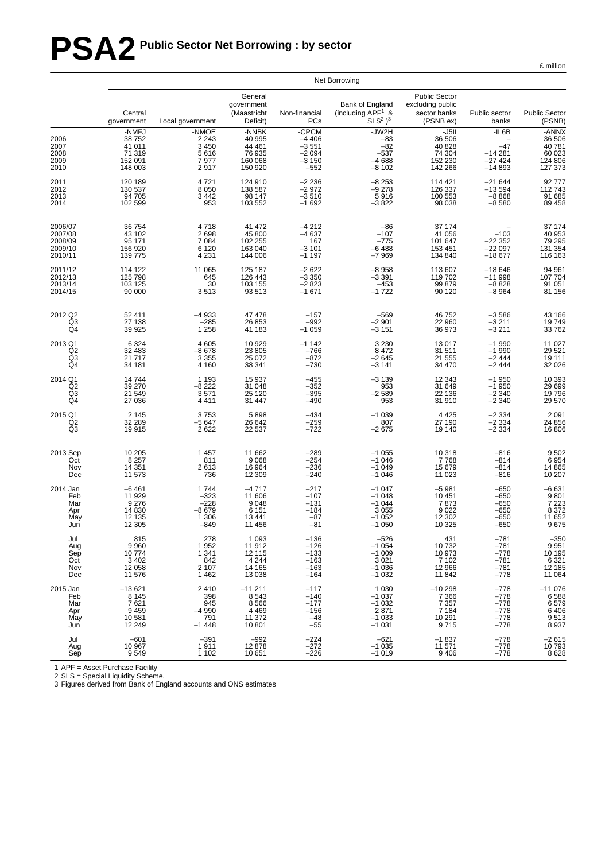# **PSA2 Public Sector Net Borrowing : by sector**

£ million

|                                                     |                                                             |                                                        |                                                               |                                                             | Net Borrowing                                                             |                                                                       |                                                          |                                                          |
|-----------------------------------------------------|-------------------------------------------------------------|--------------------------------------------------------|---------------------------------------------------------------|-------------------------------------------------------------|---------------------------------------------------------------------------|-----------------------------------------------------------------------|----------------------------------------------------------|----------------------------------------------------------|
|                                                     | Central<br>government                                       | Local government                                       | General<br>government<br>(Maastricht<br>Deficit)              | Non-financial<br><b>PCs</b>                                 | Bank of England<br>(including APF <sup>1</sup> &<br>$SLS2$ ) <sup>3</sup> | <b>Public Sector</b><br>excluding public<br>sector banks<br>(PSNB ex) | Public sector<br>banks                                   | <b>Public Sector</b><br>(PSNB)                           |
| 2006<br>2007<br>2008<br>2009<br>2010                | -NMFJ<br>38 752<br>41 011<br>71 319<br>152 091<br>148 003   | -NMOE<br>2 2 4 3<br>3 4 5 0<br>5616<br>7977<br>2917    | -NNBK<br>40 995<br>44 461<br>76 935<br>160 068<br>150 920     | -CPCM<br>$-4406$<br>$-3551$<br>$-2094$<br>$-3150$<br>$-552$ | -JW2H<br>$-83$<br>$-82$<br>$-537$<br>$-4688$<br>$-8102$                   | $-J5II$<br>36 506<br>40 828<br>74 304<br>152 230<br>142 266           | $-IL6B$<br>$-47$<br>$-14281$<br>$-27424$<br>$-14893$     | -ANNX<br>36 506<br>40781<br>60 023<br>124 806<br>127 373 |
| 2011<br>2012<br>2013<br>2014                        | 120 189<br>130 537<br>94 705<br>102 599                     | 4 7 2 1<br>8 0 5 0<br>3 4 4 2<br>953                   | 124 910<br>138 587<br>98 147<br>103 552                       | $-2236$<br>$-2972$<br>$-3510$<br>$-1692$                    | $-8253$<br>$-9278$<br>5916<br>$-3822$                                     | 114 421<br>126 337<br>100 553<br>98 038                               | $-21644$<br>$-13594$<br>$-8868$<br>$-8580$               | 92777<br>112743<br>91 685<br>89 458                      |
| 2006/07<br>2007/08<br>2008/09<br>2009/10<br>2010/11 | 36 754<br>43 102<br>95 171<br>156 920<br>139 775            | 4718<br>2698<br>7 0 8 4<br>6 1 2 0<br>4 2 3 1          | 41 472<br>45 800<br>102 255<br>163 040<br>144 006             | $-4212$<br>$-4637$<br>167<br>$-3101$<br>$-1197$             | $-86$<br>$-107$<br>$-775$<br>$-6488$<br>$-7969$                           | 37 174<br>41 056<br>101 647<br>153 451<br>134 840                     | $-103$<br>$-22352$<br>$-22097$<br>$-18677$               | 37 174<br>40 953<br>79 295<br>131 354<br>116 163         |
| 2011/12<br>2012/13<br>2013/14<br>2014/15            | 114 122<br>125 798<br>103 125<br>90 000                     | 11 065<br>645<br>30<br>3513                            | 125 187<br>126 443<br>103 155<br>93 513                       | $-2622$<br>$-3350$<br>$-2823$<br>$-1671$                    | $-8958$<br>$-3391$<br>$-453$<br>$-1722$                                   | 113 607<br>119 702<br>99 879<br>90 120                                | $-18646$<br>$-11998$<br>$-8828$<br>$-8964$               | 94 961<br>107 704<br>91 051<br>81 156                    |
| 2012 Q2<br>$^{Q3}_{Q4}$                             | 52 411<br>27 138<br>39 925                                  | $-4933$<br>$-285$<br>1 2 5 8                           | 47 478<br>26 853<br>41 183                                    | $-157$<br>$-992$<br>$-1059$                                 | $-569$<br>$-2901$<br>$-3151$                                              | 46752<br>22 960<br>36 973                                             | $-3586$<br>$-3211$<br>$-3211$                            | 43 166<br>19749<br>33762                                 |
| 2013 Q1<br>Q <sub>2</sub><br>Q3<br>Q4               | 6 3 2 4<br>32 483<br>21 7 1 7<br>34 181                     | 4 6 0 5<br>$-8678$<br>3 3 5 5<br>4 1 6 0               | 10 929<br>23 805<br>25 072<br>38 341                          | $-1142$<br>$-766$<br>$-872$<br>$-730$                       | 3 2 3 0<br>8472<br>$-2645$<br>$-3141$                                     | 13 017<br>31 511<br>21 555<br>34 470                                  | $-1990$<br>$-1990$<br>$-2444$<br>$-2444$                 | 11 027<br>29 521<br>19 111<br>32 0 26                    |
| 2014 Q1<br>Q2<br>Q <sub>3</sub><br>Q <sub>4</sub>   | 14744<br>39 270<br>21 549<br>27 036                         | 1 1 9 3<br>$-8222$<br>3571<br>4 4 1 1                  | 15 937<br>31 048<br>25 1 20<br>31 447                         | $-455$<br>$-352$<br>$-395$<br>$-490$                        | $-3139$<br>953<br>$-2589$<br>953                                          | 12 343<br>31 649<br>22 136<br>31 910                                  | $-1950$<br>$-1950$<br>$-2340$<br>$-2340$                 | 10 393<br>29 699<br>19 796<br>29 570                     |
| 2015 Q1<br>Q <sub>2</sub><br>Q <sub>3</sub>         | 2 1 4 5<br>32 289<br>19 915                                 | 3753<br>$-5647$<br>2622                                | 5898<br>26 642<br>22 537                                      | $-434$<br>$-259$<br>$-722$                                  | $-1039$<br>807<br>$-2675$                                                 | 4 4 2 5<br>27 190<br>19 140                                           | $-2334$<br>$-2334$<br>$-2334$                            | 2 0 9 1<br>24 856<br>16806                               |
| 2013 Sep<br>Oct<br>Nov<br>Dec                       | 10 205<br>8 2 5 7<br>14 3 51<br>11 573                      | 1 4 5 7<br>811<br>2613<br>736                          | 11 662<br>9 0 68<br>16 964<br>12 309                          | $-289$<br>$-254$<br>$-236$<br>$-240$                        | $-1055$<br>$-1046$<br>$-1049$<br>$-1046$                                  | 10 318<br>7768<br>15 679<br>11 023                                    | $-816$<br>$-814$<br>$-814$<br>$-816$                     | 9502<br>6954<br>14 865<br>10 207                         |
| 2014 Jan<br>Feb<br>Mar<br>Apr<br>May<br>Jun         | $-6461$<br>11 929<br>9 2 7 6<br>14 830<br>12 135<br>12 3 05 | 1744<br>$-323$<br>$-228$<br>$-8679$<br>1 306<br>$-849$ | $-4717$<br>11 606<br>9 0 48<br>6 1 5 1<br>13 441<br>11 456    | $-217$<br>$-107$<br>$-131$<br>$-184$<br>$-87$<br>$-81$      | $-1047$<br>$-1048$<br>$-1044$<br>3 0 5 5<br>$-1052$<br>$-1050$            | $-5981$<br>10 451<br>7873<br>9 0 2 2<br>12 302<br>10 325              | $-650$<br>$-650$<br>$-650$<br>$-650$<br>-650<br>$-650$   | $-6631$<br>$9801$<br>$7223$<br>$8372$<br>11 652<br>9675  |
| Jul<br>Aug<br>Sep<br>Oct<br>Nov<br>Dec              | 815<br>9960<br>10774<br>3 4 0 2<br>12 058<br>11 576         | 278<br>1952<br>1 341<br>842<br>2 107<br>1462           | 1 0 9 3<br>11912<br>12 115<br>4 244<br>14 165<br>13 0 38      | $-136$<br>$-126$<br>$-133$<br>$-163$<br>$-163$<br>$-164$    | $-526$<br>$-1054$<br>$-1009$<br>3021<br>$-1036$<br>$-1032$                | 431<br>10732<br>10 973<br>7 102<br>12 966<br>11 842                   | $-781$<br>$-781$<br>$-778$<br>$-781$<br>$-781$<br>$-778$ | $-350$<br>9 9 5 1<br>10 195<br>6 321<br>12 185<br>11 064 |
| 2015 Jan<br>Feb<br>Mar<br>Apr<br>May<br>Jun         | $-13621$<br>8 1 4 5<br>7621<br>9 4 5 9<br>10 581<br>12 249  | 2410<br>398<br>945<br>-4 990<br>791<br>$-1448$         | $-11211$<br>8 5 4 3<br>8 5 6 6<br>4 4 6 9<br>11 372<br>10 801 | $-117$<br>$-140$<br>$-177$<br>$-156$<br>$-48$<br>$-55$      | 1 0 3 0<br>$-1037$<br>$-1032$<br>2871<br>$-1033$<br>$-1031$               | $-10298$<br>7 3 6 6<br>7 3 5 7<br>7 1 8 4<br>10 291<br>9715           | $-778$<br>$-778$<br>$-778$<br>$-778$<br>$-778$<br>$-778$ | $-11076$<br>6588<br>6579<br>6406<br>9513<br>8937         |
| Jul<br>Aug<br>Sep                                   | $-601$<br>10 967<br>9549                                    | $-391$<br>1911<br>1 1 0 2                              | $-992$<br>12 878<br>10 651                                    | $-224$<br>$-272$<br>$-226$                                  | $-621$<br>$-1035$<br>$-1019$                                              | $-1837$<br>11 571<br>9 4 0 6                                          | $-778$<br>$-778$<br>$-778$                               | $-2615$<br>10793<br>8 6 28                               |

1 APF = Asset Purchase Facility

2 SLS = Special Liquidity Scheme. 3 Figures derived from Bank of England accounts and ONS estimates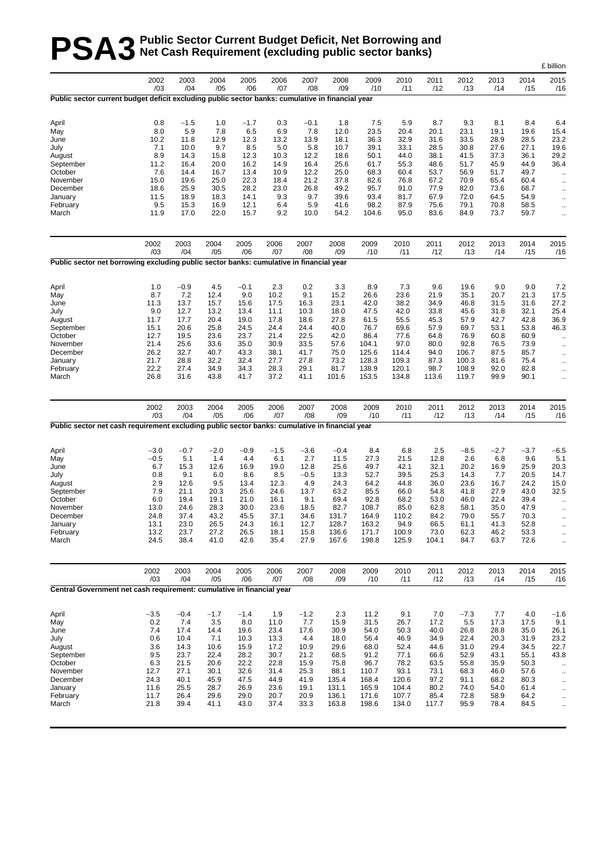# **PSA3** Public Sector Current Budget Deficit, Net Borrowing and<br> **PSA3** Net Cash Requirement (excluding public sector banks) **Net Cash Requirement (excluding public sector banks)**

|                                                                                                  |              |              |              |              |              |              |               |                |               |              |              |              |              | £ billion                         |
|--------------------------------------------------------------------------------------------------|--------------|--------------|--------------|--------------|--------------|--------------|---------------|----------------|---------------|--------------|--------------|--------------|--------------|-----------------------------------|
|                                                                                                  | 2002<br>/03  | 2003<br>/04  | 2004<br>/05  | 2005<br>/06  | 2006<br>/07  | 2007<br>/08  | 2008<br>/09   | 2009<br>/10    | 2010<br>/11   | 2011<br>/12  | 2012<br>/13  | 2013<br>/14  | 2014<br>/15  | 2015<br>/16                       |
| Public sector current budget deficit excluding public sector banks: cumulative in financial year |              |              |              |              |              |              |               |                |               |              |              |              |              |                                   |
| April                                                                                            | 0.8          | $-1.5$       | 1.0          | $-1.7$       | 0.3          | $-0.1$       | 1.8           | 7.5            | 5.9           | 8.7          | 9.3          | 8.1          | 8.4          | 6.4                               |
| May                                                                                              | 8.0          | 5.9          | 7.8          | 6.5          | 6.9          | 7.8          | 12.0          | 23.5           | 20.4          | 20.1         | 23.1         | 19.1         | 19.6         | 15.4                              |
| June                                                                                             | 10.2         | 11.8         | 12.9         | 12.3         | 13.2         | 13.9         | 18.1          | 36.3           | 32.9          | 31.6         | 33.5         | 28.9         | 28.5         | 23.2                              |
| July                                                                                             | 7.1          | 10.0         | 9.7          | 8.5          | 5.0          | 5.8          | 10.7          | 39.1           | 33.1          | 28.5         | 30.8         | 27.6         | 27.1         | 19.6                              |
| August<br>September                                                                              | 8.9<br>11.2  | 14.3<br>16.4 | 15.8<br>20.0 | 12.3<br>16.2 | 10.3<br>14.9 | 12.2<br>16.4 | 18.6<br>25.6  | 50.1<br>61.7   | 44.0<br>55.3  | 38.1<br>48.6 | 41.5<br>51.7 | 37.3<br>45.9 | 36.1<br>44.9 | 29.2<br>36.4                      |
| October                                                                                          | 7.6          | 14.4         | 16.7         | 13.4         | 10.9         | 12.2         | 25.0          | 68.3           | 60.4          | 53.7         | 56.9         | 51.7         | 49.7         | $\cdot$ .                         |
| November                                                                                         | 15.0         | 19.6         | 25.0         | 22.3         | 18.4         | 21.2         | 37.8          | 82.6           | 76.8          | 67.2         | 70.9         | 65.4         | 60.4         | $\ddotsc$                         |
| December                                                                                         | 18.6         | 25.9         | 30.5         | 28.2         | 23.0         | 26.8         | 49.2          | 95.7           | 91.0          | 77.9         | 82.0         | 73.6         | 68.7         | $\ddotsc$                         |
| January                                                                                          | 11.5         | 18.9         | 18.3         | 14.1         | 9.3          | 9.7          | 39.6          | 93.4           | 81.7          | 67.9         | 72.0         | 64.5         | 54.9         | $\ddot{\phantom{0}}$              |
| February<br>March                                                                                | 9.5<br>11.9  | 15.3<br>17.0 | 16.9<br>22.0 | 12.1<br>15.7 | 6.4<br>9.2   | 5.9<br>10.0  | 41.6<br>54.2  | 98.2<br>104.6  | 87.9<br>95.0  | 75.6<br>83.6 | 79.1<br>84.9 | 70.8<br>73.7 | 58.5<br>59.7 | $\ddot{\phantom{0}}$<br>$\ddotsc$ |
|                                                                                                  | 2002         | 2003         | 2004         | 2005         | 2006         | 2007         | 2008          | 2009           | 2010          | 2011         | 2012         | 2013         | 2014         | 2015                              |
| Public sector net borrowing excluding public sector banks: cumulative in financial year          | /03          | /04          | /05          | /06          | /07          | /08          | /09           | /10            | /11           | /12          | /13          | /14          | /15          | /16                               |
|                                                                                                  |              |              |              |              |              |              |               |                |               |              |              |              |              |                                   |
| April                                                                                            | 1.0          | $-0.9$       | 4.5          | $-0.1$       | 2.3          | 0.2          | 3.3           | 8.9            | 7.3           | 9.6          | 19.6         | 9.0          | 9.0          | 7.2                               |
| May                                                                                              | 8.7          | 7.2          | 12.4         | 9.0          | 10.2         | 9.1          | 15.2          | 26.6           | 23.6          | 21.9         | 35.1         | 20.7         | 21.3         | 17.5                              |
| June                                                                                             | 11.3         | 13.7         | 15.7         | 15.6         | 17.5         | 16.3         | 23.1          | 42.0           | 38.2          | 34.9         | 46.8         | 31.5         | 31.6         | 27.2                              |
| July                                                                                             | 9.0<br>11.7  | 12.7<br>17.7 | 13.2<br>20.4 | 13.4<br>19.0 | 11.1<br>17.8 | 10.3         | 18.0<br>27.8  | 47.5<br>61.5   | 42.0<br>55.5  | 33.8<br>45.3 | 45.6<br>57.9 | 31.8<br>42.7 | 32.1<br>42.8 | 25.4                              |
| August<br>September                                                                              | 15.1         | 20.6         | 25.8         | 24.5         | 24.4         | 18.6<br>24.4 | 40.0          | 76.7           | 69.6          | 57.9         | 69.7         | 53.1         | 53.8         | 36.9<br>46.3                      |
| October                                                                                          | 12.7         | 19.5         | 23.6         | 23.7         | 21.4         | 22.5         | 42.0          | 86.4           | 77.6          | 64.8         | 76.9         | 60.8         | 60.9         | $\ddotsc$                         |
| November                                                                                         | 21.4         | 25.6         | 33.6         | 35.0         | 30.9         | 33.5         | 57.6          | 104.1          | 97.0          | 80.0         | 92.8         | 76.5         | 73.9         | $\cdot$ .                         |
| December                                                                                         | 26.2         | 32.7         | 40.7         | 43.3         | 38.1         | 41.7         | 75.0          | 125.6          | 114.4         | 94.0         | 106.7        | 87.5         | 85.7         | ä.                                |
| January                                                                                          | 21.7         | 28.8         | 32.2         | 32.4         | 27.7         | 27.8         | 73.2          | 128.3          | 109.3         | 87.3         | 100.3        | 81.6         | 75.4         | $\ddotsc$                         |
| February                                                                                         | 22.2         | 27.4         | 34.9         | 34.3         | 28.3         | 29.1         | 81.7          | 138.9          | 120.1         | 98.7         | 108.9        | 92.0         | 82.8         | $\ddotsc$                         |
| March                                                                                            | 26.8         | 31.6         | 43.8         | 41.7         | 37.2         | 41.1         | 101.6         | 153.5          | 134.8         | 113.6        | 119.7        | 99.9         | 90.1         | ä.                                |
|                                                                                                  | 2002<br>/03  | 2003<br>/04  | 2004<br>/05  | 2005<br>/06  | 2006<br>/07  | 2007<br>/08  | 2008<br>/09   | 2009<br>/10    | 2010<br>/11   | 2011<br>/12  | 2012<br>/13  | 2013<br>/14  | 2014<br>/15  | 2015<br>/16                       |
| Public sector net cash requirement excluding public sector banks: cumulative in financial year   |              |              |              |              |              |              |               |                |               |              |              |              |              |                                   |
| April                                                                                            | $-3.0$       | $-0.7$       | $-2.0$       | $-0.9$       | $-1.5$       | $-3.6$       | $-0.4$        | 8.4            | 6.8           | 2.5          | $-8.5$       | $-2.7$       | $-3.7$       | $-6.5$                            |
| May                                                                                              | $-0.5$       | 5.1          | 1.4          | 4.4          | 6.1          | 2.7          | 11.5          | 27.3           | 21.5          | 12.8         | 2.6          | 6.8          | 9.6          | 5.1                               |
| June                                                                                             | 6.7          | 15.3         | 12.6         | 16.9         | 19.0         | 12.8         | 25.6          | 49.7           | 42.1          | 32.1         | 20.2         | 16.9         | 25.9         | 20.3                              |
| July                                                                                             | 0.8          | 9.1          | 6.0          | 8.6          | 8.5          | $-0.5$       | 13.3          | 52.7           | 39.5          | 25.3         | 14.3         | 7.7          | 20.5         | 14.7                              |
| August                                                                                           | 2.9          | 12.6         | 9.5          | 13.4         | 12.3         | 4.9          | 24.3          | 64.2           | 44.8          | 36.0         | 23.6         | 16.7         | 24.2         | 15.0                              |
| September<br>October                                                                             | 7.9<br>6.0   | 21.1<br>19.4 | 20.3<br>19.1 | 25.6<br>21.0 | 24.6<br>16.1 | 13.7<br>9.1  | 63.2<br>69.4  | 85.5<br>92.8   | 66.0<br>68.2  | 54.8<br>53.0 | 41.8<br>46.0 | 27.9<br>22.4 | 43.0<br>39.4 | 32.5                              |
| November                                                                                         | 13.0         | 24.6         | 28.3         | 30.0         | 23.6         | 18.5         | 82.7          | 108.7          | 85.0          | 62.8         | 58.1         | 35.0         | 47.9         | $\ddotsc$<br>$\ddot{\phantom{a}}$ |
| December                                                                                         | 24.8         | 37.4         | 43.2         | 45.5         | 37.1         | 34.6         | 131.7         | 164.9          | 110.2         | 84.2         | 79.0         | 55.7         | 70.3         |                                   |
| January                                                                                          | 13.1         | 23.0         | 26.5         | 24.3         | 16.1         | 12.7         | 128.7         | 163.2          | 94.9          | 66.5         | 61.1         | 41.3         | 52.8         | .,                                |
| February                                                                                         | 13.2         | 23.7         | 27.2         | 26.5         | 18.1         | 15.8         | 136.6         | 171.7          | 100.9         | 73.0         | 62.3         | 46.2         | 53.3         | $\ddot{\phantom{0}}$              |
| March                                                                                            | 24.5         | 38.4         | 41.0         | 42.6         | 35.4         | 27.9         | 167.6         | 198.8          | 125.9         | 104.1        | 84.7         | 63.7         | 72.6         | $\ddotsc$                         |
|                                                                                                  | 2002<br>/03  | 2003<br>/04  | 2004<br>/05  | 2005<br>/06  | 2006<br>/07  | 2007<br>/08  | 2008<br>/09   | 2009<br>/10    | 2010<br>/11   | 2011<br>/12  | 2012<br>/13  | 2013<br>/14  | 2014<br>/15  | 2015<br>/16                       |
| Central Government net cash requirement: cumulative in financial year                            |              |              |              |              |              |              |               |                |               |              |              |              |              |                                   |
| April                                                                                            | $-3.5$       | $-0.4$       | $-1.7$       | $-1.4$       | 1.9          | $-1.2$       | 2.3           | 11.2           | 9.1           | 7.0          | $-7.3$       | 7.7          | 4.0          | $-1.6$                            |
| May                                                                                              | 0.2          | 7.4          | 3.5          | 8.0          | 11.0         | 7.7          | 15.9          | 31.5           | 26.7          | 17.2         | 5.5          | 17.3         | 17.5         | 9.1                               |
| June                                                                                             | 7.4          | 17.4         | 14.4         | 19.6         | 23.4         | 17.6         | 30.9          | 54.0           | 50.3          | 40.0         | 26.8         | 28.8         | 35.0         | 26.1                              |
| July                                                                                             | 0.6          | 10.4         | 7.1          | 10.3         | 13.3         | 4.4          | 18.0          | 56.4           | 46.9          | 34.9         | 22.4         | 20.3         | 31.9         | 23.2                              |
| August                                                                                           | 3.6          | 14.3         | 10.6         | 15.9         | 17.2         | 10.9         | 29.6          | 68.0           | 52.4          | 44.6         | 31.0         | 29.4         | 34.5         | 22.7                              |
| September                                                                                        | 9.5          | 23.7         | 22.4         | 28.2         | 30.7         | 21.2         | 68.5          | 91.2           | 77.1          | 66.6         | 52.9         | 43.1         | 55.1         | 43.8                              |
| October                                                                                          | 6.3          | 21.5         | 20.6         | 22.2         | 22.8         | 15.9         | 75.8          | 96.7           | 78.2          | 63.5         | 55.8         | 35.9         | 50.3         | $\ddotsc$                         |
| November<br>December                                                                             | 12.7<br>24.3 | 27.1<br>40.1 | 30.1<br>45.9 | 32.6<br>47.5 | 31.4<br>44.9 | 25.3<br>41.9 | 88.1<br>135.4 | 110.7<br>168.4 | 93.1<br>120.6 | 73.1<br>97.2 | 68.3<br>91.1 | 46.0<br>68.2 | 57.6<br>80.3 | $\cdot$ .                         |
| January                                                                                          | 11.6         | 25.5         | 28.7         | 26.9         | 23.6         | 19.1         | 131.1         | 165.9          | 104.4         | 80.2         | 74.0         | 54.0         | 61.4         | $\ddot{\phantom{0}}$<br>.,        |
| February                                                                                         | 11.7         | 26.4         | 29.6         | 29.0         | 20.7         | 20.9         | 136.1         | 171.6          | 107.7         | 85.4         | 72.8         | 58.9         | 64.2         | $\ddot{\phantom{0}}$              |
| March                                                                                            | 21.8         | 39.4         | 41.1         | 43.0         | 37.4         | 33.3         | 163.8         | 198.6          | 134.0         | 117.7        | 95.9         | 78.4         | 84.5         | $\ddotsc$                         |
|                                                                                                  |              |              |              |              |              |              |               |                |               |              |              |              |              |                                   |
|                                                                                                  |              |              |              |              |              |              |               |                |               |              |              |              |              |                                   |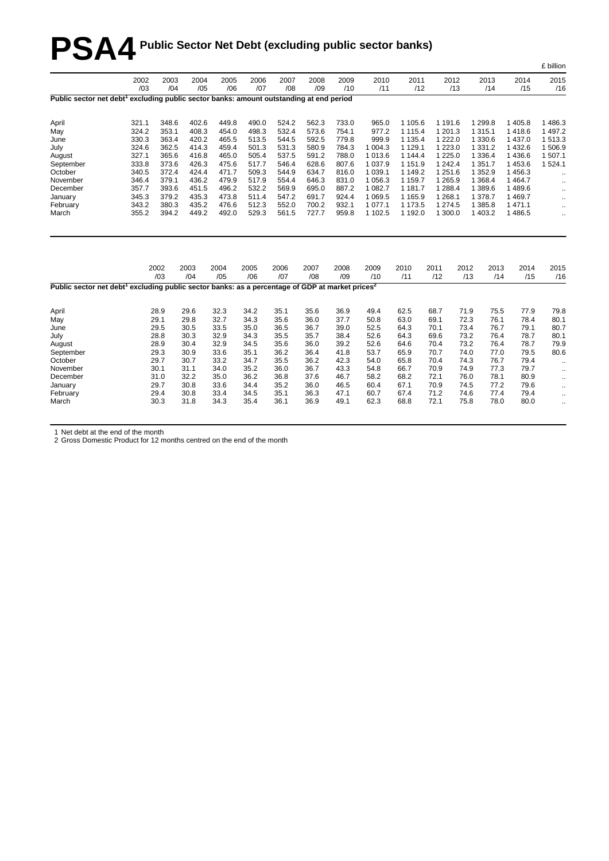# **PSA4 Public Sector Net Debt (excluding public sector banks)**

|                                                                                                                         |             |             |             |             |             |             |             |             |             |             |             |             |             |             | - ~ …                |
|-------------------------------------------------------------------------------------------------------------------------|-------------|-------------|-------------|-------------|-------------|-------------|-------------|-------------|-------------|-------------|-------------|-------------|-------------|-------------|----------------------|
|                                                                                                                         | 2002<br>/03 | 2003<br>/04 | 2004<br>/05 | 2005<br>/06 | 2006<br>/07 | 2007<br>/08 | 2008<br>/09 | 2009<br>/10 | 2010<br>/11 | 2011<br>/12 |             | 2012<br>/13 | 2013<br>/14 | 2014<br>/15 | 2015<br>/16          |
| Public sector net debt <sup>1</sup> excluding public sector banks: amount outstanding at end period                     |             |             |             |             |             |             |             |             |             |             |             |             |             |             |                      |
| April                                                                                                                   | 321.1       | 348.6       | 402.6       | 449.8       | 490.0       | 524.2       | 562.3       | 733.0       | 965.0       | 1 105.6     | 1 191.6     |             | 1 2 9 9.8   | 1 4 0 5.8   | 1486.3               |
| May                                                                                                                     | 324.2       | 353.1       | 408.3       | 454.0       | 498.3       | 532.4       | 573.6       | 754.1       | 977.2       | 1 1 1 5.4   | 1 201.3     |             | 1 3 1 5 1   | 1418.6      | 1 4 9 7.2            |
| June                                                                                                                    | 330.3       | 363.4       | 420.2       | 465.5       | 513.5       | 544.5       | 592.5       | 779.8       | 999.9       | 1 1 3 5 . 4 | 1 2 2 2 .0  |             | 1 3 3 0.6   | 1 4 3 7 . 0 | 1513.3               |
| July                                                                                                                    | 324.6       | 362.5       | 414.3       | 459.4       | 501.3       | 531.3       | 580.9       | 784.3       | 1 0 0 4 .3  | 1 1 2 9 . 1 | 1 2 2 3 . 0 |             | 1 3 3 1 . 2 | 1432.6      | 1506.9               |
| August                                                                                                                  | 327.1       | 365.6       | 416.8       | 465.0       | 505.4       | 537.5       | 591.2       | 788.0       | 1 013.6     | 1 144.4     | 1 2 2 5 .0  |             | 1 3 3 6.4   | 1436.6      | 1 507.1              |
| September                                                                                                               | 333.8       | 373.6       | 426.3       | 475.6       | 517.7       | 546.4       | 628.6       | 807.6       | 1 0 3 7 . 9 | 1 1 5 1 .9  | 1 242.4     |             | 1 3 5 1 . 7 | 1453.6      | 1524.1               |
| October                                                                                                                 | 340.5       | 372.4       | 424.4       | 471.7       | 509.3       | 544.9       | 634.7       | 816.0       | 1 0 3 9.1   | 1 149.2     | 1 251.6     |             | 1 3 5 2.9   | 1456.3      | $\ddotsc$            |
| November                                                                                                                | 346.4       | 379.1       | 436.2       | 479.9       | 517.9       | 554.4       | 646.3       | 831.0       | 1 0 5 6.3   | 1 1 5 9.7   | 1 2 6 5 .9  |             | 1 3 6 8.4   | 1 4 6 4.7   | $\ddotsc$            |
| December                                                                                                                | 357.7       | 393.6       | 451.5       | 496.2       | 532.2       | 569.9       | 695.0       | 887.2       | 1 082.7     | 1 181.7     | 1 288.4     |             | 1 389.6     | 1489.6      | $\cdot$ .            |
| January                                                                                                                 | 345.3       | 379.2       | 435.3       | 473.8       | 511.4       | 547.2       | 691.7       | 924.4       | 1 0 69.5    | 1 1 6 5 . 9 | 1 268.1     |             | 1 378.7     | 1469.7      | $\cdot$ .            |
| February                                                                                                                | 343.2       | 380.3       | 435.2       | 476.6       | 512.3       | 552.0       | 700.2       | 932.1       | 1 0 7 7 .1  | 1 173.5     | 1 274.5     |             | 1 3 8 5 . 8 | 1 471.1     | $\ddotsc$            |
| March                                                                                                                   | 355.2       | 394.2       | 449.2       | 492.0       | 529.3       | 561.5       | 727.7       | 959.8       | 1 102.5     | 1 192.0     | 1 300.0     |             | 1 403.2     | 1486.5      | $\ddotsc$            |
|                                                                                                                         |             | 2002<br>/03 | 2003<br>/04 | 2004<br>/05 | 2005<br>/06 | 2006<br>/07 | 2007<br>/08 | 2008<br>/09 | 2009<br>/10 | 2010<br>/11 | 2011<br>/12 | 2012<br>/13 | 2013<br>/14 | 2014<br>/15 | 2015<br>/16          |
| Public sector net debt <sup>1</sup> excluding public sector banks: as a percentage of GDP at market prices <sup>2</sup> |             |             |             |             |             |             |             |             |             |             |             |             |             |             |                      |
| April                                                                                                                   |             | 28.9        | 29.6        | 32.3        | 34.2        | 35.1        | 35.6        | 36.9        | 49.4        | 62.5        | 68.7        | 71.9        | 75.5        | 77.9        | 79.8                 |
| May                                                                                                                     |             | 29.1        | 29.8        | 32.7        | 34.3        | 35.6        | 36.0        | 37.7        | 50.8        | 63.0        | 69.1        | 72.3        | 76.1        | 78.4        | 80.1                 |
| June                                                                                                                    |             | 29.5        | 30.5        | 33.5        | 35.0        | 36.5        | 36.7        | 39.0        | 52.5        | 64.3        | 70.1        | 73.4        | 76.7        | 79.1        | 80.7                 |
| July                                                                                                                    |             | 28.8        | 30.3        | 32.9        | 34.3        | 35.5        | 35.7        | 38.4        | 52.6        | 64.3        | 69.6        | 73.2        | 76.4        | 78.7        | 80.1                 |
| August                                                                                                                  |             | 28.9        | 30.4        | 32.9        | 34.5        | 35.6        | 36.0        | 39.2        | 52.6        | 64.6        | 70.4        | 73.2        | 76.4        | 78.7        | 79.9                 |
| September                                                                                                               |             | 29.3        | 30.9        | 33.6        | 35.1        | 36.2        | 36.4        | 41.8        | 53.7        | 65.9        | 70.7        | 74.0        | 77.0        | 79.5        | 80.6                 |
| October                                                                                                                 |             | 29.7        | 30.7        | 33.2        | 34.7        | 35.5        | 36.2        | 42.3        | 54.0        | 65.8        | 70.4        | 74.3        | 76.7        | 79.4        | $\ddotsc$            |
| November                                                                                                                |             | 30.1        | 31.1        | 34.0        | 35.2        | 36.0        | 36.7        | 43.3        | 54.8        | 66.7        | 70.9        | 74.9        | 77.3        | 79.7        | $\ddotsc$            |
| December                                                                                                                |             | 31.0        | 32.2        | 35.0        | 36.2        | 36.8        | 37.6        | 46.7        | 58.2        | 68.2        | 72.1        | 76.0        | 78.1        | 80.9        | $\ldots$             |
| January                                                                                                                 |             | 29.7        | 30.8        | 33.6        | 34.4        | 35.2        | 36.0        | 46.5        | 60.4        | 67.1        | 70.9        | 74.5        | 77.2        | 79.6        | $\cdot$ .            |
| February                                                                                                                |             | 29.4        | 30.8        | 33.4        | 34.5        | 35.1        | 36.3        | 47.1        | 60.7        | 67.4        | 71.2        | 74.6        | 77.4        | 79.4        | $\cdot$ .            |
| March                                                                                                                   |             | 30.3        | 31.8        | 34.3        | 35.4        | 36.1        | 36.9        | 49.1        | 62.3        | 68.8        | 72.1        | 75.8        | 78.0        | 80.0        | $\ddot{\phantom{1}}$ |
|                                                                                                                         |             |             |             |             |             |             |             |             |             |             |             |             |             |             |                      |

£ billion

1 Net debt at the end of the month

2 Gross Domestic Product for 12 months centred on the end of the month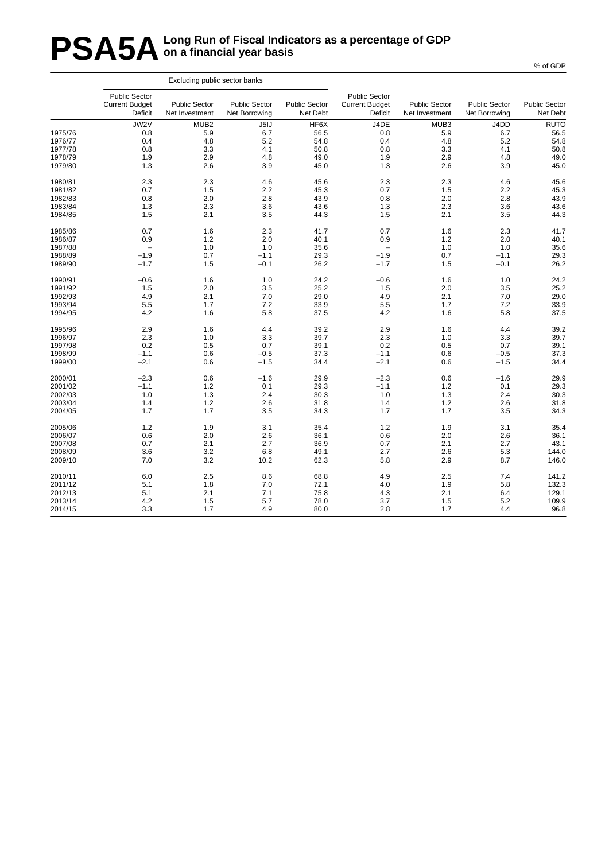# **PSA5A** Long Run of Fiscal Indicators as a percentage of GDP<br> **PSA5A** on a financial year basis **on a financial year basis**

|         |                                                          | Excluding public sector banks          |                                       |                                  |                                                          |                                        |                                       |                                  |
|---------|----------------------------------------------------------|----------------------------------------|---------------------------------------|----------------------------------|----------------------------------------------------------|----------------------------------------|---------------------------------------|----------------------------------|
|         | <b>Public Sector</b><br><b>Current Budget</b><br>Deficit | <b>Public Sector</b><br>Net Investment | <b>Public Sector</b><br>Net Borrowing | <b>Public Sector</b><br>Net Debt | <b>Public Sector</b><br><b>Current Budget</b><br>Deficit | <b>Public Sector</b><br>Net Investment | <b>Public Sector</b><br>Net Borrowing | <b>Public Sector</b><br>Net Debt |
|         | JW2V                                                     | MUB <sub>2</sub>                       | J5IJ                                  | HF6X                             | J4DE                                                     | MUB3                                   | J4DD                                  | RUTO                             |
| 1975/76 | 0.8                                                      | 5.9                                    | 6.7                                   | 56.5                             | 0.8                                                      | 5.9                                    | 6.7                                   | 56.5                             |
| 1976/77 | 0.4                                                      | 4.8                                    | 5.2                                   | 54.8                             | 0.4                                                      | 4.8                                    | 5.2                                   | 54.8                             |
| 1977/78 | 0.8                                                      | 3.3                                    | 4.1                                   | 50.8                             | 0.8                                                      | 3.3                                    | 4.1                                   | 50.8                             |
| 1978/79 | 1.9                                                      | 2.9                                    | 4.8                                   | 49.0                             | 1.9                                                      | 2.9                                    | 4.8                                   | 49.0                             |
| 1979/80 | 1.3                                                      | 2.6                                    | 3.9                                   | 45.0                             | 1.3                                                      | 2.6                                    | 3.9                                   | 45.0                             |
| 1980/81 | 2.3                                                      | 2.3                                    | 4.6                                   | 45.6                             | 2.3                                                      | 2.3                                    | 4.6                                   | 45.6                             |
| 1981/82 | 0.7                                                      | 1.5                                    | 2.2                                   | 45.3                             | 0.7                                                      | 1.5                                    | 2.2                                   | 45.3                             |
| 1982/83 | 0.8                                                      | 2.0                                    | 2.8                                   | 43.9                             | 0.8                                                      | 2.0                                    | 2.8                                   | 43.9                             |
| 1983/84 | 1.3                                                      | 2.3                                    | 3.6                                   | 43.6                             | 1.3                                                      | 2.3                                    | 3.6                                   | 43.6                             |
| 1984/85 | 1.5                                                      | 2.1                                    | 3.5                                   | 44.3                             | 1.5                                                      | 2.1                                    | 3.5                                   | 44.3                             |
| 1985/86 | 0.7                                                      | 1.6                                    | 2.3                                   | 41.7                             | 0.7                                                      | 1.6                                    | 2.3                                   | 41.7                             |
| 1986/87 | 0.9                                                      | 1.2                                    | 2.0                                   | 40.1                             | 0.9                                                      | 1.2                                    | 2.0                                   | 40.1                             |
| 1987/88 | $\overline{\phantom{a}}$                                 | 1.0                                    | 1.0                                   | 35.6                             | $\qquad \qquad -$                                        | 1.0                                    | 1.0                                   | 35.6                             |
| 1988/89 | $-1.9$                                                   | 0.7                                    | $-1.1$                                | 29.3                             | $-1.9$                                                   | 0.7                                    | $-1.1$                                | 29.3                             |
| 1989/90 | $-1.7$                                                   | 1.5                                    | $-0.1$                                | 26.2                             | $-1.7$                                                   | 1.5                                    | $-0.1$                                | 26.2                             |
| 1990/91 | $-0.6$                                                   | 1.6                                    | 1.0                                   | 24.2                             | $-0.6$                                                   | 1.6                                    | 1.0                                   | 24.2                             |
| 1991/92 | 1.5                                                      | 2.0                                    | 3.5                                   | 25.2                             | 1.5                                                      | 2.0                                    | 3.5                                   | 25.2                             |
| 1992/93 | 4.9                                                      | 2.1                                    | 7.0                                   | 29.0                             | 4.9                                                      | 2.1                                    | 7.0                                   | 29.0                             |
| 1993/94 | 5.5                                                      | 1.7                                    | 7.2                                   | 33.9                             | 5.5                                                      | 1.7                                    | 7.2                                   | 33.9                             |
| 1994/95 | 4.2                                                      | 1.6                                    | 5.8                                   | 37.5                             | 4.2                                                      | 1.6                                    | 5.8                                   | 37.5                             |
| 1995/96 | 2.9                                                      | 1.6                                    | 4.4                                   | 39.2                             | 2.9                                                      | 1.6                                    | 4.4                                   | 39.2                             |
| 1996/97 | 2.3                                                      | 1.0                                    | 3.3                                   | 39.7                             | 2.3                                                      | 1.0                                    | 3.3                                   | 39.7                             |
| 1997/98 | 0.2                                                      | 0.5                                    | 0.7                                   | 39.1                             | 0.2                                                      | 0.5                                    | 0.7                                   | 39.1                             |
| 1998/99 | $-1.1$                                                   | 0.6                                    | $-0.5$                                | 37.3                             | $-1.1$                                                   | 0.6                                    | $-0.5$                                | 37.3                             |
| 1999/00 | $-2.1$                                                   | 0.6                                    | $-1.5$                                | 34.4                             | $-2.1$                                                   | 0.6                                    | $-1.5$                                | 34.4                             |
| 2000/01 | $-2.3$                                                   | 0.6                                    | $-1.6$                                | 29.9                             | $-2.3$                                                   | 0.6                                    | $-1.6$                                | 29.9                             |
| 2001/02 | $-1.1$                                                   | 1.2                                    | 0.1                                   | 29.3                             | $-1.1$                                                   | 1.2                                    | 0.1                                   | 29.3                             |
| 2002/03 | 1.0                                                      | 1.3                                    | 2.4                                   | 30.3                             | 1.0                                                      | 1.3                                    | 2.4                                   | 30.3                             |
| 2003/04 | 1.4                                                      | 1.2                                    | 2.6                                   | 31.8                             | 1.4                                                      | 1.2                                    | 2.6                                   | 31.8                             |
| 2004/05 | 1.7                                                      | 1.7                                    | 3.5                                   | 34.3                             | 1.7                                                      | 1.7                                    | 3.5                                   | 34.3                             |
| 2005/06 | 1.2                                                      | 1.9                                    | 3.1                                   | 35.4                             | 1.2                                                      | 1.9                                    | 3.1                                   | 35.4                             |
| 2006/07 | 0.6                                                      | 2.0                                    | 2.6                                   | 36.1                             | 0.6                                                      | 2.0                                    | 2.6                                   | 36.1                             |
| 2007/08 | 0.7                                                      | 2.1                                    | 2.7                                   | 36.9                             | 0.7                                                      | 2.1                                    | 2.7                                   | 43.1                             |
| 2008/09 | 3.6                                                      | 3.2                                    | 6.8                                   | 49.1                             | 2.7                                                      | 2.6                                    | 5.3                                   | 144.0                            |
| 2009/10 | 7.0                                                      | 3.2                                    | 10.2                                  | 62.3                             | 5.8                                                      | 2.9                                    | 8.7                                   | 146.0                            |
| 2010/11 | 6.0                                                      | $2.5\,$                                | 8.6                                   | 68.8                             | 4.9                                                      | 2.5                                    | 7.4                                   | 141.2                            |
| 2011/12 | 5.1                                                      | 1.8                                    | 7.0                                   | 72.1                             | 4.0                                                      | 1.9                                    | 5.8                                   | 132.3                            |
| 2012/13 | 5.1                                                      | 2.1                                    | 7.1                                   | 75.8                             | 4.3                                                      | 2.1                                    | 6.4                                   | 129.1                            |
| 2013/14 | 4.2                                                      | 1.5                                    | 5.7                                   | 78.0                             | 3.7                                                      | 1.5                                    | 5.2                                   | 109.9                            |
| 2014/15 | 3.3                                                      | 1.7                                    | 4.9                                   | 80.0                             | 2.8                                                      | 1.7                                    | 4.4                                   | 96.8                             |
|         |                                                          |                                        |                                       |                                  |                                                          |                                        |                                       |                                  |

% of GDP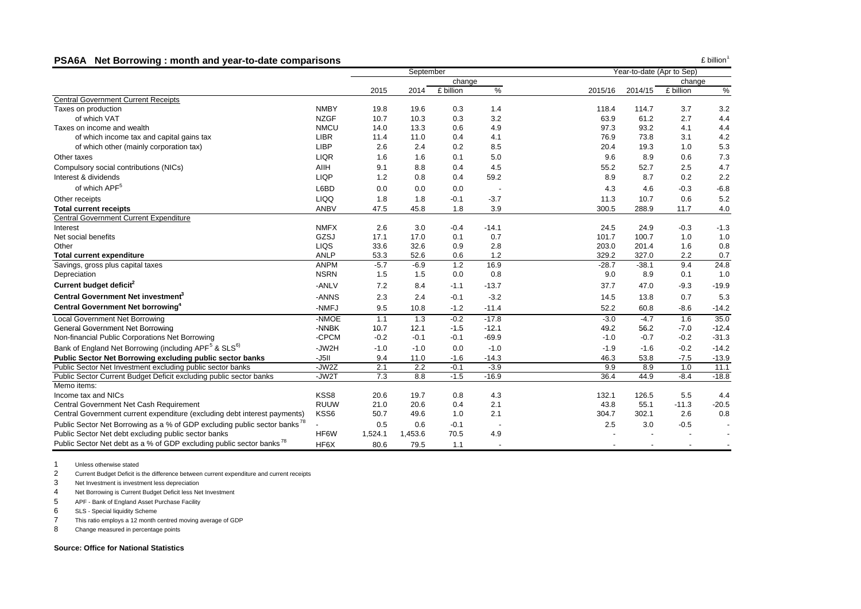#### **PSA6A Net Borrowing : month and year-to-date comparisons**

 $£$  billion<sup>1</sup>

|                                                                                       |             |         | September |           |         |         | Year-to-date (Apr to Sep) |           |         |  |
|---------------------------------------------------------------------------------------|-------------|---------|-----------|-----------|---------|---------|---------------------------|-----------|---------|--|
|                                                                                       |             |         |           | change    |         |         |                           | change    |         |  |
|                                                                                       |             | 2015    | 2014      | £ billion | %       | 2015/16 | 2014/15                   | £ billion | %       |  |
| <b>Central Government Current Receipts</b>                                            |             |         |           |           |         |         |                           |           |         |  |
| Taxes on production                                                                   | <b>NMBY</b> | 19.8    | 19.6      | 0.3       | 1.4     | 118.4   | 114.7                     | 3.7       | 3.2     |  |
| of which VAT                                                                          | <b>NZGF</b> | 10.7    | 10.3      | 0.3       | 3.2     | 63.9    | 61.2                      | 2.7       | 4.4     |  |
| Taxes on income and wealth                                                            | <b>NMCU</b> | 14.0    | 13.3      | 0.6       | 4.9     | 97.3    | 93.2                      | 4.1       | 4.4     |  |
| of which income tax and capital gains tax                                             | <b>LIBR</b> | 11.4    | 11.0      | 0.4       | 4.1     | 76.9    | 73.8                      | 3.1       | 4.2     |  |
| of which other (mainly corporation tax)                                               | <b>LIBP</b> | 2.6     | 2.4       | 0.2       | 8.5     | 20.4    | 19.3                      | 1.0       | 5.3     |  |
| Other taxes                                                                           | <b>LIQR</b> | 1.6     | 1.6       | 0.1       | 5.0     | 9.6     | 8.9                       | 0.6       | 7.3     |  |
| Compulsory social contributions (NICs)                                                | AIIH        | 9.1     | 8.8       | 0.4       | 4.5     | 55.2    | 52.7                      | 2.5       | 4.7     |  |
| Interest & dividends                                                                  | <b>LIQP</b> | 1.2     | 0.8       | 0.4       | 59.2    | 8.9     | 8.7                       | 0.2       | 2.2     |  |
| of which APF <sup>5</sup>                                                             | L6BD        | 0.0     | 0.0       | 0.0       |         | 4.3     | 4.6                       | $-0.3$    | $-6.8$  |  |
| Other receipts                                                                        | <b>LIQQ</b> | 1.8     | 1.8       | $-0.1$    | $-3.7$  | 11.3    | 10.7                      | 0.6       | 5.2     |  |
| <b>Total current receipts</b>                                                         | <b>ANBV</b> | 47.5    | 45.8      | 1.8       | 3.9     | 300.5   | 288.9                     | 11.7      | 4.0     |  |
| <b>Central Government Current Expenditure</b>                                         |             |         |           |           |         |         |                           |           |         |  |
| Interest                                                                              | <b>NMFX</b> | 2.6     | 3.0       | $-0.4$    | $-14.1$ | 24.5    | 24.9                      | $-0.3$    | $-1.3$  |  |
| Net social benefits                                                                   | GZSJ        | 17.1    | 17.0      | 0.1       | 0.7     | 101.7   | 100.7                     | 1.0       | 1.0     |  |
| Other                                                                                 | <b>LIQS</b> | 33.6    | 32.6      | 0.9       | 2.8     | 203.0   | 201.4                     | 1.6       | 0.8     |  |
| <b>Total current expenditure</b>                                                      | <b>ANLP</b> | 53.3    | 52.6      | 0.6       | 1.2     | 329.2   | 327.0                     | 2.2       | 0.7     |  |
| Savings, gross plus capital taxes                                                     | <b>ANPM</b> | $-5.7$  | $-6.9$    | 1.2       | 16.9    | $-28.7$ | $-38.1$                   | 9.4       | 24.8    |  |
| Depreciation                                                                          | <b>NSRN</b> | 1.5     | 1.5       | 0.0       | 0.8     | 9.0     | 8.9                       | 0.1       | 1.0     |  |
| Current budget deficit <sup>2</sup>                                                   | -ANLV       | 7.2     | 8.4       | $-1.1$    | $-13.7$ | 37.7    | 47.0                      | $-9.3$    | $-19.9$ |  |
| Central Government Net investment <sup>3</sup>                                        | -ANNS       | 2.3     | 2.4       | $-0.1$    | $-3.2$  | 14.5    | 13.8                      | 0.7       | 5.3     |  |
| Central Government Net borrowing <sup>4</sup>                                         | -NMFJ       | 9.5     | 10.8      | $-1.2$    | $-11.4$ | 52.2    | 60.8                      | $-8.6$    | $-14.2$ |  |
| <b>Local Government Net Borrowing</b>                                                 | -NMOE       | 1.1     | 1.3       | $-0.2$    | $-17.8$ | $-3.0$  | $-4.7$                    | 1.6       | 35.0    |  |
| General Government Net Borrowing                                                      | -NNBK       | 10.7    | 12.1      | $-1.5$    | $-12.1$ | 49.2    | 56.2                      | $-7.0$    | $-12.4$ |  |
| Non-financial Public Corporations Net Borrowing                                       | -CPCM       | $-0.2$  | $-0.1$    | $-0.1$    | $-69.9$ | $-1.0$  | $-0.7$                    | $-0.2$    | $-31.3$ |  |
| Bank of England Net Borrowing (including APF <sup>5</sup> & SLS <sup>6)</sup>         | -JW2H       | $-1.0$  | $-1.0$    | 0.0       | $-1.0$  | $-1.9$  | $-1.6$                    | $-0.2$    | $-14.2$ |  |
| Public Sector Net Borrowing excluding public sector banks                             | $-J5$ II    | 9.4     | 11.0      | $-1.6$    | $-14.3$ | 46.3    | 53.8                      | $-7.5$    | $-13.9$ |  |
| Public Sector Net Investment excluding public sector banks                            | -JW2Z       | 2.1     | 2.2       | $-0.1$    | $-3.9$  | 9.9     | 8.9                       | 1.0       | 11.1    |  |
| Public Sector Current Budget Deficit excluding public sector banks                    | $-JW2T$     | 7.3     | 8.8       | $-1.5$    | $-16.9$ | 36.4    | 44.9                      | $-8.4$    | $-18.8$ |  |
| Memo items:                                                                           |             |         |           |           |         |         |                           |           |         |  |
| Income tax and NICs                                                                   | KSS8        | 20.6    | 19.7      | 0.8       | 4.3     | 132.1   | 126.5                     | 5.5       | 4.4     |  |
| Central Government Net Cash Requirement                                               | <b>RUUW</b> | 21.0    | 20.6      | 0.4       | 2.1     | 43.8    | 55.1                      | $-11.3$   | $-20.5$ |  |
| Central Government current expenditure (excluding debt interest payments)             | KSS6        | 50.7    | 49.6      | 1.0       | 2.1     | 304.7   | 302.1                     | 2.6       | 0.8     |  |
| Public Sector Net Borrowing as a % of GDP excluding public sector banks <sup>78</sup> |             | 0.5     | 0.6       | $-0.1$    |         | 2.5     | 3.0                       | $-0.5$    |         |  |
| Public Sector Net debt excluding public sector banks                                  | HF6W        | 1,524.1 | 1,453.6   | 70.5      | 4.9     |         |                           |           |         |  |
| Public Sector Net debt as a % of GDP excluding public sector banks <sup>78</sup>      | HF6X        | 80.6    | 79.5      | 1.1       |         |         |                           |           |         |  |

1Unless otherwise stated

2Current Budget Deficit is the difference between current expenditure and current receipts

3Net Investment is investment less depreciation

4Net Borrowing is Current Budget Deficit less Net Investment

5APF - Bank of England Asset Purchase Facility

6SLS - Special liquidity Scheme

7This ratio employs a 12 month centred moving average of GDP

8Change measured in percentage points

#### **Source: Office for National Statistics**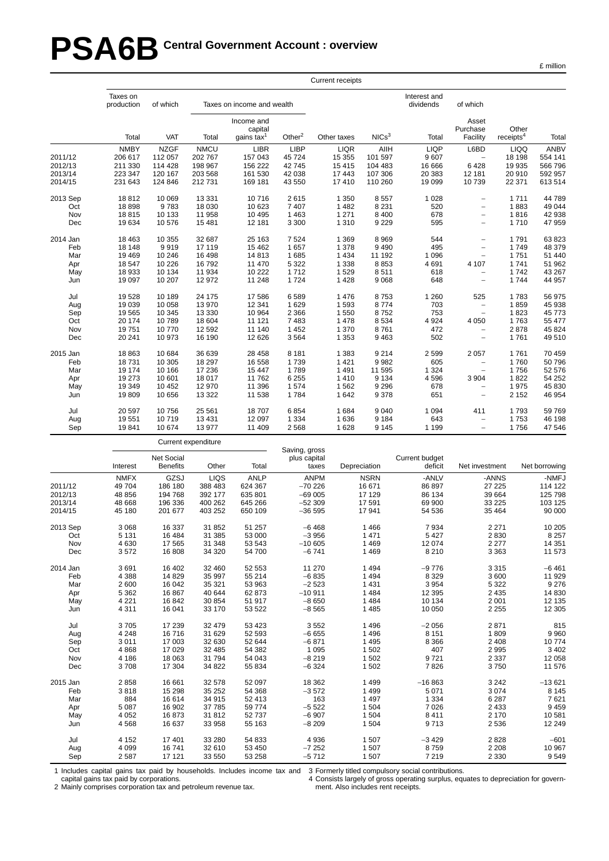# PSA6B Central Government Account : overview

|  | million |
|--|---------|
|  |         |

|          |                        |                  |                     |                                        |                               | <b>Current receipts</b> |                   |                           |                               |                                |                  |
|----------|------------------------|------------------|---------------------|----------------------------------------|-------------------------------|-------------------------|-------------------|---------------------------|-------------------------------|--------------------------------|------------------|
|          | Taxes on<br>production | of which         |                     | Taxes on income and wealth             |                               |                         |                   | Interest and<br>dividends | of which                      |                                |                  |
|          | Total                  | VAT              | Total               | Income and<br>capital<br>gains tax $1$ | Other $2$                     | Other taxes             | NICs <sup>3</sup> | Total                     | Asset<br>Purchase<br>Facility | Other<br>receipts <sup>4</sup> | Total            |
|          | <b>NMBY</b>            | <b>NZGF</b>      | <b>NMCU</b>         | <b>LIBR</b>                            | <b>LIBP</b>                   | <b>LIQR</b>             | AIIH              | <b>LIQP</b>               | L6BD                          | <b>LIQQ</b>                    | ANBV             |
| 2011/12  | 206 617                | 112 057          | 202 767             | 157 043                                | 45 724                        | 15 355                  | 101 597           | 9607                      |                               | 18 198                         | 554 141          |
| 2012/13  | 211 330                | 114 428          | 198 967             | 156 222                                | 42745                         | 15 4 15                 | 104 483           | 16 666                    | 6428                          | 19 935                         | 566 796          |
| 2013/14  | 223 347                | 120 167          | 203 568             | 161 530                                | 42 038                        | 17 443                  | 107 306           | 20 383                    | 12 181                        | 20910                          | 592 957          |
| 2014/15  | 231 643                | 124 846          | 212 731             | 169 181                                | 43 550                        | 17410                   | 110 260           | 19 099                    | 10739                         | 22 371                         | 613 514          |
| 2013 Sep | 18812                  | 10 069           | 13 3 3 1            | 10716                                  | 2615                          | 1 3 5 0                 | 8557              | 1 0 28                    | $\overline{a}$                | 1711                           | 44 789           |
| Oct      | 18 898                 | 9783             | 18 030              | 10 623                                 | 7 4 0 7                       | 1 4 8 2                 | 8 2 3 1           | 520                       | $\overline{\phantom{0}}$      | 1883                           | 49 044           |
| Nov      | 18815                  | 10 133           | 11 958              | 10 4 95                                | 1 4 6 3                       | 1 2 7 1                 | 8 4 0 0           | 678                       | $\overline{\phantom{0}}$      | 1816                           | 42 938           |
| Dec      | 19 634                 | 10 576           | 15 4 81             | 12 181                                 | 3 3 0 0                       | 1 3 1 0                 | 9 2 2 9           | 595                       | $\overline{a}$                | 1710                           | 47 959           |
| 2014 Jan | 18 4 63                | 10 355           | 32 687              | 25 163                                 | 7 5 24                        | 1 3 6 9                 | 8 9 6 9           | 544                       | L,                            | 1791                           | 63 823           |
| Feb      | 18 148                 | 9919             | 17 119              | 15 4 62                                | 1 657                         | 1 3 7 8                 | 9 4 9 0           | 495                       | $\overline{a}$                | 1749                           | 48 379           |
| Mar      | 19 4 69                | 10 246           | 16 4 98             | 14813                                  | 1685                          | 1 4 3 4                 | 11 192            | 1 0 9 6                   | $\overline{a}$                | 1751                           | 51 440           |
| Apr      | 18 547                 | 10 226           | 16792               | 11 470                                 | 5 3 2 2                       | 1 3 3 8                 | 8853              | 4 6 9 1                   | 4 107                         | 1741                           | 51 962           |
| May      | 18 933                 | 10 134           | 11 934              | 10 222                                 | 1712                          | 1529                    | 8511              | 618                       |                               | 1742                           | 43 267           |
| Jun      | 19 097                 | 10 207           | 12 972              | 11 248                                 | 1724                          | 1428                    | 9 0 68            | 648                       | $\overline{\phantom{0}}$      | 1744                           | 44 957           |
| Jul      | 19528                  | 10 189           | 24 175              | 17586                                  | 6589                          | 1 4 7 6                 | 8753              | 1 2 6 0                   | 525                           | 1783                           | 56 975           |
| Aug      | 19 039                 | 10 058           | 13 970              | 12 341                                 | 1629                          | 1 5 9 3                 | 8774              | 703                       | $\overline{a}$                | 1859                           | 45 938           |
| Sep      | 19 5 65                | 10 345           | 13 330              | 10 964                                 | 2 3 6 6                       | 1 5 5 0                 | 8752              | 753                       | $\overline{a}$                | 1823                           | 45 773           |
| Oct      | 20 174                 | 10789            | 18 604              | 11 121                                 | 7483                          | 1 4 7 8                 | 8 5 3 4           | 4 9 2 4                   | 4 0 5 0                       | 1763                           | 55 477           |
| Nov      | 19751                  | 10770            | 12 592              | 11 140                                 | 1 4 5 2                       | 1 3 7 0                 | 8761              | 472                       |                               | 2878                           | 45 824           |
| Dec      | 20 241                 | 10 973           | 16 190              | 12 6 26                                | 3564                          | 1 3 5 3                 | 9 4 6 3           | 502                       | $\overline{a}$                | 1761                           | 49510            |
| 2015 Jan | 18 863                 | 10 684           | 36 639              | 28 4 58                                | 8 1 8 1                       | 1 3 8 3                 | 9 2 1 4           | 2 5 9 9                   | 2 0 5 7                       | 1761                           | 70 459           |
| Feb      | 18731                  | 10 305           | 18 297              | 16 558                                 | 1739                          | 1 4 2 1                 | 9982              | 605                       |                               | 1760                           | 50 796           |
| Mar      | 19 174                 | 10 166           | 17 236              | 15 447                                 | 1789                          | 1 4 9 1                 | 11 595            | 1 3 2 4                   | $\overline{a}$                | 1756                           | 52 576           |
| Apr      | 19 273                 | 10 601           | 18 017              | 11762                                  | 6 2 5 5                       | 1410                    | 9 1 3 4           | 4596                      | 3 904                         | 1822                           | 54 252           |
| May      | 19 349                 | 10 452           | 12 970              | 11 396                                 | 1574                          | 1 5 6 2                 | 9 2 9 6           | 678                       |                               | 1975                           | 45 830           |
| Jun      | 19809                  | 10 656           | 13 3 22             | 11 538                                 | 1784                          | 1642                    | 9 3 7 8           | 651                       | $\overline{a}$                | 2 1 5 2                        | 46 954           |
| Jul      | 20 597                 | 10756            | 25 5 61             | 18707                                  | 6854                          | 1684                    | 9 0 4 0           | 1 0 9 4                   | 411                           | 1793                           | 59 769           |
| Aug      | 19551                  | 10719            | 13 4 31             | 12 097                                 | 1 3 3 4                       | 1636                    | 9 1 8 4           | 643                       | $\overline{a}$                | 1753                           | 46 198           |
| Sep      | 19841                  | 10 674           | 13 977              | 11 409                                 | 2568                          | 1 6 2 8                 | 9 1 4 5           | 1 1 9 9                   | $\overline{a}$                | 1756                           | 47 546           |
|          |                        |                  | Current expenditure |                                        |                               |                         |                   |                           |                               |                                |                  |
|          |                        | Net Social       |                     |                                        | Saving, gross<br>plus capital |                         |                   | Current budget            |                               |                                |                  |
|          | Interest               | <b>Benefits</b>  | Other               | Total                                  |                               | taxes                   | Depreciation      | deficit                   | Net investment                |                                | Net borrowing    |
|          | <b>NMFX</b>            | GZSJ             | LIQS                | <b>ANLP</b>                            |                               | <b>ANPM</b>             | <b>NSRN</b>       | -ANLV                     | -ANNS                         |                                | -NMFJ            |
| 2011/12  | 49 704                 | 186 180          | 388 483             | 624 367                                | $-70226$                      |                         | 16 671            | 86 897                    | 27 225                        |                                | 114 122          |
| 2012/13  | 48 856                 | 194 768          | 392 177             | 635 801                                | $-69005$                      |                         | 17 129            | 86 134                    | 39 664                        |                                | 125 798          |
| 2013/14  | 48 668                 | 196 336          | 400 262             | 645 266                                | $-52309$                      |                         | 17 591            | 69 900                    | 33 225                        |                                | 103 125          |
| 2014/15  | 45 180                 | 201 677          | 403 252             | 650 109                                | $-36595$                      |                         | 17 941            | 54 536                    | 35 4 64                       |                                | 90 000           |
| 2013 Sep | 3 0 6 8                | 16 337           | 31 852              | 51 257                                 |                               | $-6468$                 | 1466              | 7934                      | 2 2 7 1                       |                                | 10 205           |
| Oct      | 5 1 3 1                | 16 4 84          | 31 385              | 53 000                                 |                               | $-3956$                 | 1 4 7 1           | 5 4 2 7                   | 2830                          |                                | 8 2 5 7          |
| Nov      | 4630                   | 17 565           | 31 348              | 53 543                                 | $-10605$                      |                         | 1 4 6 9           | 12 074                    | 2 2 7 7                       |                                | 14 351           |
| Dec      | 3572                   | 16 808           | 34 320              | 54 700                                 |                               | $-6741$                 | 1 4 6 9           | 8 2 1 0                   | 3 3 6 3                       |                                | 11 573           |
| 2014 Jan | 3691                   | 16 402           | 32 460              | 52 553                                 |                               | 11 270                  | 1 4 9 4           | $-9776$                   | 3 3 1 5                       |                                | -6 461           |
| Feb      | 4 3 8 8                | 14 8 29          | 35 997              | 55 214                                 |                               | $-6835$                 | 1 4 9 4           | 8 3 2 9                   | 3600                          |                                | 11 929           |
| Mar      | 2 600                  | 16 042           | 35 321              | 53 963                                 |                               | $-2523$                 | 1 4 3 1           | 3 9 5 4                   | 5 3 2 2                       |                                | 9 2 7 6          |
| Apr      | 5 3 6 2<br>0.04        | 16 867<br>10.012 | 40 644<br>20.054    | 62 873                                 | $-10911$                      | 0.050                   | 1 4 8 4<br>AOA    | 12 3 9 5<br>10.191        | 2 4 3 5<br>0.001              |                                | 14 830<br>10.105 |

| Mar      | 2 600   | 16 042 | 35 321  | 53 963  | $-2523$  | 1431    | 3 9 5 4  | 5 3 2 2 | 9 2 7 6  |
|----------|---------|--------|---------|---------|----------|---------|----------|---------|----------|
| Apr      | 5 3 6 2 | 16 867 | 40 644  | 62 873  | $-10911$ | 1484    | 12 3 95  | 2435    | 14 830   |
| May      | 4 2 2 1 | 16842  | 30 854  | 51 917  | $-8650$  | 1484    | 10 134   | 2 0 0 1 | 12 135   |
| Jun      | 4 3 1 1 | 16 041 | 33 170  | 53 522  | $-8565$  | 1485    | 10 050   | 2 2 5 5 | 12 305   |
| Jul      | 3705    | 17 239 | 32 479  | 53 4 23 | 3552     | 1496    | $-2056$  | 2871    | 815      |
| Aug      | 4 2 4 8 | 16716  | 31 629  | 52 593  | $-6655$  | 1496    | 8 1 5 1  | 1809    | 9960     |
| Sep      | 3011    | 17 003 | 32 630  | 52 644  | $-6.871$ | 1495    | 8 3 6 6  | 2 4 0 8 | 10774    |
| Oct      | 4868    | 17 029 | 32 485  | 54 382  | 1 0 9 5  | 1 502   | 407      | 2995    | 3 4 0 2  |
| Nov      | 4 186   | 18 063 | 31 794  | 54 043  | $-8219$  | 1 502   | 9721     | 2 3 3 7 | 12 058   |
| Dec      | 3708    | 17 304 | 34 822  | 55 834  | $-6324$  | 1 502   | 7826     | 3 750   | 11 576   |
| 2015 Jan | 2858    | 16 661 | 32 578  | 52 097  | 18 3 62  | 1499    | $-16863$ | 3 2 4 2 | $-13621$ |
| Feb      | 3818    | 15 298 | 35 25 2 | 54 368  | $-3572$  | 1499    | 5 0 7 1  | 3 0 7 4 | 8 1 4 5  |
| Mar      | 884     | 16 614 | 34 915  | 52 413  | 163      | 1 4 9 7 | 1 3 3 4  | 6 287   | 7621     |
| Apr      | 5 0 8 7 | 16 902 | 37 785  | 59 774  | $-5522$  | 1 504   | 7026     | 2 4 3 3 | 9459     |
| May      | 4 0 5 2 | 16873  | 31812   | 52 737  | $-6907$  | 1 504   | 8411     | 2 1 7 0 | 10581    |
| Jun      | 4 5 6 8 | 16 637 | 33 958  | 55 163  | $-8209$  | 1 504   | 9713     | 2 5 3 6 | 12 249   |
| Jul      | 4 1 5 2 | 17401  | 33 280  | 54 833  | 4936     | 1 507   | $-3429$  | 2828    | $-601$   |
| Aug      | 4 0 9 9 | 16741  | 32 610  | 53 450  | $-7252$  | 1507    | 8759     | 2 2 0 8 | 10 967   |
| Sep      | 2 5 8 7 | 17 121 | 33 550  | 53 258  | $-5712$  | 1507    | 7 2 1 9  | 2 3 3 0 | 9549     |

1 Includes capital gains tax paid by households. Includes income tax and 3 Formerly titled compulsory social contributions.

capital gains tax paid by corporations.

4 Consists largely of gross operating surplus, equates to depreciation for govern-

2 Mainly comprises corporation tax and petroleum revenue tax.

ment. Also includes rent receipts.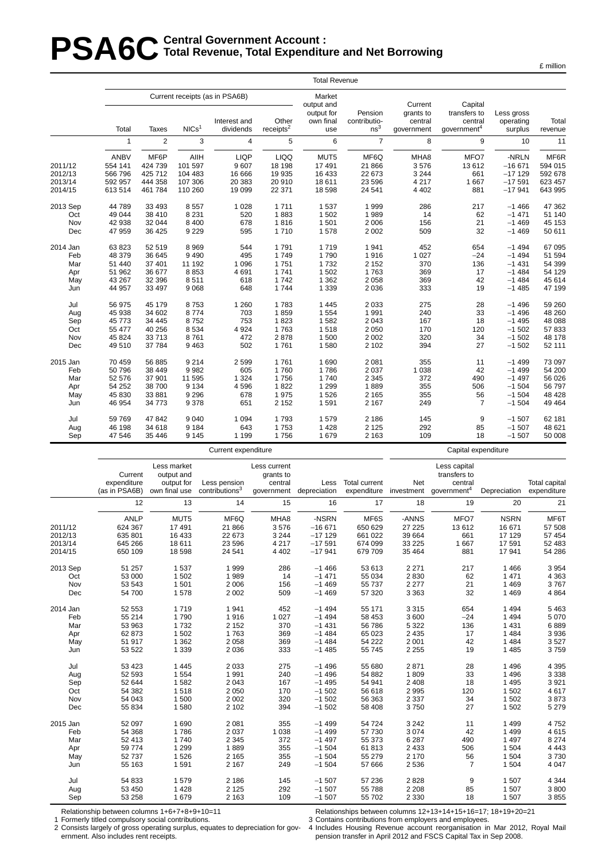# **PSA6C** Total Revenue, Total Expenditure **Total Revenue , Total Expenditure and Net Borrowing**

|          |              |                |                   |                                                |                       | <b>Total Revenue</b>                            |                         |                                 |                                    |                         |         |
|----------|--------------|----------------|-------------------|------------------------------------------------|-----------------------|-------------------------------------------------|-------------------------|---------------------------------|------------------------------------|-------------------------|---------|
|          |              |                |                   | Current receipts (as in PSA6B)<br>Interest and | Other                 | Market<br>output and<br>output for<br>own final | Pension<br>contributio- | Current<br>grants to<br>central | Capital<br>transfers to<br>central | Less gross<br>operating | Total   |
|          | Total        | Taxes          | NICs <sup>1</sup> | dividends                                      | receipts <sup>2</sup> | use                                             | ns <sup>3</sup>         | qovernment                      | government <sup>4</sup>            | surplus                 | revenue |
|          | $\mathbf{1}$ | $\overline{2}$ | 3                 | 4                                              | 5                     | 6                                               | $\overline{7}$          | 8                               | 9                                  | 10                      | 11      |
|          | <b>ANBV</b>  | MF6P           | AIIH              | <b>LIQP</b>                                    | <b>LIQQ</b>           | MUT5                                            | MF6Q                    | MHA8                            | MFO7                               | -NRLN                   | MF6R    |
| 2011/12  | 554 141      | 424 739        | 101 597           | 9 607                                          | 18 198                | 17 491                                          | 21 866                  | 3576                            | 13612                              | $-16671$                | 594 015 |
| 2012/13  | 566 796      | 425 712        | 104 483           | 16 666                                         | 19 9 35               | 16 433                                          | 22 673                  | 3 2 4 4                         | 661                                | $-17129$                | 592 678 |
| 2013/14  | 592 957      | 444 358        | 107 306           | 20 383                                         | 20 910                | 18 611                                          | 23 596                  | 4 2 1 7                         | 1667                               | $-17591$                | 623 457 |
| 2014/15  | 613 514      | 461 784        | 110 260           | 19 099                                         | 22 371                | 18 598                                          | 24 541                  | 4 4 0 2                         | 881                                | $-17941$                | 643 995 |
| 2013 Sep | 44 789       | 33 4 93        | 8557              | 1 0 2 8                                        | 1711                  | 1 5 3 7                                         | 1999                    | 286                             | 217                                | $-1466$                 | 47 362  |
| Oct      | 49 044       | 38 410         | 8 2 3 1           | 520                                            | 1883                  | 1 502                                           | 1989                    | 14                              | 62                                 | $-1471$                 | 51 140  |
| Nov      | 42 938       | 32 044         | 8 4 0 0           | 678                                            | 1816                  | 1 501                                           | 2 0 0 6                 | 156                             | 21                                 | $-1469$                 | 45 153  |
| Dec      | 47 959       | 36 4 25        | 9 2 2 9           | 595                                            | 1710                  | 1578                                            | 2 0 0 2                 | 509                             | 32                                 | $-1469$                 | 50 611  |
| 2014 Jan | 63 823       | 52 519         | 8969              | 544                                            | 1791                  | 1719                                            | 1941                    | 452                             | 654                                | $-1494$                 | 67 095  |
| Feb      | 48 379       | 36 645         | 9490              | 495                                            | 1749                  | 1790                                            | 1916                    | 1 0 2 7                         | $-24$                              | $-1494$                 | 51 594  |
| Mar      | 51 440       | 37 401         | 11 192            | 1 0 9 6                                        | 1751                  | 1732                                            | 2 1 5 2                 | 370                             | 136                                | $-1431$                 | 54 399  |
| Apr      | 51 962       | 36 677         | 8853              | 4691                                           | 1741                  | 1 502                                           | 1763                    | 369                             | 17                                 | $-1484$                 | 54 129  |
| May      | 43 267       | 32 396         | 8511              | 618                                            | 1742                  | 1 3 6 2                                         | 2 0 5 8                 | 369                             | 42                                 | $-1484$                 | 45 614  |
| Jun      | 44 957       | 33 497         | 9068              | 648                                            | 1744                  | 1 3 3 9                                         | 2 0 3 6                 | 333                             | 19                                 | $-1485$                 | 47 199  |
| Jul      | 56 975       | 45 179         | 8753              | 1 2 6 0                                        | 1783                  | 1 4 4 5                                         | 2 0 3 3                 | 275                             | 28                                 | $-1496$                 | 59 260  |
| Aug      | 45 938       | 34 602         | 8774              | 703                                            | 1859                  | 1 5 5 4                                         | 1991                    | 240                             | 33                                 | $-1496$                 | 48 260  |
| Sep      | 45 773       | 34 445         | 8752              | 753                                            | 1823                  | 1582                                            | 2 0 4 3                 | 167                             | 18                                 | $-1495$                 | 48 088  |
| Oct      | 55 477       | 40 256         | 8534              | 4 9 24                                         | 1763                  | 1518                                            | 2 0 5 0                 | 170                             | 120                                | $-1502$                 | 57833   |
| Nov      | 45 824       | 33 713         | 8761              | 472                                            | 2878                  | 1 500                                           | 2 0 0 2                 | 320                             | 34                                 | $-1502$                 | 48 178  |
| Dec      | 49 510       | 37 784         | 9463              | 502                                            | 1761                  | 1580                                            | 2 1 0 2                 | 394                             | 27                                 | $-1502$                 | 52 111  |
| 2015 Jan | 70 459       | 56 885         | 9 2 1 4           | 2599                                           | 1761                  | 1 6 9 0                                         | 2 0 8 1                 | 355                             | 11                                 | $-1499$                 | 73 097  |
| Feb      | 50 796       | 38 449         | 9982              | 605                                            | 1760                  | 1786                                            | 2 0 3 7                 | 1 0 38                          | 42                                 | $-1499$                 | 54 200  |
| Mar      | 52 576       | 37 901         | 11 595            | 1 3 2 4                                        | 1756                  | 1740                                            | 2 3 4 5                 | 372                             | 490                                | $-1497$                 | 56 026  |
| Apr      | 54 252       | 38 700         | 9 1 3 4           | 4596                                           | 1822                  | 1 2 9 9                                         | 1889                    | 355                             | 506                                | $-1504$                 | 56 797  |
| May      | 45 830       | 33 881         | 9 2 9 6           | 678                                            | 1975                  | 1526                                            | 2 1 6 5                 | 355                             | 56                                 | $-1504$                 | 48 4 28 |
| Jun      | 46 954       | 34 773         | 9378              | 651                                            | 2 1 5 2               | 1591                                            | 2 1 6 7                 | 249                             | $\overline{7}$                     | $-1504$                 | 49 4 64 |
| Jul      | 59 769       | 47 842         | 9 0 4 0           | 1 0 9 4                                        | 1793                  | 1579                                            | 2 1 8 6                 | 145                             | 9                                  | $-1507$                 | 62 181  |
| Aug      | 46 198       | 34 618         | 9 1 8 4           | 643                                            | 1753                  | 1 4 2 8                                         | 2 1 2 5                 | 292                             | 85                                 | $-1507$                 | 48 621  |
| Sep      | 47 546       | 35 4 46        | 9 1 4 5           | 1 1 9 9                                        | 1756                  | 1679                                            | 2 1 6 3                 | 109                             | 18                                 | $-1507$                 | 50 008  |
|          |              |                |                   | Current expenditure                            |                       |                                                 |                         |                                 | Capital expenditure                |                         |         |

Less market Less current Less capital Current output and grants to transfers to expenditure output for Less pension central Less Total current Net central Total capital (as in PSA6B) own final use contributions<sup>3</sup> government depreciation expenditure investment government<sup>4</sup> Depreciation expenditure 12 13 14 15 16 17 18 19 20 21 ANLP MUT5 MF6Q MHA8 -NSRN MF6S -ANNS MFO7 NSRN MF6T 2011/12 624 367 17 491 21 866 3 576 −16 671 650 629 27 225 13 612 16 671 57 508 2012/13 635 801 16 433 22 673 3 244 −17 129 661 022 39 664 661 17 129 57 454 2013/14 645 266 18 611 23 596 4 217 −17 591 674 099 33 225 1 667 17 591 52 483 2014/15 650 109 18 598 24 541 4 402 −17 941 679 709 35 464 881 17 941 54 286 2013 Sep 51 257 1 537 1 999 286 −1 466 53 613 2 271 217 1 466 3 954 Oct 53 000 1 502 1 989 14 −1 471 55 034 2 830 62 1 471 4 363 Nov 53 543 1 501 2 006 156 −1 469 55 737 2 277 21 1 469 3 767 Dec 54 700 1 578 2 002 509 −1 469 57 320 3 363 32 1 469 4 864 2014 Jan 52 553 1 719 1 941 452 −1 494 55 171 3 315 654 1 494 5 463 Feb 55 214 1 790 1 916 1 027 −1 494 58 453 3 600 −24 1 494 5 070 Mar 53 963 1 732 2 152 370 −1 431 56 786 5 322 136 1 431 6 889 Apr 62 873 1 502 1 763 369 −1 484 65 023 2 435 17 1 484 3 936 May 51 917 1 362 2 058 369 −1 484 54 222 2 001 42 1 484 3 527 Jun 53 522 1 339 2 036 333 −1 485 55 745 2 255 19 1 485 3 759 Jul 53 423 1 445 2 033 275 −1 496 55 680 2 871 28 1 496 4 395 Aug 52 593 1 554 1 991 240 −1 496 54 882 1 809 33 1 496 3 338 Sep 52 644 1 582 2 043 167 −1 495 54 941 2 408 18 1 495 3 921 Oct 54 382 1 518 2 050 170 −1 502 56 618 2 995 120 1 502 4 617 Nov 54 043 1 500 2 002 320 −1 502 56 363 2 337 34 1 502 3 873 Dec 55 834 1 580 2 102 394 −1 502 58 408 3 750 27 1 502 5 279 2015 Jan 52 097 1 690 2 081 355 −1 499 54 724 3 242 11 1 499 4 752 Feb 54 368 1 786 2 037 1 038 −1 499 57 730 3 074 42 1 499 4 615 Mar 52 413 1 740 2 345 372 −1 497 55 373 6 287 490 1 497 8 274 Apr 59 774 1 299 1 889 355 −1 504 61 813 2 433 506 1 504 4 443 May 52 737 1 526 2 165 355 −1 504 55 279 2 170 56 1 504 3 730 Jun 55 163 1 591 2 167 249 −1 504 57 666 2 536 7 1 504 4 047 Jul 54 833 1 579 2 186 145 −1 507 57 236 2 828 9 1 507 4 344 Aug 53 450 1 428 2 125 292 −1 507 55 788 2 208 85 1 507 3 800 Sep 53 258 1 679 2 163 109 −1 507 55 702 2 330 18 1 507 3 855

Relationship between columns 1+6+7+8+9+10=11

ernment. Also includes rent receipts.

Formerly titled compulsory social contributions. 2 Consists largely of gross operating surplus, equates to depreciation for govRelationships between columns 12+13+14+15+16=17; 18+19+20=21

3 Contains contributions from employers and employees. 4 Includes Housing Revenue account reorganisation in Mar 2012, Royal Mail pension transfer in April 2012 and FSCS Capital Tax in Sep 2008.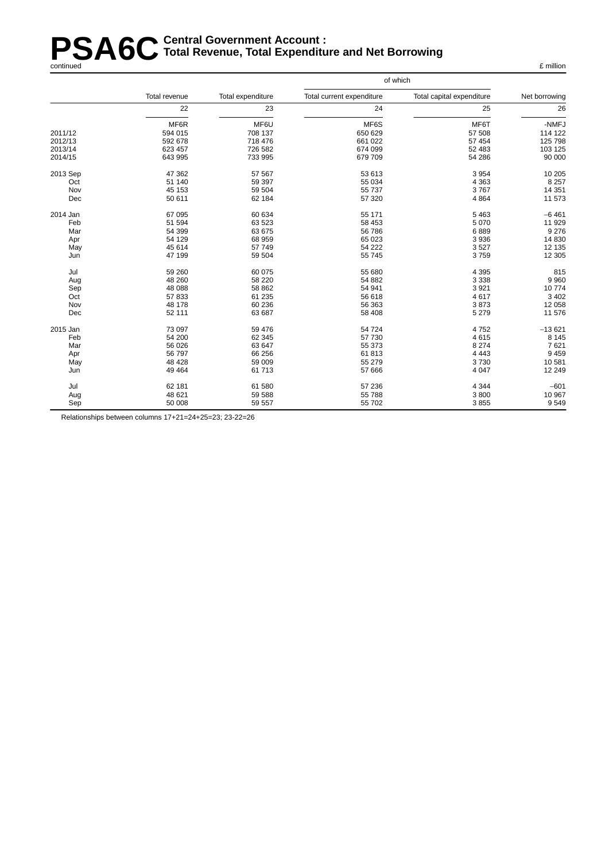#### **PSA6C** Central Government Account :<br> **PSA6C** Total Revenue, Total Expenditu **Total Revenue , Total Expenditure and Net Borrowing** continued £ million

|          |               |                   | of which                  |                           |               |  |
|----------|---------------|-------------------|---------------------------|---------------------------|---------------|--|
|          | Total revenue | Total expenditure | Total current expenditure | Total capital expenditure | Net borrowing |  |
|          | 22            | 23                | 24                        | 25                        | 26            |  |
|          | MF6R          | MF6U              | MF6S                      | MF6T                      | -NMFJ         |  |
| 2011/12  | 594 015       | 708 137           | 650 629                   | 57 508                    | 114 122       |  |
| 2012/13  | 592 678       | 718 476           | 661 022                   | 57 454                    | 125 798       |  |
| 2013/14  | 623 457       | 726 582           | 674 099                   | 52 483                    | 103 125       |  |
| 2014/15  | 643 995       | 733 995           | 679 709                   | 54 286                    | 90 000        |  |
| 2013 Sep | 47 362        | 57 567            | 53 613                    | 3 9 5 4                   | 10 205        |  |
| Oct      | 51 140        | 59 397            | 55 034                    | 4 3 6 3                   | 8 2 5 7       |  |
| Nov      | 45 153        | 59 504            | 55 737                    | 3767                      | 14 351        |  |
| Dec      | 50 611        | 62 184            | 57 320                    | 4 8 6 4                   | 11 573        |  |
| 2014 Jan | 67 095        | 60 634            | 55 171                    | 5 4 6 3                   | $-6461$       |  |
| Feb      | 51 594        | 63 523            | 58 453                    | 5 0 7 0                   | 11 929        |  |
| Mar      | 54 399        | 63 675            | 56 786                    | 6889                      | 9 2 7 6       |  |
| Apr      | 54 129        | 68 959            | 65 023                    | 3 9 3 6                   | 14 8 30       |  |
| May      | 45 614        | 57 749            | 54 222                    | 3527                      | 12 135        |  |
| Jun      | 47 199        | 59 504            | 55 745                    | 3759                      | 12 305        |  |
| Jul      | 59 260        | 60 075            | 55 680                    | 4 3 9 5                   | 815           |  |
| Aug      | 48 260        | 58 220            | 54 882                    | 3 3 3 8                   | 9 9 6 0       |  |
| Sep      | 48 088        | 58 862            | 54 941                    | 3 9 2 1                   | 10774         |  |
| Oct      | 57 833        | 61 235            | 56 618                    | 4617                      | 3 4 0 2       |  |
| Nov      | 48 178        | 60 236            | 56 363                    | 3873                      | 12 058        |  |
| Dec      | 52 111        | 63 687            | 58 408                    | 5 2 7 9                   | 11 576        |  |
| 2015 Jan | 73 097        | 59 476            | 54 724                    | 4752                      | $-13621$      |  |
| Feb      | 54 200        | 62 345            | 57 730                    | 4615                      | 8 1 4 5       |  |
| Mar      | 56 0 26       | 63 647            | 55 373                    | 8 2 7 4                   | 7621          |  |
| Apr      | 56 797        | 66 256            | 61813                     | 4 4 4 3                   | 9 4 5 9       |  |
| May      | 48 4 28       | 59 009            | 55 279                    | 3730                      | 10581         |  |
| Jun      | 49 4 64       | 61 713            | 57 666                    | 4 0 4 7                   | 12 249        |  |
| Jul      | 62 181        | 61 580            | 57 236                    | 4 3 4 4                   | $-601$        |  |
| Aug      | 48 621        | 59 588            | 55 788                    | 3800                      | 10 967        |  |
| Sep      | 50 008        | 59 557            | 55 702                    | 3855                      | 9549          |  |

Relationships between columns 17+21=24+25=23; 23-22=26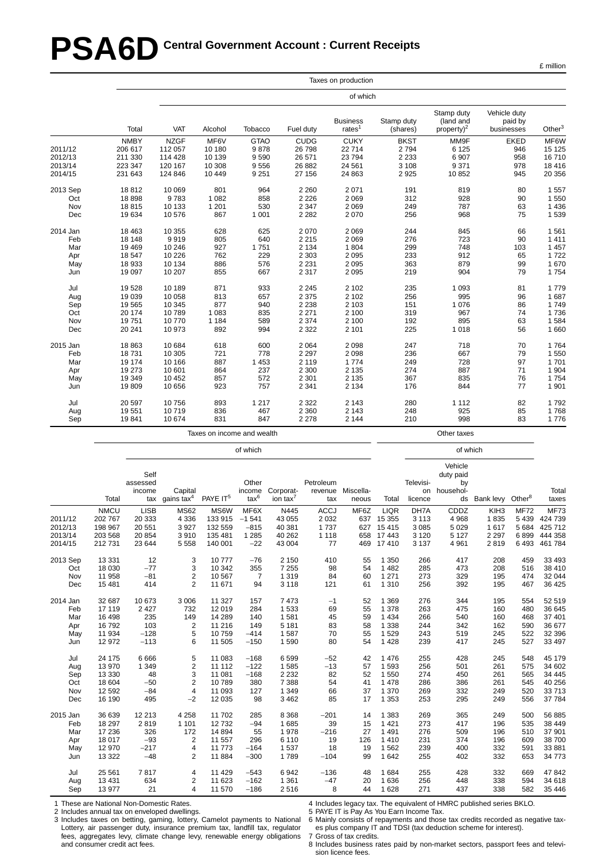# **PSA6D** Central Government Account : Current Receipts

|          |             |             |         |             |             | Taxes on production          |                        |                                             |                                       |           |
|----------|-------------|-------------|---------|-------------|-------------|------------------------------|------------------------|---------------------------------------------|---------------------------------------|-----------|
|          |             |             |         |             |             | of which                     |                        |                                             |                                       |           |
|          | Total       | VAT         | Alcohol | Tobacco     | Fuel duty   | <b>Business</b><br>rates $1$ | Stamp duty<br>(shares) | Stamp duty<br>(land and<br>property) $^{2}$ | Vehicle duty<br>paid by<br>businesses | Other $3$ |
|          | <b>NMBY</b> | <b>NZGF</b> | MF6V    | <b>GTAO</b> | <b>CUDG</b> | <b>CUKY</b>                  | <b>BKST</b>            | MM9F                                        | <b>EKED</b>                           | MF6W      |
| 2011/12  | 206 617     | 112 057     | 10 180  | 9878        | 26 798      | 22714                        | 2794                   | 6 1 2 5                                     | 946                                   | 15 125    |
| 2012/13  | 211 330     | 114 428     | 10 139  | 9590        | 26 571      | 23794                        | 2 2 3 3                | 6907                                        | 958                                   | 16710     |
| 2013/14  | 223 347     | 120 167     | 10 308  | 9556        | 26 882      | 24 5 61                      | 3 1 0 8                | 9371                                        | 978                                   | 18 4 16   |
| 2014/15  | 231 643     | 124 846     | 10 449  | 9 2 5 1     | 27 156      | 24 863                       | 2 9 2 5                | 10852                                       | 945                                   | 20 356    |
| 2013 Sep | 18812       | 10 069      | 801     | 964         | 2 2 6 0     | 2071                         | 191                    | 819                                         | 80                                    | 1 5 5 7   |
| Oct      | 18898       | 9783        | 1 0 8 2 | 858         | 2 2 2 6     | 2 0 6 9                      | 312                    | 928                                         | 90                                    | 1 5 5 0   |
| Nov      | 18815       | 10 133      | 1 2 0 1 | 530         | 2 3 4 7     | 2 0 6 9                      | 249                    | 787                                         | 63                                    | 1 4 3 6   |
| Dec      | 19 634      | 10 576      | 867     | 1 0 0 1     | 2 2 8 2     | 2070                         | 256                    | 968                                         | 75                                    | 1539      |
| 2014 Jan | 18 4 63     | 10 355      | 628     | 625         | 2 0 7 0     | 2069                         | 244                    | 845                                         | 66                                    | 1561      |
| Feb      | 18 148      | 9919        | 805     | 640         | 2 2 1 5     | 2 0 6 9                      | 276                    | 723                                         | 90                                    | 1 4 1 1   |
| Mar      | 19 4 69     | 10 246      | 927     | 1751        | 2 1 3 4     | 1804                         | 299                    | 748                                         | 103                                   | 1 4 5 7   |
| Apr      | 18 547      | 10 226      | 762     | 229         | 2 3 0 3     | 2095                         | 233                    | 912                                         | 65                                    | 1722      |
| May      | 18 933      | 10 134      | 886     | 576         | 2 2 3 1     | 2095                         | 363                    | 879                                         | 99                                    | 1 670     |
| Jun      | 19 097      | 10 207      | 855     | 667         | 2 3 1 7     | 2095                         | 219                    | 904                                         | 79                                    | 1754      |
| Jul      | 19528       | 10 189      | 871     | 933         | 2 2 4 5     | 2 1 0 2                      | 235                    | 1 0 9 3                                     | 81                                    | 1779      |
| Aug      | 19 039      | 10 058      | 813     | 657         | 2 3 7 5     | 2 1 0 2                      | 256                    | 995                                         | 96                                    | 1687      |
| Sep      | 19 5 65     | 10 345      | 877     | 940         | 2 2 3 8     | 2 1 0 3                      | 151                    | 1076                                        | 86                                    | 1749      |
| Oct      | 20 174      | 10789       | 1 0 8 3 | 835         | 2 2 7 1     | 2 100                        | 319                    | 967                                         | 74                                    | 1736      |
| Nov      | 19751       | 10770       | 1 1 8 4 | 589         | 2 3 7 4     | 2 100                        | 192                    | 895                                         | 63                                    | 1584      |
| Dec      | 20 241      | 10 973      | 892     | 994         | 2 3 2 2     | 2 1 0 1                      | 225                    | 1018                                        | 56                                    | 1 6 6 0   |
| 2015 Jan | 18 863      | 10 684      | 618     | 600         | 2 0 6 4     | 2098                         | 247                    | 718                                         | 70                                    | 1764      |
| Feb      | 18731       | 10 305      | 721     | 778         | 2 2 9 7     | 2098                         | 236                    | 667                                         | 79                                    | 1 550     |
| Mar      | 19 174      | 10 166      | 887     | 1 4 5 3     | 2 1 1 9     | 1774                         | 249                    | 728                                         | 97                                    | 1701      |
| Apr      | 19 273      | 10 601      | 864     | 237         | 2 3 0 0     | 2 1 3 5                      | 274                    | 887                                         | 71                                    | 1 9 0 4   |
| May      | 19 349      | 10 452      | 857     | 572         | 2 3 0 1     | 2 1 3 5                      | 367                    | 835                                         | 76                                    | 1754      |
| Jun      | 19809       | 10 656      | 923     | 757         | 2 3 4 1     | 2 1 3 4                      | 176                    | 844                                         | 77                                    | 1 901     |
| Jul      | 20 597      | 10756       | 893     | 1 2 1 7     | 2 3 2 2     | 2 1 4 3                      | 280                    | 1 1 1 2                                     | 82                                    | 1792      |
| Aug      | 19551       | 10719       | 836     | 467         | 2 3 6 0     | 2 1 4 3                      | 248                    | 925                                         | 85                                    | 1768      |
| Sep      | 19841       | 10 674      | 831     | 847         | 2 2 7 8     | 2 1 4 4                      | 210                    | 998                                         | 83                                    | 1776      |

Taxes on income and wealth **Taxes** on income and wealth

of which of which

|          | Total       | Self<br>assessed<br>income              | Capital<br>tax gains tax $4$ | PAYE IT <sup>5</sup> | Other<br>income<br>$\text{tax}^6$ | Corporat-<br>ion tax $^7$ | Petroleum<br>tax | revenue Miscella-<br>neous | Total       | Televisi-<br>on<br>licence | Vehicle<br>duty paid<br>by<br>househol-                                     | ds Bank levy Other <sup>8</sup> |             | Total<br>taxes |
|----------|-------------|-----------------------------------------|------------------------------|----------------------|-----------------------------------|---------------------------|------------------|----------------------------|-------------|----------------------------|-----------------------------------------------------------------------------|---------------------------------|-------------|----------------|
|          | <b>NMCU</b> | <b>LISB</b>                             | <b>MS62</b>                  | MS6W                 | MF6X                              | N445                      | <b>ACCJ</b>      | MF6Z                       | <b>LIQR</b> | DH7A                       | CDDZ                                                                        | KIH3                            | <b>MF72</b> | <b>MF73</b>    |
| 2011/12  | 202 767     | 20 333                                  | 4 3 3 6                      | 133 915              | $-1541$                           | 43 055                    | 2 0 3 2          |                            | 637 15 355  | 3 1 1 3                    | 4 9 6 8                                                                     | 1835                            | 5 4 3 9     | 424 739        |
| 2012/13  | 198 967     | 20 551                                  | 3927                         | 132 559              | $-815$                            | 40 381                    | 1737             |                            | 627 15 415  | 3 0 8 5                    | 5 0 2 9                                                                     | 1617                            | 5 6 8 4     | 425 712        |
| 2013/14  | 203 568     | 20 854                                  | 3910                         | 135 481              | 1 2 8 5                           | 40 26 2                   | 1 1 1 8          |                            | 658 17443   | 3 1 2 0                    | 5 1 2 7                                                                     | 2 2 9 7                         | 6899        | 444 358        |
| 2014/15  | 212731      | 23 644                                  | 5558                         | 140 001              | $-22$                             | 43 004                    | 77               |                            | 469 17410   | 3 1 3 7                    | 4 9 61                                                                      | 2819                            | 6493        | 461 784        |
| 2013 Sep | 13 3 3 1    | 12                                      | 3                            | 10777                | $-76$                             | 2 1 5 0                   | 410              | 55                         | 1 3 5 0     | 266                        | 417                                                                         | 208                             | 459         | 33 4 93        |
| Oct      | 18 0 30     | $-77$                                   | 3                            | 10 342               | 355                               | 7 2 5 5                   | 98               | 54                         | 1482        | 285                        | 473                                                                         | 208                             | 516         | 38 410         |
| Nov      | 11 958      | $-81$                                   | 2                            | 10567                | $\overline{7}$                    | 1 3 1 9                   | 84               | 60                         | 1 2 7 1     | 273                        | 329                                                                         | 195                             | 474         | 32 044         |
| Dec      | 15 4 8 1    | 414                                     | $\overline{2}$               | 11 671               | 94                                | 3 1 1 8                   | 121              | 61                         | 1310        | 256                        | 392                                                                         | 195                             | 467         | 36 4 25        |
| 2014 Jan | 32 687      | 10 673                                  | 3 0 0 6                      | 11 327               | 157                               | 7 4 7 3                   | $-1$             | 52                         | 1 3 6 9     | 276                        | 344                                                                         | 195                             | 554         | 52 519         |
| Feb      | 17 119      | 2 4 2 7                                 | 732                          | 12019                | 284                               | 1 5 3 3                   | 69               | 55                         | 1 3 7 8     | 263                        | 475                                                                         | 160                             | 480         | 36 645         |
| Mar      | 16 4 98     | 235                                     | 149                          | 14 289               | 140                               | 1581                      | 45               | 59                         | 1434        | 266                        | 540                                                                         | 160                             | 468         | 37 401         |
| Apr      | 16792       | 103                                     | 2                            | 11 216               | 149                               | 5 1 8 1                   | 83               | 58                         | 1 3 3 8     | 244                        | 342                                                                         | 162                             | 590         | 36 677         |
| May      | 11 934      | $-128$                                  | 5                            | 10759                | $-414$                            | 1 5 8 7                   | 70               | 55                         | 1529        | 243                        | 519                                                                         | 245                             | 522         | 32 396         |
| Jun      | 12972       | $-113$                                  | 6                            | 11 505               | $-150$                            | 1 5 9 0                   | 80               | 54                         | 1428        | 239                        | 417                                                                         | 245                             | 527         | 33 497         |
| Jul      | 24 175      | 6666                                    | 5                            | 11 083               | $-168$                            | 6599                      | $-52$            | 42                         | 1476        | 255                        | 428                                                                         | 245                             | 548         | 45 179         |
| Aug      | 13 970      | 1 3 4 9                                 | $\overline{c}$               | 11 112               | $-122$                            | 1 5 8 5                   | $-13$            | 57                         | 1593        | 256                        | 501                                                                         | 261                             | 575         | 34 602         |
| Sep      | 13 3 3 0    | 48                                      | 3                            | 11 081               | $-168$                            | 2 2 3 2                   | 82               | 52                         | 1550        | 274                        | 450                                                                         | 261                             | 565         | 34 4 45        |
| Oct      | 18 604      | $-50$                                   | $\overline{2}$               | 10789                | 380                               | 7 3 8 8                   | 54               | 41                         | 1478        | 286                        | 386                                                                         | 261                             | 545         | 40 256         |
| Nov      | 12 5 9 2    | $-84$                                   | $\overline{4}$               | 11 093               | 127                               | 1 3 4 9                   | 66               | 37                         | 1 3 7 0     | 269                        | 332                                                                         | 249                             | 520         | 33 713         |
| Dec      | 16 190      | 495                                     | $-2$                         | 12 0 35              | 98                                | 3 4 6 2                   | 85               | 17                         | 1 3 5 3     | 253                        | 295                                                                         | 249                             | 556         | 37 784         |
| 2015 Jan | 36 639      | 12 213                                  | 4 2 5 8                      | 11702                | 285                               | 8 3 6 8                   | $-201$           | 14                         | 1 3 8 3     | 269                        | 365                                                                         | 249                             | 500         | 56 885         |
| Feb      | 18 297      | 2819                                    | 1 1 0 1                      | 12732                | $-94$                             | 1685                      | 39               | 15                         | 1421        | 273                        | 417                                                                         | 196                             | 535         | 38 449         |
| Mar      | 17 236      | 326                                     | 172                          | 14 8 94              | 55                                | 1978                      | $-216$           | 27                         | 1491        | 276                        | 509                                                                         | 196                             | 510         | 37 901         |
| Apr      | 18 0 17     | $-93$                                   | $\overline{2}$               | 11 557               | 296                               | 6 1 1 0                   | 19               | 126                        | 1410        | 231                        | 374                                                                         | 196                             | 609         | 38 700         |
| May      | 12 970      | $-217$                                  | 4                            | 11773                | $-164$                            | 1 5 3 7                   | 18               | 19                         | 1562        | 239                        | 400                                                                         | 332                             | 591         | 33 881         |
| Jun      | 13 3 22     | $-48$                                   | 2                            | 11884                | $-300$                            | 1789                      | $-104$           | 99                         | 1642        | 255                        | 402                                                                         | 332                             | 653         | 34 773         |
| Jul      | 25 5 61     | 7817                                    | $\overline{4}$               | 11 4 29              | $-543$                            | 6942                      | $-136$           | 48                         | 1684        | 255                        | 428                                                                         | 332                             | 669         | 47 842         |
| Aug      | 13431       | 634                                     | 2                            | 11 623               | $-162$                            | 1 3 6 1                   | $-47$            | 20                         | 1636        | 256                        | 448                                                                         | 338                             | 594         | 34 618         |
| Sep      | 13 977      | 21                                      | $\overline{4}$               | 11 570               | $-186$                            | 2516                      | 8                | 44                         | 1628        | 271                        | 437                                                                         | 338                             | 582         | 35 446         |
|          |             | 1 These are National Non-Domestic Rates |                              |                      |                                   |                           |                  |                            |             |                            | $\Lambda$ Includes legacy tax. The equivalent of HMRC published series RKLO |                                 |             |                |

1 These are National Non-Domestic Rates.

2 Includes annual tax on enveloped dwellings.

3 Includes taxes on betting, gaming, lottery, Camelot payments to National Lottery, air passenger duty, insurance premium tax, landfill tax, regulator fees, aggregates levy, climate change levy, renewable energy obligations and consumer credit act fees.

4 Includes legacy tax. The equivalent of HMRC published series BKLO.

5 PAYE IT is Pay As You Earn Income Tax.

6 Mainly consists of repayments and those tax credits recorded as negative taxes plus company IT and TDSI (tax deduction scheme for interest).

7 Gross of tax credits.

8 Includes business rates paid by non-market sectors, passport fees and television licence fees.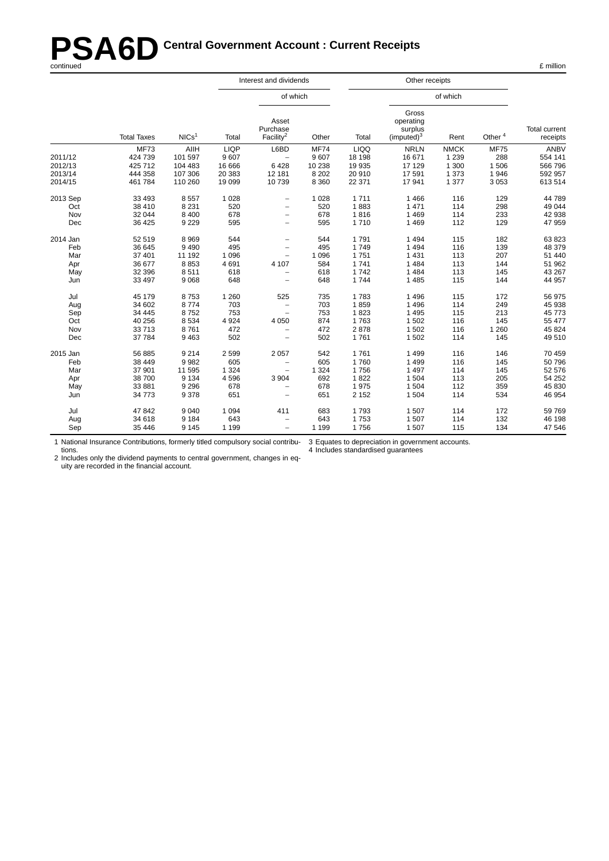# **PSA6D** Central Government Account : Current Receipts<br>
continued E million

|          |                    |                   | Interest and dividends |                                            |             |             | Other receipts                                          |             |                    |                                  |  |
|----------|--------------------|-------------------|------------------------|--------------------------------------------|-------------|-------------|---------------------------------------------------------|-------------|--------------------|----------------------------------|--|
|          |                    |                   |                        | of which                                   |             |             |                                                         | of which    |                    |                                  |  |
|          | <b>Total Taxes</b> | NICs <sup>1</sup> | Total                  | Asset<br>Purchase<br>Facility <sup>2</sup> | Other       | Total       | Gross<br>operating<br>surplus<br>(imputed) <sup>3</sup> | Rent        | Other <sup>4</sup> | <b>Total current</b><br>receipts |  |
|          | <b>MF73</b>        | <b>AIIH</b>       | <b>LIQP</b>            | L6BD                                       | <b>MF74</b> | <b>LIQQ</b> | <b>NRLN</b>                                             | <b>NMCK</b> | <b>MF75</b>        | <b>ANBV</b>                      |  |
| 2011/12  | 424 739            | 101 597           | 9607                   |                                            | 9 607       | 18 198      | 16 671                                                  | 1 2 3 9     | 288                | 554 141                          |  |
| 2012/13  | 425 712            | 104 483           | 16 666                 | 6428                                       | 10 238      | 19 935      | 17 129                                                  | 1 300       | 1506               | 566 796                          |  |
| 2013/14  | 444 358            | 107 306           | 20 383                 | 12 181                                     | 8 2 0 2     | 20 910      | 17591                                                   | 1 3 7 3     | 1946               | 592 957                          |  |
| 2014/15  | 461 784            | 110 260           | 19 0 99                | 10739                                      | 8 3 6 0     | 22 371      | 17941                                                   | 1 3 7 7     | 3 0 5 3            | 613 514                          |  |
| 2013 Sep | 33 493             | 8557              | 1 0 2 8                | $\overline{\phantom{m}}$                   | 1 0 2 8     | 1711        | 1466                                                    | 116         | 129                | 44 789                           |  |
| Oct      | 38 410             | 8 2 3 1           | 520                    | $\overline{\phantom{m}}$                   | 520         | 1883        | 1 4 7 1                                                 | 114         | 298                | 49 044                           |  |
| Nov      | 32 044             | 8 4 0 0           | 678                    | $\overline{\phantom{m}}$                   | 678         | 1816        | 1469                                                    | 114         | 233                | 42 938                           |  |
| Dec      | 36 425             | 9 2 2 9           | 595                    | $\overline{\phantom{0}}$                   | 595         | 1710        | 1469                                                    | 112         | 129                | 47 959                           |  |
| 2014 Jan | 52 519             | 8969              | 544                    | $\qquad \qquad -$                          | 544         | 1791        | 1 4 9 4                                                 | 115         | 182                | 63 823                           |  |
| Feb      | 36 645             | 9490              | 495                    | $\overline{\phantom{0}}$                   | 495         | 1749        | 1494                                                    | 116         | 139                | 48 379                           |  |
| Mar      | 37 401             | 11 192            | 1096                   | $\overline{\phantom{a}}$                   | 1 0 9 6     | 1751        | 1 4 3 1                                                 | 113         | 207                | 51 440                           |  |
| Apr      | 36 677             | 8853              | 4691                   | 4 107                                      | 584         | 1741        | 1 4 8 4                                                 | 113         | 144                | 51 962                           |  |
| May      | 32 396             | 8511              | 618                    | $\overline{\phantom{m}}$                   | 618         | 1742        | 1 4 8 4                                                 | 113         | 145                | 43 267                           |  |
| Jun      | 33 497             | 9068              | 648                    | $\overline{\phantom{m}}$                   | 648         | 1744        | 1 4 8 5                                                 | 115         | 144                | 44 957                           |  |
| Jul      | 45 179             | 8753              | 1 2 6 0                | 525                                        | 735         | 1783        | 1 4 9 6                                                 | 115         | 172                | 56 975                           |  |
| Aug      | 34 602             | 8774              | 703                    | $\overline{\phantom{0}}$                   | 703         | 1859        | 1 4 9 6                                                 | 114         | 249                | 45 938                           |  |
| Sep      | 34 445             | 8752              | 753                    | $\qquad \qquad -$                          | 753         | 1823        | 1 4 9 5                                                 | 115         | 213                | 45 773                           |  |
| Oct      | 40 256             | 8534              | 4 9 24                 | 4 0 5 0                                    | 874         | 1763        | 1 502                                                   | 116         | 145                | 55 477                           |  |
| Nov      | 33713              | 8761              | 472                    | $\overline{\phantom{m}}$                   | 472         | 2878        | 1 502                                                   | 116         | 1 2 6 0            | 45 824                           |  |
| Dec      | 37 784             | 9463              | 502                    | $\overline{\phantom{m}}$                   | 502         | 1761        | 1 502                                                   | 114         | 145                | 49 510                           |  |
| 2015 Jan | 56 885             | 9214              | 2 5 9 9                | 2 0 5 7                                    | 542         | 1761        | 1 4 9 9                                                 | 116         | 146                | 70 459                           |  |
| Feb      | 38 449             | 9982              | 605                    | $\overline{\phantom{a}}$                   | 605         | 1760        | 1 4 9 9                                                 | 116         | 145                | 50 796                           |  |
| Mar      | 37 901             | 11 595            | 1 3 2 4                | $\qquad \qquad -$                          | 1 3 2 4     | 1756        | 1 4 9 7                                                 | 114         | 145                | 52 576                           |  |
| Apr      | 38 700             | 9 1 3 4           | 4596                   | 3 9 0 4                                    | 692         | 1822        | 1 504                                                   | 113         | 205                | 54 252                           |  |
| May      | 33 881             | 9 2 9 6           | 678                    | $\overline{\phantom{0}}$                   | 678         | 1975        | 1 504                                                   | 112         | 359                | 45 830                           |  |
| Jun      | 34 773             | 9378              | 651                    |                                            | 651         | 2 1 5 2     | 1 504                                                   | 114         | 534                | 46 954                           |  |
| Jul      | 47 842             | 9040              | 1 0 9 4                | 411                                        | 683         | 1793        | 1 507                                                   | 114         | 172                | 59 769                           |  |
| Aug      | 34 618             | 9 1 8 4           | 643                    | $\overline{\phantom{m}}$                   | 643         | 1753        | 1 507                                                   | 114         | 132                | 46 198                           |  |
| Sep      | 35 446             | 9 1 4 5           | 1 1 9 9                |                                            | 1 1 9 9     | 1756        | 1 507                                                   | 115         | 134                | 47 546                           |  |

1 National Insurance Contributions, for merly titled compulsory social contributions. 3 Equates to depreciation in government accounts.

4 Includes standardised guarantees

2 Includes only the dividend payments to central government, changes in equity are recorded in the financial account.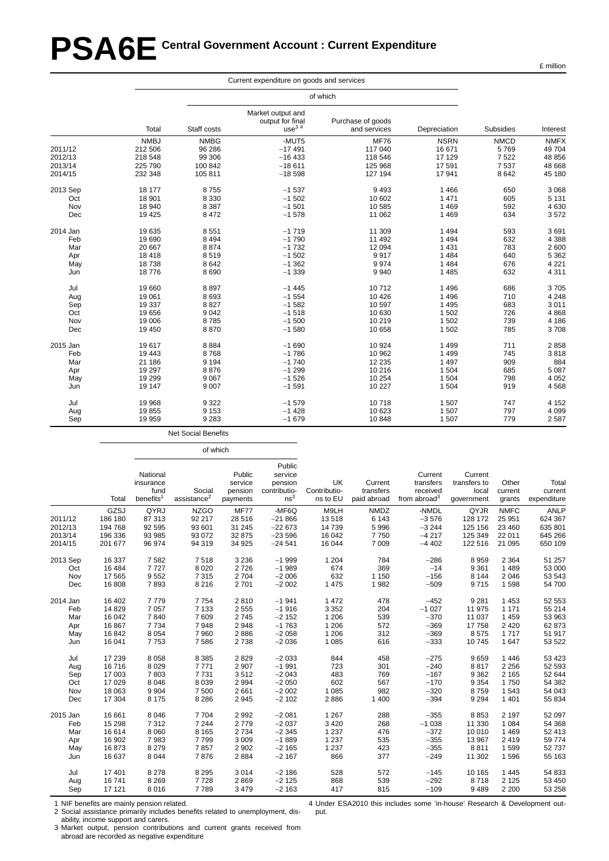# **PSA6E Central Government Account : Current Expenditure**

|          |             |             |                                                            | of which                          |              |             |             |
|----------|-------------|-------------|------------------------------------------------------------|-----------------------------------|--------------|-------------|-------------|
|          | Total       | Staff costs | Market output and<br>output for final<br>use <sup>34</sup> | Purchase of goods<br>and services | Depreciation | Subsidies   | Interest    |
|          | <b>NMBJ</b> | <b>NMBG</b> | -MUT5                                                      | <b>MF76</b>                       | <b>NSRN</b>  | <b>NMCD</b> | <b>NMFX</b> |
| 2011/12  | 212 506     | 96 286      | $-17491$                                                   | 117 040                           | 16 671       | 5769        | 49 704      |
| 2012/13  | 218 548     | 99 306      | $-16433$                                                   | 118 546                           | 17 129       | 7522        | 48 856      |
| 2013/14  | 225 790     | 100 842     | $-18611$                                                   | 125 968                           | 17 591       | 7537        | 48 668      |
| 2014/15  | 232 348     | 105 811     | $-18598$                                                   | 127 194                           | 17 941       | 8 6 4 2     | 45 180      |
| 2013 Sep | 18 177      | 8755        | $-1537$                                                    | 9493                              | 1 4 6 6      | 650         | 3 0 6 8     |
| Oct      | 18 901      | 8 3 3 0     | $-1502$                                                    | 10 602                            | 1 4 7 1      | 605         | 5 1 3 1     |
| Nov      | 18 940      | 8 3 8 7     | $-1501$                                                    | 10 585                            | 1 4 6 9      | 592         | 4630        |
| Dec      | 19 4 25     | 8 4 7 2     | $-1578$                                                    | 11 062                            | 1 4 6 9      | 634         | 3572        |
| 2014 Jan | 19635       | 8551        | $-1719$                                                    | 11 309                            | 1 4 9 4      | 593         | 3691        |
| Feb      | 19690       | 8 4 9 4     | $-1790$                                                    | 11 492                            | 1 4 9 4      | 632         | 4 3 8 8     |
| Mar      | 20 667      | 8874        | $-1732$                                                    | 12 094                            | 1 4 3 1      | 783         | 2 600       |
| Apr      | 18418       | 8519        | $-1502$                                                    | 9917                              | 1 4 8 4      | 640         | 5 3 6 2     |
| May      | 18738       | 8642        | $-1.362$                                                   | 9974                              | 1 4 8 4      | 676         | 4 2 2 1     |
| Jun      | 18776       | 8690        | $-1339$                                                    | 9 9 4 0                           | 1 4 8 5      | 632         | 4 3 1 1     |
| Jul      | 19660       | 8897        | $-1445$                                                    | 10712                             | 1496         | 686         | 3705        |
| Aug      | 19 061      | 8693        | $-1554$                                                    | 10 4 26                           | 1 4 9 6      | 710         | 4 2 4 8     |
| Sep      | 19 3 37     | 8827        | $-1582$                                                    | 10 597                            | 1 4 9 5      | 683         | 3011        |
| Oct      | 19656       | 9042        | $-1518$                                                    | 10 630                            | 1 502        | 726         | 4868        |
| Nov      | 19 006      | 8785        | $-1500$                                                    | 10 219                            | 1 502        | 739         | 4 186       |
| Dec      | 19 450      | 8870        | $-1580$                                                    | 10 658                            | 1 502        | 785         | 3708        |
| 2015 Jan | 19617       | 8884        | $-1690$                                                    | 10 924                            | 1 4 9 9      | 711         | 2858        |
| Feb      | 19 4 43     | 8768        | $-1786$                                                    | 10 962                            | 1 4 9 9      | 745         | 3818        |
| Mar      | 21 186      | 9 1 9 4     | $-1740$                                                    | 12 2 35                           | 1 4 9 7      | 909         | 884         |
| Apr      | 19 297      | 8876        | $-1299$                                                    | 10 216                            | 1 504        | 685         | 5 0 8 7     |
| May      | 19 29 9     | 9067        | $-1526$                                                    | 10 254                            | 1 504        | 798         | 4 0 5 2     |
| Jun      | 19 147      | 9 0 0 7     | $-1591$                                                    | 10 227                            | 1 504        | 919         | 4568        |
| Jul      | 19 968      | 9 3 2 2     | $-1579$                                                    | 10718                             | 1 507        | 747         | 4 1 5 2     |
| Aug      | 19855       | 9 1 5 3     | $-1428$                                                    | 10 623                            | 1 507        | 797         | 4 0 9 9     |
| Sep      | 19 959      | 9 2 8 3     | $-1679$                                                    | 10 848                            | 1 507        | 779         | 2 5 8 7     |

Net Social Benefits

of which

| 2011/12<br>2012/13<br>2013/14 | Total<br>GZSJ<br>186 180<br>194 768<br>196 336<br>201 677 | National<br>insurance<br>fund<br>benefits <sup>1</sup><br>QYRJ<br>87 313<br>92 595<br>93 985<br>96 974 | Social<br>assistance <sup>2</sup><br><b>NZGO</b><br>92 217<br>93 601<br>93 072 | Public<br>service<br>pension<br>payments<br><b>MF77</b><br>28 516 | Public<br>service<br>pension<br>contributio-<br>ns <sup>3</sup><br>-MF6Q | UK<br>Contributio-<br>ns to EU<br>M9LH | Current<br>transfers<br>paid abroad | Current<br>transfers<br>received<br>from abroad $3$ | Current<br>transfers to<br>local<br>government | Other<br>current<br>grants | Total<br>current<br>expenditure |
|-------------------------------|-----------------------------------------------------------|--------------------------------------------------------------------------------------------------------|--------------------------------------------------------------------------------|-------------------------------------------------------------------|--------------------------------------------------------------------------|----------------------------------------|-------------------------------------|-----------------------------------------------------|------------------------------------------------|----------------------------|---------------------------------|
|                               |                                                           |                                                                                                        |                                                                                |                                                                   |                                                                          |                                        |                                     |                                                     |                                                |                            |                                 |
|                               |                                                           |                                                                                                        |                                                                                |                                                                   |                                                                          |                                        |                                     |                                                     |                                                |                            |                                 |
|                               |                                                           |                                                                                                        |                                                                                |                                                                   |                                                                          |                                        |                                     |                                                     |                                                |                            |                                 |
|                               |                                                           |                                                                                                        |                                                                                |                                                                   |                                                                          |                                        |                                     |                                                     |                                                |                            |                                 |
|                               |                                                           |                                                                                                        |                                                                                |                                                                   |                                                                          |                                        |                                     |                                                     |                                                |                            |                                 |
|                               |                                                           |                                                                                                        |                                                                                |                                                                   |                                                                          |                                        | <b>NMDZ</b>                         | -NMDL                                               | QYJR                                           | <b>NMFC</b>                | <b>ANLP</b>                     |
|                               |                                                           |                                                                                                        |                                                                                |                                                                   | $-21866$                                                                 | 13518                                  | 6 1 4 3                             | $-3576$                                             | 128 172                                        | 25 951                     | 624 367                         |
|                               |                                                           |                                                                                                        |                                                                                | 31 245                                                            | $-22673$                                                                 | 14 739                                 | 5996                                | $-3244$                                             | 125 156                                        | 23 460                     | 635 801                         |
|                               |                                                           |                                                                                                        |                                                                                | 32 875                                                            | $-23596$                                                                 | 16 042                                 | 7750                                | $-4217$                                             | 125 349                                        | 22 011                     | 645 266                         |
| 2014/15                       |                                                           |                                                                                                        | 94 319                                                                         | 34 925                                                            | $-24541$                                                                 | 16 044                                 | 7 0 0 9                             | $-4402$                                             | 122 516                                        | 21 095                     | 650 109                         |
| 2013 Sep                      | 16 337                                                    | 7582                                                                                                   | 7518                                                                           | 3 2 3 6                                                           | $-1999$                                                                  | 1 2 0 4                                | 784                                 | $-286$                                              | 8959                                           | 2 3 6 4                    | 51 257                          |
| Oct                           | 16 4 84                                                   | 7727                                                                                                   | 8 0 2 0                                                                        | 2726                                                              | $-1989$                                                                  | 674                                    | 369                                 | $-14$                                               | 9 3 6 1                                        | 1489                       | 53 000                          |
| Nov                           | 17 565                                                    | 9552                                                                                                   | 7 3 1 5                                                                        | 2 7 0 4                                                           | $-2006$                                                                  | 632                                    | 1 1 5 0                             | $-156$                                              | 8 1 4 4                                        | 2 0 4 6                    | 53 543                          |
| Dec                           | 16 808                                                    | 7893                                                                                                   | 8 2 1 6                                                                        | 2701                                                              | $-2002$                                                                  | 1 4 7 5                                | 1982                                | $-509$                                              | 9715                                           | 1 5 9 8                    | 54700                           |
| 2014 Jan                      | 16 402                                                    | 7779                                                                                                   | 7754                                                                           | 2810                                                              | $-1941$                                                                  | 1 472                                  | 478                                 | $-452$                                              | 9 2 8 1                                        | 1 4 5 3                    | 52 553                          |
| Feb                           | 14 8 29                                                   | 7 0 5 7                                                                                                | 7 1 3 3                                                                        | 2 5 5 5                                                           | $-1916$                                                                  | 3 3 5 2                                | 204                                 | $-1027$                                             | 11 975                                         | 1 1 7 1                    | 55 214                          |
| Mar                           | 16 042                                                    | 7840                                                                                                   | 7609                                                                           | 2745                                                              | $-2152$                                                                  | 1 206                                  | 539                                 | $-370$                                              | 11 037                                         | 1 4 5 9                    | 53 963                          |
| Apr                           | 16 867                                                    | 7 7 3 4                                                                                                | 7948                                                                           | 2948                                                              | $-1763$                                                                  | 1 2 0 6                                | 572                                 | $-369$                                              | 17758                                          | 2 4 2 0                    | 62 873                          |
| May                           | 16842                                                     | 8 0 5 4                                                                                                | 7960                                                                           | 2886                                                              | $-2058$                                                                  | 1 2 0 6                                | 312                                 | $-369$                                              | 8575                                           | 1717                       | 51 917                          |
| Jun                           | 16 041                                                    | 7753                                                                                                   | 7586                                                                           | 2738                                                              | $-2036$                                                                  | 1 0 8 5                                | 616                                 | $-333$                                              | 10745                                          | 1 647                      | 53 522                          |
| Jul                           | 17 239                                                    | 8 0 5 8                                                                                                | 8 3 8 5                                                                        | 2829                                                              | $-2033$                                                                  | 844                                    | 458                                 | $-275$                                              | 9659                                           | 1446                       | 53 423                          |
| Aug                           | 16716                                                     | 8 0 2 9                                                                                                | 7771                                                                           | 2 9 0 7                                                           | $-1991$                                                                  | 723                                    | 301                                 | $-240$                                              | 8817                                           | 2 2 5 6                    | 52 593                          |
| Sep                           | 17 003                                                    | 7803                                                                                                   | 7731                                                                           | 3512                                                              | $-2043$                                                                  | 483                                    | 769                                 | $-167$                                              | 9 3 6 2                                        | 2 1 6 5                    | 52 644                          |
| Oct                           | 17 0 29                                                   | 8 0 4 6                                                                                                | 8 0 3 9                                                                        | 2 9 9 4                                                           | $-2050$                                                                  | 602                                    | 567                                 | $-170$                                              | 9 3 5 4                                        | 1750                       | 54 382                          |
| Nov                           | 18 063                                                    | 9 9 0 4                                                                                                | 7 500                                                                          | 2 6 6 1                                                           | $-2002$                                                                  | 1 0 8 5                                | 982                                 | $-320$                                              | 8759                                           | 1 5 4 3                    | 54 043                          |
| Dec                           | 17 304                                                    | 8 1 7 5                                                                                                | 8 2 8 6                                                                        | 2 9 4 5                                                           | $-2102$                                                                  | 2886                                   | 1 4 0 0                             | $-394$                                              | 9 2 9 4                                        | 1 4 0 1                    | 55 834                          |
| 2015 Jan                      | 16 661                                                    | 8 0 4 6                                                                                                | 7704                                                                           | 2 9 9 2                                                           | $-2081$                                                                  | 1 2 6 7                                | 288                                 | $-355$                                              | 8853                                           | 2 1 9 7                    | 52 097                          |
| Feb                           | 15 298                                                    | 7312                                                                                                   | 7 2 4 4                                                                        | 2779                                                              | $-2037$                                                                  | 3 4 2 0                                | 268                                 | $-1038$                                             | 11 330                                         | 1 0 8 4                    | 54 368                          |
| Mar                           | 16 614                                                    | 8 0 6 0                                                                                                | 8 1 6 5                                                                        | 2 7 3 4                                                           | $-2345$                                                                  | 1 2 3 7                                | 476                                 | $-372$                                              | 10 010                                         | 1469                       | 52 413                          |
| Apr                           | 16 902                                                    | 7983                                                                                                   | 7799                                                                           | 3 0 0 9                                                           | $-1889$                                                                  | 1 2 3 7                                | 535                                 | $-355$                                              | 13 967                                         | 2419                       | 59774                           |
| May                           | 16873                                                     | 8 2 7 9                                                                                                | 7857                                                                           | 2 9 0 2                                                           | $-2165$                                                                  | 1 2 3 7                                | 423                                 | $-355$                                              | 8811                                           | 1599                       | 52737                           |
| Jun                           | 16 637                                                    | 8 0 4 4                                                                                                | 7876                                                                           | 2 8 8 4                                                           | $-2167$                                                                  | 866                                    | 377                                 | $-249$                                              | 11 302                                         | 1596                       | 55 163                          |
| Jul                           | 17 401                                                    | 8 2 7 8                                                                                                | 8 2 9 5                                                                        | 3014                                                              | $-2186$                                                                  | 528                                    | 572                                 | $-145$                                              | 10 165                                         | 1 4 4 5                    | 54 833                          |
| Aug                           | 16741                                                     | 8 2 6 9                                                                                                | 7728                                                                           | 2869                                                              | $-2125$                                                                  | 868                                    | 539                                 | $-292$                                              | 8718                                           | 2 1 2 5                    | 53 450                          |
| Sep                           | 17 121                                                    | 8016                                                                                                   | 7789                                                                           | 3 4 7 9                                                           | $-2163$                                                                  | 417                                    | 815                                 | $-109$                                              | 9489                                           | 2 2 0 0                    | 53 258                          |

1 NIF benefits are mainly pension related.

2 Social assistance primarily includes benefits related to unemployment, disability, income support and carers.

3 Market output, pension contributions and current grants received from abroad are recorded as negative expenditure

4 Under ESA2010 this includes some 'in-house' Research & Development output.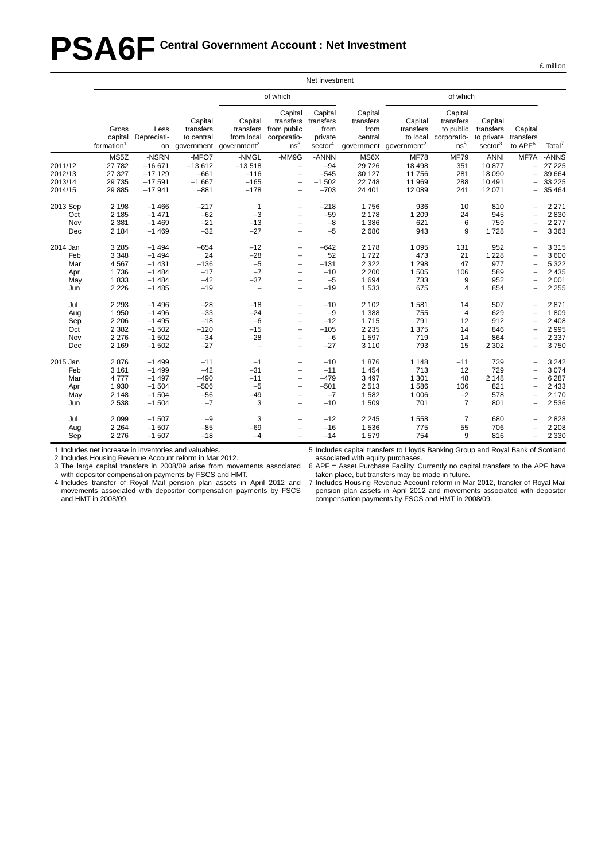# **PSA6F Central Government Account : Net Investment**

|                                             |                                                                |                                                                |                                                     |                                                                             |                                                                                                                                                               | Net investment                                                 |                                                          |                                                             |                                                                     |                                                           |                                                              |                                                              |
|---------------------------------------------|----------------------------------------------------------------|----------------------------------------------------------------|-----------------------------------------------------|-----------------------------------------------------------------------------|---------------------------------------------------------------------------------------------------------------------------------------------------------------|----------------------------------------------------------------|----------------------------------------------------------|-------------------------------------------------------------|---------------------------------------------------------------------|-----------------------------------------------------------|--------------------------------------------------------------|--------------------------------------------------------------|
|                                             |                                                                |                                                                |                                                     |                                                                             | of which                                                                                                                                                      |                                                                |                                                          |                                                             | of which                                                            |                                                           |                                                              |                                                              |
|                                             | Gross<br>capital<br>formation <sup>1</sup>                     | Less<br>Depreciati-                                            | Capital<br>transfers<br>to central                  | Capital<br>transfers<br>from local<br>on government government <sup>2</sup> | Capital<br>transfers<br>from public<br>corporatio-<br>ns <sup>3</sup>                                                                                         | Capital<br>transfers<br>from<br>private<br>sector <sup>4</sup> | Capital<br>transfers<br>from<br>central<br>government    | Capital<br>transfers<br>to local<br>government <sup>2</sup> | Capital<br>transfers<br>to public<br>corporatio-<br>ns <sup>5</sup> | Capital<br>transfers<br>to private<br>sector <sup>3</sup> | Capital<br>transfers<br>to APF <sup>6</sup>                  | Total <sup>7</sup>                                           |
| 2011/12<br>2012/13<br>2013/14<br>2014/15    | MS5Z<br>27 782<br>27 327<br>29 7 35<br>29 885                  | -NSRN<br>$-16671$<br>$-17129$<br>$-17591$<br>$-17941$          | -MFO7<br>$-13612$<br>$-661$<br>$-1667$<br>$-881$    | -NMGL<br>$-13518$<br>$-116$<br>$-165$<br>$-178$                             | -MM9G<br>$\overline{\phantom{a}}$<br>$\overline{\phantom{a}}$<br>$\overline{\phantom{0}}$<br>$\overline{\phantom{0}}$                                         | -ANNN<br>$-94$<br>$-545$<br>$-1502$<br>$-703$                  | MS6X<br>29726<br>30 127<br>22748<br>24 401               | <b>MF78</b><br>18 4 98<br>11 756<br>11 969<br>12 089        | <b>MF79</b><br>351<br>281<br>288<br>241                             | <b>ANNI</b><br>10877<br>18 090<br>10 491<br>12 071        | MF7A<br>$\overline{\phantom{0}}$<br>$\overline{\phantom{0}}$ | -ANNS<br>27 225<br>39 664<br>33 2 25<br>35 4 64              |
| 2013 Sep<br>Oct<br>Nov<br>Dec               | 2 1 9 8<br>2 1 8 5<br>2 3 8 1<br>2 1 8 4                       | $-1466$<br>$-1471$<br>$-1469$<br>$-1469$                       | $-217$<br>$-62$<br>$-21$<br>$-32$                   | $\mathbf{1}$<br>$-3$<br>$-13$<br>$-27$                                      | $\overline{\phantom{0}}$<br>$\overline{\phantom{m}}$<br>$\overline{\phantom{0}}$<br>$\overline{\phantom{0}}$                                                  | $-218$<br>$-59$<br>$-8$<br>$-5$                                | 1756<br>2 1 7 8<br>1 3 8 6<br>2680                       | 936<br>1 2 0 9<br>621<br>943                                | 10<br>24<br>6<br>9                                                  | 810<br>945<br>759<br>1728                                 |                                                              | 2 2 7 1<br>2830<br>2 2 7 7<br>3 3 6 3                        |
| 2014 Jan<br>Feb<br>Mar<br>Apr<br>May<br>Jun | 3 2 8 5<br>3 3 4 8<br>4 5 6 7<br>1736<br>1833<br>2 2 2 6       | $-1494$<br>$-1494$<br>$-1431$<br>$-1484$<br>$-1484$<br>$-1485$ | $-654$<br>24<br>$-136$<br>$-17$<br>$-42$<br>$-19$   | $-12$<br>$-28$<br>$-5$<br>$-7$<br>$-37$<br>$\qquad \qquad -$                | $\overline{\phantom{0}}$<br>$\overline{\phantom{0}}$<br>$\overline{\phantom{m}}$<br>$\overline{\phantom{0}}$<br>$\overline{\phantom{0}}$                      | $-642$<br>52<br>$-131$<br>$-10$<br>$-5$<br>$-19$               | 2 1 7 8<br>1722<br>2 3 2 2<br>2 2 0 0<br>1694<br>1533    | 1 0 9 5<br>473<br>1 2 9 8<br>1 505<br>733<br>675            | 131<br>21<br>47<br>106<br>9<br>$\overline{4}$                       | 952<br>1 2 2 8<br>977<br>589<br>952<br>854                | $\overline{\phantom{0}}$<br>-                                | 3 3 1 5<br>3 600<br>5 3 2 2<br>2 4 3 5<br>2 0 0 1<br>2 2 5 5 |
| Jul<br>Aug<br>Sep<br>Oct<br>Nov<br>Dec      | 2 2 9 3<br>1 9 5 0<br>2 2 0 6<br>2 3 8 2<br>2 2 7 6<br>2 1 6 9 | $-1496$<br>$-1496$<br>$-1495$<br>$-1502$<br>$-1502$<br>$-1502$ | $-28$<br>$-33$<br>$-18$<br>$-120$<br>$-34$<br>$-27$ | $-18$<br>$-24$<br>$-6$<br>$-15$<br>$-28$<br>$\overline{\phantom{a}}$        | $\overline{\phantom{0}}$<br>$\qquad \qquad -$<br>$\overline{\phantom{0}}$<br>$\overline{\phantom{0}}$<br>$\overline{\phantom{0}}$<br>$\overline{\phantom{0}}$ | $-10$<br>$-9$<br>$-12$<br>$-105$<br>$-6$<br>$-27$              | 2 1 0 2<br>1 3 8 8<br>1715<br>2 2 3 5<br>1597<br>3 1 1 0 | 1581<br>755<br>791<br>1 3 7 5<br>719<br>793                 | 14<br>$\overline{4}$<br>12<br>14<br>14<br>15                        | 507<br>629<br>912<br>846<br>864<br>2 3 0 2                | -                                                            | 2871<br>1809<br>2 4 0 8<br>2 9 9 5<br>2 3 3 7<br>3750        |
| 2015 Jan<br>Feb<br>Mar<br>Apr<br>May<br>Jun | 2876<br>3 1 6 1<br>4777<br>1930<br>2 1 4 8<br>2 5 3 8          | $-1499$<br>$-1499$<br>$-1497$<br>$-1504$<br>$-1504$<br>$-1504$ | $-11$<br>$-42$<br>$-490$<br>$-506$<br>$-56$<br>$-7$ | $-1$<br>$-31$<br>$-11$<br>$-5$<br>$-49$<br>3                                | $\overline{\phantom{0}}$<br>$\overline{\phantom{0}}$<br>$\overline{\phantom{0}}$<br>$\overline{\phantom{0}}$                                                  | $-10$<br>$-11$<br>$-479$<br>$-501$<br>$-7$<br>$-10$            | 1876<br>1 4 5 4<br>3 4 9 7<br>2513<br>1582<br>1509       | 1 1 4 8<br>713<br>1 3 0 1<br>1586<br>1 0 0 6<br>701         | $-11$<br>12<br>48<br>106<br>$-2$<br>$\overline{7}$                  | 739<br>729<br>2 1 4 8<br>821<br>578<br>801                | Ξ.                                                           | 3 2 4 2<br>3 0 7 4<br>6 2 8 7<br>2 4 3 3<br>2 170<br>2 5 3 6 |
| Jul<br>Aug<br>Sep                           | 2 0 9 9<br>2 2 6 4<br>2 2 7 6                                  | $-1507$<br>$-1507$<br>$-1507$                                  | $-9$<br>$-85$<br>$-18$                              | 3<br>$-69$<br>$-4$                                                          |                                                                                                                                                               | $-12$<br>$-16$<br>$-14$                                        | 2 2 4 5<br>1536<br>1579                                  | 1 5 5 8<br>775<br>754                                       | $\overline{7}$<br>55<br>9                                           | 680<br>706<br>816                                         |                                                              | 2828<br>2 2 0 8<br>2 3 3 0                                   |

1 Includes net increase in inventories and valuables.

2 Includes Housing Revenue Account reform in Mar 2012.

3 The large capital transfers in 2008/09 arise from movements associated with depositor compensation payments by FSCS and HMT.

4 Includes transfer of Royal Mail pension plan assets in April 2012 and movements associated with depositor compensation payments by FSCS and HMT in 2008/09.

5 Includes capital transfers to Lloyds Banking Group and Royal Bank of Scotland associated with equity purchases.

6 APF = Asset Purchase Facility. Currently no capital transfers to the APF have taken place, but transfers may be made in future.

7 Includes Housing Revenue Account reform in Mar 2012, transfer of Royal Mail pension plan assets in April 2012 and movements associated with depositor compensation payments by FSCS and HMT in 2008/09.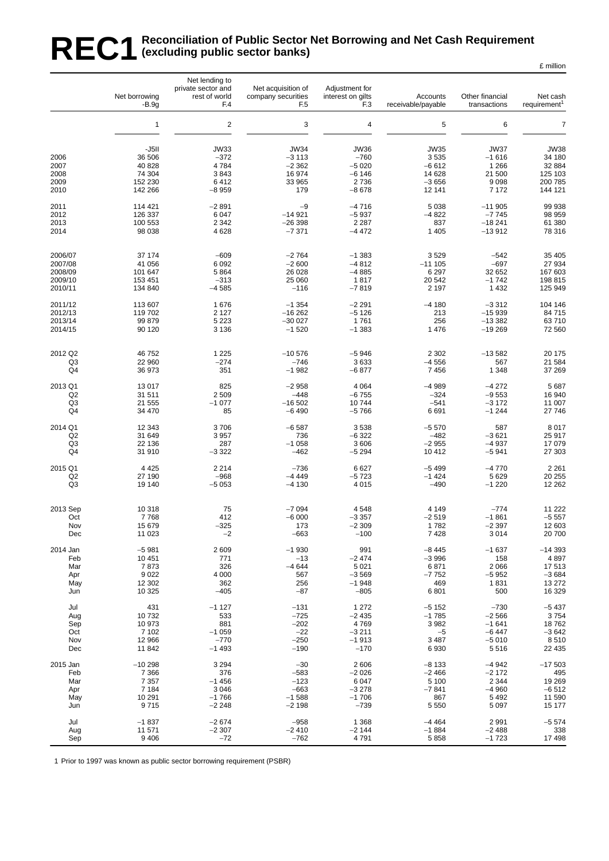#### REC1 Reconciliation of Public Sector Net Borrowing and Net Cash Requirement<br>REC1 (excluding public sector banks) **(excluding public sector banks)** £ million

|                                                    | Net borrowing                                                         | Net lending to<br>private sector and<br>rest of world      | Net acquisition of<br>company securities                            | Adjustment for<br>interest on gilts                                  | Accounts                                                 | Other financial                                                        | Net cash                                                           |
|----------------------------------------------------|-----------------------------------------------------------------------|------------------------------------------------------------|---------------------------------------------------------------------|----------------------------------------------------------------------|----------------------------------------------------------|------------------------------------------------------------------------|--------------------------------------------------------------------|
|                                                    | -B.9q                                                                 | F.4                                                        | F <sub>5</sub>                                                      | F <sub>3</sub>                                                       | receivable/payable                                       | transactions                                                           | requirement <sup>1</sup>                                           |
|                                                    | $\mathbf{1}$                                                          | $\overline{c}$                                             | 3                                                                   | $\overline{\mathbf{4}}$                                              | 5                                                        | 6                                                                      | $\overline{7}$                                                     |
| 2006<br>2007<br>2008                               | -J5II<br>36 506<br>40 828<br>74 304                                   | <b>JW33</b><br>$-372$<br>4784<br>3843                      | <b>JW34</b><br>$-3113$<br>$-2362$<br>16 974                         | <b>JW36</b><br>$-760$<br>$-5020$<br>$-6146$                          | <b>JW35</b><br>3535<br>$-6612$<br>14 628                 | <b>JW37</b><br>$-1616$<br>1 2 6 6<br>21 500                            | <b>JW38</b><br>34 180<br>32 884<br>125 103                         |
| 2009                                               | 152 230                                                               | 6412                                                       | 33 965                                                              | 2736                                                                 | $-3656$                                                  | 9098                                                                   | 200 785                                                            |
| 2010                                               | 142 266                                                               | $-8959$                                                    | 179                                                                 | $-8678$                                                              | 12 14 1                                                  | 7 1 7 2                                                                | 144 121                                                            |
| 2011                                               | 114 421                                                               | $-2891$                                                    | $-9$                                                                | $-4716$                                                              | 5 0 38                                                   | $-11905$                                                               | 99 938                                                             |
| 2012                                               | 126 337                                                               | 6047                                                       | $-14921$                                                            | $-5937$                                                              | $-4822$                                                  | $-7745$                                                                | 98 959                                                             |
| 2013                                               | 100 553                                                               | 2 3 4 2                                                    | $-26398$                                                            | 2 2 8 7                                                              | 837                                                      | $-18241$                                                               | 61 380                                                             |
| 2014                                               | 98 038                                                                | 4628                                                       | $-7371$                                                             | $-4472$                                                              | 1 4 0 5                                                  | $-13912$                                                               | 78 316                                                             |
| 2006/07                                            | 37 174                                                                | $-609$                                                     | $-2764$                                                             | $-1383$                                                              | 3529                                                     | $-542$                                                                 | 35 405                                                             |
| 2007/08                                            | 41 056                                                                | 6 0 9 2                                                    | $-2600$                                                             | $-4812$                                                              | $-111105$                                                | $-697$                                                                 | 27 934                                                             |
| 2008/09                                            | 101 647                                                               | 5864                                                       | 26 0 28                                                             | $-4885$                                                              | 6 2 9 7                                                  | 32 652                                                                 | 167 603                                                            |
| 2009/10                                            | 153 451                                                               | $-313$                                                     | 25 060                                                              | 1817                                                                 | 20 542                                                   | $-1742$                                                                | 198 815                                                            |
| 2010/11                                            | 134 840                                                               | $-4585$                                                    | $-116$                                                              | $-7819$                                                              | 2 1 9 7                                                  | 1 4 3 2                                                                | 125 949                                                            |
| 2011/12                                            | 113 607                                                               | 1676                                                       | $-1354$                                                             | $-2291$                                                              | $-4180$                                                  | $-3312$                                                                | 104 146                                                            |
| 2012/13                                            | 119 702                                                               | 2 1 2 7                                                    | $-16262$                                                            | $-5126$                                                              | 213                                                      | $-15939$                                                               | 84 715                                                             |
| 2013/14                                            | 99 879                                                                | 5 2 2 3                                                    | $-30027$                                                            | 1761                                                                 | 256                                                      | $-13382$                                                               | 63710                                                              |
| 2014/15                                            | 90 120                                                                | 3 1 3 6                                                    | $-1520$                                                             | $-1383$                                                              | 1476                                                     | $-19269$                                                               | 72 560                                                             |
| 2012 Q2                                            | 46 752                                                                | 1 2 2 5                                                    | $-10576$                                                            | $-5946$                                                              | 2 3 0 2                                                  | $-13582$                                                               | 20 175                                                             |
| Q3                                                 | 22 960                                                                | $-274$                                                     | $-746$                                                              | 3633                                                                 | $-4556$                                                  | 567                                                                    | 21 584                                                             |
| Q4                                                 | 36 973                                                                | 351                                                        | $-1982$                                                             | $-6877$                                                              | 7456                                                     | 1 3 4 8                                                                | 37 269                                                             |
| 2013 Q1                                            | 13 017                                                                | 825                                                        | $-2958$                                                             | 4 0 64                                                               | $-4989$                                                  | $-4272$                                                                | 5 687                                                              |
| Q2                                                 | 31 511                                                                | 2509                                                       | $-448$                                                              | $-6755$                                                              | $-324$                                                   | $-9553$                                                                | 16 940                                                             |
| Q <sub>3</sub>                                     | 21 555                                                                | $-1077$                                                    | $-16502$                                                            | 10744                                                                | $-541$                                                   | $-3172$                                                                | 11 007                                                             |
| Q4                                                 | 34 470                                                                | 85                                                         | $-6490$                                                             | $-5766$                                                              | 6691                                                     | $-1244$                                                                | 27 746                                                             |
| 2014 Q1                                            | 12 343                                                                | 3706                                                       | $-6587$                                                             | 3538                                                                 | $-5570$                                                  | 587                                                                    | 8 0 1 7                                                            |
| Q2                                                 | 31 649                                                                | 3957                                                       | 736                                                                 | $-6322$                                                              | $-482$                                                   | $-3621$                                                                | 25 917                                                             |
| Q <sub>3</sub>                                     | 22 136                                                                | 287                                                        | $-1058$                                                             | 3606                                                                 | $-2955$                                                  | $-4937$                                                                | 17 079                                                             |
| Q <sub>4</sub>                                     | 31 910                                                                | $-3322$                                                    | $-462$                                                              | $-5294$                                                              | 10412                                                    | $-5941$                                                                | 27 303                                                             |
| 2015 Q1                                            | 4 4 2 5                                                               | 2 2 1 4                                                    | $-736$                                                              | 6627                                                                 | $-5499$                                                  | $-4770$                                                                | 2 2 6 1                                                            |
| Q2                                                 | 27 190                                                                | $-968$                                                     | $-4449$                                                             | $-5723$                                                              | $-1424$                                                  | 5 6 2 9                                                                | 20 255                                                             |
| Q3                                                 | 19 140                                                                | $-5053$                                                    | $-4130$                                                             | 4 0 1 5                                                              | $-490$                                                   | $-1220$                                                                | 12 262                                                             |
| 2013 Sep                                           | 10 318                                                                | 75                                                         | $-7094$                                                             | 4548                                                                 | 4 1 4 9                                                  | $-774$                                                                 | 11 222                                                             |
| Oct                                                | 7768                                                                  | 412                                                        | $-6000$                                                             | $-3357$                                                              | $-2519$                                                  | $-1861$                                                                | $-5557$                                                            |
| Nov                                                | 15 679                                                                | $-325$                                                     | 173                                                                 | $-2309$                                                              | 1782                                                     | $-2397$                                                                | 12 603                                                             |
| Dec                                                | 11 023                                                                | $-2$                                                       | -663                                                                | $-100$                                                               | 7428                                                     | 3014                                                                   | 20 700                                                             |
| 2014 Jan<br>Feb<br>Mar<br>Apr<br>May               | $-5981$<br>10 451<br>7873<br>9 0 2 2<br>12 302                        | 2 6 0 9<br>771<br>326<br>4 0 0 0<br>362<br>$-405$          | $-1930$<br>$-13$<br>$-4644$<br>567<br>256<br>$-87$                  | 991<br>$-2474$<br>5 0 21<br>$-3569$<br>$-1948$<br>$-805$             | $-8445$<br>$-3996$<br>6871<br>$-7752$<br>469<br>6801     | $-1637$<br>158<br>2 0 6 6<br>$-5952$<br>1831<br>500                    | $-14393$<br>4897<br>17513<br>$-3684$<br>13 27 2<br>16 329          |
| Jun<br>Jul<br>Aug<br>Sep<br>Oct<br>Nov             | 10 325<br>431<br>10732<br>10 973<br>7 102<br>12 966                   | $-1127$<br>533<br>881<br>$-1059$<br>$-770$<br>$-1493$      | $-131$<br>$-725$<br>$-202$<br>$-22$<br>$-250$                       | 1 2 7 2<br>$-2435$<br>4769<br>$-3211$<br>$-1913$                     | $-5152$<br>$-1785$<br>3982<br>$-5$<br>3 4 8 7<br>6930    | $-730$<br>$-2566$<br>$-1641$<br>$-6447$<br>$-5010$                     | $-5437$<br>3754<br>18762<br>$-3642$<br>8510                        |
| Dec<br>2015 Jan<br>Feb<br>Mar<br>Apr<br>May<br>Jun | 11 842<br>$-10298$<br>7 3 6 6<br>7 3 5 7<br>7 1 8 4<br>10 291<br>9715 | 3 2 9 4<br>376<br>$-1456$<br>3 0 4 6<br>$-1766$<br>$-2248$ | $-190$<br>$-30$<br>$-583$<br>$-123$<br>$-663$<br>$-1588$<br>$-2198$ | $-170$<br>2606<br>$-2026$<br>6 0 4 7<br>$-3278$<br>$-1706$<br>$-739$ | $-8133$<br>$-2466$<br>5 100<br>$-7841$<br>867<br>5 5 5 0 | 5516<br>$-4942$<br>$-2172$<br>2 3 4 4<br>$-4960$<br>5 4 9 2<br>5 0 9 7 | 22 435<br>$-17503$<br>495<br>19 269<br>$-6512$<br>11 590<br>15 177 |
| Jul                                                | $-1837$                                                               | $-2674$                                                    | $-958$                                                              | 1 3 6 8                                                              | $-4464$                                                  | 2 9 9 1                                                                | $-5574$                                                            |
| Aug                                                | 11 571                                                                | $-2307$                                                    | $-2410$                                                             | $-2144$                                                              | $-1884$                                                  | $-2488$                                                                | 338                                                                |
| Sep                                                | 9 4 0 6                                                               | $-72$                                                      | $-762$                                                              | 4791                                                                 | 5858                                                     | $-1723$                                                                | 17 498                                                             |

1 Prior to 1997 was known as public sector borrowing requirement (PSBR)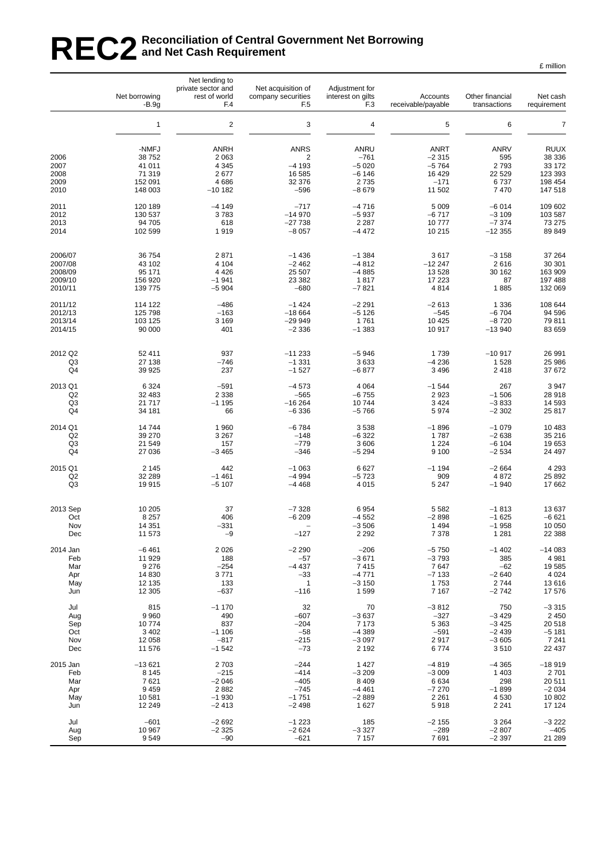# REC2<sup>Reconciliation of Central Government Net Borrowing<br>REC2 and Net Cash Requirement</sup> **and Net Cash Requirement**

|                               | Net borrowing<br>$-B.9g$              | Net lending to<br>private sector and<br>rest of world<br>F.4 | Net acquisition of<br>company securities<br>F <sub>5</sub> | Adjustment for<br>interest on gilts<br>F <sub>3</sub> | Accounts<br>receivable/payable               | Other financial<br>transactions          | Net cash<br>requirement                    |
|-------------------------------|---------------------------------------|--------------------------------------------------------------|------------------------------------------------------------|-------------------------------------------------------|----------------------------------------------|------------------------------------------|--------------------------------------------|
|                               | $\mathbf{1}$                          | $\overline{2}$                                               | 3                                                          | $\overline{4}$                                        | 5                                            | 6                                        | $\overline{7}$                             |
| 2006<br>2007<br>2008          | -NMFJ<br>38752<br>41 011<br>71 319    | <b>ANRH</b><br>2 0 6 3<br>4 3 4 5<br>2677                    | <b>ANRS</b><br>$\overline{2}$<br>$-4193$<br>16 585         | ANRU<br>$-761$<br>$-5020$<br>$-6146$                  | <b>ANRT</b><br>$-2315$<br>$-5764$<br>16 4 29 | <b>ANRV</b><br>595<br>2793<br>22 5 29    | <b>RUUX</b><br>38 336<br>33 172<br>123 393 |
| 2009                          | 152 091                               | 4686                                                         | 32 376                                                     | 2735                                                  | $-171$                                       | 6737                                     | 198 454                                    |
| 2010                          | 148 003                               | $-10182$                                                     | $-596$                                                     | $-8679$                                               | 11 502                                       | 7 4 7 0                                  | 147 518                                    |
| 2011                          | 120 189                               | $-4149$                                                      | $-717$                                                     | $-4716$                                               | 5 0 0 9                                      | $-6014$                                  | 109 602                                    |
| 2012                          | 130 537                               | 3783                                                         | $-14970$                                                   | $-5937$                                               | $-6717$                                      | $-3109$                                  | 103 587                                    |
| 2013                          | 94 705                                | 618                                                          | $-27738$                                                   | 2 2 8 7                                               | 10777                                        | $-7374$                                  | 73 275                                     |
| 2014                          | 102 599                               | 1919                                                         | $-8057$                                                    | $-4472$                                               | 10 215                                       | $-12355$                                 | 89 849                                     |
| 2006/07                       | 36 754                                | 2871                                                         | $-1436$                                                    | $-1.384$                                              | 3617                                         | $-3158$                                  | 37 264                                     |
| 2007/08                       | 43 102                                | 4 1 0 4                                                      | $-2462$                                                    | $-4812$                                               | $-12247$                                     | 2616                                     | 30 301                                     |
| 2008/09                       | 95 171                                | 4 4 2 6                                                      | 25 507                                                     | $-4885$                                               | 13 5 28                                      | 30 162                                   | 163 909                                    |
| 2009/10                       | 156 920                               | $-1941$                                                      | 23 382                                                     | 1817                                                  | 17 223                                       | 87                                       | 197 488                                    |
| 2010/11                       | 139 775                               | $-5904$                                                      | $-680$                                                     | $-7821$                                               | 4814                                         | 1885                                     | 132 069                                    |
| 2011/12                       | 114 122                               | $-486$                                                       | $-1424$                                                    | $-2291$                                               | $-2613$                                      | 1 3 3 6                                  | 108 644                                    |
| 2012/13                       | 125 798                               | $-163$                                                       | $-18664$                                                   | $-5126$                                               | $-545$                                       | $-6704$                                  | 94 596                                     |
| 2013/14                       | 103 125                               | 3 1 6 9                                                      | $-299949$                                                  | 1761                                                  | 10 4 25                                      | $-8720$                                  | 79811                                      |
| 2014/15                       | 90 000                                | 401                                                          | $-2336$                                                    | $-1383$                                               | 10 917                                       | $-13940$                                 | 83 659                                     |
| 2012 Q2                       | 52 411                                | 937                                                          | $-11233$                                                   | $-5946$                                               | 1739                                         | $-10917$                                 | 26 991                                     |
| Q3                            | 27 138                                | $-746$                                                       | $-1331$                                                    | 3633                                                  | $-4236$                                      | 1528                                     | 25 986                                     |
| Q4                            | 39 9 25                               | 237                                                          | $-1527$                                                    | $-6877$                                               | 3 4 9 6                                      | 2418                                     | 37 672                                     |
| 2013 Q1                       | 6 3 2 4                               | $-591$                                                       | $-4573$                                                    | 4 0 64                                                | $-1544$                                      | 267                                      | 3 9 4 7                                    |
| Q <sub>2</sub>                | 32 483                                | 2 3 3 8                                                      | $-565$                                                     | $-6755$                                               | 2923                                         | $-1506$                                  | 28 918                                     |
| Q3                            | 21 7 1 7                              | $-1195$                                                      | $-16264$                                                   | 10744                                                 | 3 4 2 4                                      | $-3833$                                  | 14 593                                     |
| Q4                            | 34 181                                | 66                                                           | $-6336$                                                    | $-5766$                                               | 5974                                         | $-2302$                                  | 25 817                                     |
| 2014 Q1                       | 14744                                 | 1960                                                         | $-6784$                                                    | 3538                                                  | $-1896$                                      | $-1079$                                  | 10 483                                     |
| Q <sub>2</sub>                | 39 270                                | 3 2 6 7                                                      | $-148$                                                     | $-6322$                                               | 1787                                         | $-2638$                                  | 35 216                                     |
| Q3                            | 21 549                                | 157                                                          | $-779$                                                     | 3 6 0 6                                               | 1 2 2 4                                      | $-6104$                                  | 19 653                                     |
| Q4                            | 27 036                                | $-3465$                                                      | $-346$                                                     | $-5294$                                               | 9 100                                        | $-2534$                                  | 24 497                                     |
| 2015 Q1                       | 2 1 4 5                               | 442                                                          | $-1063$                                                    | 6627                                                  | $-1194$                                      | $-2664$                                  | 4 2 9 3                                    |
| Q2                            | 32 289                                | $-1461$                                                      | $-4994$                                                    | $-5723$                                               | 909                                          | 4872                                     | 25 892                                     |
| Q3                            | 19915                                 | $-5107$                                                      | $-4468$                                                    | 4 0 1 5                                               | 5 2 4 7                                      | $-1940$                                  | 17 662                                     |
| 2013 Sep<br>Oct<br>Nov<br>Dec | 10 205<br>8 2 5 7<br>14 351<br>11 573 | 37<br>406<br>$-331$<br>$-9$                                  | $-7328$<br>$-6209$<br>$-127$                               | 6954<br>$-4552$<br>$-3506$<br>2 2 9 2                 | 5 5 8 2<br>$-2898$<br>1 4 9 4<br>7 3 7 8     | $-1813$<br>$-1625$<br>$-1958$<br>1 2 8 1 | 13 637<br>$-6621$<br>10 050<br>22 388      |
| 2014 Jan                      | $-6461$                               | 2026                                                         | $-2290$                                                    | $-206$                                                | $-5750$                                      | $-1402$                                  | $-14083$                                   |
| Feb                           | 11 929                                | 188                                                          | $-57$                                                      | $-3671$                                               | $-3793$                                      | 385                                      | 4 9 8 1                                    |
| Mar                           | 9 2 7 6                               | $-254$                                                       | $-4437$                                                    | 7415                                                  | 7647                                         | $-62$                                    | 19585                                      |
| Apr                           | 14 8 30                               | 3771                                                         | $-33$                                                      | $-4771$                                               | $-7133$                                      | $-2640$                                  | 4 0 24                                     |
| May                           | 12 135                                | 133                                                          | $\mathbf{1}$                                               | $-3150$                                               | 1753                                         | 2744                                     | 13616                                      |
| Jun                           | 12 3 05                               | $-637$                                                       | $-116$                                                     | 1599                                                  | 7 1 6 7                                      | $-2742$                                  | 17 576                                     |
| Jul                           | 815                                   | $-1170$                                                      | 32                                                         | 70                                                    | $-3812$                                      | 750                                      | $-3315$                                    |
| Aug                           | 9 9 6 0                               | 490                                                          | $-607$                                                     | $-3637$                                               | $-327$                                       | $-3429$                                  | 2 4 5 0                                    |
| Sep                           | 10774                                 | 837                                                          | $-204$                                                     | 7 1 7 3                                               | 5 3 6 3                                      | $-3425$                                  | 20 518                                     |
| Oct                           | 3 4 0 2                               | $-1106$                                                      | $-58$                                                      | $-4389$                                               | $-591$                                       | $-2439$                                  | $-5181$                                    |
| Nov                           | 12 058                                | $-817$                                                       | $-215$                                                     | $-3097$                                               | 2917                                         | $-3605$                                  | 7 2 4 1                                    |
| Dec                           | 11 576                                | $-1542$                                                      | $-73$                                                      | 2 1 9 2                                               | 6 7 7 4                                      | 3510                                     | 22 437                                     |
| 2015 Jan                      | $-13621$                              | 2703                                                         | $-244$                                                     | 1 4 2 7                                               | $-4819$                                      | $-4365$                                  | $-18919$                                   |
| Feb                           | 8 1 4 5                               | $-215$                                                       | $-414$                                                     | $-3209$                                               | $-3009$                                      | 1 4 0 3                                  | 2701                                       |
| Mar                           | 7621                                  | $-2046$                                                      | $-405$                                                     | 8 4 0 9                                               | 6634                                         | 298                                      | 20 511                                     |
| Apr                           | 9 4 5 9                               | 2882                                                         | $-745$                                                     | $-4461$                                               | $-7270$                                      | $-1899$                                  | $-2034$                                    |
| May                           | 10 581                                | $-1930$                                                      | $-1751$                                                    | $-2889$                                               | 2 2 6 1                                      | 4 5 3 0                                  | 10 802                                     |
| Jun                           | 12 249                                | $-2413$                                                      | $-2498$                                                    | 1627                                                  | 5918                                         | 2 2 4 1                                  | 17 124                                     |
| Jul                           | $-601$                                | $-2692$                                                      | $-1223$                                                    | 185                                                   | $-2155$                                      | 3 2 6 4                                  | -3 222                                     |
| Aug                           | 10 967                                | $-2325$                                                      | $-2624$                                                    | $-3327$                                               | $-289$                                       | $-2807$                                  | $-405$                                     |
| Sep                           | 9549                                  | $-90$                                                        | $-621$                                                     | 7 1 5 7                                               | 7691                                         | $-2397$                                  | 21 289                                     |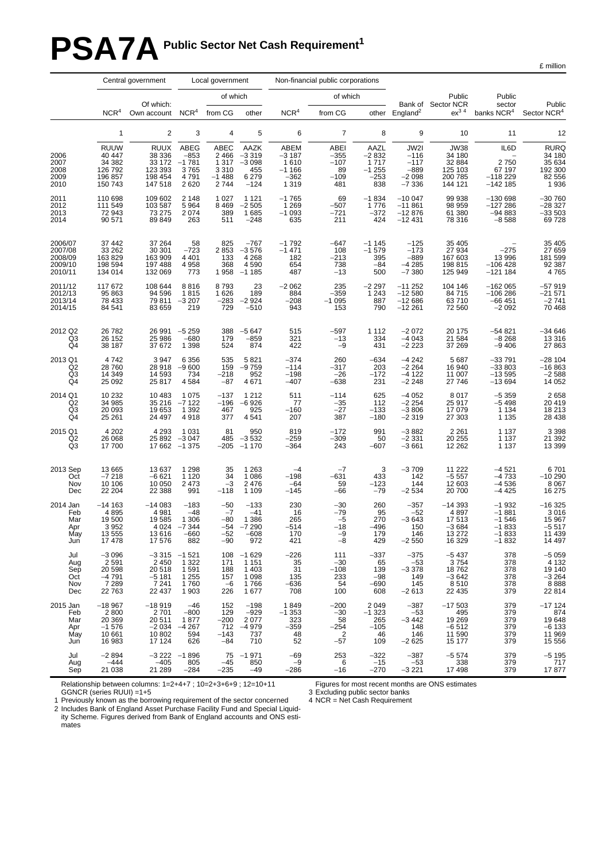# PSA7A Public Sector Net Cash Requirement<sup>1</sup>

£ million

|                                                     | Central government<br>Local government                           |                                                                                            |                                                        | Non-financial public corporations                        |                                                          |                                                                |                                                            |                                                     |                                                          |                                                                  |                                                                |                                                              |
|-----------------------------------------------------|------------------------------------------------------------------|--------------------------------------------------------------------------------------------|--------------------------------------------------------|----------------------------------------------------------|----------------------------------------------------------|----------------------------------------------------------------|------------------------------------------------------------|-----------------------------------------------------|----------------------------------------------------------|------------------------------------------------------------------|----------------------------------------------------------------|--------------------------------------------------------------|
|                                                     |                                                                  | Of which:                                                                                  |                                                        | of which                                                 |                                                          |                                                                | of which                                                   |                                                     |                                                          | Public<br>Bank of Sector NCR                                     | Public<br>sector                                               | Public                                                       |
|                                                     | NCR <sup>4</sup>                                                 | Own account                                                                                | NCR <sup>4</sup>                                       | from CG                                                  | other                                                    | NCR <sup>4</sup>                                               | from CG                                                    |                                                     | other England <sup>2</sup>                               | $ex^3$ <sup>4</sup>                                              | banks NCR <sup>4</sup>                                         | Sector NCR <sup>4</sup>                                      |
|                                                     | $\mathbf{1}$                                                     | $\sqrt{2}$                                                                                 | 3                                                      | 4                                                        | 5                                                        | 6                                                              | $\overline{7}$                                             | 8                                                   | 9                                                        | 10                                                               | 11                                                             | 12                                                           |
| 2006<br>2007<br>2008<br>2009<br>2010                | <b>RUUW</b><br>40 447<br>34 382<br>126 792<br>196 857<br>150 743 | <b>RUUX</b><br>38 336<br>33 172<br>123 393<br>198 454<br>147 518                           | ABEG<br>$-853$<br>$-1781$<br>3765<br>4791<br>2620      | ABEC<br>2 4 6 6<br>1 3 1 7<br>3 3 1 0<br>$-1488$<br>2744 | AAZK<br>$-3319$<br>$-3098$<br>455<br>6 2 7 9<br>$-124$   | <b>ABEM</b><br>$-3187$<br>1610<br>$-1166$<br>$-362$<br>1 3 1 9 | <b>ABEI</b><br>$-355$<br>$-107$<br>89<br>$-109$<br>481     | AAZL<br>$-2832$<br>1717<br>$-1255$<br>$-253$<br>838 | JW2I<br>$-116$<br>$-117$<br>$-889$<br>$-2098$<br>$-7336$ | <b>JW38</b><br>34 180<br>32 884<br>125 103<br>200 785<br>144 121 | IL6D<br>2750<br>67 197<br>$-118229$<br>$-142$ 185              | <b>RURQ</b><br>34 180<br>35 634<br>192 300<br>82 556<br>1936 |
| 2011<br>2012<br>2013<br>2014                        | 110 698<br>111 549<br>72 943<br>90 571                           | 109 602<br>103 587<br>73 275<br>89 849                                                     | 2 1 4 8<br>5 9 64<br>2 0 7 4<br>263                    | 1 0 2 7<br>8 4 6 9<br>389<br>511                         | 1 1 2 1<br>$-2505$<br>1 685<br>$-248$                    | $-1765$<br>$1269$<br>$-1093$<br>635                            | 69<br>$-507$<br>$-721$<br>211                              | $-1834$<br>1776<br>$-372$<br>424                    | $-10047$<br>$-11861$<br>$-12876$<br>$-12431$             | 99 938<br>98 959<br>61 380<br>78 316                             | $-130698$<br>$-127286$<br>$-94883$<br>$-8588$                  | $-30760$<br>$-28327$<br>$-33503$<br>69728                    |
| 2006/07<br>2007/08<br>2008/09<br>2009/10<br>2010/11 | 37 442<br>33 26 2<br>163829<br>198 594<br>134 014                | 37 264<br>30 301<br>163 909<br>197 488<br>132 069                                          | 58<br>$-723$<br>4 4 0 1<br>4958<br>773                 | 825<br>2853<br>133<br>368<br>1958                        | $-767$<br>$-3576$<br>4 2 6 8<br>4590<br>$-1185$          | $-1792$<br>$-1471$<br>182<br>654<br>487                        | $-647$<br>108<br>$-213$<br>738<br>$-13$                    | $-1145$<br>$-1579$<br>395<br>$-84$<br>500           | $-125$<br>$-173$<br>$-889$<br>$-4285$<br>$-7380$         | 35 405<br>27 934<br>167 603<br>198 815<br>125 949                | $-275$<br>13 996<br>$-106428$<br>$-121184$                     | 35 405<br>27 659<br>181 599<br>92 387<br>4765                |
| 2011/12<br>2012/13<br>2013/14<br>2014/15            | 117672<br>95 863<br>78 433<br>84 541                             | 108 644<br>94 596<br>79811<br>83 659                                                       | 8816<br>1815<br>$-3207$<br>219                         | 8793<br>1 6 2 6<br>$-283$<br>729                         | 23<br>189<br>$-2924$<br>$-510$                           | $-2062$<br>884<br>$-208$<br>943                                | 235<br>$-359$<br>$-1095$<br>153                            | $-2297$<br>1 2 4 3<br>887<br>790                    | $-11252$<br>$-12580$<br>$-12686$<br>$-12261$             | 104 146<br>84 715<br>63710<br>72 560                             | $-162065$<br>$-106286$<br>$-66451$<br>$-2092$                  | -57 919<br>-21 571<br>$-2741$<br>70 468                      |
| 2012 Q2<br>$^{Q3}_{Q4}$                             | 26782<br>26 152<br>38 187                                        | 26 991<br>25 986<br>37 672                                                                 | $-5259$<br>$-680$<br>1 3 9 8                           | 388<br>179<br>524                                        | $-5647$<br>$-859$<br>874                                 | 515<br>321<br>422                                              | $-597$<br>$-13$<br>$-9$                                    | 1 1 1 2<br>334<br>431                               | $-2072$<br>$-4043$<br>$-2\,223$                          | 20 175<br>21 584<br>37 269                                       | $-54821$<br>$-8268$<br>$-9406$                                 | $-34646$<br>13 316<br>27 863                                 |
| 2013 Q1<br>Q2<br>Q3<br>Q4                           | 4742<br>28760<br>14 349<br>25 092                                | 3 9 4 7<br>28 918<br>14 593<br>25 817                                                      | 6 3 5 6<br>$-9600$<br>734<br>4 5 8 4                   | 535<br>159<br>$-218$<br>$-87$                            | 5821<br>$-9759$<br>952<br>4671                           | $-374$<br>$-114$<br>$-198$<br>$-407$                           | 260<br>$-317$<br>$-26$<br>$-638$                           | $-634$<br>203<br>$-172$<br>231                      | $-4242$<br>$-2264$<br>$-4122$<br>$-2248$                 | 5 6 8 7<br>16 940<br>11 007<br>27 746                            | $-33791$<br>$-33803$<br>$-13595$<br>$-13694$                   | $-281104$<br>$-16863$<br>$-2588$<br>14 052                   |
| 2014 Q1<br>Q <sub>2</sub><br>Q3<br>Q4               | 10 232<br>34 985<br>20 093<br>25 261                             | 10 483<br>35 216<br>19 653<br>24 497                                                       | 1 0 7 5<br>$-7122$<br>1 3 9 2<br>4918                  | $-137$<br>$-196$<br>467<br>377                           | 1 2 1 2<br>$-6926$<br>925<br>4541                        | 511<br>77<br>$-160$<br>207                                     | $-114$<br>$-35$<br>$-27$<br>387                            | 625<br>112<br>$-133$<br>$-180$                      | $-4052$<br>$-2254$<br>$-3806$<br>$-2319$                 | 8 0 1 7<br>25 917<br>17 079<br>27 303                            | $-5359$<br>$-5498$<br>1 1 3 4<br>1 1 3 5                       | 2 658<br>20 419<br>18 213<br>28 4 38                         |
| 2015 Q1<br>Q <sub>2</sub><br>Q3                     | 4 2 0 2<br>26 068<br>17700                                       | 4 2 9 3<br>25 892<br>17 662                                                                | 1 0 3 1<br>$-3047$<br>$-1.375$                         | 81<br>485<br>$-205$                                      | 950<br>$-3532$<br>$-1170$                                | 819<br>$-259$<br>$-364$                                        | $-172$<br>$-309$<br>243                                    | 991<br>50<br>$-607$                                 | $-3882$<br>$-2331$<br>$-3661$                            | 2 2 6 1<br>20 255<br>12 262                                      | 1 1 3 7<br>1 1 3 7<br>1 1 3 7                                  | 3 398<br>21 392<br>13 399                                    |
| 2013 Sep<br>Oct<br>Nov<br>Dec                       | 13 665<br>$-7218$<br>10 10 6<br>22 204                           | 13 637<br>$-6621$<br>10 050<br>22 388                                                      | 1 2 9 8<br>1 1 2 0<br>2 4 7 3<br>991                   | 35<br>34<br>$-3$<br>$-118$                               | 1 2 6 3<br>1 0 8 6<br>2 4 7 6<br>1 1 0 9                 | $-4$<br>$-198$<br>$-64$<br>$-145$                              | $-7$<br>$-631$<br>59<br>$-66$                              | 3<br>433<br>$-123$<br>$-79$                         | $-3709$<br>142<br>144<br>$-2534$                         | 11 222<br>-5 557<br>12 603<br>20 700                             | $-4$ 521<br>$-4$ 733<br>$-4536$<br>$-4425$                     | 6701<br>$-10290$<br>8 0 6 7<br>16 275                        |
| 2014 Jan<br>Feb<br>Mar<br>Apr<br>May<br>Jun         | $-14163$<br>4895<br>19500<br>3952<br>13 555<br>17478             | $-14083$<br>4 9 8 1<br>19585<br>4 0 24<br>13 616<br>17 576                                 | $-183$<br>$-48$<br>1 3 0 6<br>$-7344$<br>$-660$<br>882 | $-50$<br>$-7$<br>$-80$<br>$-54$<br>$-52$<br>$-90$        | $-133$<br>$-41$<br>1 3 8 6<br>$-7290$<br>$-608$<br>972   | 230<br>16<br>265<br>$-514$<br>170<br>421                       | -30<br>-79<br>$-5$<br>$-18$<br>$-9$<br>-8                  | 260<br>95<br>270<br>$-496$<br>179<br>429            | $-357$<br>$-52$<br>$-3643$<br>150<br>146<br>$-2550$      | $-14393$<br>4897<br>17513<br>-3 684<br>13 27 2<br>16 329         | $-1932$<br>$-1881$<br>$-1546$<br>$-1833$<br>$-1833$<br>$-1832$ | $-16325$<br>$3016$<br>15 967<br>$-5517$<br>11 439<br>14 497  |
| Jul<br>Aug<br>Sep<br>Oct<br>Nov<br>Dec              | $-3096$<br>2 5 9 1<br>20 598<br>$-4791$<br>7 2 8 9<br>22763      | $-3315$<br>2 4 5 0<br>20 518<br>$-5181$<br>7 2 4 1<br>22 437                               | $-1521$<br>1 3 2 2<br>1591<br>1255<br>1760<br>1 903    | 108<br>171<br>188<br>157<br>$-6$<br>226                  | $-1629$<br>1 1 5 1<br>1 4 0 3<br>1 0 9 8<br>1766<br>1677 | $-226$<br>35<br>31<br>135<br>$-636$<br>708                     | 111<br>$-30$<br>$-108$<br>233<br>54<br>100                 | $-337$<br>65<br>139<br>$-98$<br>$-690$<br>608       | $-375$<br>$-53$<br>$-3378$<br>149<br>145<br>$-2613$      | $-5437$<br>3754<br>18762<br>$-3642$<br>8510<br>22 435            | 378<br>378<br>378<br>378<br>378<br>379                         | $-5059$<br>$4132$<br>$19140$<br>$-3264$<br>$8888$<br>$22814$ |
| 2015 Jan<br>Feb<br>Mar<br>Apr<br>May<br>Jun         | $-18967$<br>2800<br>20 369<br>$-1576$<br>10 661<br>16 983        | $-18919$<br>2701<br>$\begin{array}{r} 20,511 \\ -2,034 \\ 10,802 \\ \end{array}$<br>17 124 | $-46$<br>$-800$<br>1877<br>$-4267$<br>594<br>626       | 152<br>129<br>$-200$<br>712<br>$-143$<br>$-84$           | $-198$<br>$-929$<br>2 0 7 7<br>$-4979$<br>737<br>710     | 1849<br>$-1353$<br>323<br>$-359$<br>48<br>52                   | $-200$<br>$-30$<br>58<br>$-254$<br>$\overline{2}$<br>$-57$ | 2049<br>$-1323$<br>265<br>$-105$<br>46<br>109       | $-387$<br>-53<br>$-3442$<br>148<br>146<br>$-2625$        | $-17503$<br>495<br>19 26 9<br>$-6512$<br>11 590<br>15 177        | 379<br>379<br>379<br>379<br>379<br>379                         | $-17124$<br>874<br>$19648$<br>-6 133<br>11 969<br>15 556     |
| Jul<br>Aug<br>Sep                                   | $-2894$<br>$-444$<br>21 038                                      | $-3222$<br>$-405$<br>21 289                                                                | $-1896$<br>805<br>$-284$                               | 75<br>$-45$<br>$-235$                                    | $-1971$<br>850<br>$-49$                                  | -69<br>$-9$<br>$-286$                                          | 253<br>6<br>$-16$                                          | $-322$<br>$-15$<br>$-270$                           | $-387$<br>$-53$<br>$-3221$                               | $-5574$<br>338<br>17 498                                         | 379<br>379<br>379                                              | $-5195$<br>717<br>17 877                                     |

Relationship between columns: 1=2+4+7 ; 10=2+3+6+9 ; 12=10+11 GGNCR (series RUUI) =1+5

Figures for most recent months are ONS estimates

3 Excluding public sector banks 4 NCR = Net Cash Requirement

1 Previously known as the borrowing requirement of the sector concerned 2 Includes Bank of England Asset Purchase Facility Fund and Special Liquidity Scheme. Figures derived from Bank of England accounts and ONS estimates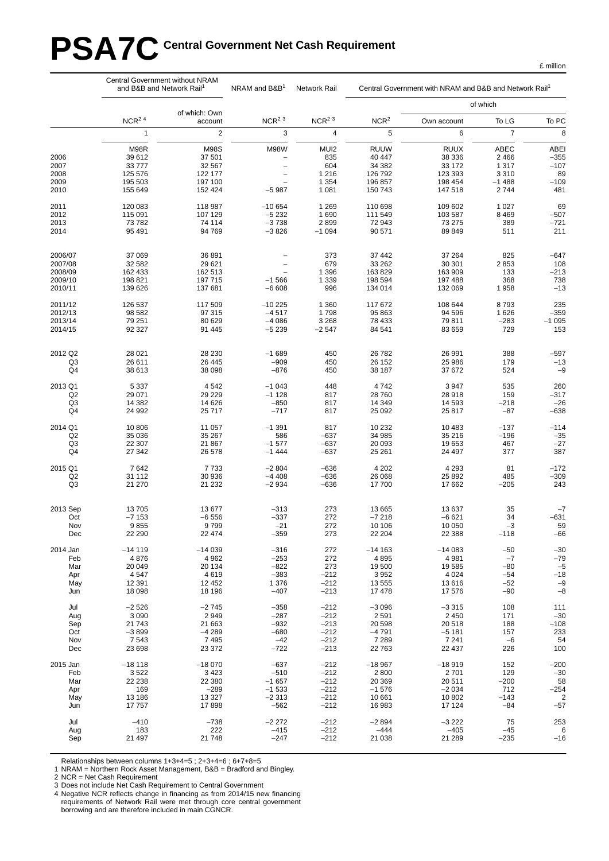# PSA7C Central Government Net Cash Requirement

|                                                     | Central Government without NRAM<br>and B&B and Network Rail <sup>1</sup> |                                                                  | NRAM and B&B <sup>1</sup>                                                           | Network Rail                                        |                                                                  | Central Government with NRAM and B&B and Network Rail <sup>1</sup> |                                                          | To PC<br>8<br><b>ABEI</b><br>$-355$<br>$-107$<br>89<br>$-109$<br>481<br>69<br>$-507$<br>$-721$<br>211<br>$-647$<br>108<br>$-213$<br>738<br>$-13$<br>235<br>$-359$<br>$-1095$<br>153<br>-597<br>$-13$<br>$-9$<br>260<br>$-317$<br>$-26$<br>$-638$ |  |  |  |
|-----------------------------------------------------|--------------------------------------------------------------------------|------------------------------------------------------------------|-------------------------------------------------------------------------------------|-----------------------------------------------------|------------------------------------------------------------------|--------------------------------------------------------------------|----------------------------------------------------------|--------------------------------------------------------------------------------------------------------------------------------------------------------------------------------------------------------------------------------------------------|--|--|--|
|                                                     |                                                                          | of which: Own                                                    |                                                                                     |                                                     |                                                                  |                                                                    | of which                                                 |                                                                                                                                                                                                                                                  |  |  |  |
|                                                     | $NCR2$ <sup>4</sup>                                                      | account                                                          | $NCR2$ <sup>3</sup>                                                                 | $NCR2$ <sup>3</sup>                                 | NCR <sup>2</sup>                                                 | Own account                                                        | To LG                                                    |                                                                                                                                                                                                                                                  |  |  |  |
|                                                     | $\mathbf{1}$                                                             | $\sqrt{2}$                                                       | 3                                                                                   | $\overline{4}$                                      | 5                                                                | 6                                                                  | $\overline{7}$                                           |                                                                                                                                                                                                                                                  |  |  |  |
| 2006<br>2007<br>2008<br>2009<br>2010                | M98R<br>39 612<br>33777<br>125 576<br>195 503<br>155 649                 | <b>M98S</b><br>37 501<br>32 567<br>122 177<br>197 100<br>152 424 | <b>M98W</b><br>-<br>$\overline{\phantom{0}}$<br>$\overline{\phantom{0}}$<br>$-5987$ | MUI2<br>835<br>604<br>1 2 1 6<br>1 3 5 4<br>1 0 8 1 | <b>RUUW</b><br>40 447<br>34 382<br>126 792<br>196 857<br>150 743 | <b>RUUX</b><br>38 336<br>33 172<br>123 393<br>198 454<br>147 518   | ABEC<br>2 4 6 6<br>1 3 1 7<br>3 3 1 0<br>$-1488$<br>2744 |                                                                                                                                                                                                                                                  |  |  |  |
| 2011                                                | 120 083                                                                  | 118 987                                                          | $-10654$                                                                            | 1 2 6 9                                             | 110 698                                                          | 109 602                                                            | 1 0 2 7                                                  |                                                                                                                                                                                                                                                  |  |  |  |
| 2012                                                | 115 091                                                                  | 107 129                                                          | $-5232$                                                                             | 1690                                                | 111 549                                                          | 103 587                                                            | 8 4 6 9                                                  |                                                                                                                                                                                                                                                  |  |  |  |
| 2013                                                | 73 782                                                                   | 74 114                                                           | $-3738$                                                                             | 2899                                                | 72 943                                                           | 73 275                                                             | 389                                                      |                                                                                                                                                                                                                                                  |  |  |  |
| 2014                                                | 95 491                                                                   | 94 769                                                           | $-3826$                                                                             | $-1094$                                             | 90 571                                                           | 89 849                                                             | 511                                                      |                                                                                                                                                                                                                                                  |  |  |  |
| 2006/07<br>2007/08<br>2008/09<br>2009/10<br>2010/11 | 37 069<br>32 582<br>162 433<br>198 821<br>139 626                        | 36 891<br>29 621<br>162 513<br>197 715<br>137 681                | $\overline{\phantom{0}}$<br>$\overline{\phantom{0}}$<br>$-1566$<br>$-6608$          | 373<br>679<br>1 3 9 6<br>1 3 3 9<br>996             | 37 442<br>33 262<br>163829<br>198 594<br>134 014                 | 37 264<br>30 301<br>163 909<br>197 488<br>132 069                  | 825<br>2853<br>133<br>368<br>1958                        |                                                                                                                                                                                                                                                  |  |  |  |
| 2011/12                                             | 126 537                                                                  | 117 509                                                          | $-10225$                                                                            | 1 3 6 0                                             | 117 672                                                          | 108 644                                                            | 8793                                                     |                                                                                                                                                                                                                                                  |  |  |  |
| 2012/13                                             | 98 582                                                                   | 97 315                                                           | $-4517$                                                                             | 1798                                                | 95 863                                                           | 94 596                                                             | 1626                                                     |                                                                                                                                                                                                                                                  |  |  |  |
| 2013/14                                             | 79 251                                                                   | 80 629                                                           | $-4086$                                                                             | 3 2 6 8                                             | 78 433                                                           | 79 811                                                             | $-283$                                                   |                                                                                                                                                                                                                                                  |  |  |  |
| 2014/15                                             | 92 327                                                                   | 91 445                                                           | $-5239$                                                                             | $-2547$                                             | 84 541                                                           | 83 659                                                             | 729                                                      |                                                                                                                                                                                                                                                  |  |  |  |
| 2012 Q2                                             | 28 0 21                                                                  | 28 230                                                           | $-1689$                                                                             | 450                                                 | 26 782                                                           | 26 991                                                             | 388                                                      |                                                                                                                                                                                                                                                  |  |  |  |
| Q3                                                  | 26 611                                                                   | 26 445                                                           | $-909$                                                                              | 450                                                 | 26 152                                                           | 25 986                                                             | 179                                                      |                                                                                                                                                                                                                                                  |  |  |  |
| Q4                                                  | 38 613                                                                   | 38 098                                                           | $-876$                                                                              | 450                                                 | 38 187                                                           | 37 672                                                             | 524                                                      |                                                                                                                                                                                                                                                  |  |  |  |
| 2013 Q1                                             | 5 3 3 7                                                                  | 4 5 4 2                                                          | $-1043$                                                                             | 448                                                 | 4742                                                             | 3 9 4 7                                                            | 535                                                      |                                                                                                                                                                                                                                                  |  |  |  |
| Q <sub>2</sub>                                      | 29 071                                                                   | 29 229                                                           | $-1128$                                                                             | 817                                                 | 28 760                                                           | 28 918                                                             | 159                                                      |                                                                                                                                                                                                                                                  |  |  |  |
| Q3                                                  | 14 3 8 2                                                                 | 14 626                                                           | $-850$                                                                              | 817                                                 | 14 349                                                           | 14 5 9 3                                                           | $-218$                                                   |                                                                                                                                                                                                                                                  |  |  |  |
| Q4                                                  | 24 992                                                                   | 25 717                                                           | $-717$                                                                              | 817                                                 | 25 092                                                           | 25 817                                                             | $-87$                                                    |                                                                                                                                                                                                                                                  |  |  |  |
| 2014 Q1                                             | 10 806                                                                   | 11 057                                                           | $-1391$                                                                             | 817                                                 | 10 232                                                           | 10 483                                                             | $-137$                                                   | $-114$                                                                                                                                                                                                                                           |  |  |  |
| Q <sub>2</sub>                                      | 35 036                                                                   | 35 267                                                           | 586                                                                                 | $-637$                                              | 34 985                                                           | 35 216                                                             | $-196$                                                   | $-35$                                                                                                                                                                                                                                            |  |  |  |
| Q <sub>3</sub>                                      | 22 307                                                                   | 21 867                                                           | $-1577$                                                                             | $-637$                                              | 20 093                                                           | 19 653                                                             | 467                                                      | $-27$                                                                                                                                                                                                                                            |  |  |  |
| Q4                                                  | 27 342                                                                   | 26 578                                                           | $-1444$                                                                             | $-637$                                              | 25 261                                                           | 24 497                                                             | 377                                                      | 387                                                                                                                                                                                                                                              |  |  |  |
| 2015 Q1                                             | 7642                                                                     | 7733                                                             | $-2804$                                                                             | $-636$                                              | 4 202                                                            | 4 2 9 3                                                            | 81                                                       | $-172$                                                                                                                                                                                                                                           |  |  |  |
| Q <sub>2</sub>                                      | 31 112                                                                   | 30 936                                                           | $-4408$                                                                             | $-636$                                              | 26 068                                                           | 25 8 9 2                                                           | 485                                                      | $-309$                                                                                                                                                                                                                                           |  |  |  |
| Q3                                                  | 21 270                                                                   | 21 232                                                           | $-2934$                                                                             | $-636$                                              | 17700                                                            | 17 662                                                             | $-205$                                                   | 243                                                                                                                                                                                                                                              |  |  |  |
| 2013 Sep                                            | 13705                                                                    | 13 677                                                           | $-313$                                                                              | 273                                                 | 13 6 65                                                          | 13 637                                                             | 35                                                       | $-7$                                                                                                                                                                                                                                             |  |  |  |
| Oct                                                 | $-7153$                                                                  | $-6556$                                                          | $-337$                                                                              | 272                                                 | $-7218$                                                          | $-6621$                                                            | 34                                                       | -631                                                                                                                                                                                                                                             |  |  |  |
| Nov                                                 | 9855                                                                     | 9799                                                             | $-21$                                                                               | 272                                                 | 10 10 6                                                          | 10 050                                                             | $-3$                                                     | 59                                                                                                                                                                                                                                               |  |  |  |
| Dec                                                 | 22 290                                                                   | 22 474                                                           | -359                                                                                | 273                                                 | 22 204                                                           | 22 388                                                             | $-118$                                                   | -66                                                                                                                                                                                                                                              |  |  |  |
| 2014 Jan                                            | $-14119$                                                                 | $-14039$                                                         | $-316$                                                                              | 272                                                 | $-14163$                                                         | $-14083$                                                           | $-50$                                                    | $-30$                                                                                                                                                                                                                                            |  |  |  |
| Feb                                                 | 4876                                                                     | 4 9 6 2                                                          | $-253$                                                                              | 272                                                 | 4895                                                             | 4 9 8 1                                                            | $-7$                                                     | $-79$                                                                                                                                                                                                                                            |  |  |  |
| Mar                                                 | 20 049                                                                   | 20 134                                                           | $-822$                                                                              | 273                                                 | 19 500                                                           | 19585                                                              | $-80$                                                    | $-5$                                                                                                                                                                                                                                             |  |  |  |
| Apr                                                 | 4547                                                                     | 4619                                                             | $-383$                                                                              | $-212$                                              | 3 9 5 2                                                          | 4 0 24                                                             | $-54$                                                    | $-18$                                                                                                                                                                                                                                            |  |  |  |
| May                                                 | 12 3 9 1                                                                 | 12 452                                                           | 1 376                                                                               | $-212$                                              | 13 555                                                           | 13616                                                              | $-52$                                                    | $-9$                                                                                                                                                                                                                                             |  |  |  |
| Jun                                                 | 18 098                                                                   | 18 196                                                           | $-407$                                                                              | $-213$                                              | 17 478                                                           | 17 576                                                             | $-90$                                                    | $-\bf 8$                                                                                                                                                                                                                                         |  |  |  |
| Jul                                                 | $-2526$                                                                  | $-2745$                                                          | $-358$                                                                              | $-212$                                              | $-3096$                                                          | $-3315$                                                            | 108                                                      | 111                                                                                                                                                                                                                                              |  |  |  |
| Aug                                                 | 3 0 9 0                                                                  | 2949                                                             | $-287$                                                                              | $-212$                                              | 2 5 9 1                                                          | 2 4 5 0                                                            | 171                                                      | $-30$                                                                                                                                                                                                                                            |  |  |  |
| Sep                                                 | 21 743                                                                   | 21 663                                                           | $-932$                                                                              | $-213$                                              | 20 598                                                           | 20 518                                                             | 188                                                      | $-108$                                                                                                                                                                                                                                           |  |  |  |
| Oct                                                 | $-3899$                                                                  | $-4289$                                                          | $-680$                                                                              | $-212$                                              | $-4791$                                                          | $-5181$                                                            | 157                                                      | 233                                                                                                                                                                                                                                              |  |  |  |
| Nov                                                 | 7 5 4 3                                                                  | 7495                                                             | $-42$                                                                               | $-212$                                              | 7 2 8 9                                                          | 7 2 4 1                                                            | $-6$                                                     | 54                                                                                                                                                                                                                                               |  |  |  |
| Dec                                                 | 23 698                                                                   | 23 372                                                           | $-722$                                                                              | $-213$                                              | 22 763                                                           | 22 437                                                             | 226                                                      | 100                                                                                                                                                                                                                                              |  |  |  |
| 2015 Jan                                            | $-18118$                                                                 | $-18070$                                                         | $-637$                                                                              | $-212$                                              | $-18967$                                                         | $-18919$                                                           | 152                                                      | $-200$                                                                                                                                                                                                                                           |  |  |  |
| Feb                                                 | 3522                                                                     | 3 4 2 3                                                          | $-510$                                                                              | $-212$                                              | 2800                                                             | 2701                                                               | 129                                                      | $-30$                                                                                                                                                                                                                                            |  |  |  |
| Mar                                                 | 22 238                                                                   | 22 380                                                           | $-1657$                                                                             | $-212$                                              | 20 369                                                           | 20 511                                                             | $-200$                                                   | 58                                                                                                                                                                                                                                               |  |  |  |
| Apr                                                 | 169                                                                      | $-289$                                                           | $-1533$                                                                             | $-212$                                              | $-1576$                                                          | $-2034$                                                            | 712                                                      | $-254$                                                                                                                                                                                                                                           |  |  |  |
| May                                                 | 13 186                                                                   | 13 327                                                           | $-2313$                                                                             | $-212$                                              | 10 661                                                           | 10 802                                                             | $-143$                                                   | $\overline{\mathbf{c}}$                                                                                                                                                                                                                          |  |  |  |
| Jun                                                 | 17757                                                                    | 17898                                                            | $-562$                                                                              | $-212$                                              | 16 983                                                           | 17 124                                                             | $-84$                                                    | $-57$                                                                                                                                                                                                                                            |  |  |  |
| Jul                                                 | $-410$                                                                   | $-738$                                                           | $-2272$                                                                             | $-212$                                              | $-2894$                                                          | $-3222$                                                            | 75                                                       | 253                                                                                                                                                                                                                                              |  |  |  |
| Aug                                                 | 183                                                                      | 222                                                              | $-415$                                                                              | $-212$                                              | $-444$                                                           | $-405$                                                             | $-45$                                                    | 6                                                                                                                                                                                                                                                |  |  |  |
| Sep                                                 | 21 497                                                                   | 21 748                                                           | $-247$                                                                              | $-212$                                              | 21 038                                                           | 21 289                                                             | $-235$                                                   | $-16$                                                                                                                                                                                                                                            |  |  |  |

Relationships between columns 1+3+4=5 ; 2+3+4=6 ; 6+7+8=5

1 NRAM = Northern Rock Asset Management, B&B = Bradford and Bingley.

2 NCR = Net Cash Requirement

3 Does not include Net Cash Requirement to Central Government

4 Negative NCR reflects change in financing as from 2014/15 new financing requirements of Network Rail were met through core central government borrowing and are therefore included in main CGNCR.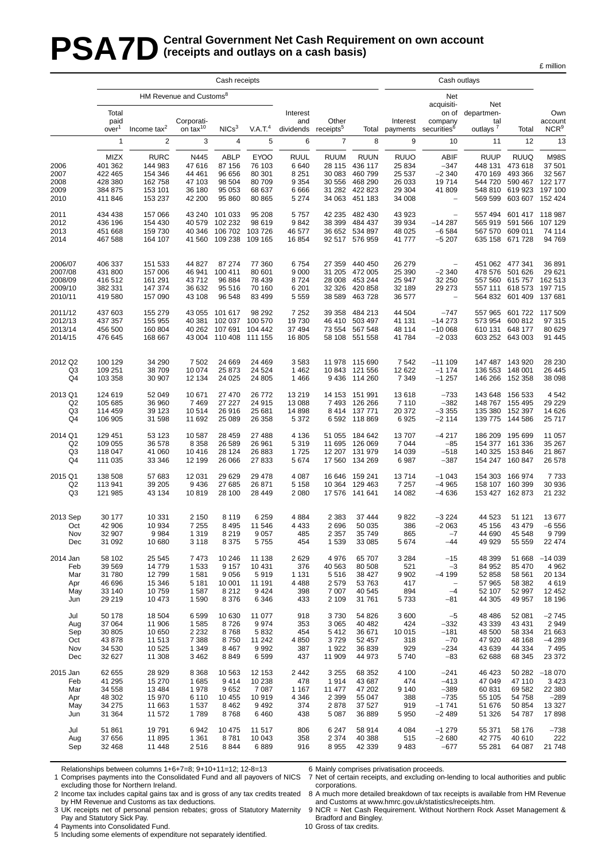# **PSA7D** Central Government Net Cash Requirement on own account (receipts and outlays on a cash basis) **(receipts and outlays on a cash basis)**

|                    | Cash receipts             |                    |                                     |                        |                            |                    |                                |                    |                      | Cash outlays                         |                             |                                    |                             |
|--------------------|---------------------------|--------------------|-------------------------------------|------------------------|----------------------------|--------------------|--------------------------------|--------------------|----------------------|--------------------------------------|-----------------------------|------------------------------------|-----------------------------|
|                    |                           |                    | HM Revenue and Customs <sup>8</sup> |                        |                            |                    |                                |                    |                      | Net                                  |                             |                                    |                             |
|                    | Total                     |                    |                                     |                        |                            | Interest           |                                |                    |                      | acquisiti-<br>on of                  | Net<br>departmen-           |                                    | Own                         |
|                    | paid<br>over <sup>1</sup> | Income $tax^2$     | Corporati-<br>on tax $10$           | NICs <sup>3</sup>      | V.A.T. <sup>4</sup>        | and<br>dividends   | Other<br>receipts <sup>5</sup> | Total              | Interest<br>payments | company<br>securities <sup>6</sup>   | tal<br>outlays <sup>7</sup> | Total                              | account<br>NCR <sup>9</sup> |
|                    | $\mathbf{1}$              | $\overline{2}$     | 3                                   | $\overline{4}$         | 5                          | 6                  | $\overline{7}$                 | 8                  | 9                    | 10                                   | 11                          | 12                                 | 13                          |
|                    | MIZX                      | <b>RURC</b>        | N445                                | <b>ABLP</b>            | <b>EYOO</b>                | <b>RUUL</b>        | <b>RUUM</b>                    | <b>RUUN</b>        | <b>RUUO</b>          | <b>ABIF</b>                          | <b>RUUP</b>                 | <b>RUUQ</b>                        | <b>M98S</b>                 |
| 2006               | 401 362                   | 144 983            | 47 616                              | 87 156                 | 76 103                     | 6640               | 28 115                         | 436 117            | 25 834               | $-347$                               | 448 131                     | 473618                             | 37 501                      |
| 2007<br>2008       | 422 465<br>428 380        | 154 346<br>162 758 | 44 461<br>47 103                    | 96 656<br>98 504       | 80 301<br>80 709           | 8 2 5 1<br>9 3 5 4 | 30 083<br>30 556               | 460 799<br>468 290 | 25 537<br>26 033     | $-2340$<br>19714                     | 470 169<br>544 720          | 493 366<br>590 467                 | 32 567<br>122 177           |
| 2009               | 384 875                   | 153 101            | 36 180                              | 95 053                 | 68 637                     | 6666               |                                | 31 282 422 823     | 29 304               | 41 809                               | 548 810                     | 619 923 197 100                    |                             |
| 2010               | 411 846                   | 153 237            | 42 200                              | 95 860                 | 80 865                     | 5 2 7 4            | 34 063                         | 451 183            | 34 008               | $\overline{\phantom{0}}$             | 569 599                     | 603 607 152 424                    |                             |
| 2011               | 434 438<br>436 196        | 157 066<br>154 430 | 43 240<br>40 579                    | 101 033<br>102 232     | 95 208<br>98 619           | 5757<br>9842       | 42 235<br>38 399               | 482 430<br>484 437 | 43 923<br>39 934     | $\overline{\phantom{0}}$<br>$-14287$ | 565 919                     | 557 494 601 417 118 987<br>591 566 | 107 129                     |
| 2012<br>2013       | 451 668                   | 159 730            | 40 346                              | 106 702                | 103 726                    | 46 577             |                                | 36 652 534 897     | 48 0 25              | $-6584$                              |                             | 567 570 609 011                    | 74 114                      |
| 2014               | 467 588                   | 164 107            | 41 560                              | 109 238                | 109 165                    | 16854              |                                | 92 517 576 959     | 41 777               | $-5207$                              |                             | 635 158 671 728                    | 94 769                      |
| 2006/07            | 406 337                   | 151 533            | 44 827                              | 87 274                 | 77 360                     | 6754               | 27 359                         | 440 450            | 26 279               |                                      |                             | 451 062 477 341                    | 36 891                      |
| 2007/08            | 431 800                   | 157 006            | 46 941                              | 100 411                | 80 601                     | 9 0 0 0            | 31 205                         | 472 005            | 25 390               | $-2340$                              | 478 576                     | 501 626                            | 29 621                      |
| 2008/09<br>2009/10 | 416 512<br>382 331        | 161 291<br>147 374 | 43712<br>36 632                     | 96 884<br>95 516       | 78 439<br>70 160           | 8724<br>6 201      | 28 008<br>32 326               | 453 244<br>420 858 | 25 947<br>32 189     | 32 250<br>29 273                     |                             | 557 560 615 757<br>557 111 618 573 | 162 513<br>197 715          |
| 2010/11            | 419580                    | 157 090            | 43 108                              | 96 548                 | 83 499                     | 5 5 5 9            | 38 589                         | 463728             | 36 577               | $\overline{\phantom{0}}$             |                             | 564 832 601 409                    | 137 681                     |
| 2011/12            | 437 603                   | 155 279            | 43 055                              | 101 617                | 98 29 2                    | 7 2 5 2            | 39 358                         | 484 213            | 44 504               | $-747$                               | 557 965                     | 601 722 117 509                    |                             |
| 2012/13<br>2013/14 | 437 357<br>456 500        | 155 955<br>160 804 | 40 381<br>40 262                    | 107 691                | 102 037 100 570<br>104 442 | 19730<br>37 494    | 46 410<br>73 554               | 503 497<br>567 548 | 41 131<br>48 114     | $-14273$<br>$-100068$                | 573 954<br>610 131          | 600 812<br>648 177                 | 97 315<br>80 629            |
| 2014/15            | 476 645                   | 168 667            |                                     | 43 004 110 408 111 155 |                            | 16 805             |                                | 58 108 551 558     | 41784                | $-2033$                              |                             | 603 252 643 003                    | 91 445                      |
| 2012 Q2            | 100 129                   | 34 290             | 7 5 0 2                             | 24 669                 | 24 4 69                    | 3583               |                                | 11 978 115 690     | 7542                 | $-111109$                            |                             | 147 487 143 920                    | 28 230                      |
| Q3                 | 109 251                   | 38 709             | 10 074                              | 25 873                 | 24 5 24                    | 1 4 6 2            | 10 843                         | 121 556            | 12 622               | $-1174$                              | 136 553                     | 148 001                            | 26 445                      |
| Q4                 | 103 358                   | 30 907             | 12 134                              | 24 0 25                | 24 805                     | 1466               | 9436                           | 114 260            | 7 3 4 9              | $-1257$                              | 146 266                     | 152 358                            | 38 098                      |
| 2013 Q1            | 124 619                   | 52 049             | 10 671                              | 27 470                 | 26 772                     | 13 219             | 14 153                         | 151 991            | 13618                | $-733$                               | 143 648                     | 156 533                            | 4 5 4 2                     |
| Q2<br>Q3           | 105 685<br>114 459        | 36 960<br>39 123   | 7469<br>10514                       | 27 227<br>26 916       | 24 915<br>25 681           | 13 088<br>14 8 98  | 7493<br>8414                   | 126 266<br>137 771 | 7 1 1 0<br>20 372    | $-382$<br>$-3355$                    | 148 767<br>135 380          | 155 495<br>152 397                 | 29 229<br>14 626            |
| Q <sub>4</sub>     | 106 905                   | 31 598             | 11 692                              | 25 089                 | 26 358                     | 5 3 7 2            |                                | 6 592 118 869      | 6925                 | $-2114$                              |                             | 139 775 144 586                    | 25 717                      |
| 2014 Q1            | 129 451                   | 53 123             | 10 587                              | 28 459                 | 27 488                     | 4 1 3 6            | 51 055                         | 184 642            | 13707                | $-4217$                              | 186 209                     | 195 699                            | 11 057                      |
| Q2<br>Q3           | 109 055<br>118 047        | 36 578<br>41 060   | 8 3 5 8<br>10416                    | 26 589<br>28 124       | 26 961<br>26 883           | 5 3 1 9<br>1725    | 11 695<br>12 207               | 126 069<br>131 979 | 7 0 4 4<br>14 039    | $-85$<br>$-518$                      | 140 325                     | 154 377 161 336<br>153846          | 35 267<br>21 867            |
| Q <sub>4</sub>     | 111 035                   | 33 346             | 12 199                              | 26 066                 | 27 833                     | 5674               |                                | 17 560 134 269     | 6987                 | $-387$                               |                             | 154 247 160 847                    | 26 578                      |
| 2015 Q1            | 138 508                   | 57 683             | 12 031                              | 29 6 29                | 29 4 78                    | 4 0 8 7            | 16 646                         | 159 241            | 13714                | $-1043$                              | 154 303                     | 166 974                            | 7733                        |
| Q <sub>2</sub>     | 113 941                   | 39 205             | 9436                                | 27 685                 | 26 871                     | 5 1 5 8            |                                | 10 364 129 463     | 7 2 5 7              | $-4965$                              |                             | 158 107 160 399                    | 30 936                      |
| Q3                 | 121 985                   | 43 134             | 10819                               | 28 100                 | 28 4 4 9                   | 2 0 8 0            |                                | 17 576 141 641     | 14 082               | $-4636$                              |                             | 153 427 162 873                    | 21 232                      |
| 2013 Sep           | 30 177                    | 10 331             | 2 1 5 0                             | 8 1 1 9                | 6 2 5 9                    | 4884               | 2 3 8 3                        | 37 444             | 9822                 | $-3224$                              | 44 523                      | 51 121                             | 13677                       |
| Oct<br>Nov         | 42 906<br>32 907          | 10 934<br>9984     | 7 2 5 5<br>1 3 1 9                  | 8 4 9 5<br>8 2 1 9     | 11 546<br>9057             | 4 4 3 3<br>485     | 2696<br>2 3 5 7                | 50 035<br>35 749   | 386<br>865           | $-2063$<br>$-7$                      | 45 156<br>44 690            | 43 4 79<br>45 548                  | $-6556$<br>9799             |
| Dec                | 31 092                    | 10 680             | 3 1 1 8                             | 8 3 7 5                | 5755                       | 454                | 1 5 3 9                        | 33 085             | 5 6 7 4              | -44                                  | 49 929                      | 55 559                             | 22 474                      |
| 2014 Jan           | 58 102                    | 25 545             | 7473                                | 10 246                 | 11 138                     | 2629               | 4976                           | 65 707             | 3 2 8 4              | $-15$                                | 48 399                      | 51 668                             | $-14039$                    |
| Feb                | 39 569                    | 14 779             | 1 5 3 3                             | 9 1 5 7                | 10 4 31                    | 376                | 40 563                         | 80 508             | 521                  | $-3$                                 | 84 952                      | 85 470                             | 4 9 6 2                     |
| Mar<br>Apr         | 31780<br>46 696           | 12799<br>15 346    | 1 5 8 1<br>5 1 8 1                  | 9 0 5 6<br>10 001      | 5919<br>11 191             | 1 1 3 1<br>4488    | 5516<br>2579                   | 38 427<br>53 763   | 9 9 0 2<br>417       | $-4199$<br>$\qquad \qquad -$         | 52 858<br>57 965            | 58 561<br>58 382                   | 20 134<br>4619              |
| May                | 33 140                    | 10759              | 1587                                | 8 2 1 2                | 9424                       | 398                | 7 0 0 7                        | 40 545             | 894                  | $-4$                                 | 52 107                      | 52 997                             | 12 452                      |
| Jun                | 29 219                    | 10 473             | 1 5 9 0                             | 8 3 7 6                | 6 3 4 6                    | 433                | 2 1 0 9                        | 31 761             | 5733                 | -81                                  | 44 30 5                     | 49 957                             | 18 196                      |
| Jul<br>Aug         | 50 178<br>37 064          | 18 504<br>11 906   | 6599<br>1585                        | 10 630<br>8726         | 11 077<br>9974             | 918<br>353         | 3730<br>3 0 6 5                | 54 826<br>40 482   | 3600<br>424          | $-5$<br>$-332$                       | 48 4 86<br>43 339           | 52 081<br>43 4 31                  | $-2745$<br>2949             |
| Sep                | 30 805                    | 10 650             | 2 2 3 2                             | 8768                   | 5832                       | 454                | 5412                           | 36 671             | 10 015               | $-181$                               | 48 500                      | 58 334                             | 21 663                      |
| Oct                | 43 878                    | 11 513             | 7 3 8 8                             | 8750                   | 11 242                     | 4850               | 3729                           | 52 457             | 318                  | $-70$                                | 47 920                      | 48 168                             | $-4289$                     |
| Nov<br>Dec         | 34 530<br>32 627          | 10 525<br>11 308   | 1 3 4 9<br>3 4 6 2                  | 8 4 6 7<br>8849        | 9992<br>6599               | 387<br>437         | 1922<br>11 909                 | 36 839<br>44 973   | 929<br>5740          | $-234$<br>$-83$                      | 43 639<br>62 688            | 44 334<br>68 345                   | 7 4 9 5<br>23 372           |
| 2015 Jan           | 62 655                    | 28 9 29            | 8 3 6 8                             | 10 563                 | 12 153                     | 2442               | 3 2 5 5                        | 68 352             | 4 100                | $-241$                               | 46 423                      |                                    | 50 282 -18 070              |
| Feb                | 41 295                    | 15 270             | 1685                                | 9414                   | 10 238                     | 478                | 1914                           | 43 687             | 474                  | $-413$                               | 47 049                      | 47 110                             | 3 4 2 3                     |
| Mar<br>Apr         | 34 558<br>48 302          | 13 4 84<br>15 970  | 1978<br>6 1 1 0                     | 9652<br>10 455         | 7 0 8 7<br>10919           | 1 1 6 7<br>4 3 4 6 | 11 477<br>2 3 9 9              | 47 202<br>55 047   | 9 1 4 0<br>388       | $-389$<br>$-735$                     | 60 831<br>55 105            | 69 582<br>54758                    | 22 380<br>$-289$            |
| May                | 34 275                    | 11 663             | 1537                                | 8 4 6 2                | 9 4 9 2                    | 374                | 2878                           | 37 527             | 919                  | $-1741$                              | 51 676                      | 50 854                             | 13 3 27                     |
| Jun                | 31 364                    | 11 572             | 1789                                | 8768                   | 6460                       | 438                | 5 0 8 7                        | 36 889             | 5 9 5 0              | $-2489$                              | 51 326                      | 54 787                             | 17898                       |
| Jul                | 51 861                    | 19791              | 6942                                | 10 475                 | 11 517                     | 806                | 6 2 4 7                        | 58 914             | 4 0 8 4              | $-1279$                              | 55 371                      | 58 176                             | $-738$                      |
| Aug<br>Sep         | 37 656<br>32 4 68         | 11 895<br>11 448   | 1 3 6 1<br>2516                     | 8781<br>8844           | 10 043<br>6889             | 358<br>916         | 2 3 7 4<br>8955                | 40 388<br>42 339   | 515<br>9483          | $-2680$<br>$-677$                    | 42775<br>55 281             | 40 610<br>64 087                   | 222<br>21 748               |
|                    |                           |                    |                                     |                        |                            |                    |                                |                    |                      |                                      |                             |                                    |                             |

Relationships between columns 1+6+7=8; 9+10+11=12; 12-8=13

1 Comprises payments into the Consolidated Fund and all payovers of NICS 6 Mainly comprises privatisation proceeds.

7 Net of certain receipts, and excluding on-lending to local authorities and public corporations.

excluding those for Northern Ireland. 2 Income tax includes capital gains tax and is gross of any tax credits treated by HM Revenue and Customs as tax deductions.

3 UK receipts net of personal pension rebates; gross of Statutory Maternity Pay and Statutory Sick Pay.

4 Payments into Consolidated Fund.

5 Including some elements of expenditure not separately identified.

8 A much more detailed breakdown of tax receipts is available from HM Revenue and Customs at www.hmrc.gov.uk/statistics/receipts.htm.

£ million

9 NCR = Net Cash Requirement. Without Northern Rock Asset Management & Bradford and Bingley.

10 Gross of tax credits.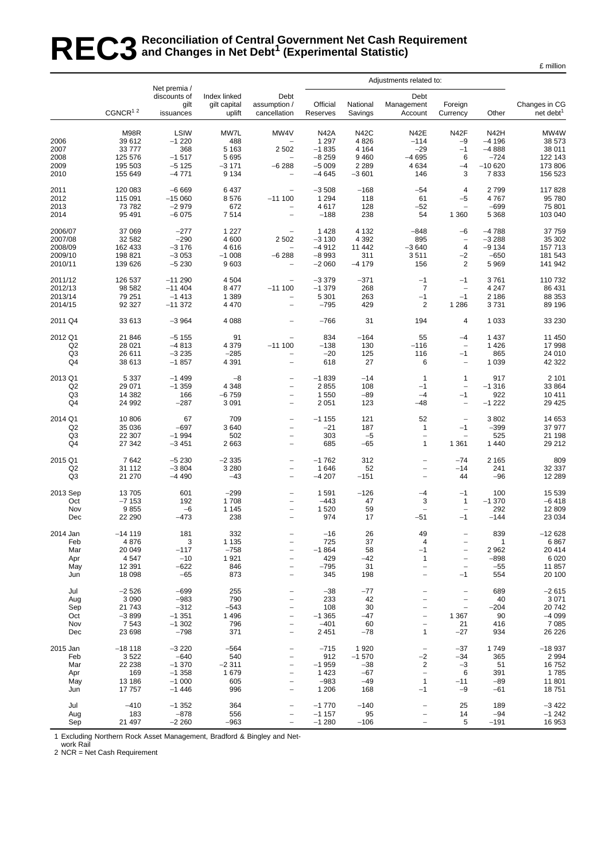# REC3<sup>Reconciliation of Central Government Net Cash Requirement<br>REC3 and Changes in Net Debt<sup>1</sup> (Experimental Statistic)</sup> **and Changes in Net Debt1 (Experimental Statistic)**

|                                                     |                                                           | Net premia /                                                  |                                                         |                                                                                                                                          | Adjustments related to:                                            |                                                       |                                                                             |                                                                                                          |                                                          |                                                             |
|-----------------------------------------------------|-----------------------------------------------------------|---------------------------------------------------------------|---------------------------------------------------------|------------------------------------------------------------------------------------------------------------------------------------------|--------------------------------------------------------------------|-------------------------------------------------------|-----------------------------------------------------------------------------|----------------------------------------------------------------------------------------------------------|----------------------------------------------------------|-------------------------------------------------------------|
|                                                     | $CGNCR1$ <sup>2</sup>                                     | discounts of<br>gilt<br>issuances                             | Index linked<br>gilt capital<br>uplift                  | Debt<br>assumption /<br>cancellation                                                                                                     | Official<br>Reserves                                               | National<br>Savings                                   | Debt<br>Management<br>Account                                               | Foreign<br>Currency                                                                                      | Other                                                    | Changes in CG<br>net debt <sup>1</sup>                      |
| 2006<br>2007<br>2008<br>2009<br>2010                | M98R<br>39 612<br>33 777<br>125 576<br>195 503<br>155 649 | LSIW<br>$-1220$<br>368<br>$-1517$<br>$-5125$<br>$-4771$       | MW7L<br>488<br>5 1 6 3<br>5 6 9 5<br>$-3171$<br>9 1 3 4 | MW4V<br>2 5 0 2<br>$\qquad \qquad -$<br>$-6288$<br>$\overline{\phantom{0}}$                                                              | <b>N42A</b><br>1 2 9 7<br>$-1835$<br>$-8259$<br>$-5009$<br>$-4645$ | N42C<br>4826<br>4 1 6 4<br>9460<br>2 2 8 9<br>$-3601$ | N42E<br>$-114$<br>$-29$<br>$-4695$<br>4 6 3 4<br>146                        | N42F<br>$-9$<br>$-1$<br>6<br>$-4$<br>3                                                                   | N42H<br>$-4196$<br>$-4888$<br>$-724$<br>$-10620$<br>7833 | MW4W<br>38 573<br>38 011<br>122 143<br>173 806<br>156 523   |
| 2011<br>2012<br>2013<br>2014                        | 120 083<br>115 091<br>73 782<br>95 491                    | $-6669$<br>$-15060$<br>$-2979$<br>$-6075$                     | 6437<br>8576<br>672<br>7514                             | $\overline{\phantom{0}}$<br>$-11100$<br>$\overline{\phantom{0}}$<br>$\overline{\phantom{0}}$                                             | $-3508$<br>1 2 9 4<br>4617<br>$-188$                               | $-168$<br>118<br>128<br>238                           | $-54$<br>61<br>$-52$<br>54                                                  | $\overline{4}$<br>$-5$<br>$\qquad \qquad -$<br>1 3 6 0                                                   | 2799<br>4767<br>$-699$<br>5 3 6 8                        | 117828<br>95 780<br>75 801<br>103 040                       |
| 2006/07<br>2007/08<br>2008/09<br>2009/10<br>2010/11 | 37 069<br>32 582<br>162 433<br>198 821<br>139 626         | $-277$<br>$-290$<br>$-3176$<br>$-3053$<br>$-5230$             | 1 2 2 7<br>4 600<br>4616<br>$-1008$<br>9603             | $\overline{\phantom{0}}$<br>2 5 0 2<br>$\overline{\phantom{a}}$<br>$-6288$                                                               | 1428<br>$-3130$<br>$-4912$<br>$-8993$<br>$-2060$                   | 4 1 3 2<br>4 3 9 2<br>11 442<br>311<br>$-4179$        | $-848$<br>895<br>$-3640$<br>3511<br>156                                     | $-6$<br>$\qquad \qquad -$<br>$\overline{4}$<br>$-2$<br>$\overline{2}$                                    | $-4788$<br>$-3288$<br>$-9134$<br>$-650$<br>5 9 6 9       | 37759<br>35 302<br>157713<br>181 543<br>141 942             |
| 2011/12<br>2012/13<br>2013/14<br>2014/15            | 126 537<br>98 582<br>79 251<br>92 327                     | $-11290$<br>$-11404$<br>$-1413$<br>$-11372$                   | 4 5 0 4<br>8 4 7 7<br>1 3 8 9<br>4 4 7 0                | $-11100$<br>$\overline{\phantom{a}}$<br>$\overline{\phantom{0}}$                                                                         | $-3379$<br>$-1379$<br>5 3 0 1<br>$-795$                            | $-371$<br>268<br>263<br>429                           | $-1$<br>$\overline{7}$<br>$-1$<br>2                                         | $-1$<br>$\qquad \qquad -$<br>$-1$<br>1 2 8 6                                                             | 3761<br>4 2 4 7<br>2 186<br>3731                         | 110732<br>86 431<br>88 353<br>89 196                        |
| 2011 Q4<br>2012 Q1<br>Q2<br>Q3                      | 33 613<br>21 846<br>28 0 21<br>26 611                     | $-3964$<br>$-5155$<br>$-4813$<br>$-3235$                      | 4 0 8 8<br>91<br>4 3 7 9<br>$-285$                      | $\overline{\phantom{0}}$<br>$\overline{\phantom{0}}$<br>$-11100$<br>$\overline{\phantom{0}}$                                             | $-766$<br>834<br>$-138$<br>$-20$                                   | 31<br>$-164$<br>130<br>125                            | 194<br>55<br>$-116$<br>116                                                  | 4<br>$-4$<br>$\overline{\phantom{a}}$<br>$-1$                                                            | 1 0 3 3<br>1 4 3 7<br>1 4 2 6<br>865                     | 33 230<br>11 450<br>17998<br>24 010                         |
| Q4<br>2013 Q1<br>Q2<br>Q3<br>Q <sub>4</sub>         | 38 613<br>5 3 3 7<br>29 071<br>14 3 8 2<br>24 992         | $-1857$<br>$-1499$<br>$-1359$<br>166<br>$-287$                | 4 3 9 1<br>$-8$<br>4 3 4 8<br>$-6759$<br>3 0 9 1        | $\overline{\phantom{0}}$<br>$\overline{\phantom{0}}$<br>$\qquad \qquad -$<br>$\qquad \qquad -$<br>$\qquad \qquad -$                      | 618<br>$-1839$<br>2855<br>1 550<br>2 0 5 1                         | 27<br>$-14$<br>108<br>$-89$<br>123                    | 6<br>1<br>$-1$<br>$-4$<br>$-48$                                             | $\overline{\phantom{0}}$<br>$\mathbf{1}$<br>$\overline{\phantom{a}}$<br>$-1$<br>$\overline{\phantom{a}}$ | 1 0 3 9<br>917<br>$-1316$<br>922<br>$-1222$              | 42 322<br>2 1 0 1<br>33 864<br>10411<br>29 4 25             |
| 2014 Q1<br>Q2<br>Q3<br>Q4                           | 10 806<br>35 036<br>22 307<br>27 342                      | 67<br>$-697$<br>$-1994$<br>$-3451$                            | 709<br>3640<br>502<br>2 6 6 3                           | $\overline{\phantom{0}}$<br>$\overline{\phantom{0}}$<br>$\overline{\phantom{0}}$<br>$\qquad \qquad -$                                    | $-1155$<br>$-21$<br>303<br>685                                     | 121<br>187<br>$-5$<br>$-65$                           | 52<br>1<br>$\overline{\phantom{a}}$<br>1                                    | $\qquad \qquad -$<br>$-1$<br>$\qquad \qquad -$<br>1 3 6 1                                                | 3802<br>$-399$<br>525<br>1 4 4 0                         | 14 653<br>37 977<br>21 198<br>29 21 2                       |
| 2015 Q1<br>Q2<br>Q3                                 | 7642<br>31 112<br>21 270                                  | $-5230$<br>$-3804$<br>$-4490$                                 | $-2335$<br>3 2 8 0<br>$-43$                             | $\overline{\phantom{0}}$<br>$\overline{\phantom{a}}$<br>$\overline{\phantom{0}}$                                                         | $-1762$<br>1646<br>$-4207$                                         | 312<br>52<br>$-151$                                   | $\bar{\phantom{a}}$<br>$\overline{\phantom{0}}$<br>$\equiv$                 | $-74$<br>$-14$<br>44                                                                                     | 2 1 6 5<br>241<br>$-96$                                  | 809<br>32 337<br>12 2 8 9                                   |
| 2013 Sep<br>Oct<br>Nov<br>Dec                       | 13705<br>$-7153$<br>9855<br>22 290                        | 601<br>192<br>$-6$<br>$-473$                                  | $-299$<br>1708<br>1 1 4 5<br>238                        | $\overline{\phantom{0}}$<br>$\overline{\phantom{0}}$<br>$\qquad \qquad -$<br>$\overline{\phantom{a}}$                                    | 1 5 9 1<br>$-443$<br>1 5 2 0<br>974                                | $-126$<br>47<br>59<br>17                              | $-4$<br>3<br>$\overline{\phantom{a}}$<br>$-51$                              | $-1$<br>$\mathbf{1}$<br>$\qquad \qquad -$<br>$-1$                                                        | 100<br>$-1370$<br>292<br>$-144$                          | 15 539<br>$-6418$<br>12809<br>23 034                        |
| 2014 Jan<br>Feb<br>Mar<br>Apr<br>May<br>Jun         | $-14119$<br>4876<br>20 049<br>4547<br>12 3 9 1<br>18 098  | 181<br>3<br>$-117$<br>$-10$<br>$-622$<br>$-65$                | 332<br>1 1 3 5<br>$-758$<br>1921<br>846<br>873          | $\overline{\phantom{0}}$<br>$\qquad \qquad -$<br>-<br>$\overline{\phantom{0}}$<br>$\qquad \qquad -$<br>$\overline{\phantom{0}}$          | $-16$<br>725<br>$-1864$<br>429<br>$-795$<br>345                    | 26<br>37<br>58<br>$-42$<br>31<br>198                  | 49<br>4<br>$-1$<br>1<br>$\qquad \qquad -$<br>-                              | $\overline{\phantom{m}}$<br>$\qquad \qquad -$<br>$\qquad \qquad -$<br>$-1$                               | 839<br>1<br>2 9 6 2<br>$-898$<br>$-55$<br>554            | $-12628$<br>6867<br>20 414<br>6 0 20<br>11857<br>20 100     |
| Jul<br>Aug<br>Sep<br>Oct<br>Nov<br>Dec              | $-2526$<br>3 0 9 0<br>21 743<br>$-3899$<br>7543<br>23 698 | $-699$<br>$-983$<br>$-312$<br>$-1351$<br>$-1302$<br>$-798$    | 255<br>790<br>$-543$<br>1496<br>796<br>371              | $\overline{\phantom{0}}$<br>$\overline{\phantom{0}}$<br>$\overline{\phantom{0}}$<br>$\overline{\phantom{0}}$<br>$\overline{\phantom{0}}$ | $-38$<br>233<br>108<br>$-1365$<br>$-401$<br>2 4 5 1                | $-77$<br>42<br>30<br>$-47$<br>60<br>$-78$             | $\overline{\phantom{0}}$<br>$\qquad \qquad -$<br>$\mathbf{1}$               | $\qquad \qquad -$<br>$\qquad \qquad -$<br>$\overline{\phantom{a}}$<br>1 3 6 7<br>21<br>$-27$             | 689<br>40<br>$-204$<br>90<br>416<br>934                  | $-2615$<br>3 0 7 1<br>20742<br>$-4099$<br>7 0 8 5<br>26 226 |
| 2015 Jan<br>Feb<br>Mar<br>Apr<br>May<br>Jun         | $-18118$<br>3522<br>22 238<br>169<br>13 186<br>17757      | $-3220$<br>$-640$<br>$-1370$<br>$-1358$<br>$-1000$<br>$-1446$ | $-564$<br>540<br>$-2311$<br>1679<br>605<br>996          | $\overline{\phantom{0}}$<br>$\overline{\phantom{0}}$<br>-<br>$\overline{\phantom{0}}$<br>$\overline{\phantom{0}}$                        | $-715$<br>912<br>$-1959$<br>1 4 2 3<br>$-983$<br>1 206             | 1920<br>$-1570$<br>$-38$<br>$-67$<br>$-49$<br>168     | $\qquad \qquad -$<br>$-2$<br>2<br>$\qquad \qquad -$<br>$\mathbf{1}$<br>$-1$ | $-37$<br>$-34$<br>$-3$<br>6<br>$-11$<br>$-9$                                                             | 1749<br>365<br>51<br>391<br>-89<br>$-61$                 | $-18937$<br>2994<br>16752<br>1785<br>11801<br>18751         |
| Jul<br>Aug<br>Sep                                   | $-410$<br>183<br>21 497                                   | $-1352$<br>$-878$<br>$-2260$                                  | 364<br>556<br>$-963$                                    | $\overline{\phantom{0}}$<br>$\qquad \qquad -$                                                                                            | $-1770$<br>$-1157$<br>$-1280$                                      | $-140$<br>95<br>$-106$                                | -<br>$\qquad \qquad -$<br>$\overline{\phantom{0}}$                          | 25<br>14<br>5                                                                                            | 189<br>$-94$<br>$-191$                                   | $-3422$<br>$-1242$<br>16 953                                |

1 Excluding Northern Rock Asset Management, Bradford & Bingley and Net-

work Rail

2 NCR = Net Cash Requirement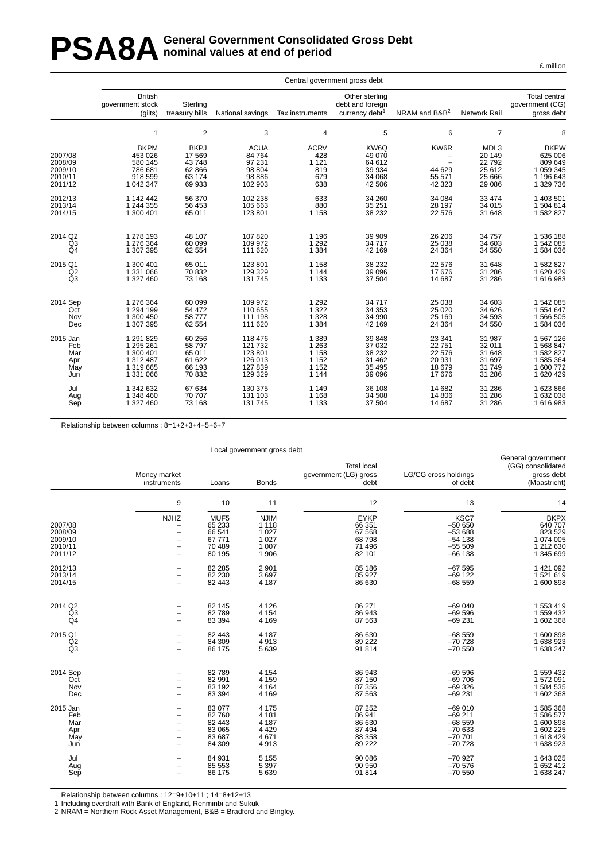# PSA8A General Government Consolidated Gross Debt<br> **PSA8A** nominal values at end of period **nominal values at end of period**

£ million

|                                                     |                                                                      |                                                             |                                                                |                                                    | Central government gross debt                                    |                                                      |                                                         |                                                                          |
|-----------------------------------------------------|----------------------------------------------------------------------|-------------------------------------------------------------|----------------------------------------------------------------|----------------------------------------------------|------------------------------------------------------------------|------------------------------------------------------|---------------------------------------------------------|--------------------------------------------------------------------------|
|                                                     | <b>British</b><br>government stock<br>(gilts)                        | Sterling<br>treasury bills                                  | National savings                                               | Tax instruments                                    | Other sterling<br>debt and foreign<br>currency debt <sup>1</sup> | NRAM and B&B <sup>2</sup>                            | <b>Network Rail</b>                                     | <b>Total central</b><br>qovernment (CG)<br>gross debt                    |
|                                                     | 1                                                                    | 2                                                           | 3                                                              | 4                                                  | 5                                                                | 6                                                    | $\overline{7}$                                          | 8                                                                        |
| 2007/08<br>2008/09<br>2009/10<br>2010/11<br>2011/12 | <b>BKPM</b><br>453 026<br>580 145<br>786 681<br>918 599<br>1 042 347 | <b>BKPJ</b><br>17569<br>43748<br>62 866<br>63 174<br>69 933 | <b>ACUA</b><br>84 764<br>97 231<br>98 804<br>98 886<br>102 903 | <b>ACRV</b><br>428<br>1 1 2 1<br>819<br>679<br>638 | KW6Q<br>49 070<br>64 612<br>39 934<br>34 068<br>42 506           | KW6R<br>$\overline{a}$<br>44 629<br>55 571<br>42 323 | MDL3<br>20 149<br>22792<br>25 612<br>25 6 66<br>29 0 86 | <b>BKPW</b><br>625 006<br>809 649<br>1 059 345<br>1 196 643<br>1 329 736 |
| 2012/13                                             | 1 142 442                                                            | 56 370                                                      | 102 238                                                        | 633                                                | 34 260                                                           | 34 084                                               | 33 4 74                                                 | 1 403 501                                                                |
| 2013/14                                             | 1 244 355                                                            | 56 453                                                      | 105 663                                                        | 880                                                | 35 251                                                           | 28 197                                               | 34 015                                                  | 1 504 814                                                                |
| 2014/15                                             | 1 300 401                                                            | 65 011                                                      | 123 801                                                        | 1 1 5 8                                            | 38 232                                                           | 22 576                                               | 31 648                                                  | 1 582 827                                                                |
| 2014 Q2                                             | 1 278 193                                                            | 48 107                                                      | 107820                                                         | 1 1 9 6                                            | 39 909                                                           | 26 20 6                                              | 34 757                                                  | 1 536 188                                                                |
| Q <sub>3</sub>                                      | 1 276 364                                                            | 60 099                                                      | 109 972                                                        | 1 2 9 2                                            | 34 717                                                           | 25 0 38                                              | 34 603                                                  | 1 542 085                                                                |
| Q <sub>4</sub>                                      | 1 307 395                                                            | 62 554                                                      | 111 620                                                        | 1 3 8 4                                            | 42 169                                                           | 24 3 64                                              | 34 550                                                  | 1584036                                                                  |
| 2015 Q1                                             | 1 300 401                                                            | 65 011                                                      | 123 801                                                        | 1 1 5 8                                            | 38 232                                                           | 22 576                                               | 31 648                                                  | 1 582 827                                                                |
| Q2                                                  | 1 331 066                                                            | 70832                                                       | 129 329                                                        | 1 1 4 4                                            | 39 096                                                           | 17676                                                | 31 286                                                  | 1620429                                                                  |
| Q <sub>3</sub>                                      | 1 327 460                                                            | 73 168                                                      | 131 745                                                        | 1 1 3 3                                            | 37 504                                                           | 14 687                                               | 31 286                                                  | 1616983                                                                  |
| 2014 Sep                                            | 1 276 364                                                            | 60 099                                                      | 109 972                                                        | 1 2 9 2                                            | 34 717                                                           | 25 0 38                                              | 34 603                                                  | 1 542 085                                                                |
| Oct                                                 | 1 294 199                                                            | 54 472                                                      | 110 655                                                        | 1 3 2 2                                            | 34 353                                                           | 25 0 20                                              | 34 626                                                  | 1 554 647                                                                |
| Nov                                                 | 1 300 450                                                            | 58777                                                       | 111 198                                                        | 1 3 2 8                                            | 34 990                                                           | 25 169                                               | 34 593                                                  | 1 566 505                                                                |
| Dec                                                 | 1 307 395                                                            | 62 554                                                      | 111 620                                                        | 1 3 8 4                                            | 42 169                                                           | 24 3 64                                              | 34 550                                                  | 1 584 036                                                                |
| 2015 Jan                                            | 1 291 829                                                            | 60 256                                                      | 118 476                                                        | 1 3 8 9                                            | 39 848                                                           | 23 341                                               | 31 987                                                  | 1 567 126                                                                |
| Feb                                                 | 1 295 261                                                            | 58797                                                       | 121 732                                                        | 1 2 6 3                                            | 37 032                                                           | 22 751                                               | 32 011                                                  | 1 568 847                                                                |
| Mar                                                 | 1 300 401                                                            | 65 011                                                      | 123 801                                                        | 1 1 5 8                                            | 38 232                                                           | 22 576                                               | 31 648                                                  | 1 582 827                                                                |
| Apr                                                 | 1 312 487                                                            | 61 622                                                      | 126 013                                                        | 1 1 5 2                                            | 31 462                                                           | 20 931                                               | 31 697                                                  | 1 585 364                                                                |
| May                                                 | 1 319 665                                                            | 66 193                                                      | 127 839                                                        | 1 1 5 2                                            | 35 4 95                                                          | 18 679                                               | 31749                                                   | 1 600 772                                                                |
| Jun                                                 | 1 331 066                                                            | 70 832                                                      | 129 329                                                        | 1 1 4 4                                            | 39 096                                                           | 17676                                                | 31 286                                                  | 1 620 429                                                                |
| Jul                                                 | 1 342 632                                                            | 67 634                                                      | 130 375                                                        | 1 1 4 9                                            | 36 108                                                           | 14 682                                               | 31 286                                                  | 1 623 866                                                                |
| Aug                                                 | 1 348 460                                                            | 70 70 7                                                     | 131 103                                                        | 1 1 6 8                                            | 34 508                                                           | 14 806                                               | 31 286                                                  | 1 632 038                                                                |
| Sep                                                 | 1 327 460                                                            | 73 168                                                      | 131 745                                                        | 1 1 3 3                                            | 37 504                                                           | 14 687                                               | 31 286                                                  | 1616983                                                                  |

Relationship between columns : 8=1+2+3+4+5+6+7

|                |                             |        | Local government gross debt |                                                     |                                 |                                                                       |
|----------------|-----------------------------|--------|-----------------------------|-----------------------------------------------------|---------------------------------|-----------------------------------------------------------------------|
|                | Money market<br>instruments | Loans  | <b>Bonds</b>                | <b>Total local</b><br>government (LG) gross<br>debt | LG/CG cross holdings<br>of debt | General government<br>(GG) consolidated<br>gross debt<br>(Maastricht) |
|                | 9                           | 10     | 11                          | 12                                                  | 13                              | 14                                                                    |
|                | <b>NJHZ</b>                 | MUF5   | <b>NJIM</b>                 | <b>EYKP</b>                                         | KSC7                            | <b>BKPX</b>                                                           |
| 2007/08        | $\overline{\phantom{0}}$    | 65 233 | 1 1 1 8                     | 66 351                                              | $-50650$                        | 640 707                                                               |
| 2008/09        | $\overline{\phantom{0}}$    | 66 541 | 1 0 2 7                     | 67 568                                              | $-53688$                        | 823 529                                                               |
| 2009/10        |                             | 67 771 | 1 0 2 7                     | 68798                                               | $-54$ 138                       | 1 074 005                                                             |
| 2010/11        |                             | 70 489 | 1 0 0 7                     | 71 496                                              | $-55509$                        | 1 212 630                                                             |
| 2011/12        | $\overline{\phantom{0}}$    | 80 195 | 1 906                       | 82 101                                              | $-66$ 138                       | 1 345 699                                                             |
| 2012/13        |                             | 82 285 | 2 9 0 1                     | 85 186                                              | $-67595$                        | 1 421 092                                                             |
| 2013/14        |                             | 82 230 | 3697                        | 85 927                                              | $-69$ 122                       | 1521619                                                               |
| 2014/15        | $\overline{\phantom{a}}$    | 82 443 | 4 187                       | 86 630                                              | $-68559$                        | 1 600 898                                                             |
| 2014 Q2        |                             | 82 145 | 4 1 2 6                     | 86 271                                              | $-69040$                        | 1 553 419                                                             |
| Q3             |                             | 82789  | 4 1 5 4                     | 86 943                                              | $-69596$                        | 1 559 432                                                             |
| Q <sub>4</sub> | $\overline{\phantom{a}}$    | 83 394 | 4 1 6 9                     | 87 563                                              | $-69231$                        | 1 602 368                                                             |
| 2015 Q1        |                             | 82 443 | 4 187                       | 86 630                                              | $-68559$                        | 1 600 898                                                             |
| Q2             | $\overline{\phantom{0}}$    | 84 309 | 4913                        | 89 222                                              | $-70728$                        | 1 638 923                                                             |
| Q3             |                             | 86 175 | 5 6 3 9                     | 91 814                                              | $-70550$                        | 1 638 247                                                             |
| 2014 Sep       |                             | 82789  | 4 1 5 4                     | 86 943                                              | $-69596$                        | 1 559 432                                                             |
| Oct            |                             | 82 991 | 4 1 5 9                     | 87 150                                              | $-69706$                        | 1 572 091                                                             |
| Nov            |                             | 83 192 | 4 1 6 4                     | 87 356                                              | $-69326$                        | 1 584 535                                                             |
| Dec            |                             | 83 394 | 4 1 6 9                     | 87 563                                              | $-69231$                        | 1 602 368                                                             |
| 2015 Jan       |                             | 83 077 | 4 1 7 5                     | 87 252                                              | $-69010$                        | 1 585 368                                                             |
| Feb            |                             | 82 760 | 4 1 8 1                     | 86 941                                              | $-69211$                        | 1586577                                                               |
| Mar            | $\overline{\phantom{0}}$    | 82 443 | 4 187                       | 86 630                                              | $-68559$                        | 1 600 898                                                             |
| Apr            |                             | 83 065 | 4 4 2 9                     | 87 494                                              | $-70633$                        | 1 602 225                                                             |
| May            |                             | 83 687 | 4671                        | 88 358                                              | $-70701$                        | 1 618 429                                                             |
| Jun            | $\overline{\phantom{a}}$    | 84 309 | 4913                        | 89 222                                              | $-70728$                        | 1 638 923                                                             |
| Jul            |                             | 84 931 | 5 1 5 5                     | 90 086                                              | $-70927$                        | 1 643 025                                                             |
| Aug            |                             | 85 553 | 5 3 9 7                     | 90 950                                              | $-70576$                        | 1 652 412                                                             |
| Sep            |                             | 86 175 | 5639                        | 91 814                                              | $-70.550$                       | 1 638 247                                                             |

Relationship between columns : 12=9+10+11 ; 14=8+12+13

1 Including overdraft with Bank of England, Renminbi and Sukuk

2 NRAM = Northern Rock Asset Management, B&B = Bradford and Bingley.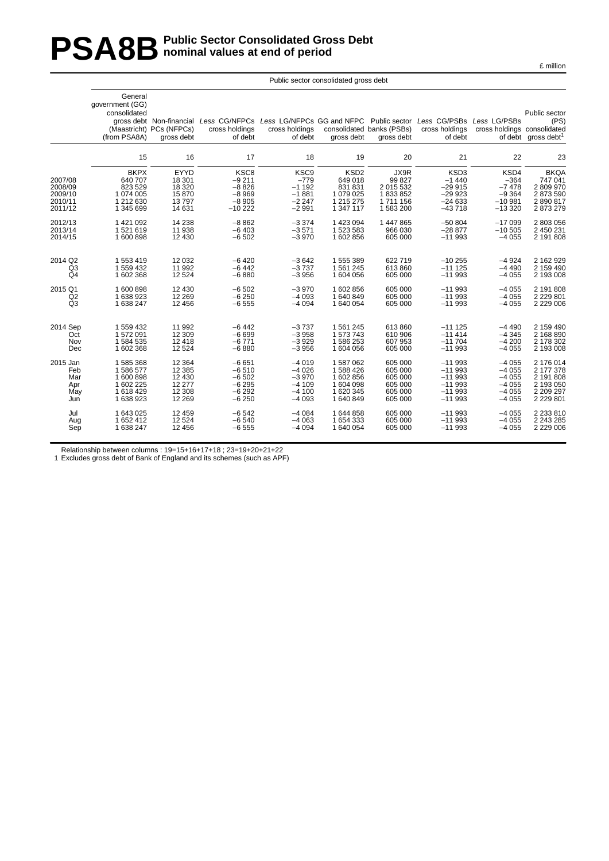# **PSA8B** Public Sector Consolidated Gross Debt<br>nominal values at end of period **nominal values at end of period**

|                                                     | General<br>government (GG)<br>consolidated<br>(from PSA8A)               | gross debt Non-financial<br>(Maastricht) PCs (NFPCs)<br>aross debt | Less CG/NFPCs Less LG/NFPCs GG and NFPC Public sector<br>cross holdings<br>of debt | cross holdings<br>of debt                                              | gross debt                                                                    | consolidated banks (PSBs)<br>gross debt                        | Less CG/PSBs Less LG/PSBs<br>cross holdings<br>of debt          | cross holdings consolidated                                   | Public sector<br>(PS)<br>of debt gross debt <sup>1</sup>                   |
|-----------------------------------------------------|--------------------------------------------------------------------------|--------------------------------------------------------------------|------------------------------------------------------------------------------------|------------------------------------------------------------------------|-------------------------------------------------------------------------------|----------------------------------------------------------------|-----------------------------------------------------------------|---------------------------------------------------------------|----------------------------------------------------------------------------|
|                                                     | 15                                                                       | 16                                                                 | 17                                                                                 | 18                                                                     | 19                                                                            | 20                                                             | 21                                                              | 22                                                            | 23                                                                         |
| 2007/08<br>2008/09<br>2009/10<br>2010/11<br>2011/12 | <b>BKPX</b><br>640 707<br>823 529<br>1 074 005<br>1 212 630<br>1 345 699 | EYYD<br>18 301<br>18 3 20<br>15870<br>13797<br>14 631              | KSC8<br>$-9211$<br>$-8826$<br>$-8969$<br>$-8905$<br>$-10222$                       | KSC <sub>9</sub><br>$-779$<br>$-1192$<br>$-1881$<br>$-2247$<br>$-2991$ | KSD <sub>2</sub><br>649 018<br>831 831<br>1 079 025<br>1 215 275<br>1 347 117 | JX9R<br>99 827<br>2 015 532<br>1833852<br>1711156<br>1 583 200 | KSD3<br>$-1440$<br>$-29915$<br>$-29923$<br>$-24633$<br>$-43718$ | KSD4<br>$-364$<br>$-7478$<br>$-9364$<br>$-10.981$<br>$-13320$ | <b>BKQA</b><br>747 041<br>2 809 970<br>2 873 590<br>2 890 817<br>2 873 279 |
| 2012/13                                             | 1 421 092                                                                | 14 238                                                             | $-8862$                                                                            | $-3374$                                                                | 1423094                                                                       | 1 447 865                                                      | $-50804$                                                        | $-17099$                                                      | 2 803 056                                                                  |
| 2013/14                                             | 1521619                                                                  | 11 938                                                             | $-6403$                                                                            | $-3571$                                                                | 1523583                                                                       | 966 030                                                        | $-28877$                                                        | $-10505$                                                      | 2 450 231                                                                  |
| 2014/15                                             | 1 600 898                                                                | 12 4 30                                                            | $-6502$                                                                            | $-3970$                                                                | 1602856                                                                       | 605 000                                                        | $-11993$                                                        | $-4055$                                                       | 2 191 808                                                                  |
| 2014 Q2                                             | 1 553 419                                                                | 12 0 32                                                            | $-6420$                                                                            | $-3642$                                                                | 1555389                                                                       | 622 719                                                        | $-10255$                                                        | $-4924$                                                       | 2 162 929                                                                  |
| Q3                                                  | 1 559 432                                                                | 11 992                                                             | $-6442$                                                                            | $-3737$                                                                | 1561245                                                                       | 613 860                                                        | $-111125$                                                       | $-4490$                                                       | 2 159 490                                                                  |
| Q4                                                  | 1 602 368                                                                | 12 5 24                                                            | $-6880$                                                                            | $-3956$                                                                | 1 604 056                                                                     | 605 000                                                        | $-11993$                                                        | $-4055$                                                       | 2 193 008                                                                  |
| 2015 Q1                                             | 1600898                                                                  | 12 4 30                                                            | $-6502$                                                                            | $-3970$                                                                | 1602856                                                                       | 605 000                                                        | $-11993$                                                        | $-4055$                                                       | 2 191 808                                                                  |
| Q2                                                  | 1 638 923                                                                | 12 2 6 9                                                           | $-6250$                                                                            | $-4093$                                                                | 1640849                                                                       | 605 000                                                        | $-11993$                                                        | $-4055$                                                       | 2 2 2 8 0 1                                                                |
| Q <sub>3</sub>                                      | 1 638 247                                                                | 12 4 5 6                                                           | $-6555$                                                                            | $-4094$                                                                | 1 640 054                                                                     | 605 000                                                        | $-11993$                                                        | $-4055$                                                       |                                                                            |
| 2014 Sep                                            | 1 559 432                                                                | 11 992                                                             | $-6442$                                                                            | $-3737$                                                                | 1561245                                                                       | 613 860                                                        | $-111125$                                                       | $-4490$                                                       | 2 159 490                                                                  |
| Oct                                                 | 1572091                                                                  | 12 3 09                                                            | $-6699$                                                                            | $-3958$                                                                | 1573743                                                                       | 610 906                                                        | $-11414$                                                        | $-4345$                                                       | 2 168 890                                                                  |
| Nov                                                 | 1 584 535                                                                | 12 4 18                                                            | $-6771$                                                                            | $-3929$                                                                | 1586253                                                                       | 607 953                                                        | $-11704$                                                        | $-4200$                                                       | 2 178 302                                                                  |
| Dec                                                 | 1 602 368                                                                | 12 5 24                                                            | $-6880$                                                                            | $-3956$                                                                | 1604056                                                                       | 605 000                                                        | $-11993$                                                        | $-4055$                                                       | 2 193 008                                                                  |
| 2015 Jan                                            | 1 585 368                                                                | 12 3 64                                                            | $-6651$                                                                            | $-4019$                                                                | 1587062                                                                       | 605 000                                                        | $-11993$                                                        | $-4055$                                                       | 2 176 014                                                                  |
| Feb                                                 | 1586577                                                                  | 12 3 8 5                                                           | $-6510$                                                                            | $-4026$                                                                | 1588426                                                                       | 605 000                                                        | $-11993$                                                        | $-4055$                                                       | 2 177 378                                                                  |
| Mar                                                 | 1 600 898                                                                | 12 4 30                                                            | $-6502$                                                                            | $-3970$                                                                | 1602856                                                                       | 605 000                                                        | $-11993$                                                        | $-4055$                                                       | 2 191 808                                                                  |
| Apr                                                 | 1 602 225                                                                | 12 277                                                             | $-6295$                                                                            | $-4109$                                                                | 1604098                                                                       | 605 000                                                        | $-11993$                                                        | $-4055$                                                       | 2 193 050                                                                  |
| May                                                 | 1618429                                                                  | 12 3 08                                                            | $-6292$                                                                            | $-4100$                                                                | 1 620 345                                                                     | 605 000                                                        | $-11993$                                                        | $-4055$                                                       | 2 209 297                                                                  |
| Jun                                                 | 1 638 923                                                                | 12 2 6 9                                                           | $-6250$                                                                            | $-4093$                                                                | 1640849                                                                       | 605 000                                                        | $-11993$                                                        | $-4055$                                                       | 2 2 2 9 8 0 1                                                              |
| Jul                                                 | 1 643 025                                                                | 12 459                                                             | $-6542$                                                                            | $-4084$                                                                | 1644858                                                                       | 605 000                                                        | $-11993$                                                        | $-4055$                                                       | 2 2 3 8 1 0                                                                |
| Aug                                                 | 1 652 412                                                                | 12 5 24                                                            | $-6540$                                                                            | $-4063$                                                                | 1654333                                                                       | 605 000                                                        | $-11993$                                                        | $-4055$                                                       | 2 243 285                                                                  |
| Sep                                                 | 1 638 247                                                                | 12 4 5 6                                                           | $-6555$                                                                            | $-4094$                                                                | 1 640 054                                                                     | 605 000                                                        | $-11993$                                                        | $-4055$                                                       | 2 2 2 0 0 0 6                                                              |

Public sector consolidated gross debt

Relationship between columns : 19=15+16+17+18 ; 23=19+20+21+22

1 Excludes gross debt of Bank of England and its schemes (such as APF)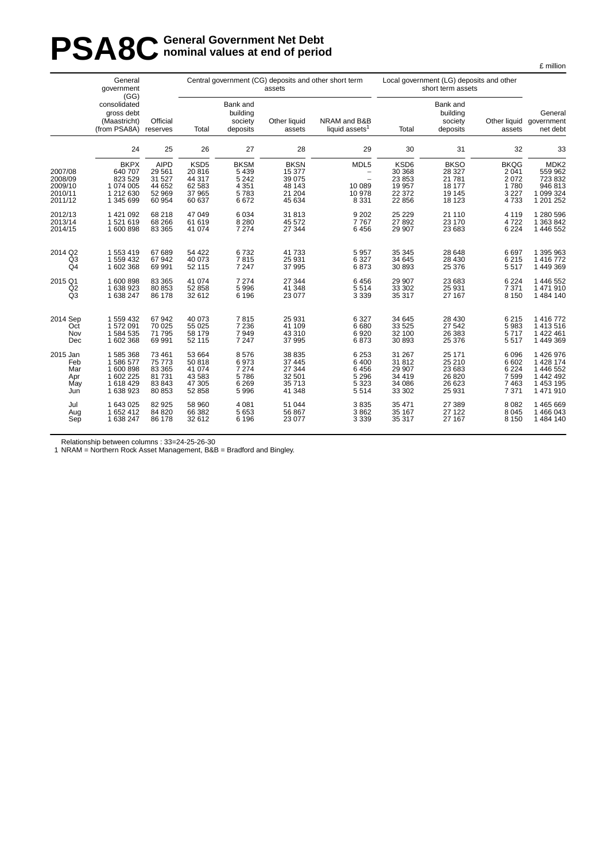# **PSA8C General Government Net Debt**<br> **PSA8C nominal values at end of perio nominal values at end of period**

|                                                     | General<br>government<br>(GG)                                            |                                                                |                                                                    | assets                                                       | Central government (CG) deposits and other short term         |                                                                 | Local government (LG) deposits and other<br>short term assets |                                                                |                                                           |                                                                             |
|-----------------------------------------------------|--------------------------------------------------------------------------|----------------------------------------------------------------|--------------------------------------------------------------------|--------------------------------------------------------------|---------------------------------------------------------------|-----------------------------------------------------------------|---------------------------------------------------------------|----------------------------------------------------------------|-----------------------------------------------------------|-----------------------------------------------------------------------------|
|                                                     | consolidated<br>gross debt<br>(Maastricht)<br>(from PSA8A)               | Official<br>reserves                                           | Total                                                              | Bank and<br>building<br>society<br>deposits                  | Other liquid<br>assets                                        | NRAM and B&B<br>liquid assets <sup>1</sup>                      | Total                                                         | Bank and<br>building<br>society<br>deposits                    | assets                                                    | General<br>Other liquid government<br>net debt                              |
|                                                     | 24                                                                       | 25                                                             | 26                                                                 | 27                                                           | 28                                                            | 29                                                              | 30                                                            | 31                                                             | 32                                                        | 33                                                                          |
| 2007/08<br>2008/09<br>2009/10<br>2010/11<br>2011/12 | <b>BKPX</b><br>640 707<br>823 529<br>1 074 005<br>1 212 630<br>1 345 699 | <b>AIPD</b><br>29 5 61<br>31 527<br>44 652<br>52 969<br>60 954 | KSD <sub>5</sub><br>20 816<br>44 317<br>62 583<br>37 965<br>60 637 | <b>BKSM</b><br>5 4 3 9<br>5 2 4 2<br>4 3 5 1<br>5783<br>6672 | <b>BKSN</b><br>15 377<br>39 075<br>48 143<br>21 204<br>45 634 | MDL5<br>$\overline{\phantom{m}}$<br>10 089<br>10 978<br>8 3 3 1 | KSD6<br>30 368<br>23 853<br>19 957<br>22 372<br>22 856        | <b>BKSO</b><br>28 3 27<br>21 781<br>18 177<br>19 145<br>18 123 | <b>BKQG</b><br>2 0 4 1<br>2072<br>1780<br>3 2 2 7<br>4733 | MDK <sub>2</sub><br>559 962<br>723 832<br>946 813<br>1 099 324<br>1 201 252 |
| 2012/13                                             | 1421092                                                                  | 68 218                                                         | 47 049                                                             | 6 0 34                                                       | 31 813                                                        | 9 2 0 2                                                         | 25 2 29                                                       | 21 110                                                         | 4 1 1 9                                                   | 1 280 596                                                                   |
| 2013/14                                             | 1521619                                                                  | 68 266                                                         | 61 619                                                             | 8 2 8 0                                                      | 45 572                                                        | 7767                                                            | 27 892                                                        | 23 170                                                         | 4722                                                      | 1 363 842                                                                   |
| 2014/15                                             | 1 600 898                                                                | 83 365                                                         | 41 0 74                                                            | 7 2 7 4                                                      | 27 344                                                        | 6456                                                            | 29 907                                                        | 23 683                                                         | 6 2 2 4                                                   | 1 446 552                                                                   |
| 2014 Q2                                             | 1553419                                                                  | 67 689                                                         | 54 422                                                             | 6732                                                         | 41 733                                                        | 5 9 5 7                                                         | 35 345                                                        | 28 648                                                         | 6697                                                      | 1 395 963                                                                   |
| Q <sub>3</sub>                                      | 1 559 432                                                                | 67 942                                                         | 40 073                                                             | 7815                                                         | 25 931                                                        | 6 3 2 7                                                         | 34 645                                                        | 28 4 30                                                        | 6 2 1 5                                                   | 1 416 772                                                                   |
| Q <sub>4</sub>                                      | 1602368                                                                  | 69 991                                                         | 52 115                                                             | 7 2 4 7                                                      | 37 995                                                        | 6873                                                            | 30 893                                                        | 25 376                                                         | 5517                                                      | 1 449 369                                                                   |
| 2015 Q1                                             | 1600898                                                                  | 83 365                                                         | 41 074                                                             | 7 2 7 4                                                      | 27 344                                                        | 6456                                                            | 29 907                                                        | 23 683                                                         | 6 2 2 4                                                   | 1 446 552                                                                   |
| Q2                                                  | 1638923                                                                  | 80 853                                                         | 52 858                                                             | 5996                                                         | 41 348                                                        | 5514                                                            | 33 302                                                        | 25 931                                                         | 7 3 7 1                                                   | 1471910                                                                     |
| Q <sub>3</sub>                                      | 1 638 247                                                                | 86 178                                                         | 32 612                                                             | 6 1 9 6                                                      | 23 077                                                        | 3 3 3 9                                                         | 35 317                                                        | 27 167                                                         | 8 1 5 0                                                   | 1 484 140                                                                   |
| 2014 Sep                                            | 1 559 432                                                                | 67 942                                                         | 40 073                                                             | 7815                                                         | 25 931                                                        | 6 3 2 7                                                         | 34 645                                                        | 28 4 30                                                        | 6 2 1 5                                                   | 1 416 772                                                                   |
| Oct                                                 | 1572091                                                                  | 70 025                                                         | 55 025                                                             | 7 2 3 6                                                      | 41 109                                                        | 6680                                                            | 33 5 25                                                       | 27 542                                                         | 5983                                                      | 1 413 516                                                                   |
| Nov                                                 | 1584535                                                                  | 71 795                                                         | 58 179                                                             | 7949                                                         | 43 310                                                        | 6920                                                            | 32 100                                                        | 26 383                                                         | 5717                                                      | 1 422 461                                                                   |
| Dec                                                 | 1602368                                                                  | 69 991                                                         | 52 115                                                             | 7 2 4 7                                                      | 37 995                                                        | 6873                                                            | 30 893                                                        | 25 376                                                         | 5517                                                      | 1 449 369                                                                   |
| 2015 Jan                                            | 1585368                                                                  | 73 461                                                         | 53 664                                                             | 8576                                                         | 38 835                                                        | 6 2 5 3                                                         | 31 267                                                        | 25 171                                                         | 6 0 9 6                                                   | 1 426 976                                                                   |
| Feb                                                 | 1586577                                                                  | 75 773                                                         | 50 818                                                             | 6973                                                         | 37 445                                                        | 6 400                                                           | 31812                                                         | 25 210                                                         | 6 602                                                     | 1 428 174                                                                   |
| Mar                                                 | 1600898                                                                  | 83 365                                                         | 41 074                                                             | 7 2 7 4                                                      | 27 344                                                        | 6456                                                            | 29 907                                                        | 23 683                                                         | 6 2 2 4                                                   | 1 446 552                                                                   |
| Apr                                                 | 1 602 225                                                                | 81 731                                                         | 43 583                                                             | 5786                                                         | 32 501                                                        | 5 2 9 6                                                         | 34 419                                                        | 26 8 20                                                        | 7599                                                      | 1 442 492                                                                   |
| May                                                 | 1618429                                                                  | 83 843                                                         | 47 305                                                             | 6 2 6 9                                                      | 35 713                                                        | 5 3 2 3                                                         | 34 086                                                        | 26 623                                                         | 7463                                                      | 1 453 195                                                                   |
| Jun                                                 | 1638923                                                                  | 80 853                                                         | 52 858                                                             | 5996                                                         | 41 348                                                        | 5514                                                            | 33 302                                                        | 25 931                                                         | 7 3 7 1                                                   | 1 471 910                                                                   |
| Jul                                                 | 1 643 025                                                                | 82 925                                                         | 58 960                                                             | 4 0 8 1                                                      | 51 044                                                        | 3835                                                            | 35 471                                                        | 27 389                                                         | 8 0 8 2                                                   | 1 465 669                                                                   |
| Aug                                                 | 1652412                                                                  | 84 820                                                         | 66 382                                                             | 5 6 5 3                                                      | 56 867                                                        | 3862                                                            | 35 167                                                        | 27 122                                                         | 8 0 4 5                                                   | 1 466 043                                                                   |
| Sep                                                 | 1 638 247                                                                | 86 178                                                         | 32 612                                                             | 6 1 9 6                                                      | 23 077                                                        | 3 3 3 9                                                         | 35 317                                                        | 27 167                                                         | 8 1 5 0                                                   | 1 484 140                                                                   |

Relationship between columns : 33=24-25-26-30

1 NRAM = Northern Rock Asset Management, B&B = Bradford and Bingley.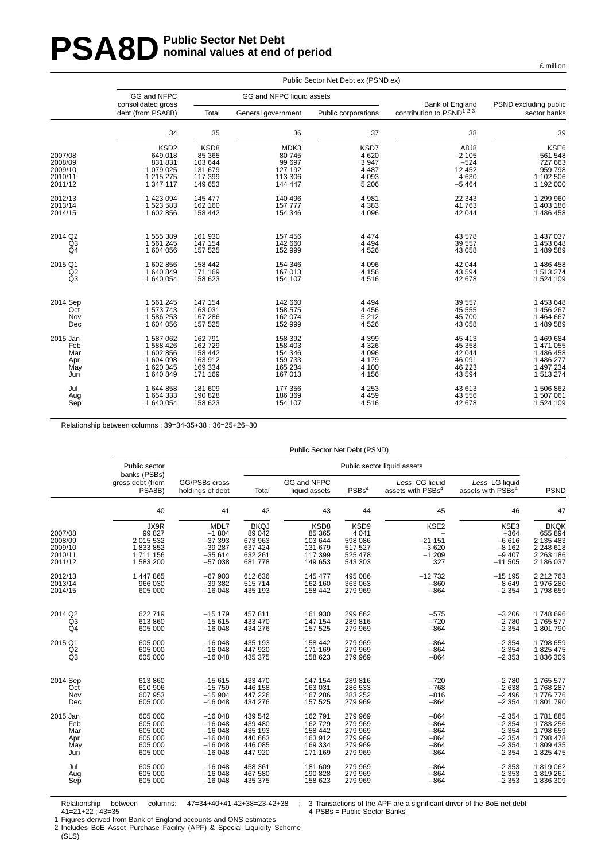# **PSA8D** Public Sector Net Debt **nominal values at end of period**

|                                          | Public Sector Net Debt ex (PSND ex)                              |                                                 |                                                |                                            |                                               |                                                           |  |  |  |  |  |  |
|------------------------------------------|------------------------------------------------------------------|-------------------------------------------------|------------------------------------------------|--------------------------------------------|-----------------------------------------------|-----------------------------------------------------------|--|--|--|--|--|--|
|                                          | GG and NFPC<br>consolidated gross                                |                                                 | GG and NFPC liquid assets                      |                                            | Bank of England                               | PSND excluding public                                     |  |  |  |  |  |  |
|                                          | debt (from PSA8B)                                                | Total                                           | General government                             | Public corporations                        | contribution to $PSND^{1,2,3}$                | sector banks                                              |  |  |  |  |  |  |
|                                          | 34                                                               | 35                                              | 36                                             | 37                                         | 38                                            | 39                                                        |  |  |  |  |  |  |
| 2007/08<br>2008/09<br>2009/10<br>2010/11 | KSD <sub>2</sub><br>649 018<br>831 831<br>1 079 025<br>1 215 275 | KSD8<br>85 365<br>103 644<br>131 679<br>117 399 | MDK3<br>80 745<br>99 697<br>127 192<br>113 306 | KSD7<br>4620<br>3947<br>4 4 8 7<br>4 0 9 3 | A8J8<br>$-2105$<br>$-524$<br>12 4 5 2<br>4630 | <b>KSE6</b><br>561 548<br>727 663<br>959 798<br>1 102 506 |  |  |  |  |  |  |
| 2011/12                                  | 1 347 117                                                        | 149 653                                         | 144 447                                        | 5 2 0 6                                    | $-5464$                                       | 1 192 000                                                 |  |  |  |  |  |  |
| 2012/13                                  | 1 423 094                                                        | 145 477                                         | 140 496                                        | 4 9 8 1                                    | 22 343                                        | 1 299 960                                                 |  |  |  |  |  |  |
| 2013/14                                  | 1 523 583                                                        | 162 160                                         | 157 777                                        | 4 3 8 3                                    | 41763                                         | 1 403 186                                                 |  |  |  |  |  |  |
| 2014/15                                  | 1602856                                                          | 158 442                                         | 154 346                                        | 4 0 9 6                                    | 42 044                                        | 1 486 458                                                 |  |  |  |  |  |  |
| 2014 Q2                                  | 1 555 389                                                        | 161 930                                         | 157 456                                        | 4 4 7 4                                    | 43 578                                        | 1 437 037                                                 |  |  |  |  |  |  |
| Q3                                       | 1 561 245                                                        | 147 154                                         | 142 660                                        | 4 4 9 4                                    | 39 557                                        | 1 453 648                                                 |  |  |  |  |  |  |
| Q <sub>4</sub>                           | 1 604 056                                                        | 157 525                                         | 152 999                                        | 4526                                       | 43 058                                        | 1 489 589                                                 |  |  |  |  |  |  |
| 2015 Q1                                  | 1602856                                                          | 158 442                                         | 154 346                                        | 4 0 9 6                                    | 42 044                                        | 1 486 458                                                 |  |  |  |  |  |  |
| Q2                                       | 1640849                                                          | 171 169                                         | 167 013                                        | 4 1 5 6                                    | 43 5 94                                       | 1513274                                                   |  |  |  |  |  |  |
| Q <sub>3</sub>                           | 1 640 054                                                        | 158 623                                         | 154 107                                        | 4516                                       | 42 678                                        | 1 524 109                                                 |  |  |  |  |  |  |
| 2014 Sep                                 | 1 561 245                                                        | 147 154                                         | 142 660                                        | 4 4 9 4                                    | 39 557                                        | 1 453 648                                                 |  |  |  |  |  |  |
| Oct                                      | 1573743                                                          | 163 031                                         | 158 575                                        | 4 4 5 6                                    | 45 555                                        | 1456267                                                   |  |  |  |  |  |  |
| Nov                                      | 1586253                                                          | 167 286                                         | 162 074                                        | 5 2 1 2                                    | 45 700                                        | 1464667                                                   |  |  |  |  |  |  |
| Dec                                      | 1 604 056                                                        | 157 525                                         | 152 999                                        | 4526                                       | 43 058                                        | 1 489 589                                                 |  |  |  |  |  |  |
| 2015 Jan                                 | 1587062                                                          | 162 791                                         | 158 392                                        | 4 3 9 9                                    | 45 413                                        | 1469684                                                   |  |  |  |  |  |  |
| Feb                                      | 1588426                                                          | 162729                                          | 158 403                                        | 4 3 2 6                                    | 45 358                                        | 1 471 055                                                 |  |  |  |  |  |  |
| Mar                                      | 1602856                                                          | 158 442                                         | 154 346                                        | 4 0 9 6                                    | 42 044                                        | 1 486 458                                                 |  |  |  |  |  |  |
| Apr                                      | 1604098                                                          | 163 912                                         | 159 733                                        | 4 1 7 9                                    | 46 091                                        | 1 486 277                                                 |  |  |  |  |  |  |
| May                                      | 1 620 345                                                        | 169 334                                         | 165 234                                        | 4 100                                      | 46 223                                        | 1 497 234                                                 |  |  |  |  |  |  |
| Jun                                      | 1640849                                                          | 171 169                                         | 167 013                                        | 4 1 5 6                                    | 43 5 94                                       | 1513274                                                   |  |  |  |  |  |  |
| Jul                                      | 1644858                                                          | 181 609                                         | 177 356                                        | 4 2 5 3                                    | 43 613                                        | 1506862                                                   |  |  |  |  |  |  |
| Aug                                      | 1 654 333                                                        | 190 828                                         | 186 369                                        | 4 4 5 9                                    | 43 556                                        | 1 507 061                                                 |  |  |  |  |  |  |
| Sep                                      | 1 640 054                                                        | 158 623                                         | 154 107                                        | 4516                                       | 42 678                                        | 1 524 109                                                 |  |  |  |  |  |  |

Relationship between columns : 39=34-35+38 ; 36=25+26+30

Public Sector Net Debt (PSND)

|                      | Public sector<br>banks (PSBs) |                                   |                    | Public sector liquid assets  |                    |                                                 |                                                 |                            |  |  |
|----------------------|-------------------------------|-----------------------------------|--------------------|------------------------------|--------------------|-------------------------------------------------|-------------------------------------------------|----------------------------|--|--|
|                      | gross debt (from<br>PSA8B)    | GG/PSBs cross<br>holdings of debt | Total              | GG and NFPC<br>liquid assets | PSBs <sup>4</sup>  | Less CG liquid<br>assets with PSBs <sup>4</sup> | Less LG liquid<br>assets with PSBs <sup>4</sup> | <b>PSND</b>                |  |  |
|                      | 40                            | 41                                | 42                 | 43                           | 44                 | 45                                              | 46                                              | 47                         |  |  |
|                      | JX9R                          | MDL7                              | <b>BKQJ</b>        | KSD8                         | KSD9               | KSE2                                            | KSE3                                            | <b>BKQK</b>                |  |  |
| 2007/08              | 99 827                        | $-1804$                           | 89 042             | 85 365                       | 4 0 4 1            |                                                 | $-364$                                          | 655 894                    |  |  |
| 2008/09              | 2 015 532                     | $-37393$                          | 673 963            | 103 644                      | 598 086            | $-21151$                                        | $-6616$                                         | 2 135 483                  |  |  |
| 2009/10<br>2010/11   | 1833852<br>1 711 156          | $-39287$<br>$-35614$              | 637 424<br>632 261 | 131 679<br>117 399           | 517 527<br>525 478 | $-3620$<br>$-1209$                              | $-8162$<br>$-9407$                              | 2 248 618<br>2 2 6 3 1 8 6 |  |  |
| 2011/12              | 1 583 200                     | $-57038$                          | 681 778            | 149 653                      | 543 303            | 327                                             | $-11505$                                        | 2 186 037                  |  |  |
| 2012/13              | 1 447 865                     | $-67903$                          | 612 636            | 145 477                      | 495 086            | $-12732$                                        | $-15195$                                        | 2 212 763                  |  |  |
| 2013/14              | 966 030                       | $-39382$                          | 515 714            | 162 160                      | 363 063            | $-860$                                          | $-8649$                                         | 1976280                    |  |  |
| 2014/15              | 605 000                       | $-16048$                          | 435 193            | 158 442                      | 279 969            | $-864$                                          | $-2354$                                         | 1798659                    |  |  |
| 2014 Q2              | 622 719                       | $-15179$                          | 457811             | 161 930                      | 299 662            | $-575$                                          | $-3206$                                         | 1748 696                   |  |  |
| Q3                   | 613 860                       | $-15615$                          | 433 470            | 147 154                      | 289 816            | $-720$                                          | $-2780$                                         | 1765 577                   |  |  |
| Q <sub>4</sub>       | 605 000                       | $-16048$                          | 434 276            | 157 525                      | 279 969            | $-864$                                          | $-2354$                                         | 1801790                    |  |  |
| 2015 Q1              | 605 000                       | $-16048$                          | 435 193            | 158 442                      | 279 969            | $-864$                                          | $-2354$                                         | 1798 659                   |  |  |
| Q2<br>Q <sub>3</sub> | 605 000<br>605 000            | $-16048$<br>$-16048$              | 447 920<br>435 375 | 171 169<br>158 623           | 279 969<br>279 969 | $-864$<br>$-864$                                | $-2354$<br>$-2353$                              | 1 825 475<br>1836309       |  |  |
|                      |                               |                                   |                    |                              |                    |                                                 |                                                 |                            |  |  |
| 2014 Sep             | 613 860                       | $-15615$                          | 433 470            | 147 154                      | 289 816            | $-720$                                          | $-2780$                                         | 1765 577                   |  |  |
| Oct                  | 610 906                       | $-15759$                          | 446 158            | 163 031                      | 286 533            | $-768$                                          | $-2638$                                         | 1768 287                   |  |  |
| Nov<br>Dec           | 607 953<br>605 000            | $-15904$<br>$-16048$              | 447 226<br>434 276 | 167 286<br>157 525           | 283 252<br>279 969 | $-816$<br>$-864$                                | $-2496$<br>$-2354$                              | 1776776<br>1801790         |  |  |
| 2015 Jan             | 605 000                       | $-16048$                          | 439 542            | 162 791                      | 279 969            | $-864$                                          | $-2354$                                         | 1781885                    |  |  |
| Feb                  | 605 000                       | $-16048$                          | 439 480            | 162 729                      | 279 969            | $-864$                                          | $-2354$                                         | 1783256                    |  |  |
| Mar                  | 605 000                       | $-16048$                          | 435 193            | 158 442                      | 279 969            | $-864$                                          | $-2354$                                         | 1798659                    |  |  |
| Apr                  | 605 000                       | $-16048$                          | 440 663            | 163 912                      | 279 969            | $-864$                                          | $-2354$                                         | 1798 478                   |  |  |
| May                  | 605 000                       | $-16048$                          | 446 085            | 169 334                      | 279 969            | $-864$                                          | $-2354$                                         | 1809 435                   |  |  |
| Jun                  | 605 000                       | $-16048$                          | 447 920            | 171 169                      | 279 969            | $-864$                                          | $-2354$                                         | 1 825 475                  |  |  |
| Jul                  | 605 000                       | $-16048$                          | 458 361            | 181 609                      | 279 969            | $-864$                                          | $-2353$                                         | 1819062                    |  |  |
| Aug                  | 605 000                       | $-16048$                          | 467 580            | 190 828                      | 279 969            | $-864$                                          | $-2353$                                         | 1819261                    |  |  |
| Sep                  | 605 000                       | $-16048$                          | 435 375            | 158 623                      | 279 969            | $-864$                                          | $-2353$                                         | 1836309                    |  |  |
|                      |                               |                                   |                    |                              |                    |                                                 |                                                 |                            |  |  |

Relationship between columns: 47=34+40+41-42+38=23-42+38 ; 41=21+22 ; 43=35

3 Transactions of the APF are a significant driver of the BoE net debt 4 PSBs = Public Sector Banks

1 Figures derived from Bank of England accounts and ONS estimates

2 Includes BoE Asset Purchase Facility (APF) & Special Liquidity Scheme (SLS)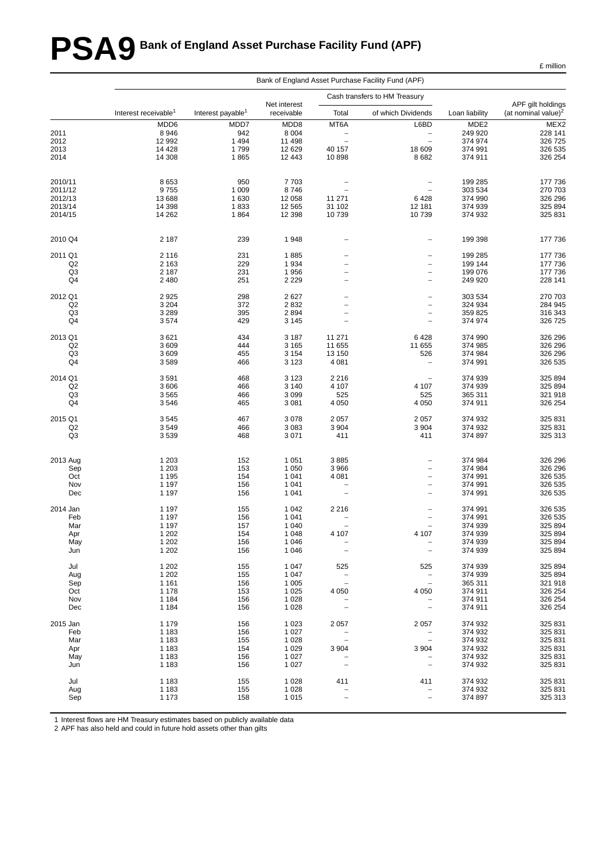# **PSA9 Bank of England Asset Purchase Facility Fund (APF)**

|                | Bank of England Asset Purchase Facility Fund (APF) |                               |              |                          |                               |                  |                                 |  |  |  |  |
|----------------|----------------------------------------------------|-------------------------------|--------------|--------------------------|-------------------------------|------------------|---------------------------------|--|--|--|--|
|                |                                                    |                               | Net interest |                          | Cash transfers to HM Treasury |                  | APF gilt holdings               |  |  |  |  |
|                | Interest receivable <sup>1</sup>                   | Interest payable <sup>1</sup> | receivable   | Total                    | of which Dividends            | Loan liability   | (at nominal value) <sup>2</sup> |  |  |  |  |
|                | MDD6                                               | MDD7                          | MDD8         | MT6A                     | L6BD                          | MDE <sub>2</sub> | MEX2                            |  |  |  |  |
| 2011           | 8946                                               | 942                           | 8 0 0 4      | $\qquad \qquad -$        | $\overline{\phantom{m}}$      | 249 920          | 228 141                         |  |  |  |  |
| 2012           | 12 992                                             | 1 4 9 4                       | 11 498       | $\overline{\phantom{0}}$ | $\overline{\phantom{a}}$      | 374 974          | 326 725                         |  |  |  |  |
| 2013           | 14 4 28                                            | 1799                          | 12 6 29      | 40 157                   | 18 609                        | 374 991          | 326 535                         |  |  |  |  |
| 2014           | 14 308                                             | 1865                          | 12 443       | 10898                    | 8682                          | 374 911          | 326 254                         |  |  |  |  |
| 2010/11        | 8653                                               | 950                           | 7703         |                          | $\overline{\phantom{a}}$      | 199 285          | 177 736                         |  |  |  |  |
| 2011/12        | 9755                                               | 1 0 0 9                       | 8746         | $\overline{\phantom{0}}$ | $\qquad \qquad -$             | 303 534          | 270 703                         |  |  |  |  |
| 2012/13        | 13 688                                             | 1 6 3 0                       | 12 058       | 11 271                   | 6428                          | 374 990          | 326 296                         |  |  |  |  |
| 2013/14        | 14 3 98                                            | 1833                          | 12 5 65      | 31 102                   | 12 181                        | 374 939          | 325 894                         |  |  |  |  |
| 2014/15        | 14 26 2                                            | 1864                          | 12 3 98      | 10739                    | 10739                         | 374 932          | 325 831                         |  |  |  |  |
| 2010 Q4        | 2 187                                              | 239                           | 1948         |                          | $\overline{a}$                | 199 398          | 177 736                         |  |  |  |  |
| 2011 Q1        | 2 1 1 6                                            | 231                           | 1885         | $\overline{\phantom{0}}$ | $\overline{\phantom{0}}$      | 199 285          | 177 736                         |  |  |  |  |
| Q2             | 2 1 6 3                                            | 229                           | 1934         | $\overline{\phantom{0}}$ | $\overline{\phantom{a}}$      | 199 144          | 177 736                         |  |  |  |  |
| Q <sub>3</sub> | 2 1 8 7                                            | 231                           | 1956         | $\overline{a}$           | $\overline{\phantom{a}}$      | 199 076          | 177 736                         |  |  |  |  |
| Q4             | 2480                                               | 251                           | 2 2 2 9      | $\overline{a}$           | $\overline{\phantom{a}}$      | 249 920          | 228 141                         |  |  |  |  |
|                |                                                    |                               |              |                          |                               |                  |                                 |  |  |  |  |
| 2012 Q1        | 2925                                               | 298                           | 2627         |                          | $\overline{a}$                | 303 534          | 270 703                         |  |  |  |  |
| Q2             | 3 2 0 4                                            | 372                           | 2832         | $\overline{\phantom{0}}$ | $\overline{\phantom{0}}$      | 324 934          | 284 945                         |  |  |  |  |
| Q3             | 3 2 8 9                                            | 395                           | 2894         | $\overline{\phantom{0}}$ | $\qquad \qquad -$             | 359 825          | 316 343                         |  |  |  |  |
| Q4             | 3574                                               | 429                           | 3 1 4 5      | $\overline{\phantom{0}}$ | $\qquad \qquad -$             | 374 974          | 326 725                         |  |  |  |  |
| 2013 Q1        | 3621                                               | 434                           | 3 1 8 7      | 11 271                   | 6428                          | 374 990          | 326 296                         |  |  |  |  |
| Q2             | 3609                                               | 444                           | 3 1 6 5      | 11 655                   | 11 655                        | 374 985          | 326 296                         |  |  |  |  |
| Q3             | 3609                                               | 455                           | 3 1 5 4      | 13 150                   | 526                           | 374 984          | 326 296                         |  |  |  |  |
| Q4             | 3589                                               | 466                           | 3 1 2 3      | 4 0 8 1                  | $\overline{\phantom{0}}$      | 374 991          | 326 535                         |  |  |  |  |
| 2014 Q1        | 3591                                               | 468                           | 3 1 2 3      | 2 2 1 6                  |                               | 374 939          | 325 894                         |  |  |  |  |
| Q <sub>2</sub> | 3606                                               | 466                           | 3 1 4 0      | 4 107                    | 4 107                         | 374 939          | 325 894                         |  |  |  |  |
| Q <sub>3</sub> | 3565                                               | 466                           | 3 0 9 9      | 525                      | 525                           | 365 311          | 321 918                         |  |  |  |  |
| Q4             | 3546                                               | 465                           | 3 0 8 1      | 4 0 5 0                  | 4 0 5 0                       | 374 911          | 326 254                         |  |  |  |  |
| 2015 Q1        | 3545                                               | 467                           | 3 0 7 8      | 2057                     | 2 0 5 7                       | 374 932          | 325 831                         |  |  |  |  |
| Q2             | 3549                                               | 466                           | 3 0 8 3      | 3 9 0 4                  | 3 9 0 4                       | 374 932          | 325 831                         |  |  |  |  |
| Q3             | 3539                                               | 468                           | 3 0 7 1      | 411                      | 411                           | 374 897          | 325 313                         |  |  |  |  |
|                |                                                    |                               |              |                          |                               |                  |                                 |  |  |  |  |
| 2013 Aug       | 1 2 0 3                                            | 152                           | 1 0 5 1      | 3885                     | $\overline{\phantom{a}}$      | 374 984          | 326 296                         |  |  |  |  |
| Sep            | 1 2 0 3                                            | 153                           | 1 0 5 0      | 3966                     | $\overline{\phantom{0}}$      | 374 984          | 326 296                         |  |  |  |  |
| Oct            | 1 1 9 5                                            | 154                           | 1 0 4 1      | 4 0 8 1                  | $\overline{\phantom{0}}$      | 374 991          | 326 535                         |  |  |  |  |
| Nov            | 1 1 9 7                                            | 156                           | 1 0 4 1      | $\overline{\phantom{0}}$ | $\overline{\phantom{a}}$      | 374 991          | 326 535                         |  |  |  |  |
| Dec            | 1 1 9 7                                            | 156                           | 1 0 4 1      | $\overline{\phantom{0}}$ | $\overline{\phantom{0}}$      | 374 991          | 326 535                         |  |  |  |  |
| 2014 Jan       | 1 1 9 7                                            | 155                           | 1 0 4 2      | 2216                     | $\overline{\phantom{0}}$      | 374 991          | 326 535                         |  |  |  |  |
| Feb            | 1 1 9 7                                            | 156                           | 1 0 4 1      |                          | $\qquad \qquad -$             | 374 991          | 326 535                         |  |  |  |  |
| Mar            | 1 1 9 7                                            | 157                           | 1 0 4 0      | $\overline{\phantom{0}}$ | $\qquad \qquad -$             | 374 939          | 325 894                         |  |  |  |  |
| Apr            | 1 2 0 2                                            | 154                           | 1 0 4 8      | 4 107                    | 4 107                         | 374 939          | 325 894                         |  |  |  |  |
| May            | 1 2 0 2                                            | 156                           | 1 0 4 6      | $\qquad \qquad -$        | $\overline{\phantom{a}}$      | 374 939          | 325 894                         |  |  |  |  |
| Jun            | 1 2 0 2                                            | 156                           | 1 0 4 6      | $\overline{\phantom{0}}$ | $\overline{\phantom{a}}$      | 374 939          | 325 894                         |  |  |  |  |
| Jul            | 1 2 0 2                                            | 155                           | 1 0 4 7      | 525                      | 525                           | 374 939          | 325 894                         |  |  |  |  |
| Aug            | 1 2 0 2                                            | 155                           | 1 0 4 7      | $\overline{a}$           | $\overline{\phantom{a}}$      | 374 939          | 325 894                         |  |  |  |  |
| Sep            | 1 1 6 1                                            | 156                           | 1 0 0 5      | $\overline{a}$           | $\overline{\phantom{0}}$      | 365 311          | 321 918                         |  |  |  |  |
| Oct            | 1 1 7 8                                            | 153                           | 1 0 2 5      | 4 0 5 0                  | 4 0 5 0                       | 374 911          | 326 254                         |  |  |  |  |
| Nov            | 1 1 8 4                                            | 156                           | 1 0 28       |                          | $\overline{a}$                | 374 911          | 326 254                         |  |  |  |  |
| Dec            | 1 1 8 4                                            | 156                           | 1 0 28       |                          | $\qquad \qquad -$             | 374 911          | 326 254                         |  |  |  |  |
| 2015 Jan       | 1 1 7 9                                            | 156                           | 1 0 2 3      | 2 0 5 7                  | 2 0 5 7                       | 374 932          | 325 831                         |  |  |  |  |
| Feb            | 1 1 8 3                                            | 156                           | 1 0 2 7      |                          |                               | 374 932          | 325 831                         |  |  |  |  |
| Mar            | 1 1 8 3                                            | 155                           | 1 0 28       | $\overline{a}$           | $\overline{\phantom{a}}$      | 374 932          | 325 831                         |  |  |  |  |
| Apr            | 1 1 8 3                                            | 154                           | 1 0 2 9      | 3904                     | 3 9 0 4                       | 374 932          | 325 831                         |  |  |  |  |
| May            | 1 1 8 3                                            | 156                           | 1 0 2 7      |                          |                               | 374 932          | 325 831                         |  |  |  |  |
| Jun            | 1 1 8 3                                            | 156                           | 1 0 2 7      | $\overline{\phantom{0}}$ | $\overline{\phantom{a}}$      | 374 932          | 325 831                         |  |  |  |  |
| Jul            | 1 1 8 3                                            | 155                           | 1 0 2 8      | 411                      | 411                           | 374 932          | 325 831                         |  |  |  |  |
| Aug            | 1 1 8 3                                            | 155                           | 1 0 2 8      | -                        | $\overline{\phantom{0}}$      | 374 932          | 325 831                         |  |  |  |  |
| Sep            | 1 1 7 3                                            | 158                           | 1 0 1 5      | $\overline{a}$           | $\qquad \qquad -$             | 374 897          | 325 313                         |  |  |  |  |
|                |                                                    |                               |              |                          |                               |                  |                                 |  |  |  |  |

1 Interest flows are HM Treasury estimates based on publicly available data

2 APF has also held and could in future hold assets other than gilts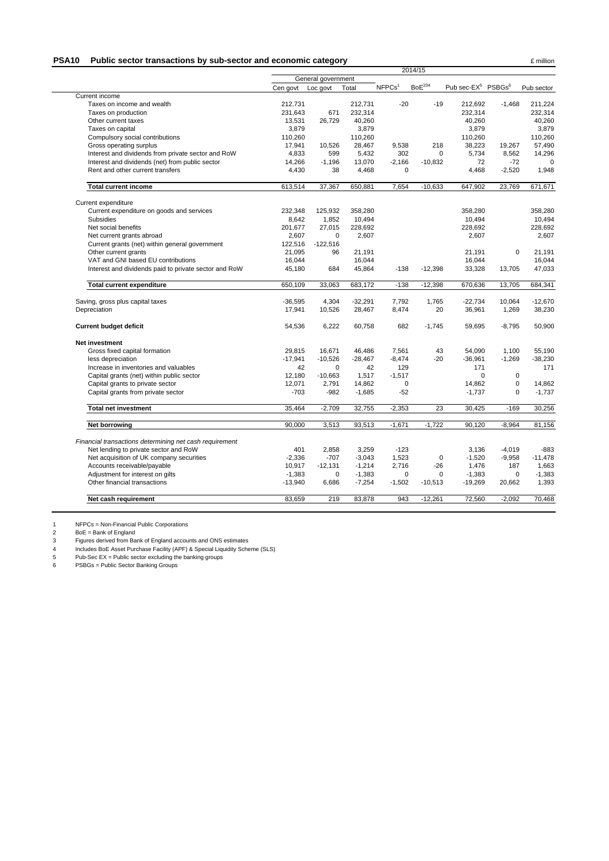#### **PSA10** Public sector transactions by sub-sector and economic category **Example 2** million

|                                                                                                  | 2014/15             |             |           |                    |                      |                                            |             |            |
|--------------------------------------------------------------------------------------------------|---------------------|-------------|-----------|--------------------|----------------------|--------------------------------------------|-------------|------------|
|                                                                                                  | General government  |             |           |                    |                      |                                            |             |            |
|                                                                                                  | Cen govt            | Loc govt    | Total     | NFPCs <sup>1</sup> | $\mathsf{BoE}^{234}$ | Pub sec-EX <sup>5</sup> PSBGs <sup>6</sup> |             | Pub sector |
| Current income                                                                                   |                     |             |           |                    |                      |                                            |             |            |
| Taxes on income and wealth                                                                       | 212.731             |             | 212.731   | $-20$              | $-19$                | 212,692                                    | $-1,468$    | 211,224    |
| Taxes on production                                                                              | 231,643             | 671         | 232,314   |                    |                      | 232,314                                    |             | 232,314    |
| Other current taxes                                                                              | 13,531              | 26,729      | 40,260    |                    |                      | 40,260                                     |             | 40,260     |
| Taxes on capital                                                                                 | 3,879               |             | 3,879     |                    |                      | 3,879                                      |             | 3,879      |
| Compulsory social contributions                                                                  | 110,260             |             | 110,260   |                    |                      | 110,260                                    |             | 110,260    |
| Gross operating surplus                                                                          | 17,941              | 10,526      | 28,467    | 9,538              | 218                  | 38,223                                     | 19,267      | 57,490     |
| Interest and dividends from private sector and RoW                                               | 4.833               | 599         | 5,432     | 302                | $\Omega$             | 5.734                                      | 8.562       | 14,296     |
| Interest and dividends (net) from public sector                                                  | 14,266              | $-1,196$    | 13,070    | $-2,166$           | $-10,832$            | 72                                         | $-72$       |            |
| Rent and other current transfers                                                                 | 4,430               | 38          | 4,468     | $\mathbf 0$        |                      | 4,468                                      | $-2,520$    | 1,948      |
| <b>Total current income</b>                                                                      | 613,514             | 37,367      | 650,881   | 7,654              | $-10,633$            | 647,902                                    | 23,769      | 671,671    |
| Current expenditure                                                                              |                     |             |           |                    |                      |                                            |             |            |
| Current expenditure on goods and services                                                        | 232,348             | 125,932     | 358,280   |                    |                      | 358,280                                    |             | 358,280    |
| <b>Subsidies</b>                                                                                 | 8,642               | 1,852       | 10,494    |                    |                      | 10,494                                     |             | 10,494     |
| Net social benefits                                                                              | 201.677             | 27,015      | 228,692   |                    |                      | 228.692                                    |             | 228.692    |
| Net current grants abroad                                                                        | 2,607               | 0           | 2,607     |                    |                      | 2,607                                      |             | 2,607      |
| Current grants (net) within general government                                                   | 122,516             | $-122,516$  |           |                    |                      |                                            |             |            |
| Other current grants                                                                             | 21,095              | 96          | 21,191    |                    |                      | 21,191                                     | $\Omega$    | 21,191     |
| VAT and GNI based EU contributions                                                               | 16,044              |             | 16,044    |                    |                      | 16,044                                     |             | 16,044     |
| Interest and dividends paid to private sector and RoW                                            | 45,180              | 684         | 45,864    | $-138$             | $-12,398$            | 33,328                                     | 13,705      | 47,033     |
| <b>Total current expenditure</b>                                                                 | 650,109             | 33,063      | 683,172   | $-138$             | $-12,398$            | 670,636                                    | 13,705      | 684,341    |
| Saving, gross plus capital taxes                                                                 | $-36,595$           | 4,304       | $-32,291$ | 7,792              | 1,765                | $-22,734$                                  | 10,064      | $-12,670$  |
| Depreciation                                                                                     | 17,941              | 10,526      | 28,467    | 8,474              | 20                   | 36,961                                     | 1,269       | 38,230     |
| <b>Current budget deficit</b>                                                                    | 54,536              | 6,222       | 60.758    | 682                | $-1.745$             | 59,695                                     | $-8.795$    | 50,900     |
| Net investment                                                                                   |                     |             |           |                    |                      |                                            |             |            |
| Gross fixed capital formation                                                                    | 29.815              | 16.671      | 46,486    | 7,561              | 43                   | 54.090                                     | 1.100       | 55,190     |
| less depreciation                                                                                | $-17,941$           | $-10,526$   | $-28,467$ | $-8,474$           | $-20$                | $-36,961$                                  | $-1,269$    | $-38,230$  |
| Increase in inventories and valuables                                                            | 42                  | $\mathbf 0$ | 42        | 129                |                      | 171                                        |             | 171        |
| Capital grants (net) within public sector                                                        | 12,180              | $-10,663$   | 1,517     | $-1,517$           |                      | $\Omega$                                   | $\mathbf 0$ |            |
| Capital grants to private sector                                                                 | 12,071              | 2,791       | 14,862    | $\pmb{0}$          |                      | 14,862                                     | $\mathsf 0$ | 14,862     |
| Capital grants from private sector                                                               | $-703$              | $-982$      | $-1,685$  | $-52$              |                      | $-1,737$                                   | $\mathbf 0$ | $-1,737$   |
| <b>Total net investment</b>                                                                      | 35,464              | $-2,709$    | 32,755    | $-2,353$           | 23                   | 30,425                                     | $-169$      | 30,256     |
| Net borrowing                                                                                    | 90.000              | 3,513       | 93,513    | $-1,671$           | $-1,722$             | 90,120                                     | $-8,964$    | 81,156     |
|                                                                                                  |                     |             |           |                    |                      |                                            |             |            |
| Financial transactions determining net cash requirement<br>Net lending to private sector and RoW | 401                 | 2,858       | 3,259     | $-123$             |                      | 3.136                                      | $-4.019$    | $-883$     |
| Net acquisition of UK company securities                                                         | $-2,336$            | $-707$      | $-3,043$  | 1,523              | $\mathbf 0$          | $-1,520$                                   | $-9,958$    | $-11,478$  |
| Accounts receivable/payable                                                                      | 10,917              | $-12,131$   | $-1,214$  | 2,716              | $-26$                | 1,476                                      | 187         | 1,663      |
| Adjustment for interest on gilts                                                                 | $-1,383$            | 0           | $-1,383$  | $\mathbf 0$        | $\Omega$             | $-1,383$                                   | 0           | $-1,383$   |
|                                                                                                  |                     | 6,686       | $-7,254$  | $-1,502$           | $-10,513$            | $-19,269$                                  | 20,662      | 1,393      |
|                                                                                                  |                     |             |           |                    |                      |                                            |             |            |
| Other financial transactions<br>Net cash requirement                                             | $-13,940$<br>83.659 | 219         | 83,878    | 943                | $-12,261$            | 72,560                                     | $-2,092$    | 70,468     |

1 NFPCs = Non-Financial Public Corporations

2 BoE = Bank of England

3 Figures derived from Bank of England accounts and ONS estimates

4 Includes BoE Asset Purchase Facility (APF) & Special Liquidity Scheme (SLS)

5 Pub-Sec EX = Public sector excluding the banking groups

6 PSBGs = Public Sector Banking Groups